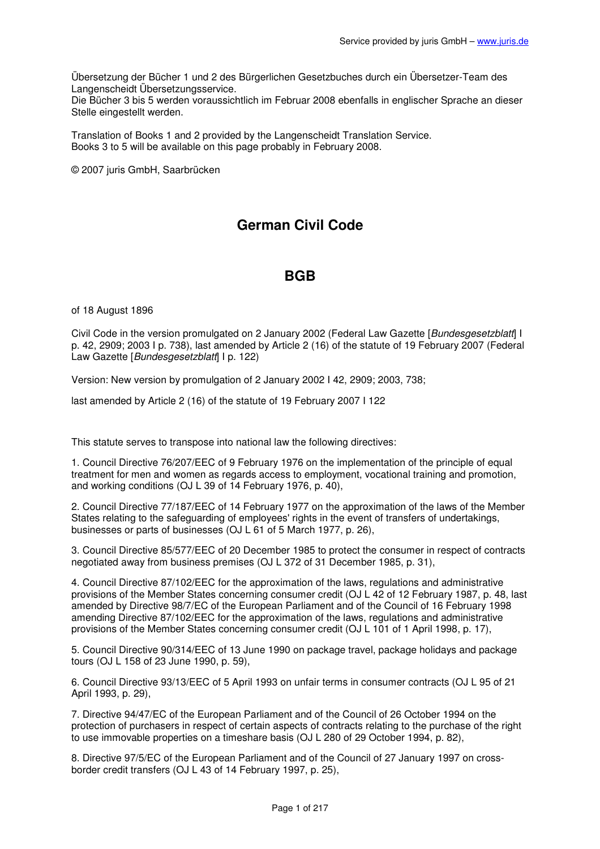Übersetzung der Bücher 1 und 2 des Bürgerlichen Gesetzbuches durch ein Übersetzer-Team des Langenscheidt Übersetzungsservice.

Die Bücher 3 bis 5 werden voraussichtlich im Februar 2008 ebenfalls in englischer Sprache an dieser Stelle eingestellt werden.

Translation of Books 1 and 2 provided by the Langenscheidt Translation Service. Books 3 to 5 will be available on this page probably in February 2008.

© 2007 juris GmbH, Saarbrücken

# **German Civil Code**

# **BGB**

of 18 August 1896

Civil Code in the version promulgated on 2 January 2002 (Federal Law Gazette [Bundesgesetzblatt] I p. 42, 2909; 2003 I p. 738), last amended by Article 2 (16) of the statute of 19 February 2007 (Federal Law Gazette [Bundesgesetzblatt] | p. 122)

Version: New version by promulgation of 2 January 2002 I 42, 2909; 2003, 738;

last amended by Article 2 (16) of the statute of 19 February 2007 I 122

This statute serves to transpose into national law the following directives:

1. Council Directive 76/207/EEC of 9 February 1976 on the implementation of the principle of equal treatment for men and women as regards access to employment, vocational training and promotion, and working conditions (OJ L 39 of 14 February 1976, p. 40),

2. Council Directive 77/187/EEC of 14 February 1977 on the approximation of the laws of the Member States relating to the safeguarding of employees' rights in the event of transfers of undertakings, businesses or parts of businesses (OJ L 61 of 5 March 1977, p. 26),

3. Council Directive 85/577/EEC of 20 December 1985 to protect the consumer in respect of contracts negotiated away from business premises (OJ L 372 of 31 December 1985, p. 31),

4. Council Directive 87/102/EEC for the approximation of the laws, regulations and administrative provisions of the Member States concerning consumer credit (OJ L 42 of 12 February 1987, p. 48, last amended by Directive 98/7/EC of the European Parliament and of the Council of 16 February 1998 amending Directive 87/102/EEC for the approximation of the laws, regulations and administrative provisions of the Member States concerning consumer credit (OJ L 101 of 1 April 1998, p. 17),

5. Council Directive 90/314/EEC of 13 June 1990 on package travel, package holidays and package tours (OJ L 158 of 23 June 1990, p. 59),

6. Council Directive 93/13/EEC of 5 April 1993 on unfair terms in consumer contracts (OJ L 95 of 21 April 1993, p. 29),

7. Directive 94/47/EC of the European Parliament and of the Council of 26 October 1994 on the protection of purchasers in respect of certain aspects of contracts relating to the purchase of the right to use immovable properties on a timeshare basis (OJ L 280 of 29 October 1994, p. 82),

8. Directive 97/5/EC of the European Parliament and of the Council of 27 January 1997 on crossborder credit transfers (OJ L 43 of 14 February 1997, p. 25),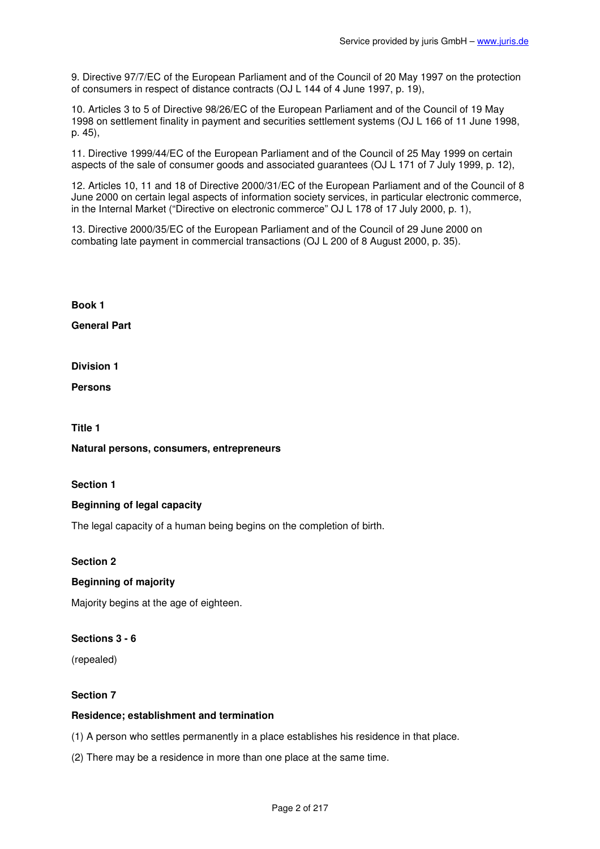9. Directive 97/7/EC of the European Parliament and of the Council of 20 May 1997 on the protection of consumers in respect of distance contracts (OJ L 144 of 4 June 1997, p. 19),

10. Articles 3 to 5 of Directive 98/26/EC of the European Parliament and of the Council of 19 May 1998 on settlement finality in payment and securities settlement systems (OJ L 166 of 11 June 1998, p. 45),

11. Directive 1999/44/EC of the European Parliament and of the Council of 25 May 1999 on certain aspects of the sale of consumer goods and associated guarantees (OJ L 171 of 7 July 1999, p. 12),

12. Articles 10, 11 and 18 of Directive 2000/31/EC of the European Parliament and of the Council of 8 June 2000 on certain legal aspects of information society services, in particular electronic commerce, in the Internal Market ("Directive on electronic commerce" OJ L 178 of 17 July 2000, p. 1),

13. Directive 2000/35/EC of the European Parliament and of the Council of 29 June 2000 on combating late payment in commercial transactions (OJ L 200 of 8 August 2000, p. 35).

**Book 1** 

**General Part** 

**Division 1** 

**Persons** 

**Title 1** 

**Natural persons, consumers, entrepreneurs** 

**Section 1** 

# **Beginning of legal capacity**

The legal capacity of a human being begins on the completion of birth.

**Section 2** 

# **Beginning of majority**

Majority begins at the age of eighteen.

# **Sections 3 - 6**

(repealed)

#### **Section 7**

#### **Residence; establishment and termination**

(1) A person who settles permanently in a place establishes his residence in that place.

(2) There may be a residence in more than one place at the same time.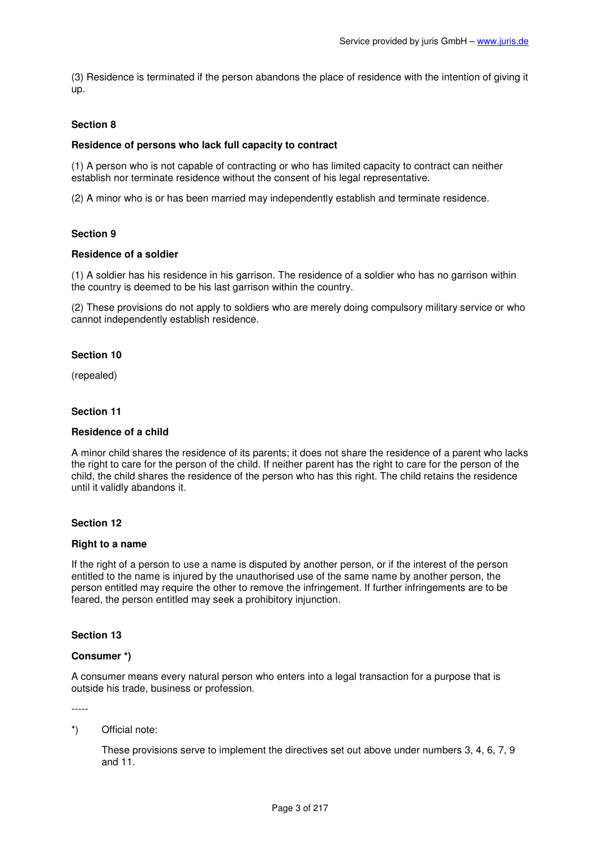(3) Residence is terminated if the person abandons the place of residence with the intention of giving it up.

# **Section 8**

# **Residence of persons who lack full capacity to contract**

(1) A person who is not capable of contracting or who has limited capacity to contract can neither establish nor terminate residence without the consent of his legal representative.

(2) A minor who is or has been married may independently establish and terminate residence.

### **Section 9**

### **Residence of a soldier**

(1) A soldier has his residence in his garrison. The residence of a soldier who has no garrison within the country is deemed to be his last garrison within the country.

(2) These provisions do not apply to soldiers who are merely doing compulsory military service or who cannot independently establish residence.

### **Section 10**

(repealed)

#### **Section 11**

### **Residence of a child**

A minor child shares the residence of its parents; it does not share the residence of a parent who lacks the right to care for the person of the child. If neither parent has the right to care for the person of the child, the child shares the residence of the person who has this right. The child retains the residence until it validly abandons it.

### **Section 12**

### **Right to a name**

If the right of a person to use a name is disputed by another person, or if the interest of the person entitled to the name is injured by the unauthorised use of the same name by another person, the person entitled may require the other to remove the infringement. If further infringements are to be feared, the person entitled may seek a prohibitory injunction.

### **Section 13**

### **Consumer \*)**

A consumer means every natural person who enters into a legal transaction for a purpose that is outside his trade, business or profession.

-----

### \*) Official note:

These provisions serve to implement the directives set out above under numbers 3, 4, 6, 7, 9 and 11.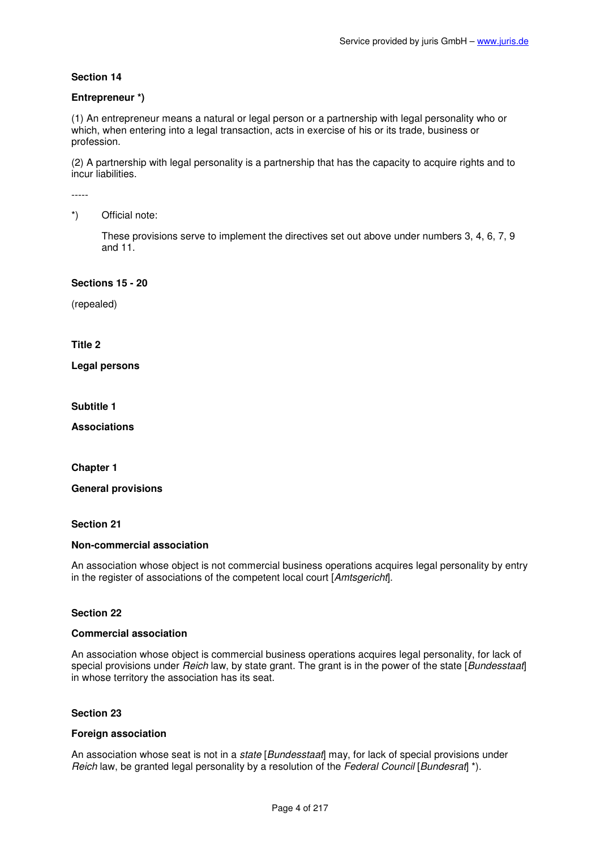# **Entrepreneur \*)**

(1) An entrepreneur means a natural or legal person or a partnership with legal personality who or which, when entering into a legal transaction, acts in exercise of his or its trade, business or profession.

(2) A partnership with legal personality is a partnership that has the capacity to acquire rights and to incur liabilities.

-----

# \*) Official note:

These provisions serve to implement the directives set out above under numbers 3, 4, 6, 7, 9 and 11.

#### **Sections 15 - 20**

(repealed)

### **Title 2**

**Legal persons** 

**Subtitle 1** 

**Associations** 

**Chapter 1** 

**General provisions** 

# **Section 21**

#### **Non-commercial association**

An association whose object is not commercial business operations acquires legal personality by entry in the register of associations of the competent local court [Amtsgericht].

# **Section 22**

#### **Commercial association**

An association whose object is commercial business operations acquires legal personality, for lack of special provisions under Reich law, by state grant. The grant is in the power of the state [Bundesstaat] in whose territory the association has its seat.

#### **Section 23**

### **Foreign association**

An association whose seat is not in a state [Bundesstaat] may, for lack of special provisions under Reich law, be granted legal personality by a resolution of the Federal Council [Bundesrat] \*).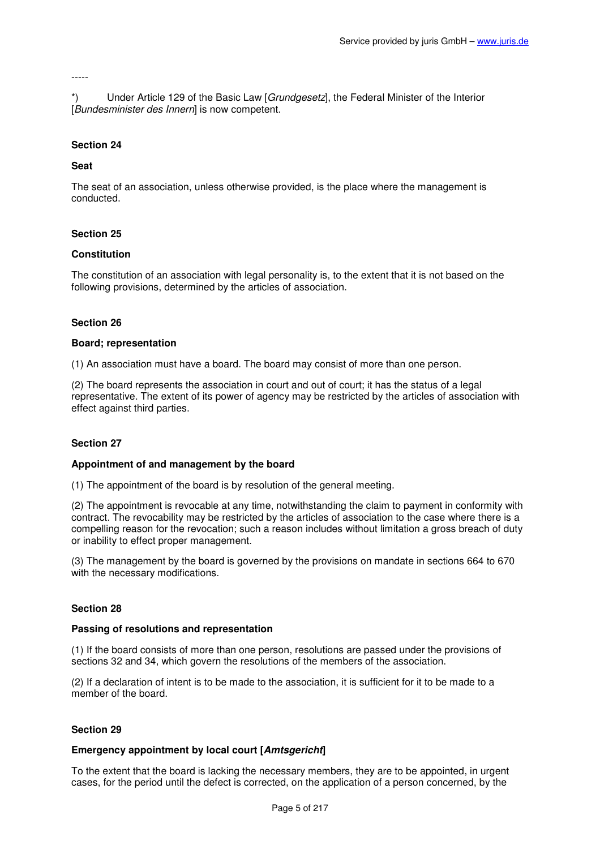#### -----

\*) Under Article 129 of the Basic Law [Grundgesetz], the Federal Minister of the Interior [Bundesminister des Innern] is now competent.

#### **Section 24**

#### **Seat**

The seat of an association, unless otherwise provided, is the place where the management is conducted.

#### **Section 25**

#### **Constitution**

The constitution of an association with legal personality is, to the extent that it is not based on the following provisions, determined by the articles of association.

#### **Section 26**

#### **Board; representation**

(1) An association must have a board. The board may consist of more than one person.

(2) The board represents the association in court and out of court; it has the status of a legal representative. The extent of its power of agency may be restricted by the articles of association with effect against third parties.

#### **Section 27**

#### **Appointment of and management by the board**

(1) The appointment of the board is by resolution of the general meeting.

(2) The appointment is revocable at any time, notwithstanding the claim to payment in conformity with contract. The revocability may be restricted by the articles of association to the case where there is a compelling reason for the revocation; such a reason includes without limitation a gross breach of duty or inability to effect proper management.

(3) The management by the board is governed by the provisions on mandate in sections 664 to 670 with the necessary modifications.

### **Section 28**

#### **Passing of resolutions and representation**

(1) If the board consists of more than one person, resolutions are passed under the provisions of sections 32 and 34, which govern the resolutions of the members of the association.

(2) If a declaration of intent is to be made to the association, it is sufficient for it to be made to a member of the board.

#### **Section 29**

### **Emergency appointment by local court [Amtsgericht]**

To the extent that the board is lacking the necessary members, they are to be appointed, in urgent cases, for the period until the defect is corrected, on the application of a person concerned, by the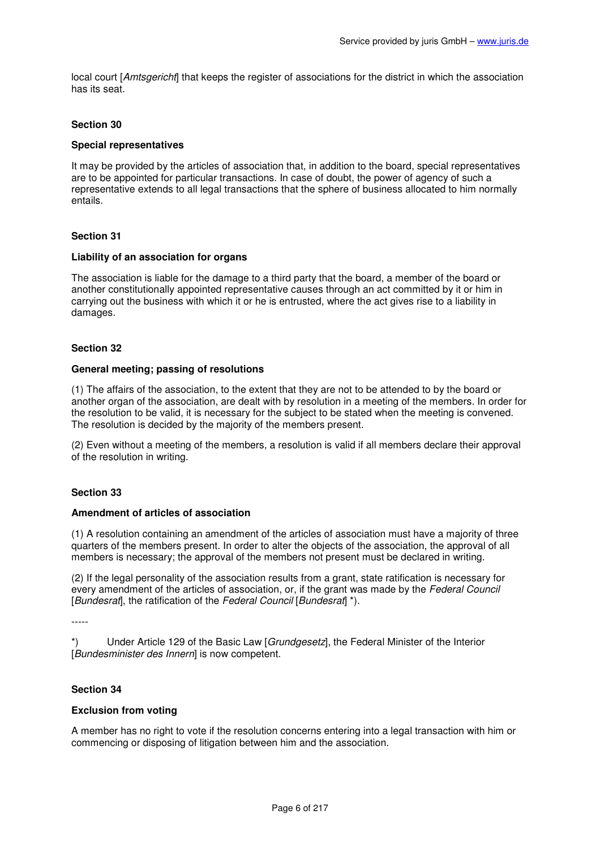local court [Amtsgericht] that keeps the register of associations for the district in which the association has its seat.

# **Section 30**

### **Special representatives**

It may be provided by the articles of association that, in addition to the board, special representatives are to be appointed for particular transactions. In case of doubt, the power of agency of such a representative extends to all legal transactions that the sphere of business allocated to him normally entails.

# **Section 31**

### **Liability of an association for organs**

The association is liable for the damage to a third party that the board, a member of the board or another constitutionally appointed representative causes through an act committed by it or him in carrying out the business with which it or he is entrusted, where the act gives rise to a liability in damages.

### **Section 32**

# **General meeting; passing of resolutions**

(1) The affairs of the association, to the extent that they are not to be attended to by the board or another organ of the association, are dealt with by resolution in a meeting of the members. In order for the resolution to be valid, it is necessary for the subject to be stated when the meeting is convened. The resolution is decided by the majority of the members present.

(2) Even without a meeting of the members, a resolution is valid if all members declare their approval of the resolution in writing.

### **Section 33**

# **Amendment of articles of association**

(1) A resolution containing an amendment of the articles of association must have a majority of three quarters of the members present. In order to alter the objects of the association, the approval of all members is necessary; the approval of the members not present must be declared in writing.

(2) If the legal personality of the association results from a grant, state ratification is necessary for every amendment of the articles of association, or, if the grant was made by the Federal Council [Bundesrat], the ratification of the Federal Council [Bundesrat] \*).

-----

\*) Under Article 129 of the Basic Law [Grundgesetz], the Federal Minister of the Interior [Bundesminister des Innern] is now competent.

# **Section 34**

### **Exclusion from voting**

A member has no right to vote if the resolution concerns entering into a legal transaction with him or commencing or disposing of litigation between him and the association.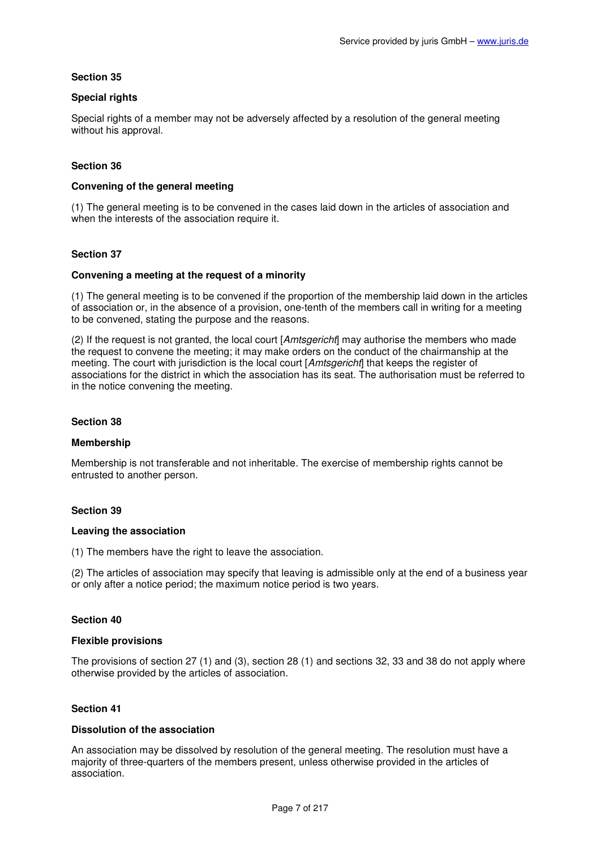# **Special rights**

Special rights of a member may not be adversely affected by a resolution of the general meeting without his approval.

# **Section 36**

# **Convening of the general meeting**

(1) The general meeting is to be convened in the cases laid down in the articles of association and when the interests of the association require it.

### **Section 37**

### **Convening a meeting at the request of a minority**

(1) The general meeting is to be convened if the proportion of the membership laid down in the articles of association or, in the absence of a provision, one-tenth of the members call in writing for a meeting to be convened, stating the purpose and the reasons.

 $(2)$  If the request is not granted, the local court [*Amtsgericht*] may authorise the members who made the request to convene the meeting; it may make orders on the conduct of the chairmanship at the meeting. The court with jurisdiction is the local court [Amtsgericht] that keeps the register of associations for the district in which the association has its seat. The authorisation must be referred to in the notice convening the meeting.

# **Section 38**

### **Membership**

Membership is not transferable and not inheritable. The exercise of membership rights cannot be entrusted to another person.

### **Section 39**

### **Leaving the association**

(1) The members have the right to leave the association.

(2) The articles of association may specify that leaving is admissible only at the end of a business year or only after a notice period; the maximum notice period is two years.

### **Section 40**

### **Flexible provisions**

The provisions of section 27 (1) and (3), section 28 (1) and sections 32, 33 and 38 do not apply where otherwise provided by the articles of association.

### **Section 41**

### **Dissolution of the association**

An association may be dissolved by resolution of the general meeting. The resolution must have a majority of three-quarters of the members present, unless otherwise provided in the articles of association.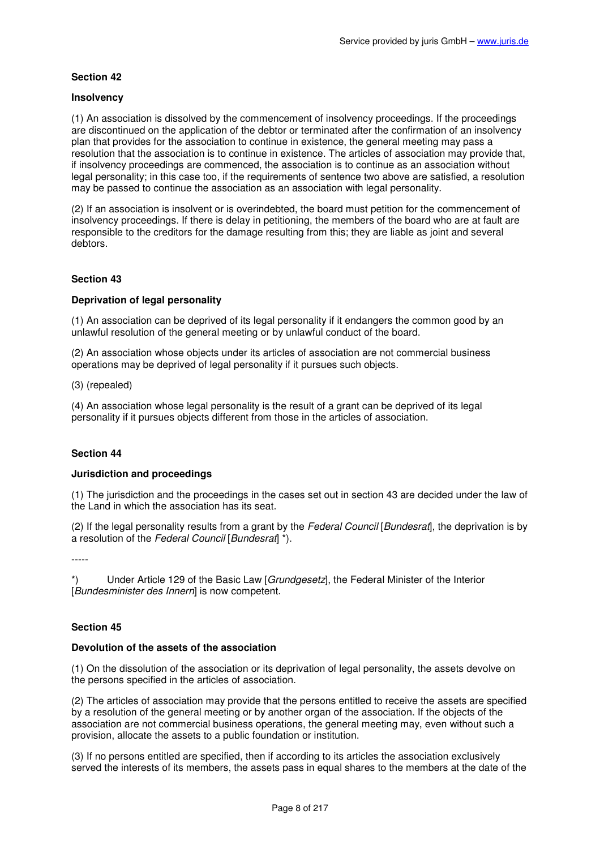# **Insolvency**

(1) An association is dissolved by the commencement of insolvency proceedings. If the proceedings are discontinued on the application of the debtor or terminated after the confirmation of an insolvency plan that provides for the association to continue in existence, the general meeting may pass a resolution that the association is to continue in existence. The articles of association may provide that, if insolvency proceedings are commenced, the association is to continue as an association without legal personality; in this case too, if the requirements of sentence two above are satisfied, a resolution may be passed to continue the association as an association with legal personality.

(2) If an association is insolvent or is overindebted, the board must petition for the commencement of insolvency proceedings. If there is delay in petitioning, the members of the board who are at fault are responsible to the creditors for the damage resulting from this; they are liable as joint and several debtors.

# **Section 43**

# **Deprivation of legal personality**

(1) An association can be deprived of its legal personality if it endangers the common good by an unlawful resolution of the general meeting or by unlawful conduct of the board.

(2) An association whose objects under its articles of association are not commercial business operations may be deprived of legal personality if it pursues such objects.

(3) (repealed)

(4) An association whose legal personality is the result of a grant can be deprived of its legal personality if it pursues objects different from those in the articles of association.

# **Section 44**

### **Jurisdiction and proceedings**

(1) The jurisdiction and the proceedings in the cases set out in section 43 are decided under the law of the Land in which the association has its seat.

(2) If the legal personality results from a grant by the Federal Council [Bundesrat], the deprivation is by a resolution of the Federal Council [Bundesrat] \*).

-----

\*) Under Article 129 of the Basic Law [Grundgesetz], the Federal Minister of the Interior [Bundesminister des Innern] is now competent.

# **Section 45**

### **Devolution of the assets of the association**

(1) On the dissolution of the association or its deprivation of legal personality, the assets devolve on the persons specified in the articles of association.

(2) The articles of association may provide that the persons entitled to receive the assets are specified by a resolution of the general meeting or by another organ of the association. If the objects of the association are not commercial business operations, the general meeting may, even without such a provision, allocate the assets to a public foundation or institution.

(3) If no persons entitled are specified, then if according to its articles the association exclusively served the interests of its members, the assets pass in equal shares to the members at the date of the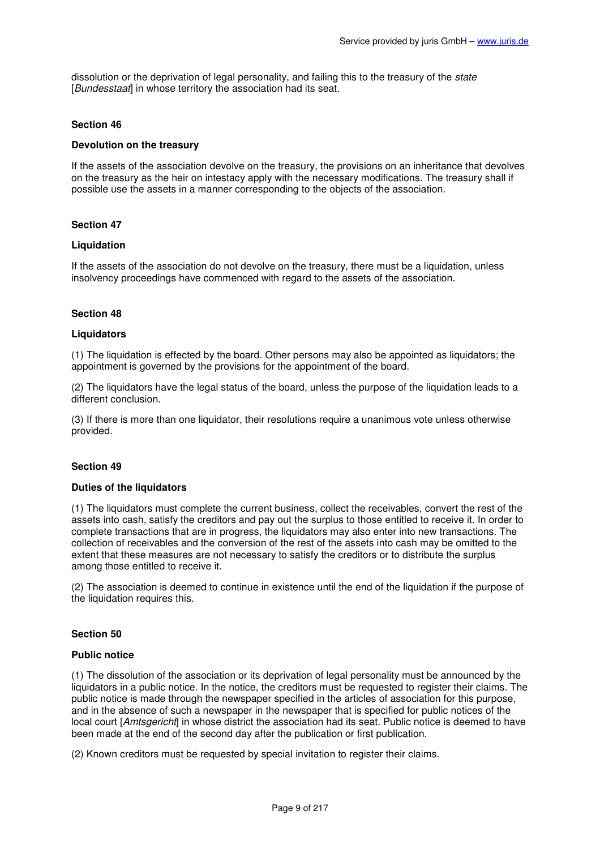dissolution or the deprivation of legal personality, and failing this to the treasury of the *state* [Bundesstaat] in whose territory the association had its seat.

### **Section 46**

### **Devolution on the treasury**

If the assets of the association devolve on the treasury, the provisions on an inheritance that devolves on the treasury as the heir on intestacy apply with the necessary modifications. The treasury shall if possible use the assets in a manner corresponding to the objects of the association.

# **Section 47**

### **Liquidation**

If the assets of the association do not devolve on the treasury, there must be a liquidation, unless insolvency proceedings have commenced with regard to the assets of the association.

# **Section 48**

### **Liquidators**

(1) The liquidation is effected by the board. Other persons may also be appointed as liquidators; the appointment is governed by the provisions for the appointment of the board.

(2) The liquidators have the legal status of the board, unless the purpose of the liquidation leads to a different conclusion.

(3) If there is more than one liquidator, their resolutions require a unanimous vote unless otherwise provided.

### **Section 49**

### **Duties of the liquidators**

(1) The liquidators must complete the current business, collect the receivables, convert the rest of the assets into cash, satisfy the creditors and pay out the surplus to those entitled to receive it. In order to complete transactions that are in progress, the liquidators may also enter into new transactions. The collection of receivables and the conversion of the rest of the assets into cash may be omitted to the extent that these measures are not necessary to satisfy the creditors or to distribute the surplus among those entitled to receive it.

(2) The association is deemed to continue in existence until the end of the liquidation if the purpose of the liquidation requires this.

### **Section 50**

### **Public notice**

(1) The dissolution of the association or its deprivation of legal personality must be announced by the liquidators in a public notice. In the notice, the creditors must be requested to register their claims. The public notice is made through the newspaper specified in the articles of association for this purpose, and in the absence of such a newspaper in the newspaper that is specified for public notices of the local court [Amtsgericht] in whose district the association had its seat. Public notice is deemed to have been made at the end of the second day after the publication or first publication.

(2) Known creditors must be requested by special invitation to register their claims.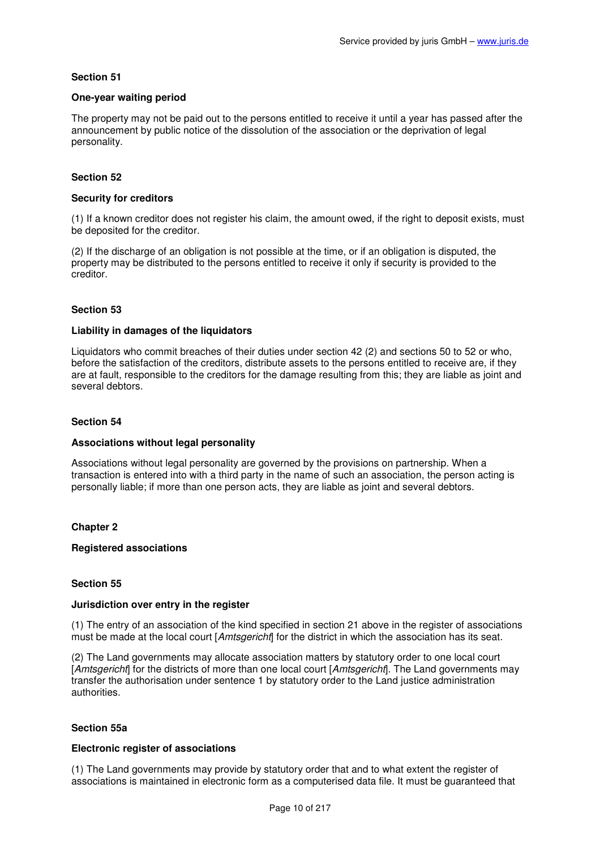# **One-year waiting period**

The property may not be paid out to the persons entitled to receive it until a year has passed after the announcement by public notice of the dissolution of the association or the deprivation of legal personality.

# **Section 52**

# **Security for creditors**

(1) If a known creditor does not register his claim, the amount owed, if the right to deposit exists, must be deposited for the creditor.

(2) If the discharge of an obligation is not possible at the time, or if an obligation is disputed, the property may be distributed to the persons entitled to receive it only if security is provided to the creditor.

# **Section 53**

### **Liability in damages of the liquidators**

Liquidators who commit breaches of their duties under section 42 (2) and sections 50 to 52 or who, before the satisfaction of the creditors, distribute assets to the persons entitled to receive are, if they are at fault, responsible to the creditors for the damage resulting from this; they are liable as joint and several debtors.

# **Section 54**

### **Associations without legal personality**

Associations without legal personality are governed by the provisions on partnership. When a transaction is entered into with a third party in the name of such an association, the person acting is personally liable; if more than one person acts, they are liable as joint and several debtors.

# **Chapter 2**

### **Registered associations**

### **Section 55**

### **Jurisdiction over entry in the register**

(1) The entry of an association of the kind specified in section 21 above in the register of associations must be made at the local court [Amtsgericht] for the district in which the association has its seat.

(2) The Land governments may allocate association matters by statutory order to one local court [Amtsgericht] for the districts of more than one local court [Amtsgericht]. The Land governments may transfer the authorisation under sentence 1 by statutory order to the Land justice administration authorities.

### **Section 55a**

# **Electronic register of associations**

(1) The Land governments may provide by statutory order that and to what extent the register of associations is maintained in electronic form as a computerised data file. It must be guaranteed that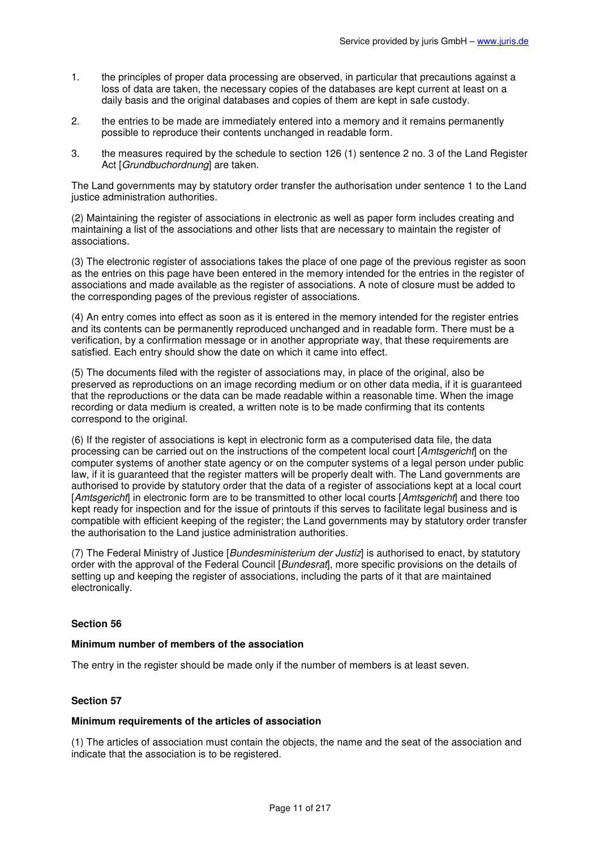- 1. the principles of proper data processing are observed, in particular that precautions against a loss of data are taken, the necessary copies of the databases are kept current at least on a daily basis and the original databases and copies of them are kept in safe custody.
- 2. the entries to be made are immediately entered into a memory and it remains permanently possible to reproduce their contents unchanged in readable form.
- 3. the measures required by the schedule to section 126 (1) sentence 2 no. 3 of the Land Register Act [Grundbuchordnung] are taken.

The Land governments may by statutory order transfer the authorisation under sentence 1 to the Land justice administration authorities.

(2) Maintaining the register of associations in electronic as well as paper form includes creating and maintaining a list of the associations and other lists that are necessary to maintain the register of associations.

(3) The electronic register of associations takes the place of one page of the previous register as soon as the entries on this page have been entered in the memory intended for the entries in the register of associations and made available as the register of associations. A note of closure must be added to the corresponding pages of the previous register of associations.

(4) An entry comes into effect as soon as it is entered in the memory intended for the register entries and its contents can be permanently reproduced unchanged and in readable form. There must be a verification, by a confirmation message or in another appropriate way, that these requirements are satisfied. Each entry should show the date on which it came into effect.

(5) The documents filed with the register of associations may, in place of the original, also be preserved as reproductions on an image recording medium or on other data media, if it is guaranteed that the reproductions or the data can be made readable within a reasonable time. When the image recording or data medium is created, a written note is to be made confirming that its contents correspond to the original.

(6) If the register of associations is kept in electronic form as a computerised data file, the data processing can be carried out on the instructions of the competent local court [Amtsgericht] on the computer systems of another state agency or on the computer systems of a legal person under public law, if it is guaranteed that the register matters will be properly dealt with. The Land governments are authorised to provide by statutory order that the data of a register of associations kept at a local court [Amtsgericht] in electronic form are to be transmitted to other local courts [Amtsgericht] and there too kept ready for inspection and for the issue of printouts if this serves to facilitate legal business and is compatible with efficient keeping of the register; the Land governments may by statutory order transfer the authorisation to the Land justice administration authorities.

(7) The Federal Ministry of Justice [Bundesministerium der Justiz] is authorised to enact, by statutory order with the approval of the Federal Council [Bundesrat], more specific provisions on the details of setting up and keeping the register of associations, including the parts of it that are maintained electronically.

### **Section 56**

# **Minimum number of members of the association**

The entry in the register should be made only if the number of members is at least seven.

# **Section 57**

### **Minimum requirements of the articles of association**

(1) The articles of association must contain the objects, the name and the seat of the association and indicate that the association is to be registered.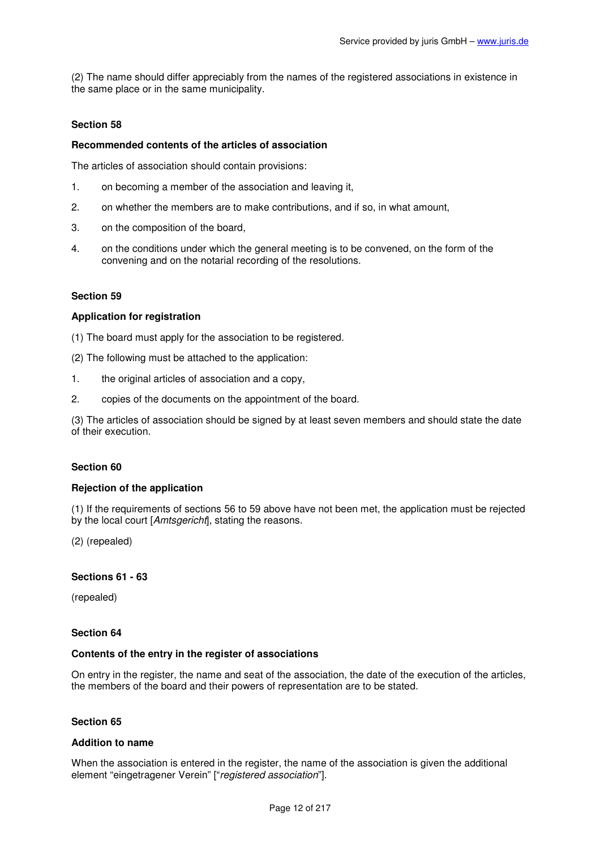(2) The name should differ appreciably from the names of the registered associations in existence in the same place or in the same municipality.

# **Section 58**

### **Recommended contents of the articles of association**

The articles of association should contain provisions:

- 1. on becoming a member of the association and leaving it,
- 2. on whether the members are to make contributions, and if so, in what amount,
- 3. on the composition of the board,
- 4. on the conditions under which the general meeting is to be convened, on the form of the convening and on the notarial recording of the resolutions.

#### **Section 59**

#### **Application for registration**

(1) The board must apply for the association to be registered.

- (2) The following must be attached to the application:
- 1. the original articles of association and a copy,
- 2. copies of the documents on the appointment of the board.

(3) The articles of association should be signed by at least seven members and should state the date of their execution.

### **Section 60**

#### **Rejection of the application**

(1) If the requirements of sections 56 to 59 above have not been met, the application must be rejected by the local court [Amtsgericht], stating the reasons.

(2) (repealed)

#### **Sections 61 - 63**

(repealed)

### **Section 64**

#### **Contents of the entry in the register of associations**

On entry in the register, the name and seat of the association, the date of the execution of the articles, the members of the board and their powers of representation are to be stated.

### **Section 65**

#### **Addition to name**

When the association is entered in the register, the name of the association is given the additional element "eingetragener Verein" ["registered association"].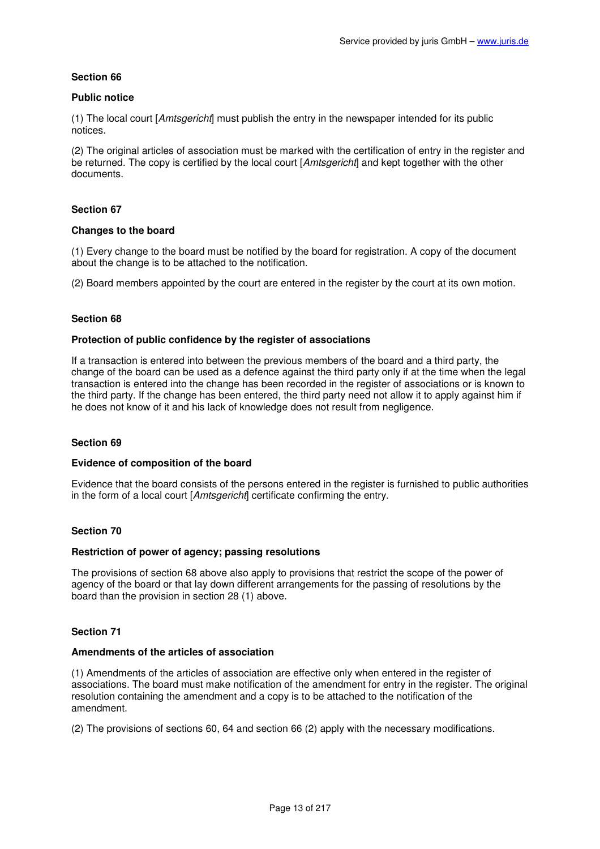# **Public notice**

(1) The local court [Amtsgericht] must publish the entry in the newspaper intended for its public notices.

(2) The original articles of association must be marked with the certification of entry in the register and be returned. The copy is certified by the local court [Amtsgericht] and kept together with the other documents.

# **Section 67**

### **Changes to the board**

(1) Every change to the board must be notified by the board for registration. A copy of the document about the change is to be attached to the notification.

(2) Board members appointed by the court are entered in the register by the court at its own motion.

# **Section 68**

# **Protection of public confidence by the register of associations**

If a transaction is entered into between the previous members of the board and a third party, the change of the board can be used as a defence against the third party only if at the time when the legal transaction is entered into the change has been recorded in the register of associations or is known to the third party. If the change has been entered, the third party need not allow it to apply against him if he does not know of it and his lack of knowledge does not result from negligence.

### **Section 69**

### **Evidence of composition of the board**

Evidence that the board consists of the persons entered in the register is furnished to public authorities in the form of a local court [Amtsgericht] certificate confirming the entry.

### **Section 70**

# **Restriction of power of agency; passing resolutions**

The provisions of section 68 above also apply to provisions that restrict the scope of the power of agency of the board or that lay down different arrangements for the passing of resolutions by the board than the provision in section 28 (1) above.

# **Section 71**

### **Amendments of the articles of association**

(1) Amendments of the articles of association are effective only when entered in the register of associations. The board must make notification of the amendment for entry in the register. The original resolution containing the amendment and a copy is to be attached to the notification of the amendment.

(2) The provisions of sections 60, 64 and section 66 (2) apply with the necessary modifications.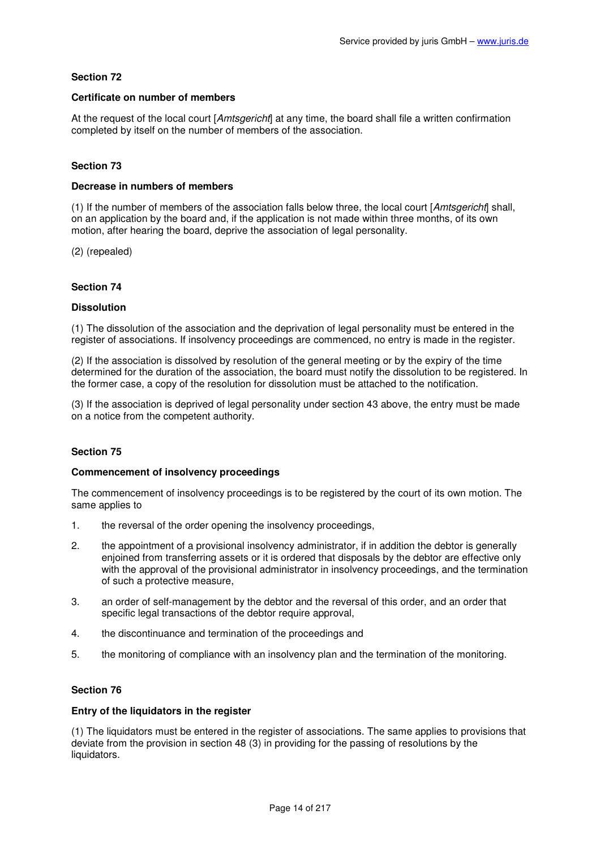# **Certificate on number of members**

At the request of the local court [Amtsgericht] at any time, the board shall file a written confirmation completed by itself on the number of members of the association.

# **Section 73**

### **Decrease in numbers of members**

(1) If the number of members of the association falls below three, the local court [Amtsgericht] shall, on an application by the board and, if the application is not made within three months, of its own motion, after hearing the board, deprive the association of legal personality.

(2) (repealed)

# **Section 74**

# **Dissolution**

(1) The dissolution of the association and the deprivation of legal personality must be entered in the register of associations. If insolvency proceedings are commenced, no entry is made in the register.

(2) If the association is dissolved by resolution of the general meeting or by the expiry of the time determined for the duration of the association, the board must notify the dissolution to be registered. In the former case, a copy of the resolution for dissolution must be attached to the notification.

(3) If the association is deprived of legal personality under section 43 above, the entry must be made on a notice from the competent authority.

# **Section 75**

### **Commencement of insolvency proceedings**

The commencement of insolvency proceedings is to be registered by the court of its own motion. The same applies to

- 1. the reversal of the order opening the insolvency proceedings,
- 2. the appointment of a provisional insolvency administrator, if in addition the debtor is generally enjoined from transferring assets or it is ordered that disposals by the debtor are effective only with the approval of the provisional administrator in insolvency proceedings, and the termination of such a protective measure,
- 3. an order of self-management by the debtor and the reversal of this order, and an order that specific legal transactions of the debtor require approval,
- 4. the discontinuance and termination of the proceedings and
- 5. the monitoring of compliance with an insolvency plan and the termination of the monitoring.

### **Section 76**

### **Entry of the liquidators in the register**

(1) The liquidators must be entered in the register of associations. The same applies to provisions that deviate from the provision in section 48 (3) in providing for the passing of resolutions by the liquidators.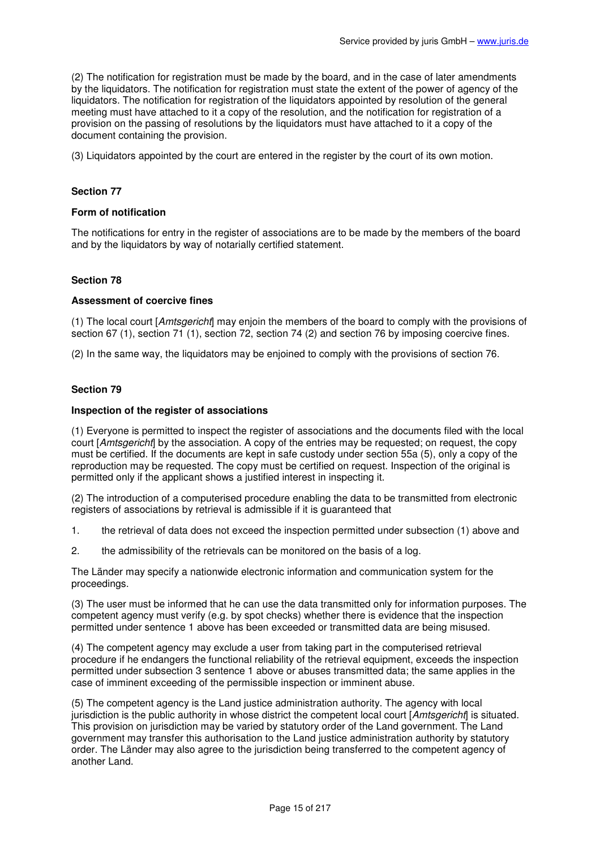(2) The notification for registration must be made by the board, and in the case of later amendments by the liquidators. The notification for registration must state the extent of the power of agency of the liquidators. The notification for registration of the liquidators appointed by resolution of the general meeting must have attached to it a copy of the resolution, and the notification for registration of a provision on the passing of resolutions by the liquidators must have attached to it a copy of the document containing the provision.

(3) Liquidators appointed by the court are entered in the register by the court of its own motion.

### **Section 77**

#### **Form of notification**

The notifications for entry in the register of associations are to be made by the members of the board and by the liquidators by way of notarially certified statement.

#### **Section 78**

#### **Assessment of coercive fines**

(1) The local court [Amtsgericht] may enjoin the members of the board to comply with the provisions of section 67 (1), section 71 (1), section 72, section 74 (2) and section 76 by imposing coercive fines.

(2) In the same way, the liquidators may be enjoined to comply with the provisions of section 76.

### **Section 79**

#### **Inspection of the register of associations**

(1) Everyone is permitted to inspect the register of associations and the documents filed with the local court [Amtsgericht] by the association. A copy of the entries may be requested; on request, the copy must be certified. If the documents are kept in safe custody under section 55a (5), only a copy of the reproduction may be requested. The copy must be certified on request. Inspection of the original is permitted only if the applicant shows a justified interest in inspecting it.

(2) The introduction of a computerised procedure enabling the data to be transmitted from electronic registers of associations by retrieval is admissible if it is guaranteed that

- 1. the retrieval of data does not exceed the inspection permitted under subsection (1) above and
- 2. the admissibility of the retrievals can be monitored on the basis of a log.

The Länder may specify a nationwide electronic information and communication system for the proceedings.

(3) The user must be informed that he can use the data transmitted only for information purposes. The competent agency must verify (e.g. by spot checks) whether there is evidence that the inspection permitted under sentence 1 above has been exceeded or transmitted data are being misused.

(4) The competent agency may exclude a user from taking part in the computerised retrieval procedure if he endangers the functional reliability of the retrieval equipment, exceeds the inspection permitted under subsection 3 sentence 1 above or abuses transmitted data; the same applies in the case of imminent exceeding of the permissible inspection or imminent abuse.

(5) The competent agency is the Land justice administration authority. The agency with local jurisdiction is the public authority in whose district the competent local court [Amtsgericht] is situated. This provision on jurisdiction may be varied by statutory order of the Land government. The Land government may transfer this authorisation to the Land justice administration authority by statutory order. The Länder may also agree to the jurisdiction being transferred to the competent agency of another Land.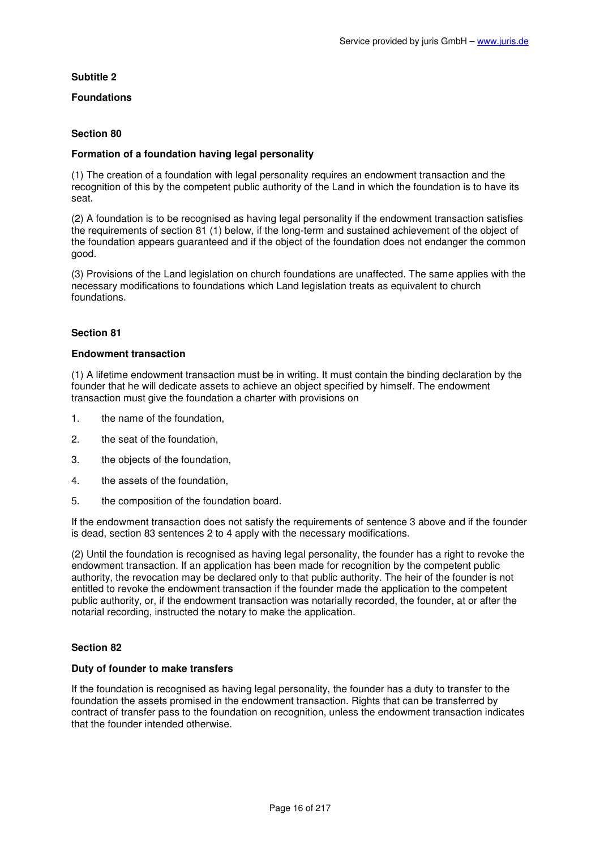# **Subtitle 2**

# **Foundations**

# **Section 80**

# **Formation of a foundation having legal personality**

(1) The creation of a foundation with legal personality requires an endowment transaction and the recognition of this by the competent public authority of the Land in which the foundation is to have its seat.

(2) A foundation is to be recognised as having legal personality if the endowment transaction satisfies the requirements of section 81 (1) below, if the long-term and sustained achievement of the object of the foundation appears guaranteed and if the object of the foundation does not endanger the common good.

(3) Provisions of the Land legislation on church foundations are unaffected. The same applies with the necessary modifications to foundations which Land legislation treats as equivalent to church foundations.

### **Section 81**

#### **Endowment transaction**

(1) A lifetime endowment transaction must be in writing. It must contain the binding declaration by the founder that he will dedicate assets to achieve an object specified by himself. The endowment transaction must give the foundation a charter with provisions on

- 1. the name of the foundation,
- 2. the seat of the foundation,
- 3. the objects of the foundation,
- 4. the assets of the foundation,
- 5. the composition of the foundation board.

If the endowment transaction does not satisfy the requirements of sentence 3 above and if the founder is dead, section 83 sentences 2 to 4 apply with the necessary modifications.

(2) Until the foundation is recognised as having legal personality, the founder has a right to revoke the endowment transaction. If an application has been made for recognition by the competent public authority, the revocation may be declared only to that public authority. The heir of the founder is not entitled to revoke the endowment transaction if the founder made the application to the competent public authority, or, if the endowment transaction was notarially recorded, the founder, at or after the notarial recording, instructed the notary to make the application.

# **Section 82**

### **Duty of founder to make transfers**

If the foundation is recognised as having legal personality, the founder has a duty to transfer to the foundation the assets promised in the endowment transaction. Rights that can be transferred by contract of transfer pass to the foundation on recognition, unless the endowment transaction indicates that the founder intended otherwise.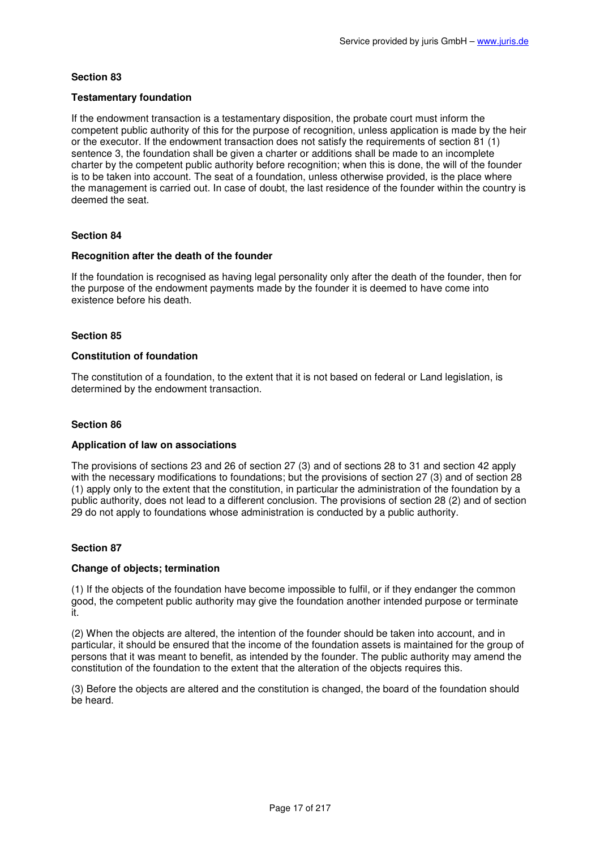# **Testamentary foundation**

If the endowment transaction is a testamentary disposition, the probate court must inform the competent public authority of this for the purpose of recognition, unless application is made by the heir or the executor. If the endowment transaction does not satisfy the requirements of section 81 (1) sentence 3, the foundation shall be given a charter or additions shall be made to an incomplete charter by the competent public authority before recognition; when this is done, the will of the founder is to be taken into account. The seat of a foundation, unless otherwise provided, is the place where the management is carried out. In case of doubt, the last residence of the founder within the country is deemed the seat.

# **Section 84**

### **Recognition after the death of the founder**

If the foundation is recognised as having legal personality only after the death of the founder, then for the purpose of the endowment payments made by the founder it is deemed to have come into existence before his death.

### **Section 85**

### **Constitution of foundation**

The constitution of a foundation, to the extent that it is not based on federal or Land legislation, is determined by the endowment transaction.

### **Section 86**

### **Application of law on associations**

The provisions of sections 23 and 26 of section 27 (3) and of sections 28 to 31 and section 42 apply with the necessary modifications to foundations; but the provisions of section 27 (3) and of section 28 (1) apply only to the extent that the constitution, in particular the administration of the foundation by a public authority, does not lead to a different conclusion. The provisions of section 28 (2) and of section 29 do not apply to foundations whose administration is conducted by a public authority.

### **Section 87**

### **Change of objects; termination**

(1) If the objects of the foundation have become impossible to fulfil, or if they endanger the common good, the competent public authority may give the foundation another intended purpose or terminate it.

(2) When the objects are altered, the intention of the founder should be taken into account, and in particular, it should be ensured that the income of the foundation assets is maintained for the group of persons that it was meant to benefit, as intended by the founder. The public authority may amend the constitution of the foundation to the extent that the alteration of the objects requires this.

(3) Before the objects are altered and the constitution is changed, the board of the foundation should be heard.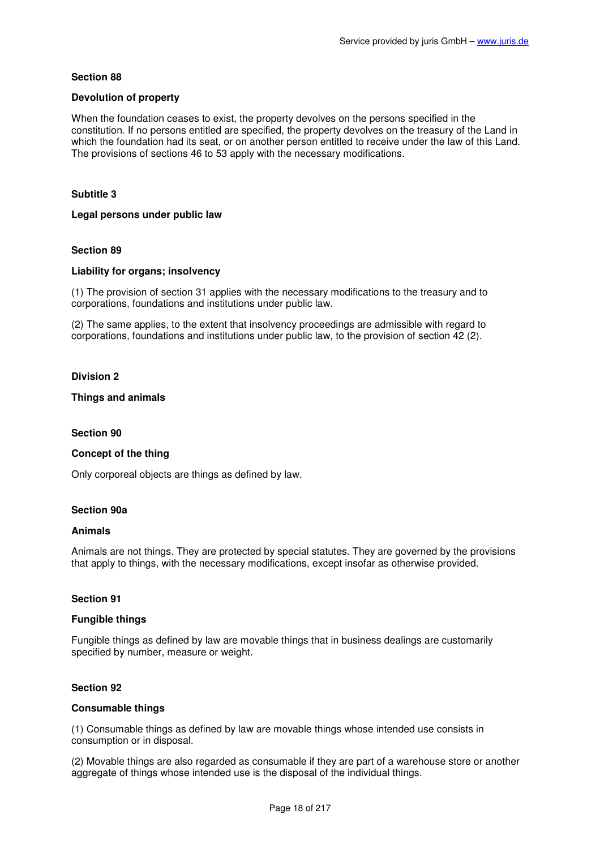# **Devolution of property**

When the foundation ceases to exist, the property devolves on the persons specified in the constitution. If no persons entitled are specified, the property devolves on the treasury of the Land in which the foundation had its seat, or on another person entitled to receive under the law of this Land. The provisions of sections 46 to 53 apply with the necessary modifications.

# **Subtitle 3**

### **Legal persons under public law**

# **Section 89**

### **Liability for organs; insolvency**

(1) The provision of section 31 applies with the necessary modifications to the treasury and to corporations, foundations and institutions under public law.

(2) The same applies, to the extent that insolvency proceedings are admissible with regard to corporations, foundations and institutions under public law, to the provision of section 42 (2).

### **Division 2**

### **Things and animals**

### **Section 90**

### **Concept of the thing**

Only corporeal objects are things as defined by law.

### **Section 90a**

### **Animals**

Animals are not things. They are protected by special statutes. They are governed by the provisions that apply to things, with the necessary modifications, except insofar as otherwise provided.

### **Section 91**

### **Fungible things**

Fungible things as defined by law are movable things that in business dealings are customarily specified by number, measure or weight.

### **Section 92**

#### **Consumable things**

(1) Consumable things as defined by law are movable things whose intended use consists in consumption or in disposal.

(2) Movable things are also regarded as consumable if they are part of a warehouse store or another aggregate of things whose intended use is the disposal of the individual things.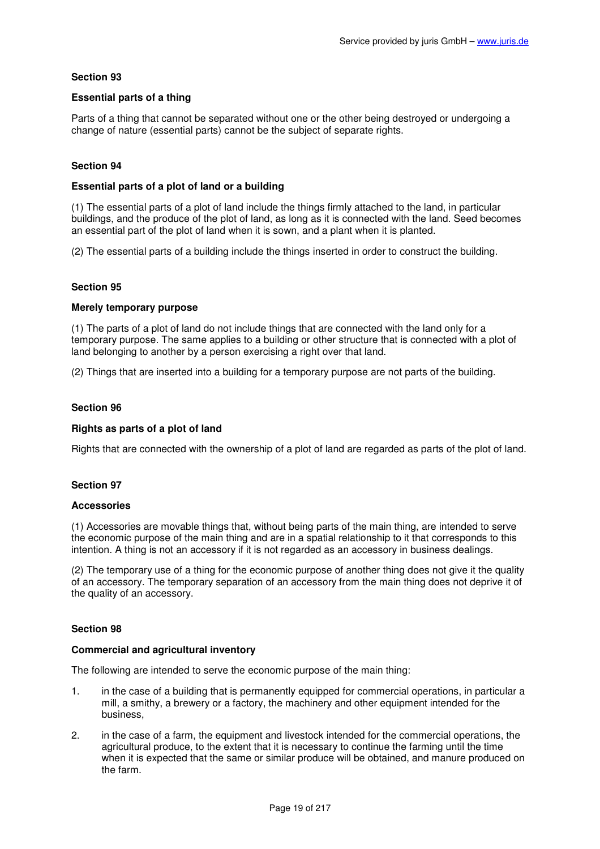# **Essential parts of a thing**

Parts of a thing that cannot be separated without one or the other being destroyed or undergoing a change of nature (essential parts) cannot be the subject of separate rights.

# **Section 94**

# **Essential parts of a plot of land or a building**

(1) The essential parts of a plot of land include the things firmly attached to the land, in particular buildings, and the produce of the plot of land, as long as it is connected with the land. Seed becomes an essential part of the plot of land when it is sown, and a plant when it is planted.

(2) The essential parts of a building include the things inserted in order to construct the building.

### **Section 95**

### **Merely temporary purpose**

(1) The parts of a plot of land do not include things that are connected with the land only for a temporary purpose. The same applies to a building or other structure that is connected with a plot of land belonging to another by a person exercising a right over that land.

(2) Things that are inserted into a building for a temporary purpose are not parts of the building.

### **Section 96**

# **Rights as parts of a plot of land**

Rights that are connected with the ownership of a plot of land are regarded as parts of the plot of land.

# **Section 97**

### **Accessories**

(1) Accessories are movable things that, without being parts of the main thing, are intended to serve the economic purpose of the main thing and are in a spatial relationship to it that corresponds to this intention. A thing is not an accessory if it is not regarded as an accessory in business dealings.

(2) The temporary use of a thing for the economic purpose of another thing does not give it the quality of an accessory. The temporary separation of an accessory from the main thing does not deprive it of the quality of an accessory.

### **Section 98**

# **Commercial and agricultural inventory**

The following are intended to serve the economic purpose of the main thing:

- 1. in the case of a building that is permanently equipped for commercial operations, in particular a mill, a smithy, a brewery or a factory, the machinery and other equipment intended for the business,
- 2. in the case of a farm, the equipment and livestock intended for the commercial operations, the agricultural produce, to the extent that it is necessary to continue the farming until the time when it is expected that the same or similar produce will be obtained, and manure produced on the farm.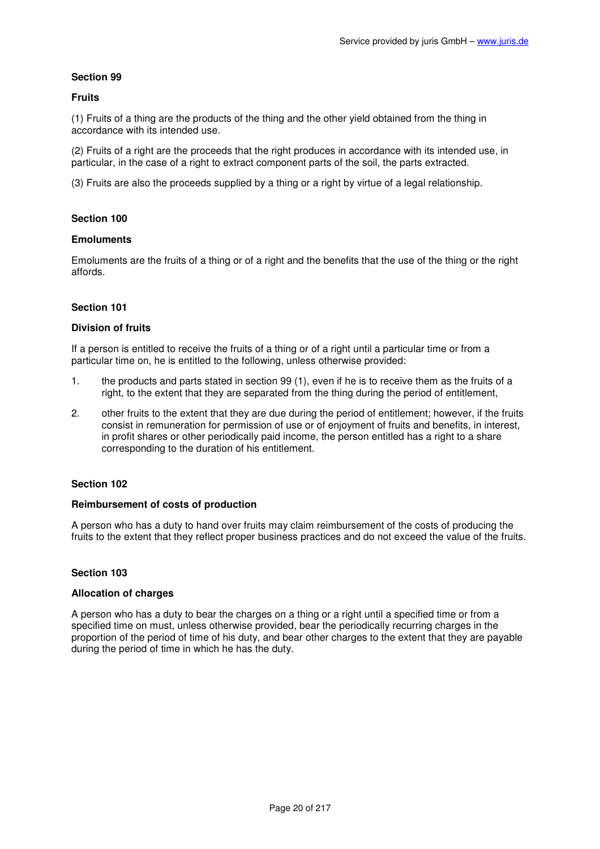# **Fruits**

(1) Fruits of a thing are the products of the thing and the other yield obtained from the thing in accordance with its intended use.

(2) Fruits of a right are the proceeds that the right produces in accordance with its intended use, in particular, in the case of a right to extract component parts of the soil, the parts extracted.

(3) Fruits are also the proceeds supplied by a thing or a right by virtue of a legal relationship.

# **Section 100**

# **Emoluments**

Emoluments are the fruits of a thing or of a right and the benefits that the use of the thing or the right affords.

# **Section 101**

### **Division of fruits**

If a person is entitled to receive the fruits of a thing or of a right until a particular time or from a particular time on, he is entitled to the following, unless otherwise provided:

- 1. the products and parts stated in section 99 (1), even if he is to receive them as the fruits of a right, to the extent that they are separated from the thing during the period of entitlement,
- 2. other fruits to the extent that they are due during the period of entitlement; however, if the fruits consist in remuneration for permission of use or of enjoyment of fruits and benefits, in interest, in profit shares or other periodically paid income, the person entitled has a right to a share corresponding to the duration of his entitlement.

### **Section 102**

### **Reimbursement of costs of production**

A person who has a duty to hand over fruits may claim reimbursement of the costs of producing the fruits to the extent that they reflect proper business practices and do not exceed the value of the fruits.

### **Section 103**

### **Allocation of charges**

A person who has a duty to bear the charges on a thing or a right until a specified time or from a specified time on must, unless otherwise provided, bear the periodically recurring charges in the proportion of the period of time of his duty, and bear other charges to the extent that they are payable during the period of time in which he has the duty.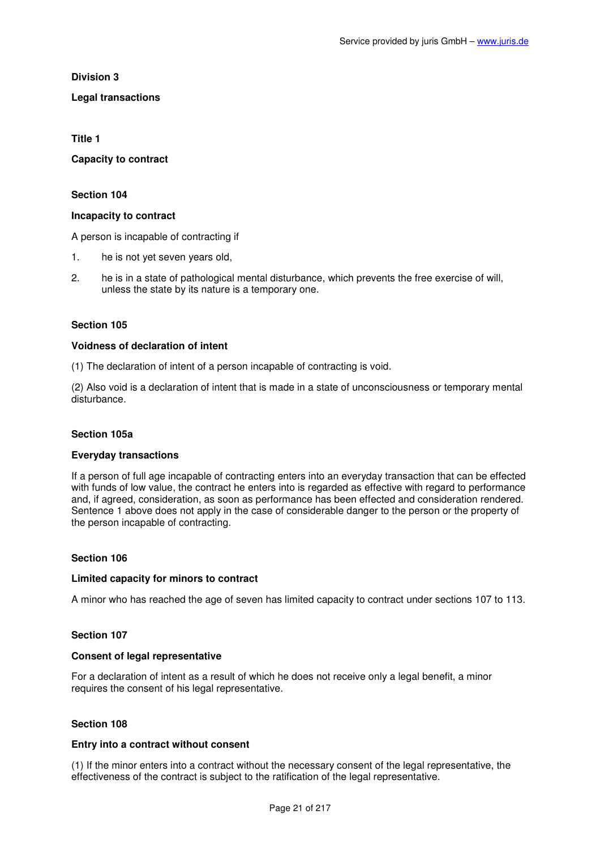**Division 3** 

# **Legal transactions**

**Title 1** 

**Capacity to contract** 

# **Section 104**

# **Incapacity to contract**

A person is incapable of contracting if

- 1. he is not yet seven years old,
- 2. he is in a state of pathological mental disturbance, which prevents the free exercise of will, unless the state by its nature is a temporary one.

# **Section 105**

# **Voidness of declaration of intent**

(1) The declaration of intent of a person incapable of contracting is void.

(2) Also void is a declaration of intent that is made in a state of unconsciousness or temporary mental disturbance.

### **Section 105a**

### **Everyday transactions**

If a person of full age incapable of contracting enters into an everyday transaction that can be effected with funds of low value, the contract he enters into is regarded as effective with regard to performance and, if agreed, consideration, as soon as performance has been effected and consideration rendered. Sentence 1 above does not apply in the case of considerable danger to the person or the property of the person incapable of contracting.

# **Section 106**

### **Limited capacity for minors to contract**

A minor who has reached the age of seven has limited capacity to contract under sections 107 to 113.

# **Section 107**

# **Consent of legal representative**

For a declaration of intent as a result of which he does not receive only a legal benefit, a minor requires the consent of his legal representative.

### **Section 108**

# **Entry into a contract without consent**

(1) If the minor enters into a contract without the necessary consent of the legal representative, the effectiveness of the contract is subject to the ratification of the legal representative.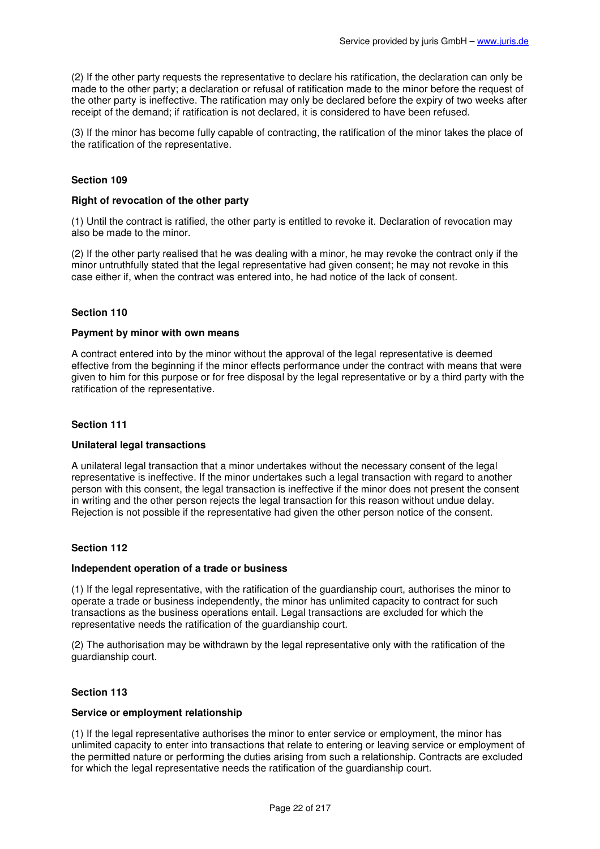(2) If the other party requests the representative to declare his ratification, the declaration can only be made to the other party; a declaration or refusal of ratification made to the minor before the request of the other party is ineffective. The ratification may only be declared before the expiry of two weeks after receipt of the demand; if ratification is not declared, it is considered to have been refused.

(3) If the minor has become fully capable of contracting, the ratification of the minor takes the place of the ratification of the representative.

# **Section 109**

### **Right of revocation of the other party**

(1) Until the contract is ratified, the other party is entitled to revoke it. Declaration of revocation may also be made to the minor.

(2) If the other party realised that he was dealing with a minor, he may revoke the contract only if the minor untruthfully stated that the legal representative had given consent; he may not revoke in this case either if, when the contract was entered into, he had notice of the lack of consent.

# **Section 110**

### **Payment by minor with own means**

A contract entered into by the minor without the approval of the legal representative is deemed effective from the beginning if the minor effects performance under the contract with means that were given to him for this purpose or for free disposal by the legal representative or by a third party with the ratification of the representative.

#### **Section 111**

### **Unilateral legal transactions**

A unilateral legal transaction that a minor undertakes without the necessary consent of the legal representative is ineffective. If the minor undertakes such a legal transaction with regard to another person with this consent, the legal transaction is ineffective if the minor does not present the consent in writing and the other person rejects the legal transaction for this reason without undue delay. Rejection is not possible if the representative had given the other person notice of the consent.

# **Section 112**

#### **Independent operation of a trade or business**

(1) If the legal representative, with the ratification of the guardianship court, authorises the minor to operate a trade or business independently, the minor has unlimited capacity to contract for such transactions as the business operations entail. Legal transactions are excluded for which the representative needs the ratification of the guardianship court.

(2) The authorisation may be withdrawn by the legal representative only with the ratification of the guardianship court.

### **Section 113**

#### **Service or employment relationship**

(1) If the legal representative authorises the minor to enter service or employment, the minor has unlimited capacity to enter into transactions that relate to entering or leaving service or employment of the permitted nature or performing the duties arising from such a relationship. Contracts are excluded for which the legal representative needs the ratification of the guardianship court.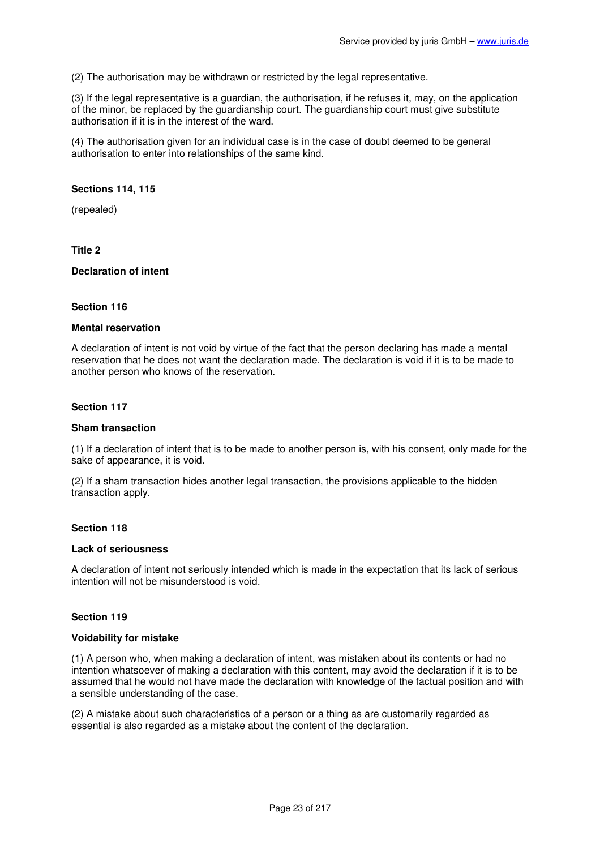(2) The authorisation may be withdrawn or restricted by the legal representative.

(3) If the legal representative is a guardian, the authorisation, if he refuses it, may, on the application of the minor, be replaced by the guardianship court. The guardianship court must give substitute authorisation if it is in the interest of the ward.

(4) The authorisation given for an individual case is in the case of doubt deemed to be general authorisation to enter into relationships of the same kind.

### **Sections 114, 115**

(repealed)

# **Title 2**

#### **Declaration of intent**

#### **Section 116**

#### **Mental reservation**

A declaration of intent is not void by virtue of the fact that the person declaring has made a mental reservation that he does not want the declaration made. The declaration is void if it is to be made to another person who knows of the reservation.

#### **Section 117**

#### **Sham transaction**

(1) If a declaration of intent that is to be made to another person is, with his consent, only made for the sake of appearance, it is void.

(2) If a sham transaction hides another legal transaction, the provisions applicable to the hidden transaction apply.

#### **Section 118**

#### **Lack of seriousness**

A declaration of intent not seriously intended which is made in the expectation that its lack of serious intention will not be misunderstood is void.

### **Section 119**

#### **Voidability for mistake**

(1) A person who, when making a declaration of intent, was mistaken about its contents or had no intention whatsoever of making a declaration with this content, may avoid the declaration if it is to be assumed that he would not have made the declaration with knowledge of the factual position and with a sensible understanding of the case.

(2) A mistake about such characteristics of a person or a thing as are customarily regarded as essential is also regarded as a mistake about the content of the declaration.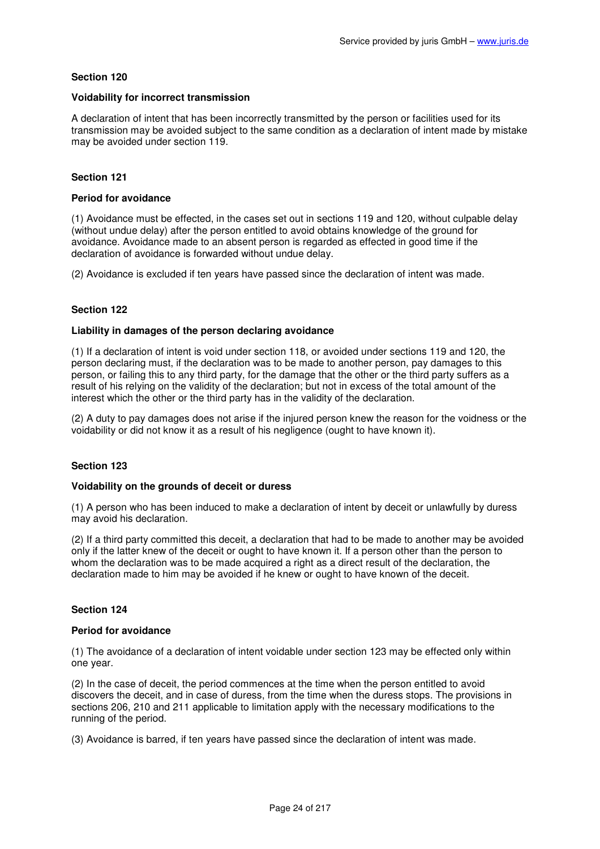### **Voidability for incorrect transmission**

A declaration of intent that has been incorrectly transmitted by the person or facilities used for its transmission may be avoided subject to the same condition as a declaration of intent made by mistake may be avoided under section 119.

# **Section 121**

# **Period for avoidance**

(1) Avoidance must be effected, in the cases set out in sections 119 and 120, without culpable delay (without undue delay) after the person entitled to avoid obtains knowledge of the ground for avoidance. Avoidance made to an absent person is regarded as effected in good time if the declaration of avoidance is forwarded without undue delay.

(2) Avoidance is excluded if ten years have passed since the declaration of intent was made.

# **Section 122**

### **Liability in damages of the person declaring avoidance**

(1) If a declaration of intent is void under section 118, or avoided under sections 119 and 120, the person declaring must, if the declaration was to be made to another person, pay damages to this person, or failing this to any third party, for the damage that the other or the third party suffers as a result of his relying on the validity of the declaration; but not in excess of the total amount of the interest which the other or the third party has in the validity of the declaration.

(2) A duty to pay damages does not arise if the injured person knew the reason for the voidness or the voidability or did not know it as a result of his negligence (ought to have known it).

### **Section 123**

### **Voidability on the grounds of deceit or duress**

(1) A person who has been induced to make a declaration of intent by deceit or unlawfully by duress may avoid his declaration.

(2) If a third party committed this deceit, a declaration that had to be made to another may be avoided only if the latter knew of the deceit or ought to have known it. If a person other than the person to whom the declaration was to be made acquired a right as a direct result of the declaration, the declaration made to him may be avoided if he knew or ought to have known of the deceit.

### **Section 124**

### **Period for avoidance**

(1) The avoidance of a declaration of intent voidable under section 123 may be effected only within one year.

(2) In the case of deceit, the period commences at the time when the person entitled to avoid discovers the deceit, and in case of duress, from the time when the duress stops. The provisions in sections 206, 210 and 211 applicable to limitation apply with the necessary modifications to the running of the period.

(3) Avoidance is barred, if ten years have passed since the declaration of intent was made.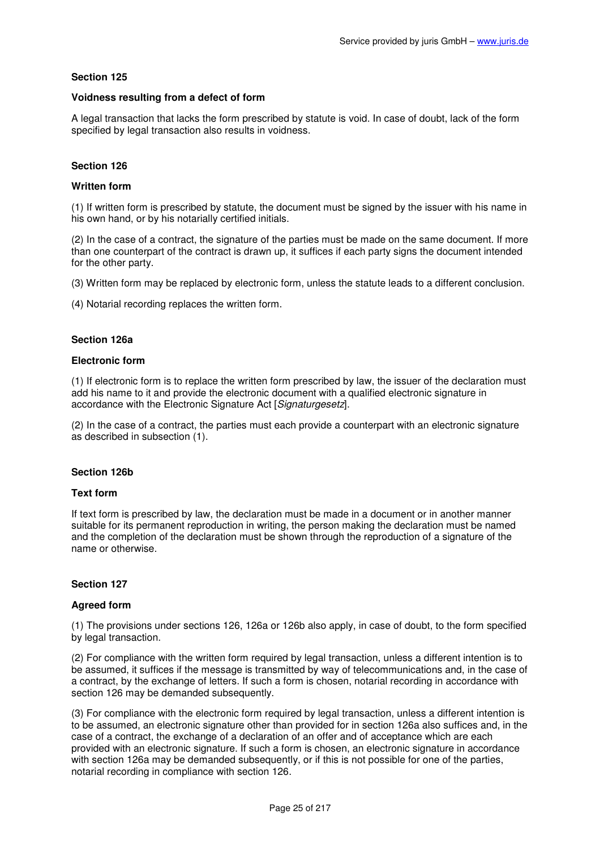# **Voidness resulting from a defect of form**

A legal transaction that lacks the form prescribed by statute is void. In case of doubt, lack of the form specified by legal transaction also results in voidness.

# **Section 126**

### **Written form**

(1) If written form is prescribed by statute, the document must be signed by the issuer with his name in his own hand, or by his notarially certified initials.

(2) In the case of a contract, the signature of the parties must be made on the same document. If more than one counterpart of the contract is drawn up, it suffices if each party signs the document intended for the other party.

(3) Written form may be replaced by electronic form, unless the statute leads to a different conclusion.

(4) Notarial recording replaces the written form.

### **Section 126a**

### **Electronic form**

(1) If electronic form is to replace the written form prescribed by law, the issuer of the declaration must add his name to it and provide the electronic document with a qualified electronic signature in accordance with the Electronic Signature Act [Signaturgesetz].

(2) In the case of a contract, the parties must each provide a counterpart with an electronic signature as described in subsection (1).

### **Section 126b**

### **Text form**

If text form is prescribed by law, the declaration must be made in a document or in another manner suitable for its permanent reproduction in writing, the person making the declaration must be named and the completion of the declaration must be shown through the reproduction of a signature of the name or otherwise.

### **Section 127**

### **Agreed form**

(1) The provisions under sections 126, 126a or 126b also apply, in case of doubt, to the form specified by legal transaction.

(2) For compliance with the written form required by legal transaction, unless a different intention is to be assumed, it suffices if the message is transmitted by way of telecommunications and, in the case of a contract, by the exchange of letters. If such a form is chosen, notarial recording in accordance with section 126 may be demanded subsequently.

(3) For compliance with the electronic form required by legal transaction, unless a different intention is to be assumed, an electronic signature other than provided for in section 126a also suffices and, in the case of a contract, the exchange of a declaration of an offer and of acceptance which are each provided with an electronic signature. If such a form is chosen, an electronic signature in accordance with section 126a may be demanded subsequently, or if this is not possible for one of the parties, notarial recording in compliance with section 126.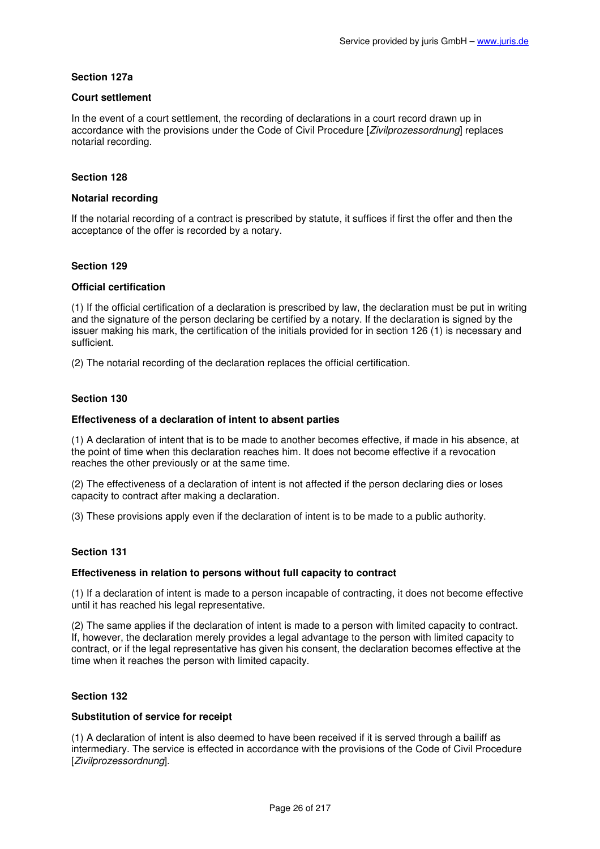# **Section 127a**

# **Court settlement**

In the event of a court settlement, the recording of declarations in a court record drawn up in accordance with the provisions under the Code of Civil Procedure [Zivilprozessordnung] replaces notarial recording.

# **Section 128**

# **Notarial recording**

If the notarial recording of a contract is prescribed by statute, it suffices if first the offer and then the acceptance of the offer is recorded by a notary.

### **Section 129**

# **Official certification**

(1) If the official certification of a declaration is prescribed by law, the declaration must be put in writing and the signature of the person declaring be certified by a notary. If the declaration is signed by the issuer making his mark, the certification of the initials provided for in section 126 (1) is necessary and sufficient.

(2) The notarial recording of the declaration replaces the official certification.

# **Section 130**

# **Effectiveness of a declaration of intent to absent parties**

(1) A declaration of intent that is to be made to another becomes effective, if made in his absence, at the point of time when this declaration reaches him. It does not become effective if a revocation reaches the other previously or at the same time.

(2) The effectiveness of a declaration of intent is not affected if the person declaring dies or loses capacity to contract after making a declaration.

(3) These provisions apply even if the declaration of intent is to be made to a public authority.

### **Section 131**

### **Effectiveness in relation to persons without full capacity to contract**

(1) If a declaration of intent is made to a person incapable of contracting, it does not become effective until it has reached his legal representative.

(2) The same applies if the declaration of intent is made to a person with limited capacity to contract. If, however, the declaration merely provides a legal advantage to the person with limited capacity to contract, or if the legal representative has given his consent, the declaration becomes effective at the time when it reaches the person with limited capacity.

### **Section 132**

### **Substitution of service for receipt**

(1) A declaration of intent is also deemed to have been received if it is served through a bailiff as intermediary. The service is effected in accordance with the provisions of the Code of Civil Procedure [Zivilprozessordnung].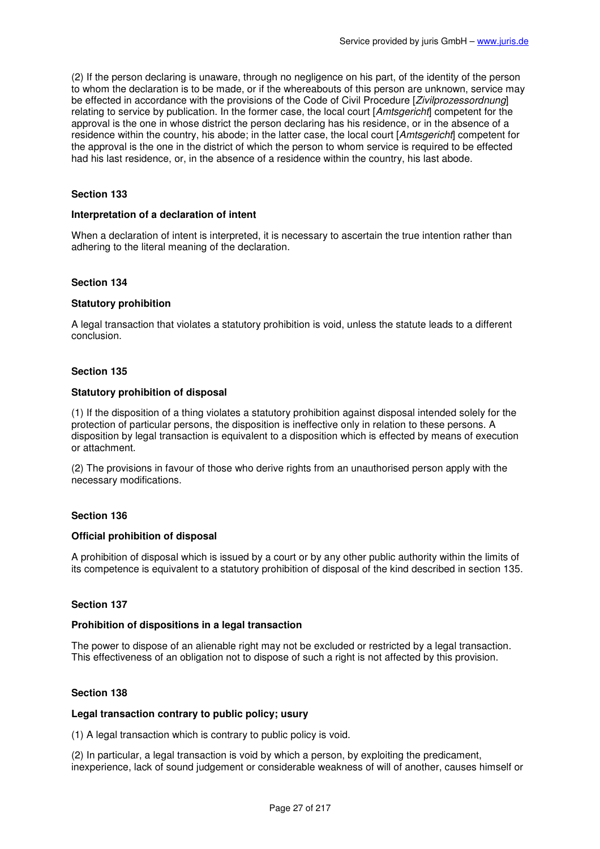(2) If the person declaring is unaware, through no negligence on his part, of the identity of the person to whom the declaration is to be made, or if the whereabouts of this person are unknown, service may be effected in accordance with the provisions of the Code of Civil Procedure [Zivilprozessordnung] relating to service by publication. In the former case, the local court [Amtsgericht] competent for the approval is the one in whose district the person declaring has his residence, or in the absence of a residence within the country, his abode; in the latter case, the local court [Amtsgericht] competent for the approval is the one in the district of which the person to whom service is required to be effected had his last residence, or, in the absence of a residence within the country, his last abode.

# **Section 133**

#### **Interpretation of a declaration of intent**

When a declaration of intent is interpreted, it is necessary to ascertain the true intention rather than adhering to the literal meaning of the declaration.

#### **Section 134**

#### **Statutory prohibition**

A legal transaction that violates a statutory prohibition is void, unless the statute leads to a different conclusion.

#### **Section 135**

#### **Statutory prohibition of disposal**

(1) If the disposition of a thing violates a statutory prohibition against disposal intended solely for the protection of particular persons, the disposition is ineffective only in relation to these persons. A disposition by legal transaction is equivalent to a disposition which is effected by means of execution or attachment.

(2) The provisions in favour of those who derive rights from an unauthorised person apply with the necessary modifications.

### **Section 136**

#### **Official prohibition of disposal**

A prohibition of disposal which is issued by a court or by any other public authority within the limits of its competence is equivalent to a statutory prohibition of disposal of the kind described in section 135.

### **Section 137**

#### **Prohibition of dispositions in a legal transaction**

The power to dispose of an alienable right may not be excluded or restricted by a legal transaction. This effectiveness of an obligation not to dispose of such a right is not affected by this provision.

#### **Section 138**

#### **Legal transaction contrary to public policy; usury**

(1) A legal transaction which is contrary to public policy is void.

(2) In particular, a legal transaction is void by which a person, by exploiting the predicament, inexperience, lack of sound judgement or considerable weakness of will of another, causes himself or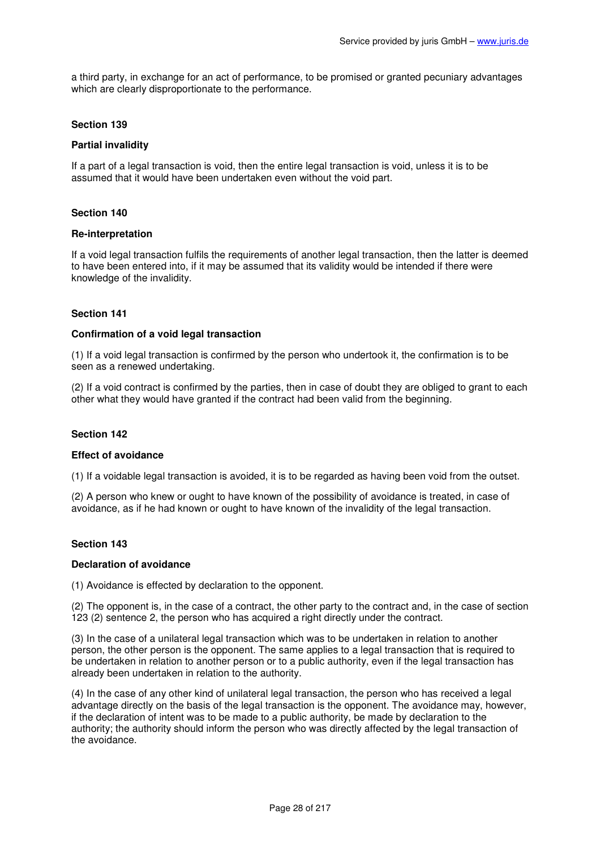a third party, in exchange for an act of performance, to be promised or granted pecuniary advantages which are clearly disproportionate to the performance.

# **Section 139**

# **Partial invalidity**

If a part of a legal transaction is void, then the entire legal transaction is void, unless it is to be assumed that it would have been undertaken even without the void part.

### **Section 140**

### **Re-interpretation**

If a void legal transaction fulfils the requirements of another legal transaction, then the latter is deemed to have been entered into, if it may be assumed that its validity would be intended if there were knowledge of the invalidity.

# **Section 141**

### **Confirmation of a void legal transaction**

(1) If a void legal transaction is confirmed by the person who undertook it, the confirmation is to be seen as a renewed undertaking.

(2) If a void contract is confirmed by the parties, then in case of doubt they are obliged to grant to each other what they would have granted if the contract had been valid from the beginning.

### **Section 142**

### **Effect of avoidance**

(1) If a voidable legal transaction is avoided, it is to be regarded as having been void from the outset.

(2) A person who knew or ought to have known of the possibility of avoidance is treated, in case of avoidance, as if he had known or ought to have known of the invalidity of the legal transaction.

### **Section 143**

### **Declaration of avoidance**

(1) Avoidance is effected by declaration to the opponent.

(2) The opponent is, in the case of a contract, the other party to the contract and, in the case of section 123 (2) sentence 2, the person who has acquired a right directly under the contract.

(3) In the case of a unilateral legal transaction which was to be undertaken in relation to another person, the other person is the opponent. The same applies to a legal transaction that is required to be undertaken in relation to another person or to a public authority, even if the legal transaction has already been undertaken in relation to the authority.

(4) In the case of any other kind of unilateral legal transaction, the person who has received a legal advantage directly on the basis of the legal transaction is the opponent. The avoidance may, however, if the declaration of intent was to be made to a public authority, be made by declaration to the authority; the authority should inform the person who was directly affected by the legal transaction of the avoidance.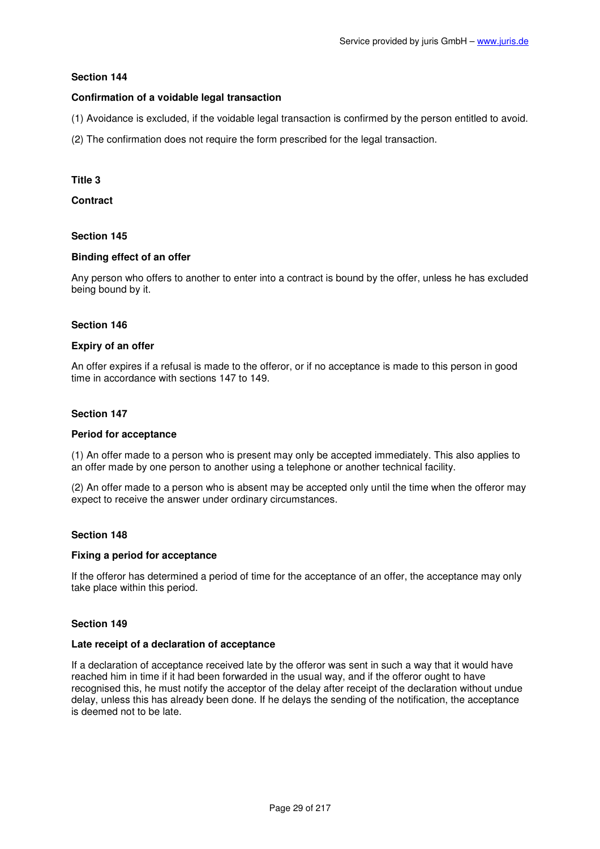# **Confirmation of a voidable legal transaction**

(1) Avoidance is excluded, if the voidable legal transaction is confirmed by the person entitled to avoid.

(2) The confirmation does not require the form prescribed for the legal transaction.

### **Title 3**

**Contract** 

# **Section 145**

### **Binding effect of an offer**

Any person who offers to another to enter into a contract is bound by the offer, unless he has excluded being bound by it.

### **Section 146**

### **Expiry of an offer**

An offer expires if a refusal is made to the offeror, or if no acceptance is made to this person in good time in accordance with sections 147 to 149.

# **Section 147**

### **Period for acceptance**

(1) An offer made to a person who is present may only be accepted immediately. This also applies to an offer made by one person to another using a telephone or another technical facility.

(2) An offer made to a person who is absent may be accepted only until the time when the offeror may expect to receive the answer under ordinary circumstances.

### **Section 148**

### **Fixing a period for acceptance**

If the offeror has determined a period of time for the acceptance of an offer, the acceptance may only take place within this period.

# **Section 149**

### **Late receipt of a declaration of acceptance**

If a declaration of acceptance received late by the offeror was sent in such a way that it would have reached him in time if it had been forwarded in the usual way, and if the offeror ought to have recognised this, he must notify the acceptor of the delay after receipt of the declaration without undue delay, unless this has already been done. If he delays the sending of the notification, the acceptance is deemed not to be late.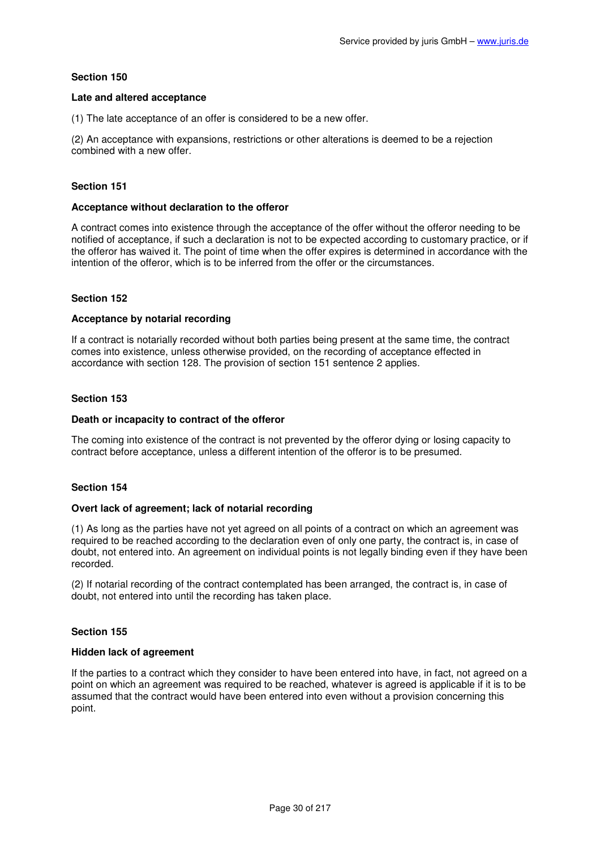### **Late and altered acceptance**

(1) The late acceptance of an offer is considered to be a new offer.

(2) An acceptance with expansions, restrictions or other alterations is deemed to be a rejection combined with a new offer.

# **Section 151**

#### **Acceptance without declaration to the offeror**

A contract comes into existence through the acceptance of the offer without the offeror needing to be notified of acceptance, if such a declaration is not to be expected according to customary practice, or if the offeror has waived it. The point of time when the offer expires is determined in accordance with the intention of the offeror, which is to be inferred from the offer or the circumstances.

### **Section 152**

### **Acceptance by notarial recording**

If a contract is notarially recorded without both parties being present at the same time, the contract comes into existence, unless otherwise provided, on the recording of acceptance effected in accordance with section 128. The provision of section 151 sentence 2 applies.

### **Section 153**

### **Death or incapacity to contract of the offeror**

The coming into existence of the contract is not prevented by the offeror dying or losing capacity to contract before acceptance, unless a different intention of the offeror is to be presumed.

### **Section 154**

# **Overt lack of agreement; lack of notarial recording**

(1) As long as the parties have not yet agreed on all points of a contract on which an agreement was required to be reached according to the declaration even of only one party, the contract is, in case of doubt, not entered into. An agreement on individual points is not legally binding even if they have been recorded.

(2) If notarial recording of the contract contemplated has been arranged, the contract is, in case of doubt, not entered into until the recording has taken place.

### **Section 155**

### **Hidden lack of agreement**

If the parties to a contract which they consider to have been entered into have, in fact, not agreed on a point on which an agreement was required to be reached, whatever is agreed is applicable if it is to be assumed that the contract would have been entered into even without a provision concerning this point.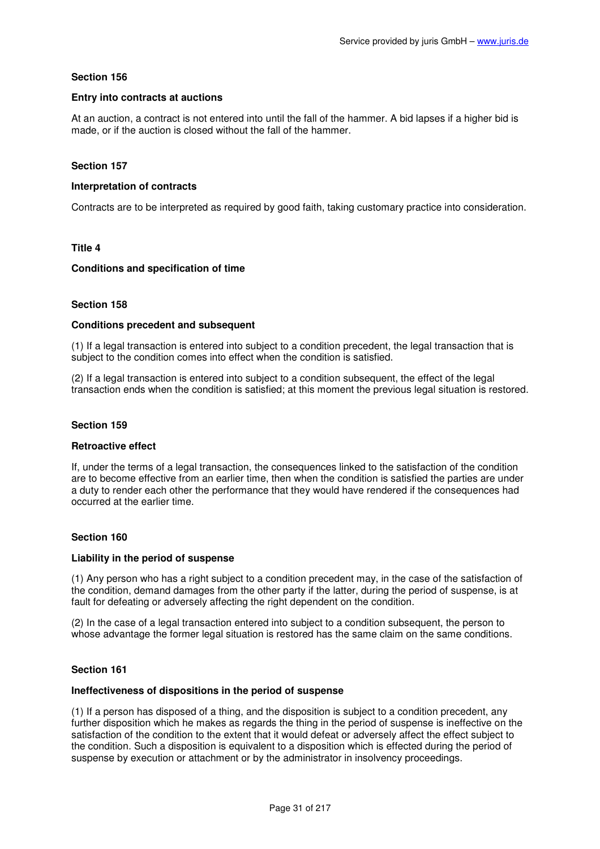# **Entry into contracts at auctions**

At an auction, a contract is not entered into until the fall of the hammer. A bid lapses if a higher bid is made, or if the auction is closed without the fall of the hammer.

# **Section 157**

### **Interpretation of contracts**

Contracts are to be interpreted as required by good faith, taking customary practice into consideration.

## **Title 4**

### **Conditions and specification of time**

# **Section 158**

### **Conditions precedent and subsequent**

(1) If a legal transaction is entered into subject to a condition precedent, the legal transaction that is subject to the condition comes into effect when the condition is satisfied.

(2) If a legal transaction is entered into subject to a condition subsequent, the effect of the legal transaction ends when the condition is satisfied; at this moment the previous legal situation is restored.

# **Section 159**

### **Retroactive effect**

If, under the terms of a legal transaction, the consequences linked to the satisfaction of the condition are to become effective from an earlier time, then when the condition is satisfied the parties are under a duty to render each other the performance that they would have rendered if the consequences had occurred at the earlier time.

### **Section 160**

### **Liability in the period of suspense**

(1) Any person who has a right subject to a condition precedent may, in the case of the satisfaction of the condition, demand damages from the other party if the latter, during the period of suspense, is at fault for defeating or adversely affecting the right dependent on the condition.

(2) In the case of a legal transaction entered into subject to a condition subsequent, the person to whose advantage the former legal situation is restored has the same claim on the same conditions.

### **Section 161**

#### **Ineffectiveness of dispositions in the period of suspense**

(1) If a person has disposed of a thing, and the disposition is subject to a condition precedent, any further disposition which he makes as regards the thing in the period of suspense is ineffective on the satisfaction of the condition to the extent that it would defeat or adversely affect the effect subject to the condition. Such a disposition is equivalent to a disposition which is effected during the period of suspense by execution or attachment or by the administrator in insolvency proceedings.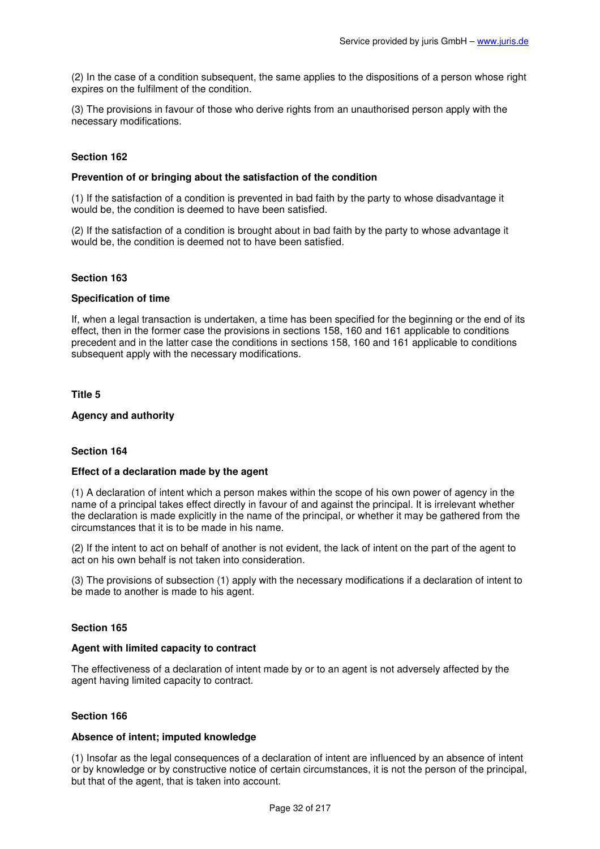(2) In the case of a condition subsequent, the same applies to the dispositions of a person whose right expires on the fulfilment of the condition.

(3) The provisions in favour of those who derive rights from an unauthorised person apply with the necessary modifications.

# **Section 162**

### **Prevention of or bringing about the satisfaction of the condition**

(1) If the satisfaction of a condition is prevented in bad faith by the party to whose disadvantage it would be, the condition is deemed to have been satisfied.

(2) If the satisfaction of a condition is brought about in bad faith by the party to whose advantage it would be, the condition is deemed not to have been satisfied.

### **Section 163**

#### **Specification of time**

If, when a legal transaction is undertaken, a time has been specified for the beginning or the end of its effect, then in the former case the provisions in sections 158, 160 and 161 applicable to conditions precedent and in the latter case the conditions in sections 158, 160 and 161 applicable to conditions subsequent apply with the necessary modifications.

### **Title 5**

#### **Agency and authority**

### **Section 164**

### **Effect of a declaration made by the agent**

(1) A declaration of intent which a person makes within the scope of his own power of agency in the name of a principal takes effect directly in favour of and against the principal. It is irrelevant whether the declaration is made explicitly in the name of the principal, or whether it may be gathered from the circumstances that it is to be made in his name.

(2) If the intent to act on behalf of another is not evident, the lack of intent on the part of the agent to act on his own behalf is not taken into consideration.

(3) The provisions of subsection (1) apply with the necessary modifications if a declaration of intent to be made to another is made to his agent.

### **Section 165**

#### **Agent with limited capacity to contract**

The effectiveness of a declaration of intent made by or to an agent is not adversely affected by the agent having limited capacity to contract.

#### **Section 166**

#### **Absence of intent; imputed knowledge**

(1) Insofar as the legal consequences of a declaration of intent are influenced by an absence of intent or by knowledge or by constructive notice of certain circumstances, it is not the person of the principal, but that of the agent, that is taken into account.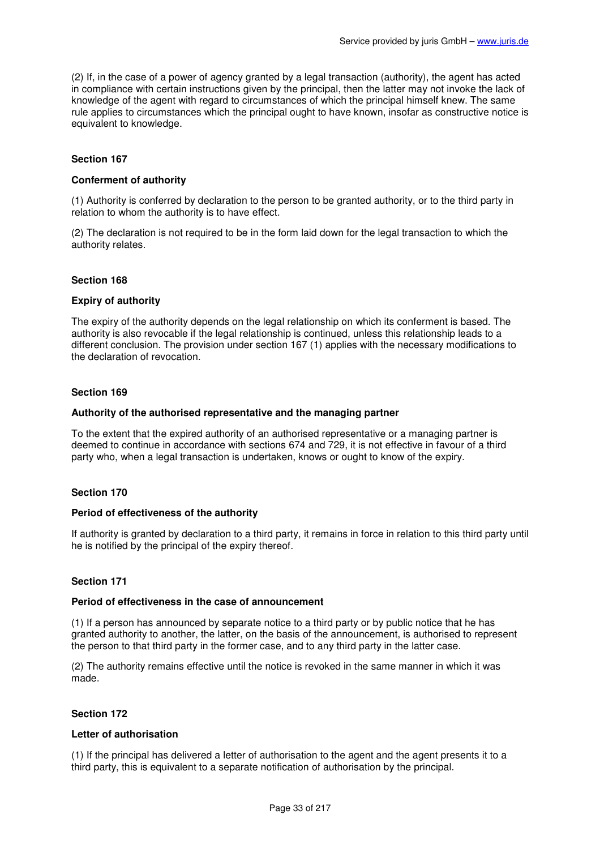(2) If, in the case of a power of agency granted by a legal transaction (authority), the agent has acted in compliance with certain instructions given by the principal, then the latter may not invoke the lack of knowledge of the agent with regard to circumstances of which the principal himself knew. The same rule applies to circumstances which the principal ought to have known, insofar as constructive notice is equivalent to knowledge.

# **Section 167**

# **Conferment of authority**

(1) Authority is conferred by declaration to the person to be granted authority, or to the third party in relation to whom the authority is to have effect.

(2) The declaration is not required to be in the form laid down for the legal transaction to which the authority relates.

### **Section 168**

### **Expiry of authority**

The expiry of the authority depends on the legal relationship on which its conferment is based. The authority is also revocable if the legal relationship is continued, unless this relationship leads to a different conclusion. The provision under section 167 (1) applies with the necessary modifications to the declaration of revocation.

# **Section 169**

### **Authority of the authorised representative and the managing partner**

To the extent that the expired authority of an authorised representative or a managing partner is deemed to continue in accordance with sections 674 and 729, it is not effective in favour of a third party who, when a legal transaction is undertaken, knows or ought to know of the expiry.

### **Section 170**

### **Period of effectiveness of the authority**

If authority is granted by declaration to a third party, it remains in force in relation to this third party until he is notified by the principal of the expiry thereof.

# **Section 171**

### **Period of effectiveness in the case of announcement**

(1) If a person has announced by separate notice to a third party or by public notice that he has granted authority to another, the latter, on the basis of the announcement, is authorised to represent the person to that third party in the former case, and to any third party in the latter case.

(2) The authority remains effective until the notice is revoked in the same manner in which it was made.

### **Section 172**

# **Letter of authorisation**

(1) If the principal has delivered a letter of authorisation to the agent and the agent presents it to a third party, this is equivalent to a separate notification of authorisation by the principal.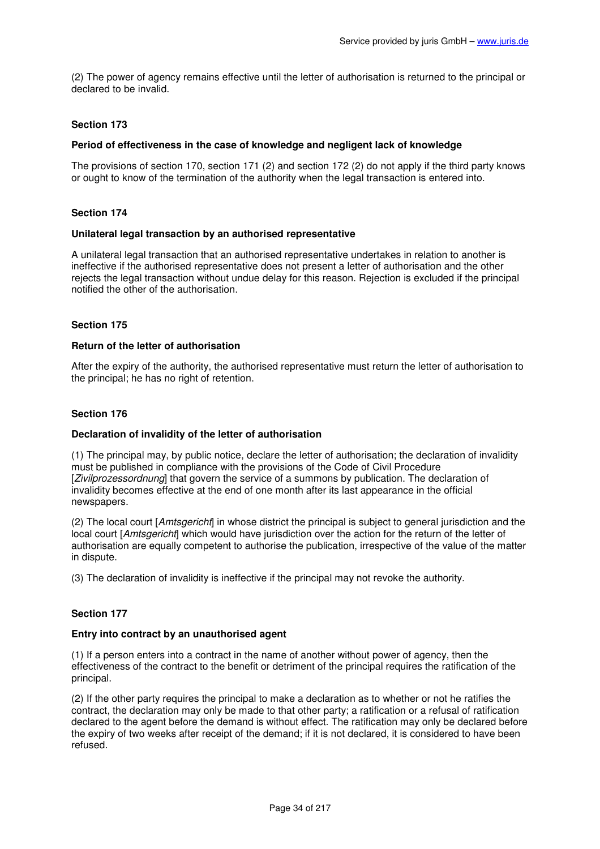(2) The power of agency remains effective until the letter of authorisation is returned to the principal or declared to be invalid.

# **Section 173**

# **Period of effectiveness in the case of knowledge and negligent lack of knowledge**

The provisions of section 170, section 171 (2) and section 172 (2) do not apply if the third party knows or ought to know of the termination of the authority when the legal transaction is entered into.

### **Section 174**

### **Unilateral legal transaction by an authorised representative**

A unilateral legal transaction that an authorised representative undertakes in relation to another is ineffective if the authorised representative does not present a letter of authorisation and the other rejects the legal transaction without undue delay for this reason. Rejection is excluded if the principal notified the other of the authorisation.

## **Section 175**

### **Return of the letter of authorisation**

After the expiry of the authority, the authorised representative must return the letter of authorisation to the principal; he has no right of retention.

### **Section 176**

### **Declaration of invalidity of the letter of authorisation**

(1) The principal may, by public notice, declare the letter of authorisation; the declaration of invalidity must be published in compliance with the provisions of the Code of Civil Procedure [Zivilprozessordnung] that govern the service of a summons by publication. The declaration of invalidity becomes effective at the end of one month after its last appearance in the official newspapers.

(2) The local court [Amtsgericht] in whose district the principal is subject to general jurisdiction and the local court [Amtsgericht] which would have jurisdiction over the action for the return of the letter of authorisation are equally competent to authorise the publication, irrespective of the value of the matter in dispute.

(3) The declaration of invalidity is ineffective if the principal may not revoke the authority.

# **Section 177**

# **Entry into contract by an unauthorised agent**

(1) If a person enters into a contract in the name of another without power of agency, then the effectiveness of the contract to the benefit or detriment of the principal requires the ratification of the principal.

(2) If the other party requires the principal to make a declaration as to whether or not he ratifies the contract, the declaration may only be made to that other party; a ratification or a refusal of ratification declared to the agent before the demand is without effect. The ratification may only be declared before the expiry of two weeks after receipt of the demand; if it is not declared, it is considered to have been refused.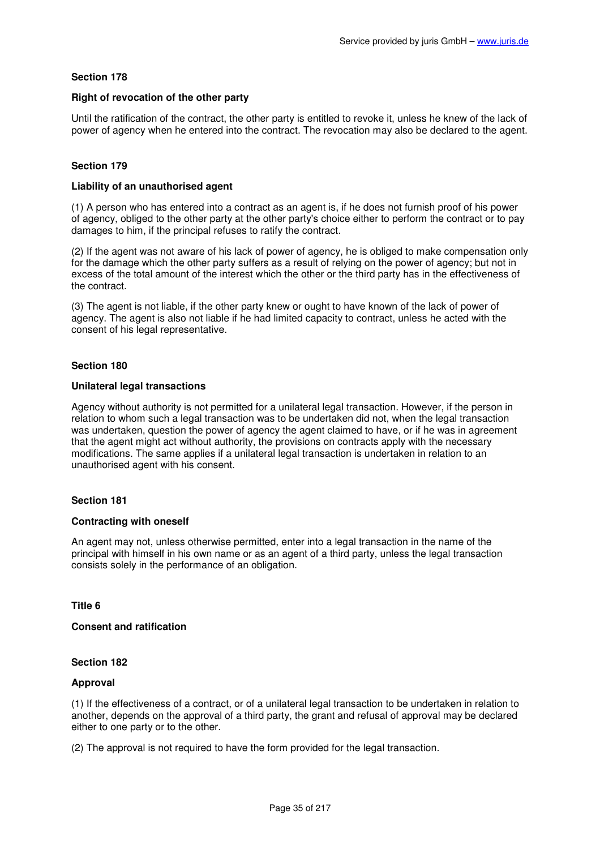### **Right of revocation of the other party**

Until the ratification of the contract, the other party is entitled to revoke it, unless he knew of the lack of power of agency when he entered into the contract. The revocation may also be declared to the agent.

# **Section 179**

### **Liability of an unauthorised agent**

(1) A person who has entered into a contract as an agent is, if he does not furnish proof of his power of agency, obliged to the other party at the other party's choice either to perform the contract or to pay damages to him, if the principal refuses to ratify the contract.

(2) If the agent was not aware of his lack of power of agency, he is obliged to make compensation only for the damage which the other party suffers as a result of relying on the power of agency; but not in excess of the total amount of the interest which the other or the third party has in the effectiveness of the contract.

(3) The agent is not liable, if the other party knew or ought to have known of the lack of power of agency. The agent is also not liable if he had limited capacity to contract, unless he acted with the consent of his legal representative.

# **Section 180**

### **Unilateral legal transactions**

Agency without authority is not permitted for a unilateral legal transaction. However, if the person in relation to whom such a legal transaction was to be undertaken did not, when the legal transaction was undertaken, question the power of agency the agent claimed to have, or if he was in agreement that the agent might act without authority, the provisions on contracts apply with the necessary modifications. The same applies if a unilateral legal transaction is undertaken in relation to an unauthorised agent with his consent.

### **Section 181**

### **Contracting with oneself**

An agent may not, unless otherwise permitted, enter into a legal transaction in the name of the principal with himself in his own name or as an agent of a third party, unless the legal transaction consists solely in the performance of an obligation.

### **Title 6**

### **Consent and ratification**

### **Section 182**

### **Approval**

(1) If the effectiveness of a contract, or of a unilateral legal transaction to be undertaken in relation to another, depends on the approval of a third party, the grant and refusal of approval may be declared either to one party or to the other.

(2) The approval is not required to have the form provided for the legal transaction.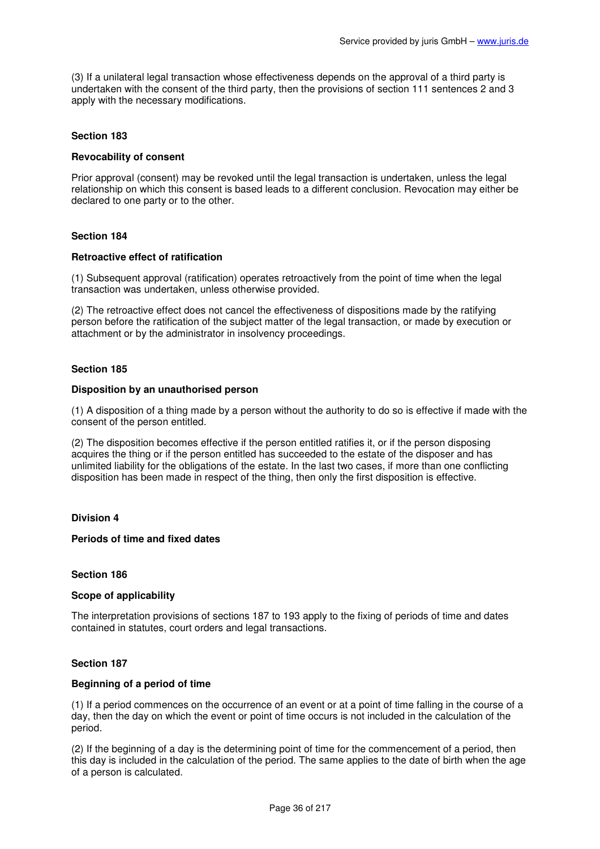(3) If a unilateral legal transaction whose effectiveness depends on the approval of a third party is undertaken with the consent of the third party, then the provisions of section 111 sentences 2 and 3 apply with the necessary modifications.

# **Section 183**

### **Revocability of consent**

Prior approval (consent) may be revoked until the legal transaction is undertaken, unless the legal relationship on which this consent is based leads to a different conclusion. Revocation may either be declared to one party or to the other.

### **Section 184**

### **Retroactive effect of ratification**

(1) Subsequent approval (ratification) operates retroactively from the point of time when the legal transaction was undertaken, unless otherwise provided.

(2) The retroactive effect does not cancel the effectiveness of dispositions made by the ratifying person before the ratification of the subject matter of the legal transaction, or made by execution or attachment or by the administrator in insolvency proceedings.

### **Section 185**

#### **Disposition by an unauthorised person**

(1) A disposition of a thing made by a person without the authority to do so is effective if made with the consent of the person entitled.

(2) The disposition becomes effective if the person entitled ratifies it, or if the person disposing acquires the thing or if the person entitled has succeeded to the estate of the disposer and has unlimited liability for the obligations of the estate. In the last two cases, if more than one conflicting disposition has been made in respect of the thing, then only the first disposition is effective.

### **Division 4**

# **Periods of time and fixed dates**

#### **Section 186**

### **Scope of applicability**

The interpretation provisions of sections 187 to 193 apply to the fixing of periods of time and dates contained in statutes, court orders and legal transactions.

### **Section 187**

### **Beginning of a period of time**

(1) If a period commences on the occurrence of an event or at a point of time falling in the course of a day, then the day on which the event or point of time occurs is not included in the calculation of the period.

(2) If the beginning of a day is the determining point of time for the commencement of a period, then this day is included in the calculation of the period. The same applies to the date of birth when the age of a person is calculated.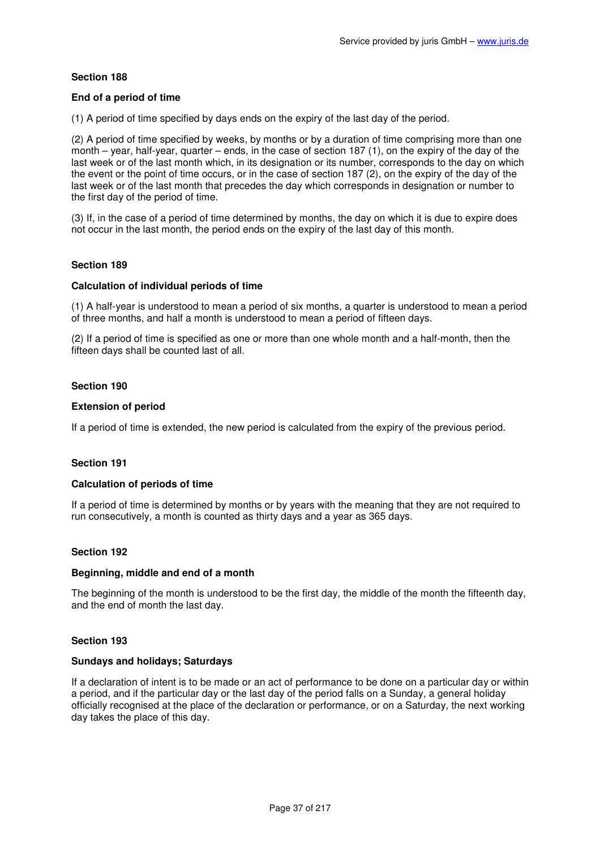### **End of a period of time**

(1) A period of time specified by days ends on the expiry of the last day of the period.

(2) A period of time specified by weeks, by months or by a duration of time comprising more than one month – year, half-year, quarter – ends, in the case of section 187 (1), on the expiry of the day of the last week or of the last month which, in its designation or its number, corresponds to the day on which the event or the point of time occurs, or in the case of section 187 (2), on the expiry of the day of the last week or of the last month that precedes the day which corresponds in designation or number to the first day of the period of time.

(3) If, in the case of a period of time determined by months, the day on which it is due to expire does not occur in the last month, the period ends on the expiry of the last day of this month.

### **Section 189**

### **Calculation of individual periods of time**

(1) A half-year is understood to mean a period of six months, a quarter is understood to mean a period of three months, and half a month is understood to mean a period of fifteen days.

(2) If a period of time is specified as one or more than one whole month and a half-month, then the fifteen days shall be counted last of all.

## **Section 190**

### **Extension of period**

If a period of time is extended, the new period is calculated from the expiry of the previous period.

### **Section 191**

### **Calculation of periods of time**

If a period of time is determined by months or by years with the meaning that they are not required to run consecutively, a month is counted as thirty days and a year as 365 days.

### **Section 192**

### **Beginning, middle and end of a month**

The beginning of the month is understood to be the first day, the middle of the month the fifteenth day, and the end of month the last day.

### **Section 193**

### **Sundays and holidays; Saturdays**

If a declaration of intent is to be made or an act of performance to be done on a particular day or within a period, and if the particular day or the last day of the period falls on a Sunday, a general holiday officially recognised at the place of the declaration or performance, or on a Saturday, the next working day takes the place of this day.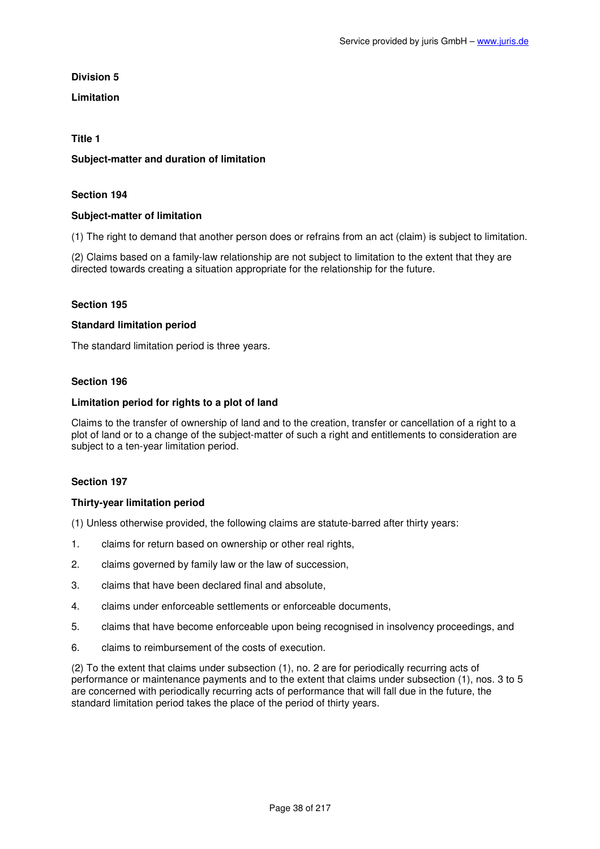**Division 5** 

**Limitation** 

### **Title 1**

### **Subject-matter and duration of limitation**

### **Section 194**

### **Subject-matter of limitation**

(1) The right to demand that another person does or refrains from an act (claim) is subject to limitation.

(2) Claims based on a family-law relationship are not subject to limitation to the extent that they are directed towards creating a situation appropriate for the relationship for the future.

### **Section 195**

#### **Standard limitation period**

The standard limitation period is three years.

#### **Section 196**

### **Limitation period for rights to a plot of land**

Claims to the transfer of ownership of land and to the creation, transfer or cancellation of a right to a plot of land or to a change of the subject-matter of such a right and entitlements to consideration are subject to a ten-year limitation period.

### **Section 197**

### **Thirty-year limitation period**

(1) Unless otherwise provided, the following claims are statute-barred after thirty years:

- 1. claims for return based on ownership or other real rights,
- 2. claims governed by family law or the law of succession,
- 3. claims that have been declared final and absolute,
- 4. claims under enforceable settlements or enforceable documents,
- 5. claims that have become enforceable upon being recognised in insolvency proceedings, and
- 6. claims to reimbursement of the costs of execution.

(2) To the extent that claims under subsection (1), no. 2 are for periodically recurring acts of performance or maintenance payments and to the extent that claims under subsection (1), nos. 3 to 5 are concerned with periodically recurring acts of performance that will fall due in the future, the standard limitation period takes the place of the period of thirty years.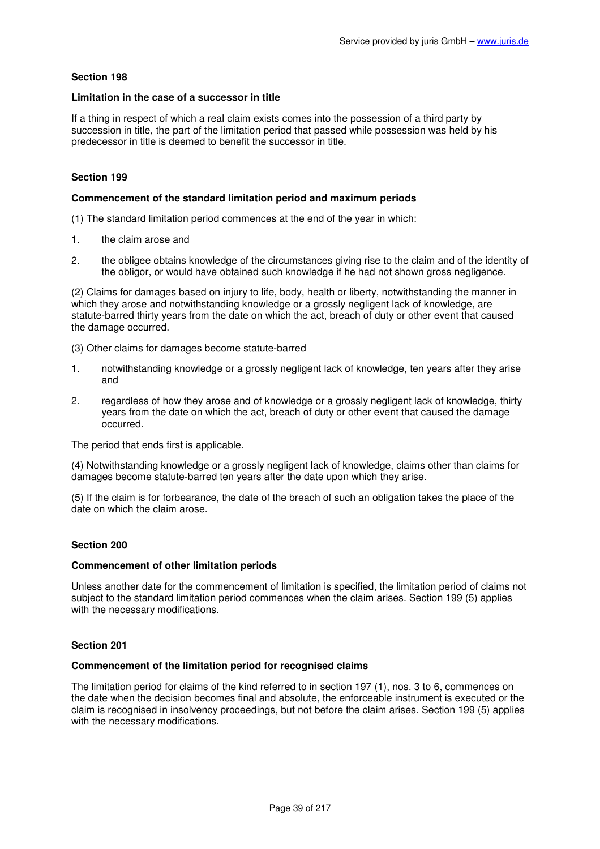### **Limitation in the case of a successor in title**

If a thing in respect of which a real claim exists comes into the possession of a third party by succession in title, the part of the limitation period that passed while possession was held by his predecessor in title is deemed to benefit the successor in title.

### **Section 199**

### **Commencement of the standard limitation period and maximum periods**

(1) The standard limitation period commences at the end of the year in which:

- 1. the claim arose and
- 2. the obligee obtains knowledge of the circumstances giving rise to the claim and of the identity of the obligor, or would have obtained such knowledge if he had not shown gross negligence.

(2) Claims for damages based on injury to life, body, health or liberty, notwithstanding the manner in which they arose and notwithstanding knowledge or a grossly negligent lack of knowledge, are statute-barred thirty years from the date on which the act, breach of duty or other event that caused the damage occurred.

(3) Other claims for damages become statute-barred

- 1. notwithstanding knowledge or a grossly negligent lack of knowledge, ten years after they arise and
- 2. regardless of how they arose and of knowledge or a grossly negligent lack of knowledge, thirty years from the date on which the act, breach of duty or other event that caused the damage occurred.

The period that ends first is applicable.

(4) Notwithstanding knowledge or a grossly negligent lack of knowledge, claims other than claims for damages become statute-barred ten years after the date upon which they arise.

(5) If the claim is for forbearance, the date of the breach of such an obligation takes the place of the date on which the claim arose.

### **Section 200**

#### **Commencement of other limitation periods**

Unless another date for the commencement of limitation is specified, the limitation period of claims not subject to the standard limitation period commences when the claim arises. Section 199 (5) applies with the necessary modifications.

#### **Section 201**

#### **Commencement of the limitation period for recognised claims**

The limitation period for claims of the kind referred to in section 197 (1), nos. 3 to 6, commences on the date when the decision becomes final and absolute, the enforceable instrument is executed or the claim is recognised in insolvency proceedings, but not before the claim arises. Section 199 (5) applies with the necessary modifications.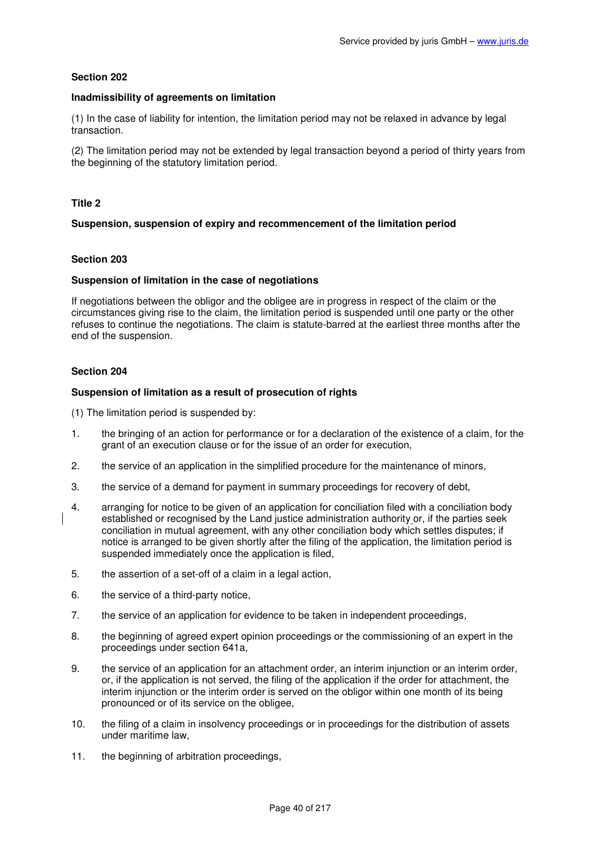### **Inadmissibility of agreements on limitation**

(1) In the case of liability for intention, the limitation period may not be relaxed in advance by legal transaction.

(2) The limitation period may not be extended by legal transaction beyond a period of thirty years from the beginning of the statutory limitation period.

## **Title 2**

## **Suspension, suspension of expiry and recommencement of the limitation period**

## **Section 203**

### **Suspension of limitation in the case of negotiations**

If negotiations between the obligor and the obligee are in progress in respect of the claim or the circumstances giving rise to the claim, the limitation period is suspended until one party or the other refuses to continue the negotiations. The claim is statute-barred at the earliest three months after the end of the suspension.

### **Section 204**

### **Suspension of limitation as a result of prosecution of rights**

(1) The limitation period is suspended by:

- 1. the bringing of an action for performance or for a declaration of the existence of a claim, for the grant of an execution clause or for the issue of an order for execution,
- 2. the service of an application in the simplified procedure for the maintenance of minors,
- 3. the service of a demand for payment in summary proceedings for recovery of debt,
- 4. arranging for notice to be given of an application for conciliation filed with a conciliation body established or recognised by the Land justice administration authority or, if the parties seek conciliation in mutual agreement, with any other conciliation body which settles disputes; if notice is arranged to be given shortly after the filing of the application, the limitation period is suspended immediately once the application is filed,
- 5. the assertion of a set-off of a claim in a legal action,
- 6. the service of a third-party notice,
- 7. the service of an application for evidence to be taken in independent proceedings,
- 8. the beginning of agreed expert opinion proceedings or the commissioning of an expert in the proceedings under section 641a,
- 9. the service of an application for an attachment order, an interim injunction or an interim order, or, if the application is not served, the filing of the application if the order for attachment, the interim injunction or the interim order is served on the obligor within one month of its being pronounced or of its service on the obligee,
- 10. the filing of a claim in insolvency proceedings or in proceedings for the distribution of assets under maritime law,
- 11. the beginning of arbitration proceedings,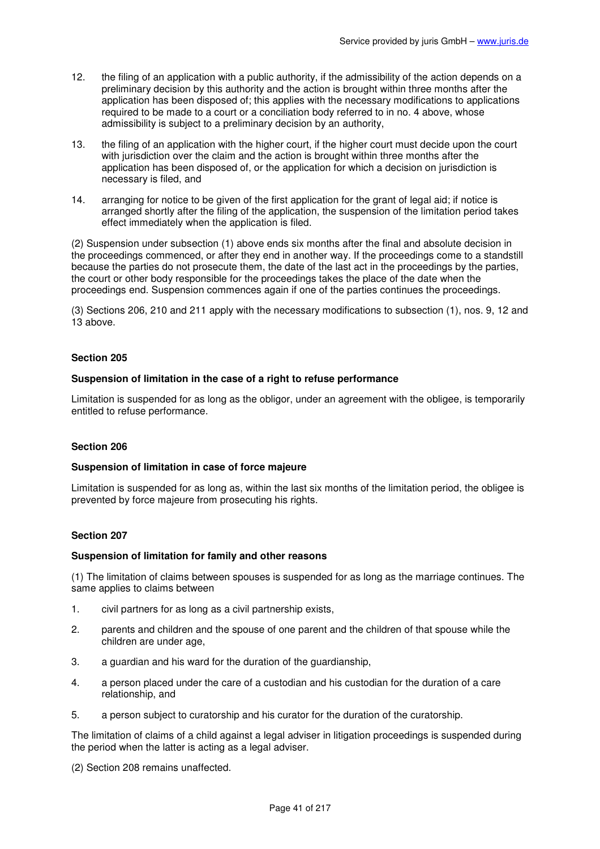- 12. the filing of an application with a public authority, if the admissibility of the action depends on a preliminary decision by this authority and the action is brought within three months after the application has been disposed of; this applies with the necessary modifications to applications required to be made to a court or a conciliation body referred to in no. 4 above, whose admissibility is subject to a preliminary decision by an authority,
- 13. the filing of an application with the higher court, if the higher court must decide upon the court with jurisdiction over the claim and the action is brought within three months after the application has been disposed of, or the application for which a decision on jurisdiction is necessary is filed, and
- 14. arranging for notice to be given of the first application for the grant of legal aid; if notice is arranged shortly after the filing of the application, the suspension of the limitation period takes effect immediately when the application is filed.

(2) Suspension under subsection (1) above ends six months after the final and absolute decision in the proceedings commenced, or after they end in another way. If the proceedings come to a standstill because the parties do not prosecute them, the date of the last act in the proceedings by the parties, the court or other body responsible for the proceedings takes the place of the date when the proceedings end. Suspension commences again if one of the parties continues the proceedings.

(3) Sections 206, 210 and 211 apply with the necessary modifications to subsection (1), nos. 9, 12 and 13 above.

### **Section 205**

### **Suspension of limitation in the case of a right to refuse performance**

Limitation is suspended for as long as the obligor, under an agreement with the obligee, is temporarily entitled to refuse performance.

### **Section 206**

### **Suspension of limitation in case of force majeure**

Limitation is suspended for as long as, within the last six months of the limitation period, the obligee is prevented by force majeure from prosecuting his rights.

#### **Section 207**

### **Suspension of limitation for family and other reasons**

(1) The limitation of claims between spouses is suspended for as long as the marriage continues. The same applies to claims between

- 1. civil partners for as long as a civil partnership exists,
- 2. parents and children and the spouse of one parent and the children of that spouse while the children are under age,
- 3. a guardian and his ward for the duration of the guardianship,
- 4. a person placed under the care of a custodian and his custodian for the duration of a care relationship, and
- 5. a person subject to curatorship and his curator for the duration of the curatorship.

The limitation of claims of a child against a legal adviser in litigation proceedings is suspended during the period when the latter is acting as a legal adviser.

(2) Section 208 remains unaffected.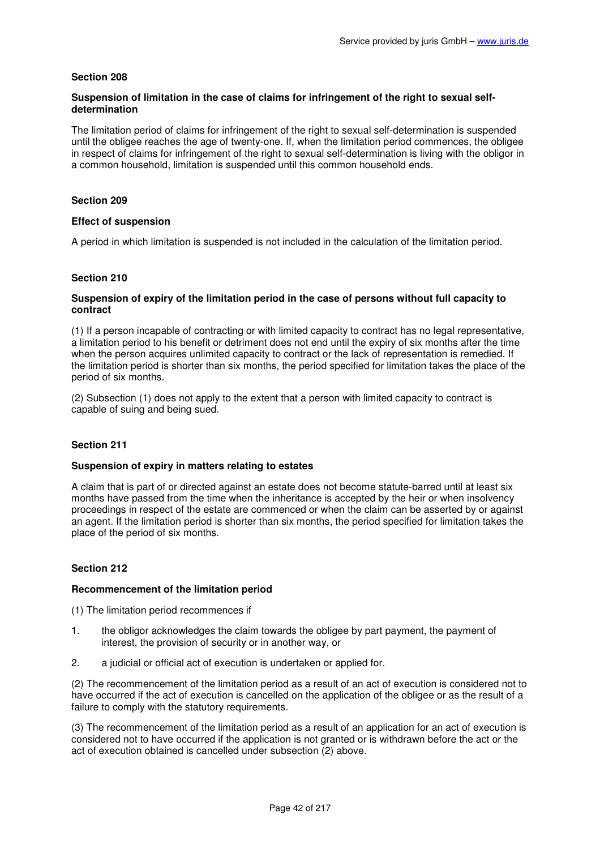## **Suspension of limitation in the case of claims for infringement of the right to sexual selfdetermination**

The limitation period of claims for infringement of the right to sexual self-determination is suspended until the obligee reaches the age of twenty-one. If, when the limitation period commences, the obligee in respect of claims for infringement of the right to sexual self-determination is living with the obligor in a common household, limitation is suspended until this common household ends.

## **Section 209**

### **Effect of suspension**

A period in which limitation is suspended is not included in the calculation of the limitation period.

## **Section 210**

### **Suspension of expiry of the limitation period in the case of persons without full capacity to contract**

(1) If a person incapable of contracting or with limited capacity to contract has no legal representative, a limitation period to his benefit or detriment does not end until the expiry of six months after the time when the person acquires unlimited capacity to contract or the lack of representation is remedied. If the limitation period is shorter than six months, the period specified for limitation takes the place of the period of six months.

(2) Subsection (1) does not apply to the extent that a person with limited capacity to contract is capable of suing and being sued.

### **Section 211**

### **Suspension of expiry in matters relating to estates**

A claim that is part of or directed against an estate does not become statute-barred until at least six months have passed from the time when the inheritance is accepted by the heir or when insolvency proceedings in respect of the estate are commenced or when the claim can be asserted by or against an agent. If the limitation period is shorter than six months, the period specified for limitation takes the place of the period of six months.

### **Section 212**

### **Recommencement of the limitation period**

(1) The limitation period recommences if

- 1. the obligor acknowledges the claim towards the obligee by part payment, the payment of interest, the provision of security or in another way, or
- 2. a judicial or official act of execution is undertaken or applied for.

(2) The recommencement of the limitation period as a result of an act of execution is considered not to have occurred if the act of execution is cancelled on the application of the obligee or as the result of a failure to comply with the statutory requirements.

(3) The recommencement of the limitation period as a result of an application for an act of execution is considered not to have occurred if the application is not granted or is withdrawn before the act or the act of execution obtained is cancelled under subsection (2) above.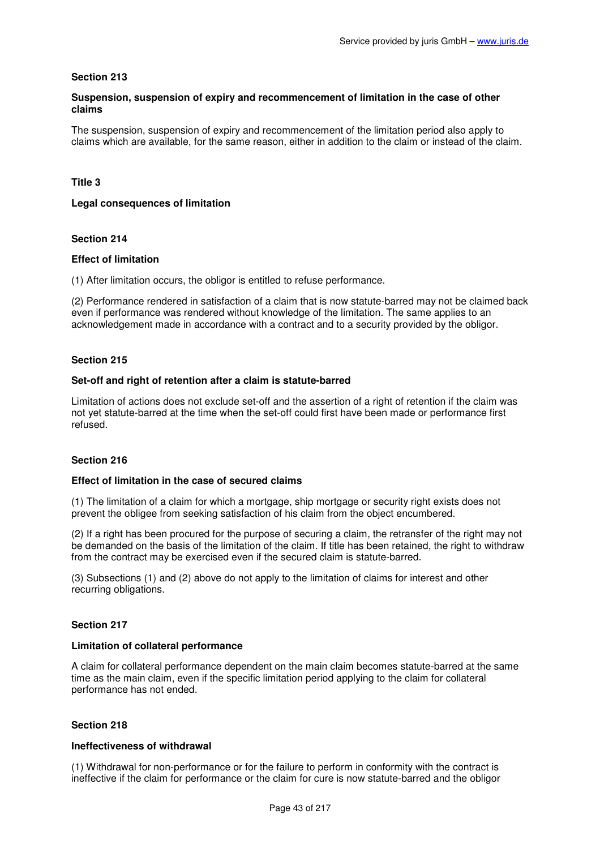## **Suspension, suspension of expiry and recommencement of limitation in the case of other claims**

The suspension, suspension of expiry and recommencement of the limitation period also apply to claims which are available, for the same reason, either in addition to the claim or instead of the claim.

## **Title 3**

### **Legal consequences of limitation**

## **Section 214**

### **Effect of limitation**

(1) After limitation occurs, the obligor is entitled to refuse performance.

(2) Performance rendered in satisfaction of a claim that is now statute-barred may not be claimed back even if performance was rendered without knowledge of the limitation. The same applies to an acknowledgement made in accordance with a contract and to a security provided by the obligor.

### **Section 215**

### **Set-off and right of retention after a claim is statute-barred**

Limitation of actions does not exclude set-off and the assertion of a right of retention if the claim was not yet statute-barred at the time when the set-off could first have been made or performance first refused.

## **Section 216**

### **Effect of limitation in the case of secured claims**

(1) The limitation of a claim for which a mortgage, ship mortgage or security right exists does not prevent the obligee from seeking satisfaction of his claim from the object encumbered.

(2) If a right has been procured for the purpose of securing a claim, the retransfer of the right may not be demanded on the basis of the limitation of the claim. If title has been retained, the right to withdraw from the contract may be exercised even if the secured claim is statute-barred.

(3) Subsections (1) and (2) above do not apply to the limitation of claims for interest and other recurring obligations.

### **Section 217**

### **Limitation of collateral performance**

A claim for collateral performance dependent on the main claim becomes statute-barred at the same time as the main claim, even if the specific limitation period applying to the claim for collateral performance has not ended.

### **Section 218**

## **Ineffectiveness of withdrawal**

(1) Withdrawal for non-performance or for the failure to perform in conformity with the contract is ineffective if the claim for performance or the claim for cure is now statute-barred and the obligor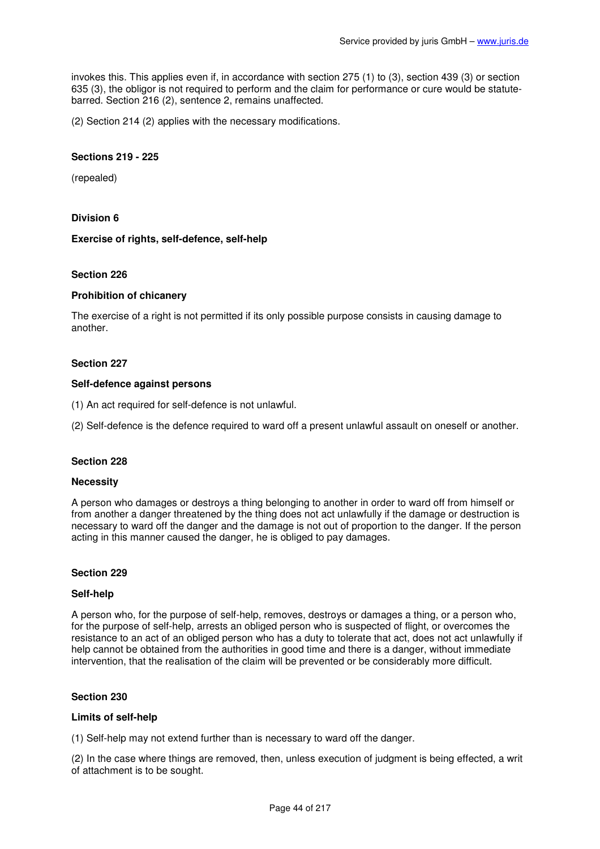invokes this. This applies even if, in accordance with section 275 (1) to (3), section 439 (3) or section 635 (3), the obligor is not required to perform and the claim for performance or cure would be statutebarred. Section 216 (2), sentence 2, remains unaffected.

(2) Section 214 (2) applies with the necessary modifications.

### **Sections 219 - 225**

(repealed)

### **Division 6**

#### **Exercise of rights, self-defence, self-help**

#### **Section 226**

#### **Prohibition of chicanery**

The exercise of a right is not permitted if its only possible purpose consists in causing damage to another.

#### **Section 227**

#### **Self-defence against persons**

(1) An act required for self-defence is not unlawful.

(2) Self-defence is the defence required to ward off a present unlawful assault on oneself or another.

#### **Section 228**

#### **Necessity**

A person who damages or destroys a thing belonging to another in order to ward off from himself or from another a danger threatened by the thing does not act unlawfully if the damage or destruction is necessary to ward off the danger and the damage is not out of proportion to the danger. If the person acting in this manner caused the danger, he is obliged to pay damages.

#### **Section 229**

#### **Self-help**

A person who, for the purpose of self-help, removes, destroys or damages a thing, or a person who, for the purpose of self-help, arrests an obliged person who is suspected of flight, or overcomes the resistance to an act of an obliged person who has a duty to tolerate that act, does not act unlawfully if help cannot be obtained from the authorities in good time and there is a danger, without immediate intervention, that the realisation of the claim will be prevented or be considerably more difficult.

### **Section 230**

#### **Limits of self-help**

(1) Self-help may not extend further than is necessary to ward off the danger.

(2) In the case where things are removed, then, unless execution of judgment is being effected, a writ of attachment is to be sought.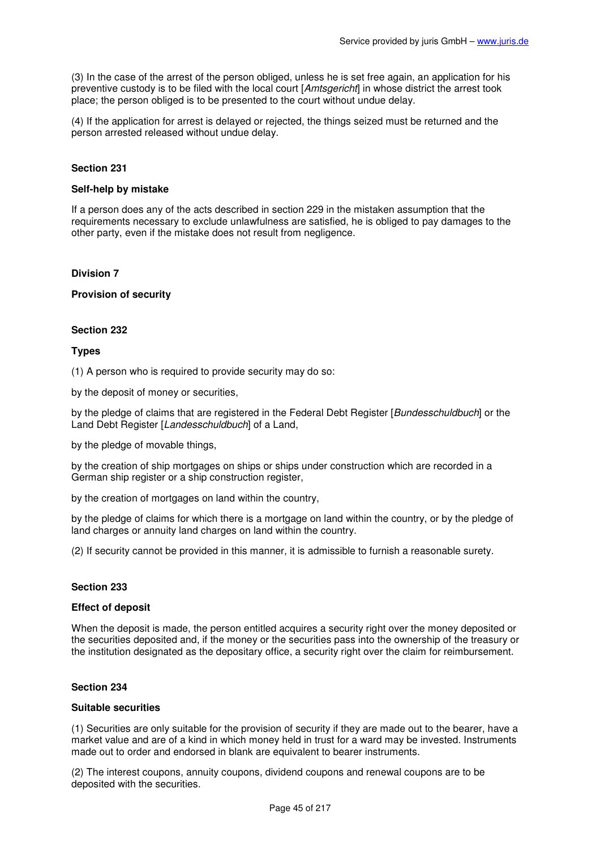(3) In the case of the arrest of the person obliged, unless he is set free again, an application for his preventive custody is to be filed with the local court [Amtsgericht] in whose district the arrest took place; the person obliged is to be presented to the court without undue delay.

(4) If the application for arrest is delayed or rejected, the things seized must be returned and the person arrested released without undue delay.

### **Section 231**

#### **Self-help by mistake**

If a person does any of the acts described in section 229 in the mistaken assumption that the requirements necessary to exclude unlawfulness are satisfied, he is obliged to pay damages to the other party, even if the mistake does not result from negligence.

### **Division 7**

### **Provision of security**

### **Section 232**

### **Types**

(1) A person who is required to provide security may do so:

by the deposit of money or securities,

by the pledge of claims that are registered in the Federal Debt Register [Bundesschuldbuch] or the Land Debt Register [Landesschuldbuch] of a Land,

by the pledge of movable things,

by the creation of ship mortgages on ships or ships under construction which are recorded in a German ship register or a ship construction register,

by the creation of mortgages on land within the country,

by the pledge of claims for which there is a mortgage on land within the country, or by the pledge of land charges or annuity land charges on land within the country.

(2) If security cannot be provided in this manner, it is admissible to furnish a reasonable surety.

### **Section 233**

### **Effect of deposit**

When the deposit is made, the person entitled acquires a security right over the money deposited or the securities deposited and, if the money or the securities pass into the ownership of the treasury or the institution designated as the depositary office, a security right over the claim for reimbursement.

### **Section 234**

### **Suitable securities**

(1) Securities are only suitable for the provision of security if they are made out to the bearer, have a market value and are of a kind in which money held in trust for a ward may be invested. Instruments made out to order and endorsed in blank are equivalent to bearer instruments.

(2) The interest coupons, annuity coupons, dividend coupons and renewal coupons are to be deposited with the securities.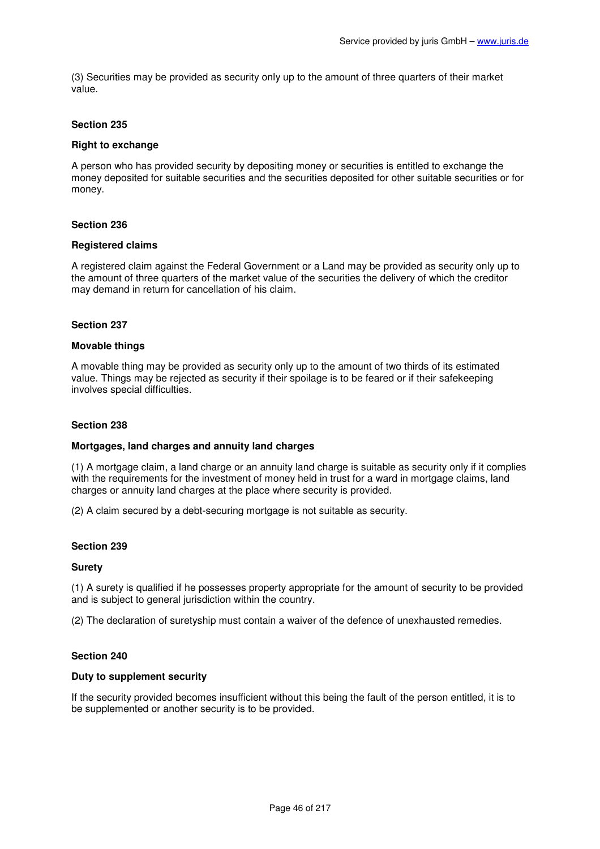(3) Securities may be provided as security only up to the amount of three quarters of their market value.

### **Section 235**

## **Right to exchange**

A person who has provided security by depositing money or securities is entitled to exchange the money deposited for suitable securities and the securities deposited for other suitable securities or for money.

### **Section 236**

### **Registered claims**

A registered claim against the Federal Government or a Land may be provided as security only up to the amount of three quarters of the market value of the securities the delivery of which the creditor may demand in return for cancellation of his claim.

### **Section 237**

### **Movable things**

A movable thing may be provided as security only up to the amount of two thirds of its estimated value. Things may be rejected as security if their spoilage is to be feared or if their safekeeping involves special difficulties.

### **Section 238**

### **Mortgages, land charges and annuity land charges**

(1) A mortgage claim, a land charge or an annuity land charge is suitable as security only if it complies with the requirements for the investment of money held in trust for a ward in mortgage claims, land charges or annuity land charges at the place where security is provided.

(2) A claim secured by a debt-securing mortgage is not suitable as security.

### **Section 239**

### **Surety**

(1) A surety is qualified if he possesses property appropriate for the amount of security to be provided and is subject to general jurisdiction within the country.

(2) The declaration of suretyship must contain a waiver of the defence of unexhausted remedies.

### **Section 240**

### **Duty to supplement security**

If the security provided becomes insufficient without this being the fault of the person entitled, it is to be supplemented or another security is to be provided.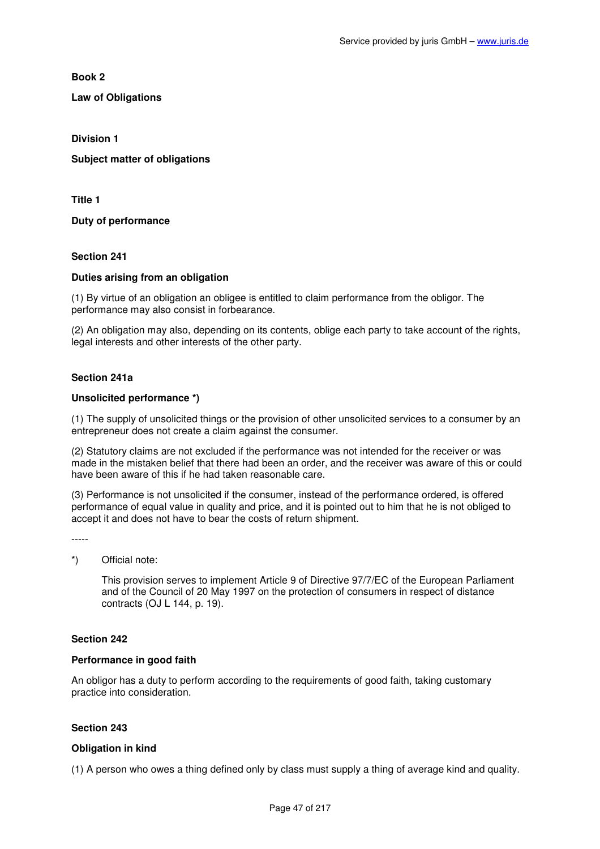**Book 2** 

**Law of Obligations** 

**Division 1** 

**Subject matter of obligations** 

**Title 1** 

**Duty of performance** 

**Section 241** 

### **Duties arising from an obligation**

(1) By virtue of an obligation an obligee is entitled to claim performance from the obligor. The performance may also consist in forbearance.

(2) An obligation may also, depending on its contents, oblige each party to take account of the rights, legal interests and other interests of the other party.

## **Section 241a**

### **Unsolicited performance \*)**

(1) The supply of unsolicited things or the provision of other unsolicited services to a consumer by an entrepreneur does not create a claim against the consumer.

(2) Statutory claims are not excluded if the performance was not intended for the receiver or was made in the mistaken belief that there had been an order, and the receiver was aware of this or could have been aware of this if he had taken reasonable care.

(3) Performance is not unsolicited if the consumer, instead of the performance ordered, is offered performance of equal value in quality and price, and it is pointed out to him that he is not obliged to accept it and does not have to bear the costs of return shipment.

# \*) Official note:

This provision serves to implement Article 9 of Directive 97/7/EC of the European Parliament and of the Council of 20 May 1997 on the protection of consumers in respect of distance contracts (OJ L 144, p. 19).

### **Section 242**

### **Performance in good faith**

An obligor has a duty to perform according to the requirements of good faith, taking customary practice into consideration.

# **Section 243**

### **Obligation in kind**

(1) A person who owes a thing defined only by class must supply a thing of average kind and quality.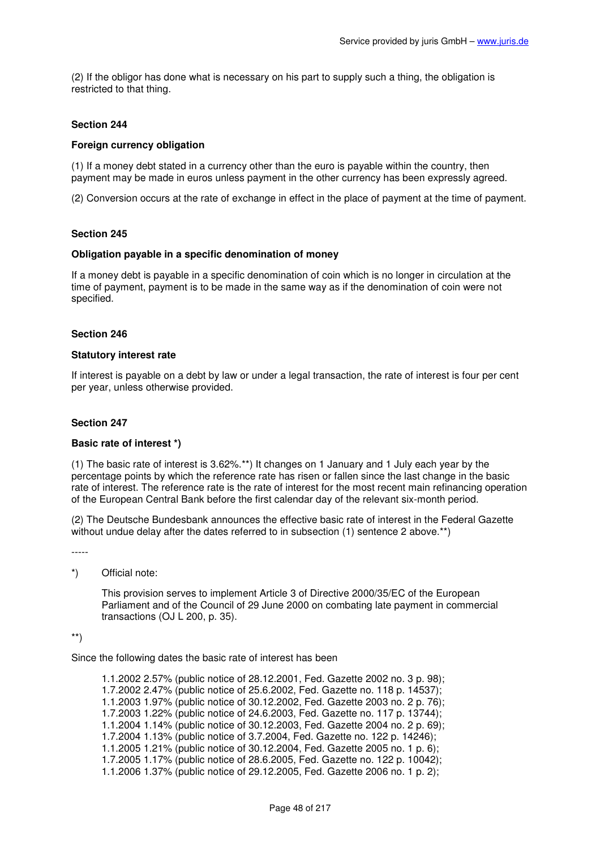(2) If the obligor has done what is necessary on his part to supply such a thing, the obligation is restricted to that thing.

## **Section 244**

## **Foreign currency obligation**

(1) If a money debt stated in a currency other than the euro is payable within the country, then payment may be made in euros unless payment in the other currency has been expressly agreed.

(2) Conversion occurs at the rate of exchange in effect in the place of payment at the time of payment.

### **Section 245**

### **Obligation payable in a specific denomination of money**

If a money debt is payable in a specific denomination of coin which is no longer in circulation at the time of payment, payment is to be made in the same way as if the denomination of coin were not specified.

### **Section 246**

### **Statutory interest rate**

If interest is payable on a debt by law or under a legal transaction, the rate of interest is four per cent per year, unless otherwise provided.

#### **Section 247**

### **Basic rate of interest \*)**

(1) The basic rate of interest is 3.62%.\*\*) It changes on 1 January and 1 July each year by the percentage points by which the reference rate has risen or fallen since the last change in the basic rate of interest. The reference rate is the rate of interest for the most recent main refinancing operation of the European Central Bank before the first calendar day of the relevant six-month period.

(2) The Deutsche Bundesbank announces the effective basic rate of interest in the Federal Gazette without undue delay after the dates referred to in subsection (1) sentence 2 above.<sup>\*\*</sup>)

-----

### \*) Official note:

This provision serves to implement Article 3 of Directive 2000/35/EC of the European Parliament and of the Council of 29 June 2000 on combating late payment in commercial transactions (OJ L 200, p. 35).

\*\*)

Since the following dates the basic rate of interest has been

1.1.2002 2.57% (public notice of 28.12.2001, Fed. Gazette 2002 no. 3 p. 98); 1.7.2002 2.47% (public notice of 25.6.2002, Fed. Gazette no. 118 p. 14537); 1.1.2003 1.97% (public notice of 30.12.2002, Fed. Gazette 2003 no. 2 p. 76); 1.7.2003 1.22% (public notice of 24.6.2003, Fed. Gazette no. 117 p. 13744); 1.1.2004 1.14% (public notice of 30.12.2003, Fed. Gazette 2004 no. 2 p. 69); 1.7.2004 1.13% (public notice of 3.7.2004, Fed. Gazette no. 122 p. 14246); 1.1.2005 1.21% (public notice of 30.12.2004, Fed. Gazette 2005 no. 1 p. 6); 1.7.2005 1.17% (public notice of 28.6.2005, Fed. Gazette no. 122 p. 10042); 1.1.2006 1.37% (public notice of 29.12.2005, Fed. Gazette 2006 no. 1 p. 2);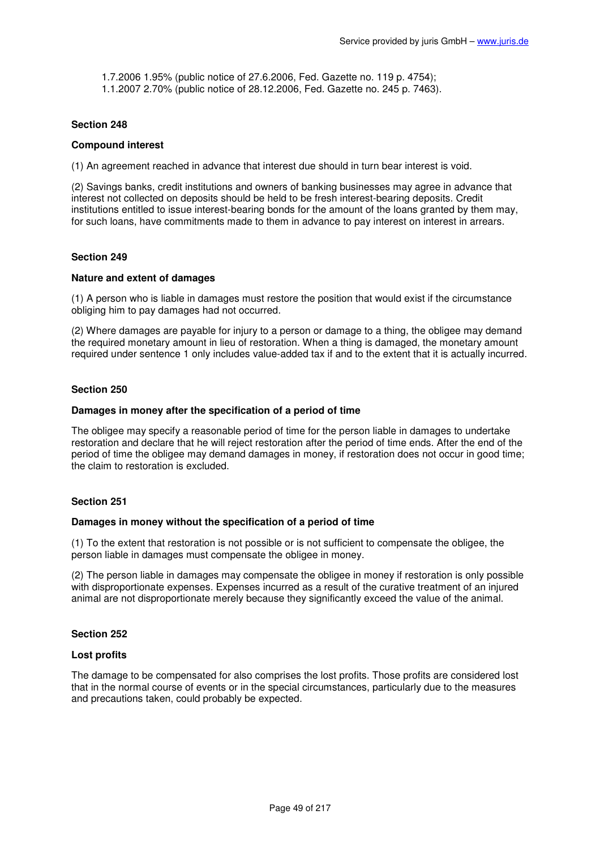1.7.2006 1.95% (public notice of 27.6.2006, Fed. Gazette no. 119 p. 4754);

1.1.2007 2.70% (public notice of 28.12.2006, Fed. Gazette no. 245 p. 7463).

## **Section 248**

### **Compound interest**

(1) An agreement reached in advance that interest due should in turn bear interest is void.

(2) Savings banks, credit institutions and owners of banking businesses may agree in advance that interest not collected on deposits should be held to be fresh interest-bearing deposits. Credit institutions entitled to issue interest-bearing bonds for the amount of the loans granted by them may, for such loans, have commitments made to them in advance to pay interest on interest in arrears.

## **Section 249**

### **Nature and extent of damages**

(1) A person who is liable in damages must restore the position that would exist if the circumstance obliging him to pay damages had not occurred.

(2) Where damages are payable for injury to a person or damage to a thing, the obligee may demand the required monetary amount in lieu of restoration. When a thing is damaged, the monetary amount required under sentence 1 only includes value-added tax if and to the extent that it is actually incurred.

### **Section 250**

### **Damages in money after the specification of a period of time**

The obligee may specify a reasonable period of time for the person liable in damages to undertake restoration and declare that he will reject restoration after the period of time ends. After the end of the period of time the obligee may demand damages in money, if restoration does not occur in good time; the claim to restoration is excluded.

### **Section 251**

### **Damages in money without the specification of a period of time**

(1) To the extent that restoration is not possible or is not sufficient to compensate the obligee, the person liable in damages must compensate the obligee in money.

(2) The person liable in damages may compensate the obligee in money if restoration is only possible with disproportionate expenses. Expenses incurred as a result of the curative treatment of an injured animal are not disproportionate merely because they significantly exceed the value of the animal.

### **Section 252**

### **Lost profits**

The damage to be compensated for also comprises the lost profits. Those profits are considered lost that in the normal course of events or in the special circumstances, particularly due to the measures and precautions taken, could probably be expected.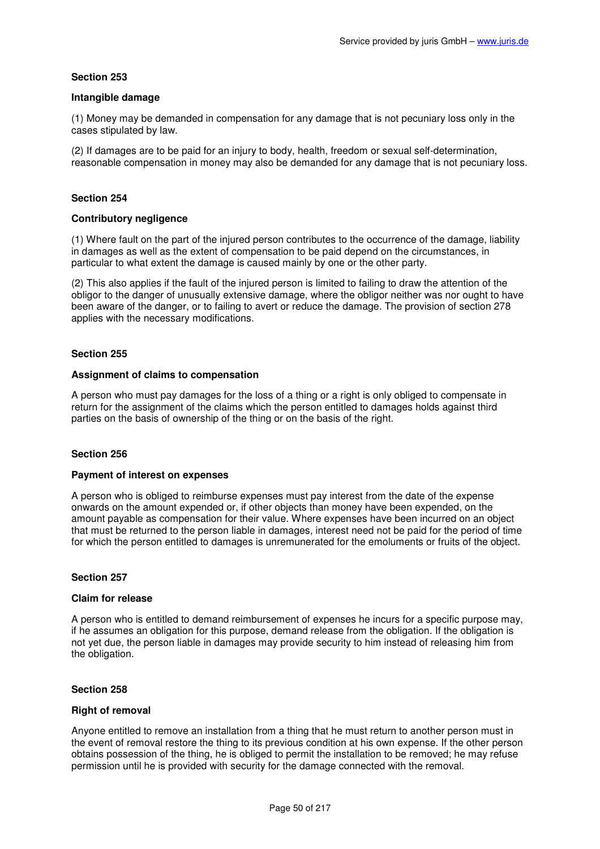### **Intangible damage**

(1) Money may be demanded in compensation for any damage that is not pecuniary loss only in the cases stipulated by law.

(2) If damages are to be paid for an injury to body, health, freedom or sexual self-determination, reasonable compensation in money may also be demanded for any damage that is not pecuniary loss.

## **Section 254**

## **Contributory negligence**

(1) Where fault on the part of the injured person contributes to the occurrence of the damage, liability in damages as well as the extent of compensation to be paid depend on the circumstances, in particular to what extent the damage is caused mainly by one or the other party.

(2) This also applies if the fault of the injured person is limited to failing to draw the attention of the obligor to the danger of unusually extensive damage, where the obligor neither was nor ought to have been aware of the danger, or to failing to avert or reduce the damage. The provision of section 278 applies with the necessary modifications.

## **Section 255**

### **Assignment of claims to compensation**

A person who must pay damages for the loss of a thing or a right is only obliged to compensate in return for the assignment of the claims which the person entitled to damages holds against third parties on the basis of ownership of the thing or on the basis of the right.

# **Section 256**

### **Payment of interest on expenses**

A person who is obliged to reimburse expenses must pay interest from the date of the expense onwards on the amount expended or, if other objects than money have been expended, on the amount payable as compensation for their value. Where expenses have been incurred on an object that must be returned to the person liable in damages, interest need not be paid for the period of time for which the person entitled to damages is unremunerated for the emoluments or fruits of the object.

### **Section 257**

### **Claim for release**

A person who is entitled to demand reimbursement of expenses he incurs for a specific purpose may, if he assumes an obligation for this purpose, demand release from the obligation. If the obligation is not yet due, the person liable in damages may provide security to him instead of releasing him from the obligation.

### **Section 258**

### **Right of removal**

Anyone entitled to remove an installation from a thing that he must return to another person must in the event of removal restore the thing to its previous condition at his own expense. If the other person obtains possession of the thing, he is obliged to permit the installation to be removed; he may refuse permission until he is provided with security for the damage connected with the removal.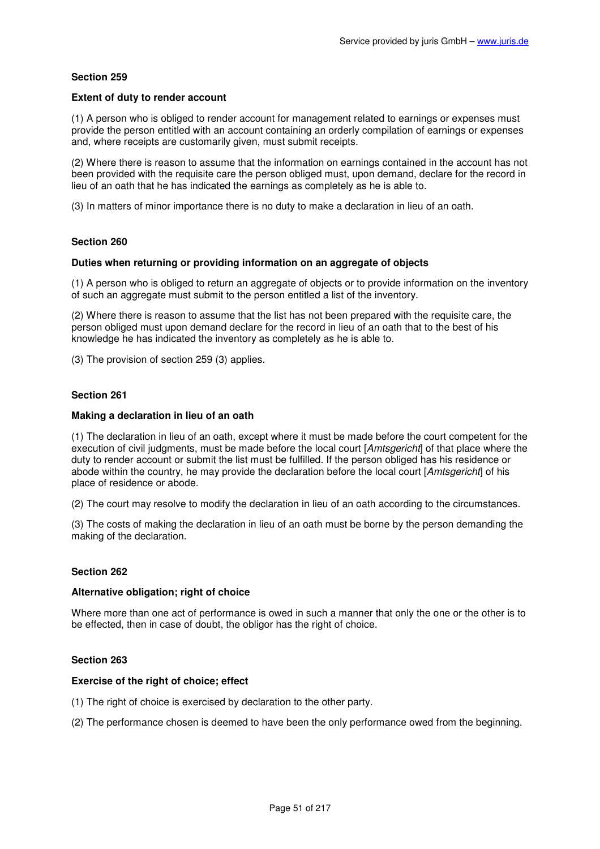### **Extent of duty to render account**

(1) A person who is obliged to render account for management related to earnings or expenses must provide the person entitled with an account containing an orderly compilation of earnings or expenses and, where receipts are customarily given, must submit receipts.

(2) Where there is reason to assume that the information on earnings contained in the account has not been provided with the requisite care the person obliged must, upon demand, declare for the record in lieu of an oath that he has indicated the earnings as completely as he is able to.

(3) In matters of minor importance there is no duty to make a declaration in lieu of an oath.

## **Section 260**

### **Duties when returning or providing information on an aggregate of objects**

(1) A person who is obliged to return an aggregate of objects or to provide information on the inventory of such an aggregate must submit to the person entitled a list of the inventory.

(2) Where there is reason to assume that the list has not been prepared with the requisite care, the person obliged must upon demand declare for the record in lieu of an oath that to the best of his knowledge he has indicated the inventory as completely as he is able to.

(3) The provision of section 259 (3) applies.

### **Section 261**

#### **Making a declaration in lieu of an oath**

(1) The declaration in lieu of an oath, except where it must be made before the court competent for the execution of civil judgments, must be made before the local court [Amtsgericht] of that place where the duty to render account or submit the list must be fulfilled. If the person obliged has his residence or abode within the country, he may provide the declaration before the local court [Amtsgericht] of his place of residence or abode.

(2) The court may resolve to modify the declaration in lieu of an oath according to the circumstances.

(3) The costs of making the declaration in lieu of an oath must be borne by the person demanding the making of the declaration.

### **Section 262**

### **Alternative obligation; right of choice**

Where more than one act of performance is owed in such a manner that only the one or the other is to be effected, then in case of doubt, the obligor has the right of choice.

### **Section 263**

### **Exercise of the right of choice; effect**

- (1) The right of choice is exercised by declaration to the other party.
- (2) The performance chosen is deemed to have been the only performance owed from the beginning.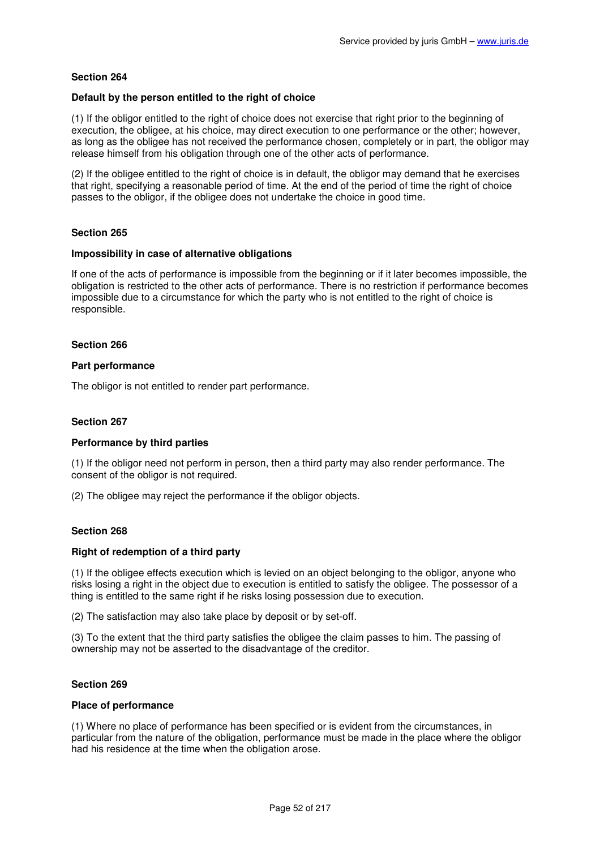### **Default by the person entitled to the right of choice**

(1) If the obligor entitled to the right of choice does not exercise that right prior to the beginning of execution, the obligee, at his choice, may direct execution to one performance or the other; however, as long as the obligee has not received the performance chosen, completely or in part, the obligor may release himself from his obligation through one of the other acts of performance.

(2) If the obligee entitled to the right of choice is in default, the obligor may demand that he exercises that right, specifying a reasonable period of time. At the end of the period of time the right of choice passes to the obligor, if the obligee does not undertake the choice in good time.

## **Section 265**

### **Impossibility in case of alternative obligations**

If one of the acts of performance is impossible from the beginning or if it later becomes impossible, the obligation is restricted to the other acts of performance. There is no restriction if performance becomes impossible due to a circumstance for which the party who is not entitled to the right of choice is responsible.

### **Section 266**

### **Part performance**

The obligor is not entitled to render part performance.

#### **Section 267**

### **Performance by third parties**

(1) If the obligor need not perform in person, then a third party may also render performance. The consent of the obligor is not required.

(2) The obligee may reject the performance if the obligor objects.

### **Section 268**

### **Right of redemption of a third party**

(1) If the obligee effects execution which is levied on an object belonging to the obligor, anyone who risks losing a right in the object due to execution is entitled to satisfy the obligee. The possessor of a thing is entitled to the same right if he risks losing possession due to execution.

(2) The satisfaction may also take place by deposit or by set-off.

(3) To the extent that the third party satisfies the obligee the claim passes to him. The passing of ownership may not be asserted to the disadvantage of the creditor.

### **Section 269**

#### **Place of performance**

(1) Where no place of performance has been specified or is evident from the circumstances, in particular from the nature of the obligation, performance must be made in the place where the obligor had his residence at the time when the obligation arose.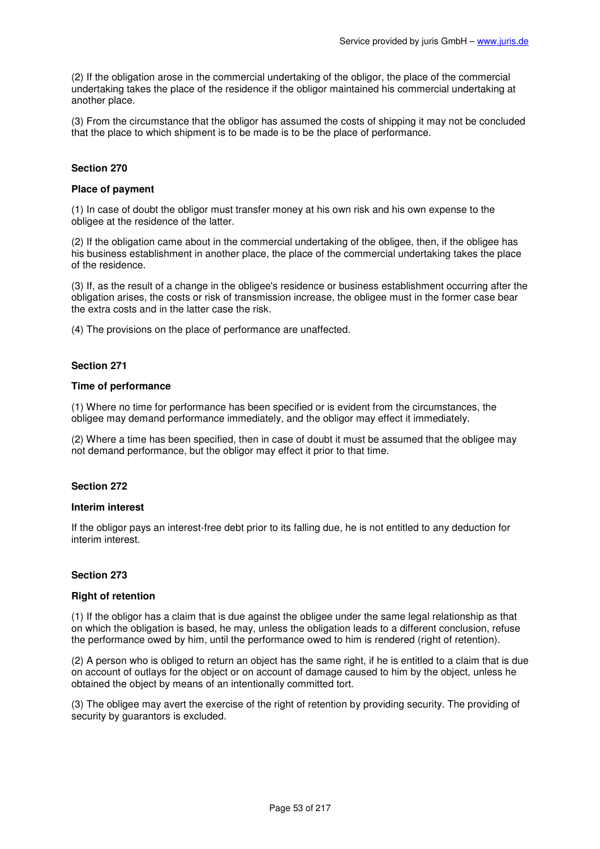(2) If the obligation arose in the commercial undertaking of the obligor, the place of the commercial undertaking takes the place of the residence if the obligor maintained his commercial undertaking at another place.

(3) From the circumstance that the obligor has assumed the costs of shipping it may not be concluded that the place to which shipment is to be made is to be the place of performance.

### **Section 270**

#### **Place of payment**

(1) In case of doubt the obligor must transfer money at his own risk and his own expense to the obligee at the residence of the latter.

(2) If the obligation came about in the commercial undertaking of the obligee, then, if the obligee has his business establishment in another place, the place of the commercial undertaking takes the place of the residence.

(3) If, as the result of a change in the obligee's residence or business establishment occurring after the obligation arises, the costs or risk of transmission increase, the obligee must in the former case bear the extra costs and in the latter case the risk.

(4) The provisions on the place of performance are unaffected.

## **Section 271**

#### **Time of performance**

(1) Where no time for performance has been specified or is evident from the circumstances, the obligee may demand performance immediately, and the obligor may effect it immediately.

(2) Where a time has been specified, then in case of doubt it must be assumed that the obligee may not demand performance, but the obligor may effect it prior to that time.

### **Section 272**

#### **Interim interest**

If the obligor pays an interest-free debt prior to its falling due, he is not entitled to any deduction for interim interest.

#### **Section 273**

#### **Right of retention**

(1) If the obligor has a claim that is due against the obligee under the same legal relationship as that on which the obligation is based, he may, unless the obligation leads to a different conclusion, refuse the performance owed by him, until the performance owed to him is rendered (right of retention).

(2) A person who is obliged to return an object has the same right, if he is entitled to a claim that is due on account of outlays for the object or on account of damage caused to him by the object, unless he obtained the object by means of an intentionally committed tort.

(3) The obligee may avert the exercise of the right of retention by providing security. The providing of security by guarantors is excluded.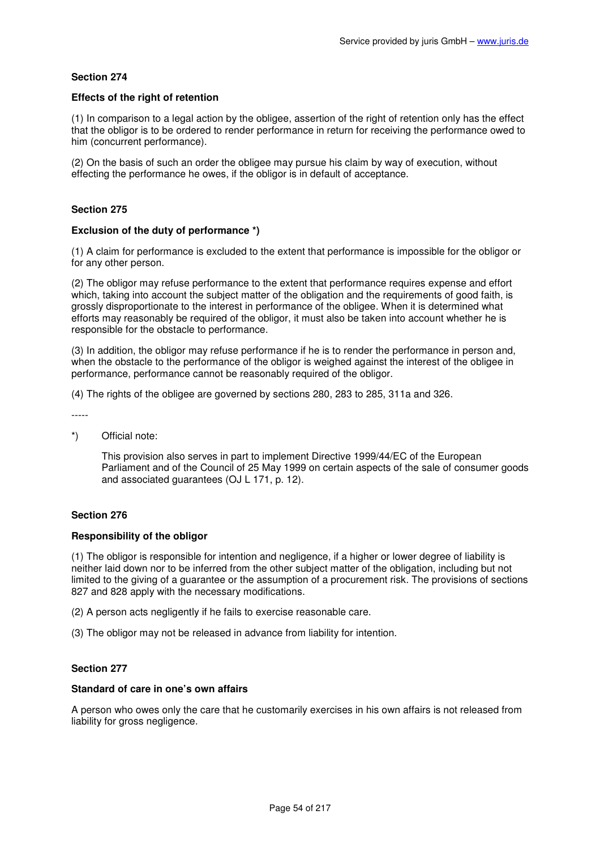## **Effects of the right of retention**

(1) In comparison to a legal action by the obligee, assertion of the right of retention only has the effect that the obligor is to be ordered to render performance in return for receiving the performance owed to him (concurrent performance).

(2) On the basis of such an order the obligee may pursue his claim by way of execution, without effecting the performance he owes, if the obligor is in default of acceptance.

### **Section 275**

### **Exclusion of the duty of performance \*)**

(1) A claim for performance is excluded to the extent that performance is impossible for the obligor or for any other person.

(2) The obligor may refuse performance to the extent that performance requires expense and effort which, taking into account the subject matter of the obligation and the requirements of good faith, is grossly disproportionate to the interest in performance of the obligee. When it is determined what efforts may reasonably be required of the obligor, it must also be taken into account whether he is responsible for the obstacle to performance.

(3) In addition, the obligor may refuse performance if he is to render the performance in person and, when the obstacle to the performance of the obligor is weighed against the interest of the obligee in performance, performance cannot be reasonably required of the obligor.

(4) The rights of the obligee are governed by sections 280, 283 to 285, 311a and 326.

- -----
- \*) Official note:

This provision also serves in part to implement Directive 1999/44/EC of the European Parliament and of the Council of 25 May 1999 on certain aspects of the sale of consumer goods and associated guarantees (OJ L 171, p. 12).

### **Section 276**

### **Responsibility of the obligor**

(1) The obligor is responsible for intention and negligence, if a higher or lower degree of liability is neither laid down nor to be inferred from the other subject matter of the obligation, including but not limited to the giving of a guarantee or the assumption of a procurement risk. The provisions of sections 827 and 828 apply with the necessary modifications.

(2) A person acts negligently if he fails to exercise reasonable care.

(3) The obligor may not be released in advance from liability for intention.

## **Section 277**

## **Standard of care in one's own affairs**

A person who owes only the care that he customarily exercises in his own affairs is not released from liability for gross negligence.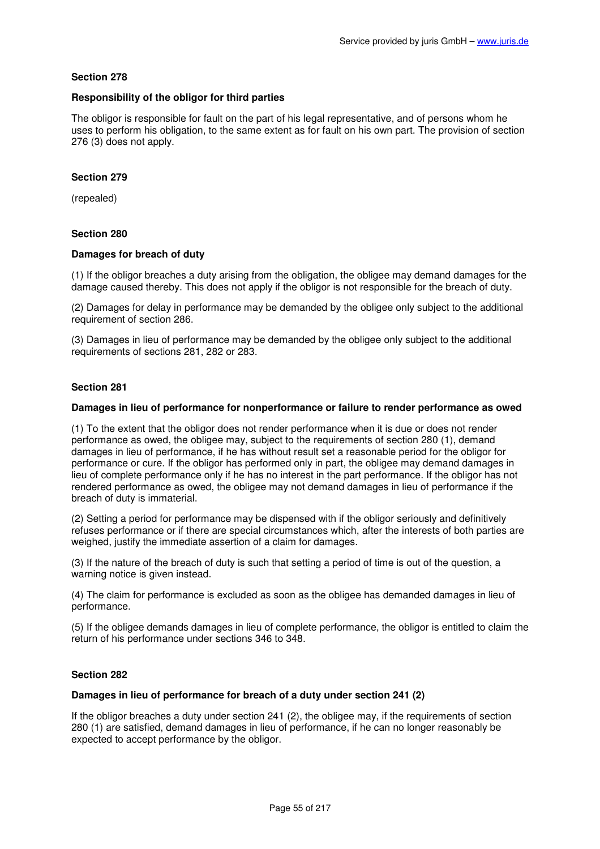### **Responsibility of the obligor for third parties**

The obligor is responsible for fault on the part of his legal representative, and of persons whom he uses to perform his obligation, to the same extent as for fault on his own part. The provision of section 276 (3) does not apply.

### **Section 279**

(repealed)

### **Section 280**

### **Damages for breach of duty**

(1) If the obligor breaches a duty arising from the obligation, the obligee may demand damages for the damage caused thereby. This does not apply if the obligor is not responsible for the breach of duty.

(2) Damages for delay in performance may be demanded by the obligee only subject to the additional requirement of section 286.

(3) Damages in lieu of performance may be demanded by the obligee only subject to the additional requirements of sections 281, 282 or 283.

### **Section 281**

### **Damages in lieu of performance for nonperformance or failure to render performance as owed**

(1) To the extent that the obligor does not render performance when it is due or does not render performance as owed, the obligee may, subject to the requirements of section 280 (1), demand damages in lieu of performance, if he has without result set a reasonable period for the obligor for performance or cure. If the obligor has performed only in part, the obligee may demand damages in lieu of complete performance only if he has no interest in the part performance. If the obligor has not rendered performance as owed, the obligee may not demand damages in lieu of performance if the breach of duty is immaterial.

(2) Setting a period for performance may be dispensed with if the obligor seriously and definitively refuses performance or if there are special circumstances which, after the interests of both parties are weighed, justify the immediate assertion of a claim for damages.

(3) If the nature of the breach of duty is such that setting a period of time is out of the question, a warning notice is given instead.

(4) The claim for performance is excluded as soon as the obligee has demanded damages in lieu of performance.

(5) If the obligee demands damages in lieu of complete performance, the obligor is entitled to claim the return of his performance under sections 346 to 348.

### **Section 282**

### **Damages in lieu of performance for breach of a duty under section 241 (2)**

If the obligor breaches a duty under section 241 (2), the obligee may, if the requirements of section 280 (1) are satisfied, demand damages in lieu of performance, if he can no longer reasonably be expected to accept performance by the obligor.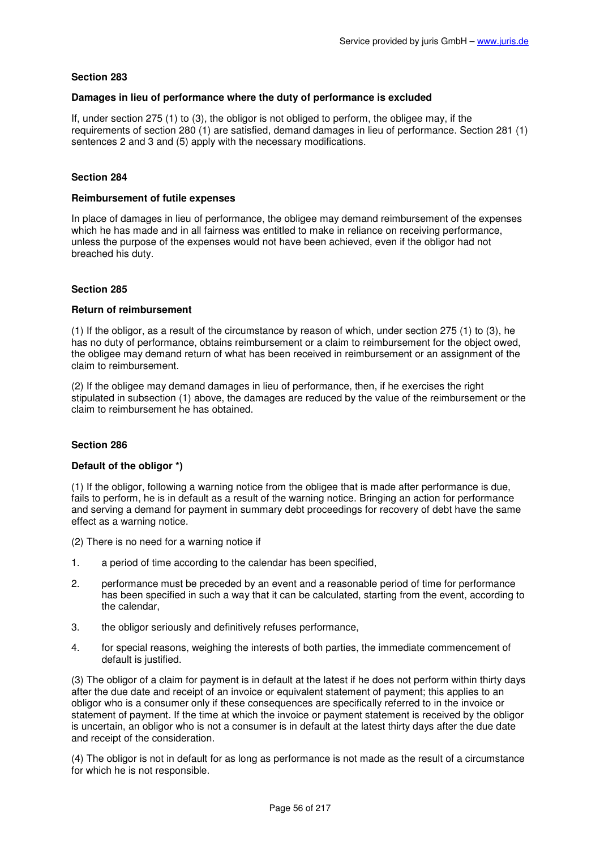### **Damages in lieu of performance where the duty of performance is excluded**

If, under section 275 (1) to (3), the obligor is not obliged to perform, the obligee may, if the requirements of section 280 (1) are satisfied, demand damages in lieu of performance. Section 281 (1) sentences 2 and 3 and (5) apply with the necessary modifications.

## **Section 284**

### **Reimbursement of futile expenses**

In place of damages in lieu of performance, the obligee may demand reimbursement of the expenses which he has made and in all fairness was entitled to make in reliance on receiving performance, unless the purpose of the expenses would not have been achieved, even if the obligor had not breached his duty.

## **Section 285**

## **Return of reimbursement**

(1) If the obligor, as a result of the circumstance by reason of which, under section 275 (1) to (3), he has no duty of performance, obtains reimbursement or a claim to reimbursement for the object owed, the obligee may demand return of what has been received in reimbursement or an assignment of the claim to reimbursement.

(2) If the obligee may demand damages in lieu of performance, then, if he exercises the right stipulated in subsection (1) above, the damages are reduced by the value of the reimbursement or the claim to reimbursement he has obtained.

# **Section 286**

### **Default of the obligor \*)**

(1) If the obligor, following a warning notice from the obligee that is made after performance is due, fails to perform, he is in default as a result of the warning notice. Bringing an action for performance and serving a demand for payment in summary debt proceedings for recovery of debt have the same effect as a warning notice.

(2) There is no need for a warning notice if

- 1. a period of time according to the calendar has been specified,
- 2. performance must be preceded by an event and a reasonable period of time for performance has been specified in such a way that it can be calculated, starting from the event, according to the calendar,
- 3. the obligor seriously and definitively refuses performance,
- 4. for special reasons, weighing the interests of both parties, the immediate commencement of default is justified.

(3) The obligor of a claim for payment is in default at the latest if he does not perform within thirty days after the due date and receipt of an invoice or equivalent statement of payment; this applies to an obligor who is a consumer only if these consequences are specifically referred to in the invoice or statement of payment. If the time at which the invoice or payment statement is received by the obligor is uncertain, an obligor who is not a consumer is in default at the latest thirty days after the due date and receipt of the consideration.

(4) The obligor is not in default for as long as performance is not made as the result of a circumstance for which he is not responsible.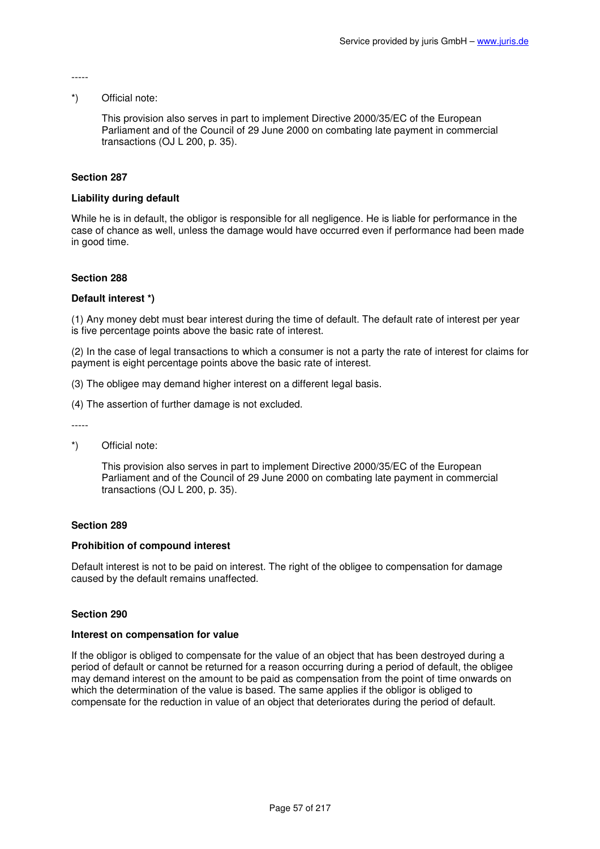#### -----

### \*) Official note:

This provision also serves in part to implement Directive 2000/35/EC of the European Parliament and of the Council of 29 June 2000 on combating late payment in commercial transactions (OJ L 200, p. 35).

### **Section 287**

## **Liability during default**

While he is in default, the obligor is responsible for all negligence. He is liable for performance in the case of chance as well, unless the damage would have occurred even if performance had been made in good time.

## **Section 288**

### **Default interest \*)**

(1) Any money debt must bear interest during the time of default. The default rate of interest per year is five percentage points above the basic rate of interest.

(2) In the case of legal transactions to which a consumer is not a party the rate of interest for claims for payment is eight percentage points above the basic rate of interest.

- (3) The obligee may demand higher interest on a different legal basis.
- (4) The assertion of further damage is not excluded.

-----

\*) Official note:

This provision also serves in part to implement Directive 2000/35/EC of the European Parliament and of the Council of 29 June 2000 on combating late payment in commercial transactions (OJ L 200, p. 35).

### **Section 289**

### **Prohibition of compound interest**

Default interest is not to be paid on interest. The right of the obligee to compensation for damage caused by the default remains unaffected.

### **Section 290**

#### **Interest on compensation for value**

If the obligor is obliged to compensate for the value of an object that has been destroyed during a period of default or cannot be returned for a reason occurring during a period of default, the obligee may demand interest on the amount to be paid as compensation from the point of time onwards on which the determination of the value is based. The same applies if the obligor is obliged to compensate for the reduction in value of an object that deteriorates during the period of default.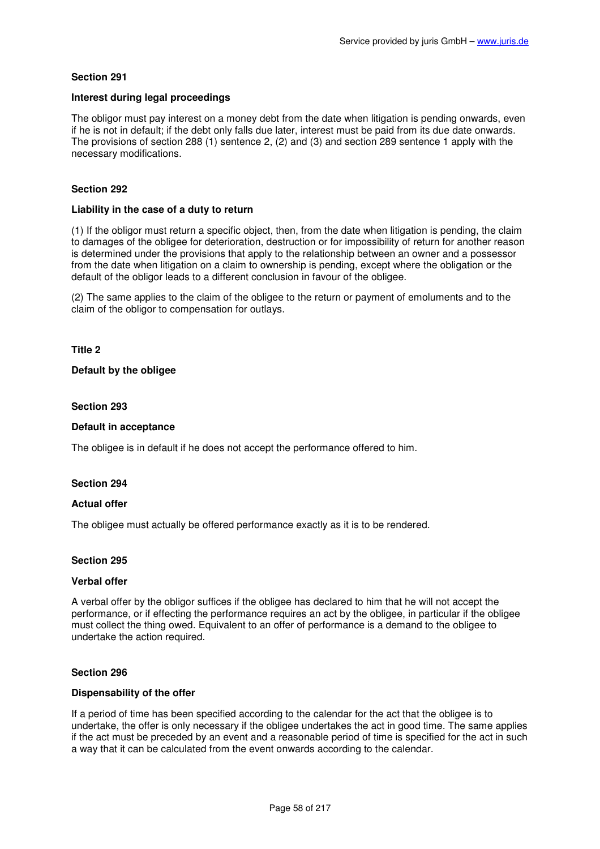## **Interest during legal proceedings**

The obligor must pay interest on a money debt from the date when litigation is pending onwards, even if he is not in default; if the debt only falls due later, interest must be paid from its due date onwards. The provisions of section 288 (1) sentence 2, (2) and (3) and section 289 sentence 1 apply with the necessary modifications.

## **Section 292**

#### **Liability in the case of a duty to return**

(1) If the obligor must return a specific object, then, from the date when litigation is pending, the claim to damages of the obligee for deterioration, destruction or for impossibility of return for another reason is determined under the provisions that apply to the relationship between an owner and a possessor from the date when litigation on a claim to ownership is pending, except where the obligation or the default of the obligor leads to a different conclusion in favour of the obligee.

(2) The same applies to the claim of the obligee to the return or payment of emoluments and to the claim of the obligor to compensation for outlays.

**Title 2** 

### **Default by the obligee**

#### **Section 293**

#### **Default in acceptance**

The obligee is in default if he does not accept the performance offered to him.

### **Section 294**

### **Actual offer**

The obligee must actually be offered performance exactly as it is to be rendered.

### **Section 295**

#### **Verbal offer**

A verbal offer by the obligor suffices if the obligee has declared to him that he will not accept the performance, or if effecting the performance requires an act by the obligee, in particular if the obligee must collect the thing owed. Equivalent to an offer of performance is a demand to the obligee to undertake the action required.

#### **Section 296**

### **Dispensability of the offer**

If a period of time has been specified according to the calendar for the act that the obligee is to undertake, the offer is only necessary if the obligee undertakes the act in good time. The same applies if the act must be preceded by an event and a reasonable period of time is specified for the act in such a way that it can be calculated from the event onwards according to the calendar.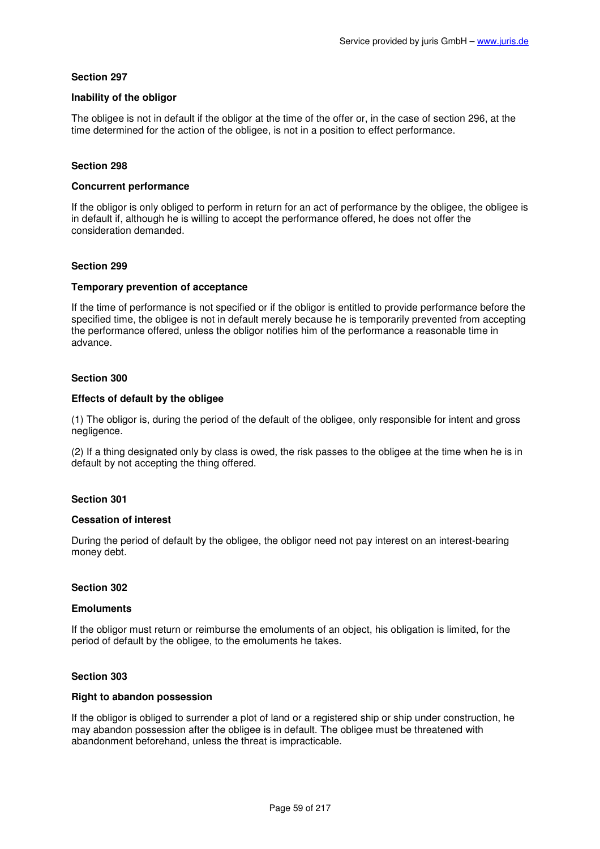### **Inability of the obligor**

The obligee is not in default if the obligor at the time of the offer or, in the case of section 296, at the time determined for the action of the obligee, is not in a position to effect performance.

## **Section 298**

### **Concurrent performance**

If the obligor is only obliged to perform in return for an act of performance by the obligee, the obligee is in default if, although he is willing to accept the performance offered, he does not offer the consideration demanded.

### **Section 299**

## **Temporary prevention of acceptance**

If the time of performance is not specified or if the obligor is entitled to provide performance before the specified time, the obligee is not in default merely because he is temporarily prevented from accepting the performance offered, unless the obligor notifies him of the performance a reasonable time in advance.

## **Section 300**

## **Effects of default by the obligee**

(1) The obligor is, during the period of the default of the obligee, only responsible for intent and gross negligence.

(2) If a thing designated only by class is owed, the risk passes to the obligee at the time when he is in default by not accepting the thing offered.

### **Section 301**

### **Cessation of interest**

During the period of default by the obligee, the obligor need not pay interest on an interest-bearing money debt.

### **Section 302**

### **Emoluments**

If the obligor must return or reimburse the emoluments of an object, his obligation is limited, for the period of default by the obligee, to the emoluments he takes.

### **Section 303**

### **Right to abandon possession**

If the obligor is obliged to surrender a plot of land or a registered ship or ship under construction, he may abandon possession after the obligee is in default. The obligee must be threatened with abandonment beforehand, unless the threat is impracticable.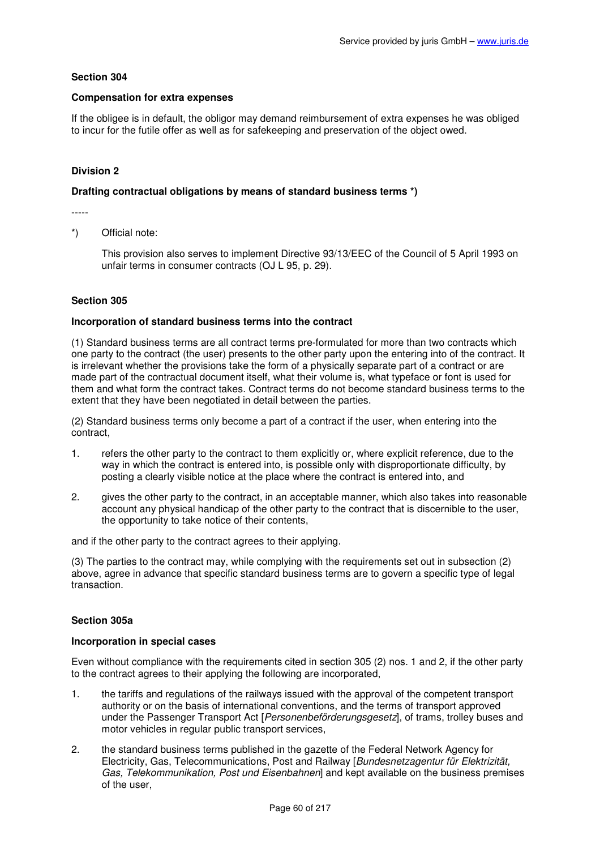### **Compensation for extra expenses**

If the obligee is in default, the obligor may demand reimbursement of extra expenses he was obliged to incur for the futile offer as well as for safekeeping and preservation of the object owed.

# **Division 2**

### **Drafting contractual obligations by means of standard business terms \*)**

-----

\*) Official note:

This provision also serves to implement Directive 93/13/EEC of the Council of 5 April 1993 on unfair terms in consumer contracts (OJ L 95, p. 29).

### **Section 305**

## **Incorporation of standard business terms into the contract**

(1) Standard business terms are all contract terms pre-formulated for more than two contracts which one party to the contract (the user) presents to the other party upon the entering into of the contract. It is irrelevant whether the provisions take the form of a physically separate part of a contract or are made part of the contractual document itself, what their volume is, what typeface or font is used for them and what form the contract takes. Contract terms do not become standard business terms to the extent that they have been negotiated in detail between the parties.

(2) Standard business terms only become a part of a contract if the user, when entering into the contract,

- 1. refers the other party to the contract to them explicitly or, where explicit reference, due to the way in which the contract is entered into, is possible only with disproportionate difficulty, by posting a clearly visible notice at the place where the contract is entered into, and
- 2. gives the other party to the contract, in an acceptable manner, which also takes into reasonable account any physical handicap of the other party to the contract that is discernible to the user, the opportunity to take notice of their contents,

and if the other party to the contract agrees to their applying.

(3) The parties to the contract may, while complying with the requirements set out in subsection (2) above, agree in advance that specific standard business terms are to govern a specific type of legal transaction.

### **Section 305a**

### **Incorporation in special cases**

Even without compliance with the requirements cited in section 305 (2) nos. 1 and 2, if the other party to the contract agrees to their applying the following are incorporated,

- 1. the tariffs and regulations of the railways issued with the approval of the competent transport authority or on the basis of international conventions, and the terms of transport approved under the Passenger Transport Act [Personenbeförderungsgesetz], of trams, trolley buses and motor vehicles in regular public transport services,
- 2. the standard business terms published in the gazette of the Federal Network Agency for Electricity, Gas, Telecommunications, Post and Railway [Bundesnetzagentur für Elektrizität, Gas, Telekommunikation, Post und Eisenbahnen] and kept available on the business premises of the user,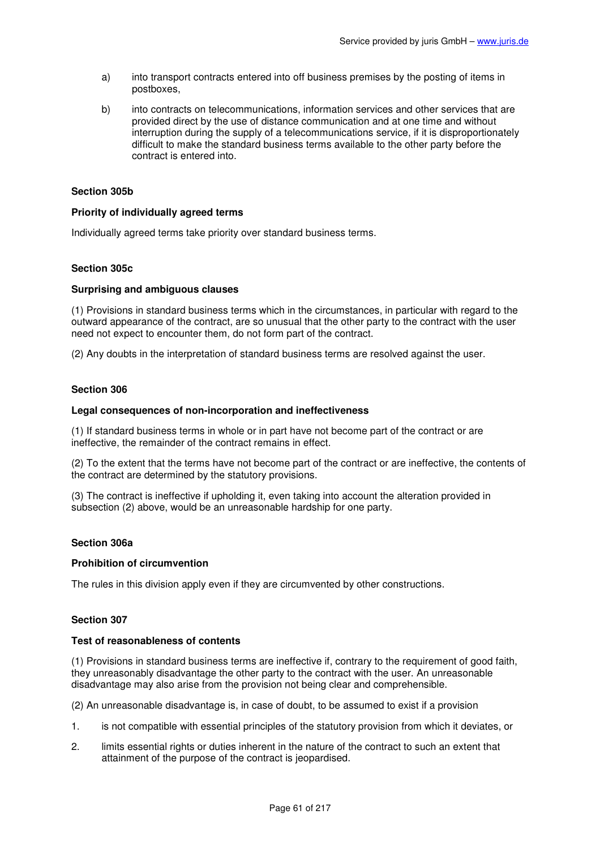- a) into transport contracts entered into off business premises by the posting of items in postboxes,
- b) into contracts on telecommunications, information services and other services that are provided direct by the use of distance communication and at one time and without interruption during the supply of a telecommunications service, if it is disproportionately difficult to make the standard business terms available to the other party before the contract is entered into.

## **Section 305b**

### **Priority of individually agreed terms**

Individually agreed terms take priority over standard business terms.

## **Section 305c**

### **Surprising and ambiguous clauses**

(1) Provisions in standard business terms which in the circumstances, in particular with regard to the outward appearance of the contract, are so unusual that the other party to the contract with the user need not expect to encounter them, do not form part of the contract.

(2) Any doubts in the interpretation of standard business terms are resolved against the user.

### **Section 306**

### **Legal consequences of non-incorporation and ineffectiveness**

(1) If standard business terms in whole or in part have not become part of the contract or are ineffective, the remainder of the contract remains in effect.

(2) To the extent that the terms have not become part of the contract or are ineffective, the contents of the contract are determined by the statutory provisions.

(3) The contract is ineffective if upholding it, even taking into account the alteration provided in subsection (2) above, would be an unreasonable hardship for one party.

### **Section 306a**

### **Prohibition of circumvention**

The rules in this division apply even if they are circumvented by other constructions.

### **Section 307**

### **Test of reasonableness of contents**

(1) Provisions in standard business terms are ineffective if, contrary to the requirement of good faith, they unreasonably disadvantage the other party to the contract with the user. An unreasonable disadvantage may also arise from the provision not being clear and comprehensible.

(2) An unreasonable disadvantage is, in case of doubt, to be assumed to exist if a provision

- 1. is not compatible with essential principles of the statutory provision from which it deviates, or
- 2. limits essential rights or duties inherent in the nature of the contract to such an extent that attainment of the purpose of the contract is jeopardised.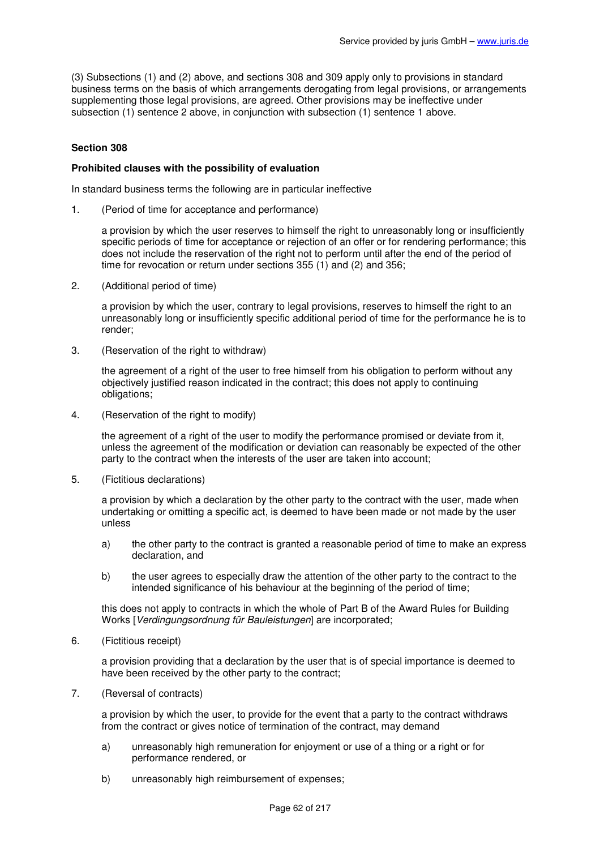(3) Subsections (1) and (2) above, and sections 308 and 309 apply only to provisions in standard business terms on the basis of which arrangements derogating from legal provisions, or arrangements supplementing those legal provisions, are agreed. Other provisions may be ineffective under subsection (1) sentence 2 above, in conjunction with subsection (1) sentence 1 above.

## **Section 308**

### **Prohibited clauses with the possibility of evaluation**

In standard business terms the following are in particular ineffective

1. (Period of time for acceptance and performance)

a provision by which the user reserves to himself the right to unreasonably long or insufficiently specific periods of time for acceptance or rejection of an offer or for rendering performance; this does not include the reservation of the right not to perform until after the end of the period of time for revocation or return under sections 355 (1) and (2) and 356;

2. (Additional period of time)

a provision by which the user, contrary to legal provisions, reserves to himself the right to an unreasonably long or insufficiently specific additional period of time for the performance he is to render;

3. (Reservation of the right to withdraw)

the agreement of a right of the user to free himself from his obligation to perform without any objectively justified reason indicated in the contract; this does not apply to continuing obligations;

4. (Reservation of the right to modify)

the agreement of a right of the user to modify the performance promised or deviate from it, unless the agreement of the modification or deviation can reasonably be expected of the other party to the contract when the interests of the user are taken into account;

5. (Fictitious declarations)

a provision by which a declaration by the other party to the contract with the user, made when undertaking or omitting a specific act, is deemed to have been made or not made by the user unless

- a) the other party to the contract is granted a reasonable period of time to make an express declaration, and
- b) the user agrees to especially draw the attention of the other party to the contract to the intended significance of his behaviour at the beginning of the period of time;

this does not apply to contracts in which the whole of Part B of the Award Rules for Building Works [Verdingungsordnung für Bauleistungen] are incorporated;

6. (Fictitious receipt)

a provision providing that a declaration by the user that is of special importance is deemed to have been received by the other party to the contract;

7. (Reversal of contracts)

a provision by which the user, to provide for the event that a party to the contract withdraws from the contract or gives notice of termination of the contract, may demand

- a) unreasonably high remuneration for enjoyment or use of a thing or a right or for performance rendered, or
- b) unreasonably high reimbursement of expenses;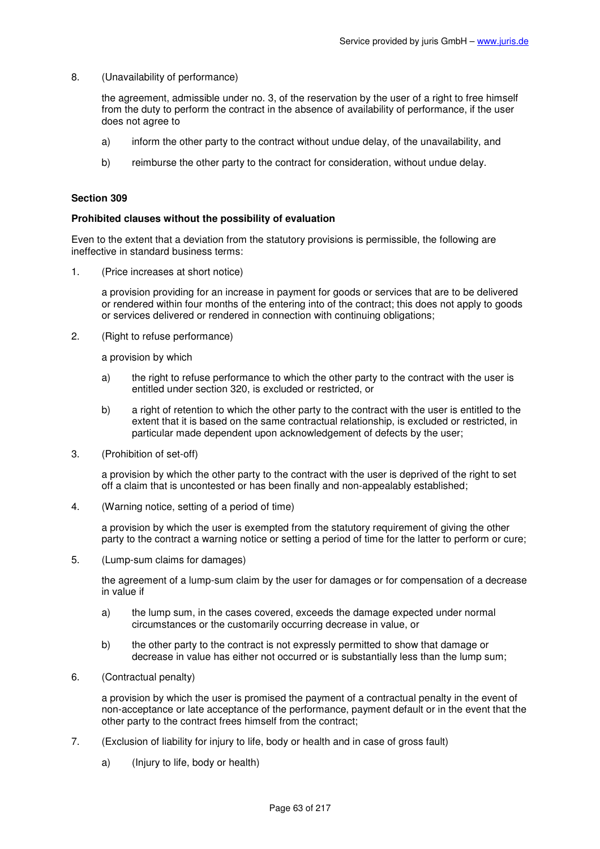8. (Unavailability of performance)

the agreement, admissible under no. 3, of the reservation by the user of a right to free himself from the duty to perform the contract in the absence of availability of performance, if the user does not agree to

- a) inform the other party to the contract without undue delay, of the unavailability, and
- b) reimburse the other party to the contract for consideration, without undue delay.

#### **Section 309**

#### **Prohibited clauses without the possibility of evaluation**

Even to the extent that a deviation from the statutory provisions is permissible, the following are ineffective in standard business terms:

1. (Price increases at short notice)

a provision providing for an increase in payment for goods or services that are to be delivered or rendered within four months of the entering into of the contract; this does not apply to goods or services delivered or rendered in connection with continuing obligations;

2. (Right to refuse performance)

a provision by which

- a) the right to refuse performance to which the other party to the contract with the user is entitled under section 320, is excluded or restricted, or
- b) a right of retention to which the other party to the contract with the user is entitled to the extent that it is based on the same contractual relationship, is excluded or restricted, in particular made dependent upon acknowledgement of defects by the user;
- 3. (Prohibition of set-off)

a provision by which the other party to the contract with the user is deprived of the right to set off a claim that is uncontested or has been finally and non-appealably established;

4. (Warning notice, setting of a period of time)

a provision by which the user is exempted from the statutory requirement of giving the other party to the contract a warning notice or setting a period of time for the latter to perform or cure;

5. (Lump-sum claims for damages)

the agreement of a lump-sum claim by the user for damages or for compensation of a decrease in value if

- a) the lump sum, in the cases covered, exceeds the damage expected under normal circumstances or the customarily occurring decrease in value, or
- b) the other party to the contract is not expressly permitted to show that damage or decrease in value has either not occurred or is substantially less than the lump sum;
- 6. (Contractual penalty)

a provision by which the user is promised the payment of a contractual penalty in the event of non-acceptance or late acceptance of the performance, payment default or in the event that the other party to the contract frees himself from the contract;

- 7. (Exclusion of liability for injury to life, body or health and in case of gross fault)
	- a) (Injury to life, body or health)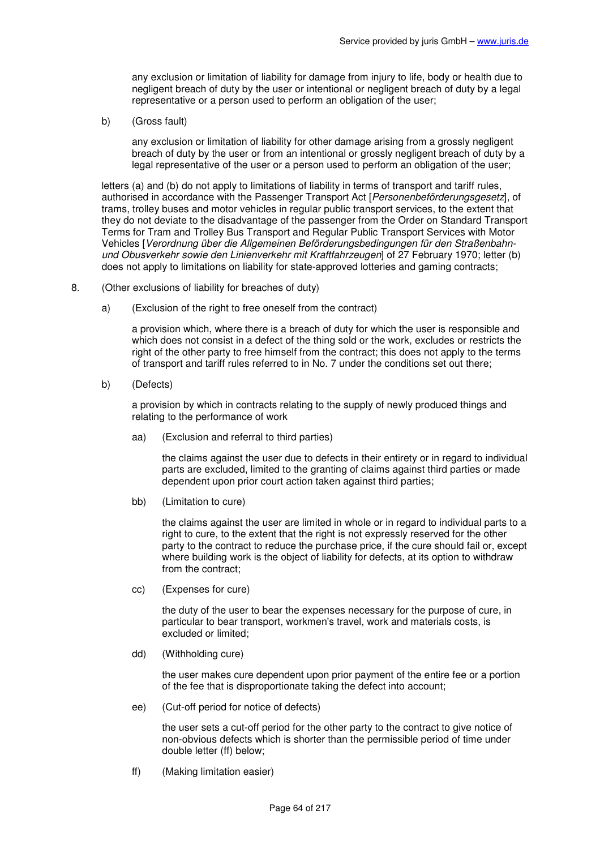any exclusion or limitation of liability for damage from injury to life, body or health due to negligent breach of duty by the user or intentional or negligent breach of duty by a legal representative or a person used to perform an obligation of the user;

b) (Gross fault)

any exclusion or limitation of liability for other damage arising from a grossly negligent breach of duty by the user or from an intentional or grossly negligent breach of duty by a legal representative of the user or a person used to perform an obligation of the user;

letters (a) and (b) do not apply to limitations of liability in terms of transport and tariff rules, authorised in accordance with the Passenger Transport Act [Personenbeförderungsgesetz], of trams, trolley buses and motor vehicles in regular public transport services, to the extent that they do not deviate to the disadvantage of the passenger from the Order on Standard Transport Terms for Tram and Trolley Bus Transport and Regular Public Transport Services with Motor Vehicles [Verordnung über die Allgemeinen Beförderungsbedingungen für den Straßenbahnund Obusverkehr sowie den Linienverkehr mit Kraftfahrzeugen] of 27 February 1970; letter (b) does not apply to limitations on liability for state-approved lotteries and gaming contracts;

- 8. (Other exclusions of liability for breaches of duty)
	- a) (Exclusion of the right to free oneself from the contract)

a provision which, where there is a breach of duty for which the user is responsible and which does not consist in a defect of the thing sold or the work, excludes or restricts the right of the other party to free himself from the contract; this does not apply to the terms of transport and tariff rules referred to in No. 7 under the conditions set out there;

b) (Defects)

a provision by which in contracts relating to the supply of newly produced things and relating to the performance of work

aa) (Exclusion and referral to third parties)

the claims against the user due to defects in their entirety or in regard to individual parts are excluded, limited to the granting of claims against third parties or made dependent upon prior court action taken against third parties;

bb) (Limitation to cure)

the claims against the user are limited in whole or in regard to individual parts to a right to cure, to the extent that the right is not expressly reserved for the other party to the contract to reduce the purchase price, if the cure should fail or, except where building work is the object of liability for defects, at its option to withdraw from the contract;

cc) (Expenses for cure)

the duty of the user to bear the expenses necessary for the purpose of cure, in particular to bear transport, workmen's travel, work and materials costs, is excluded or limited;

dd) (Withholding cure)

the user makes cure dependent upon prior payment of the entire fee or a portion of the fee that is disproportionate taking the defect into account;

ee) (Cut-off period for notice of defects)

the user sets a cut-off period for the other party to the contract to give notice of non-obvious defects which is shorter than the permissible period of time under double letter (ff) below;

ff) (Making limitation easier)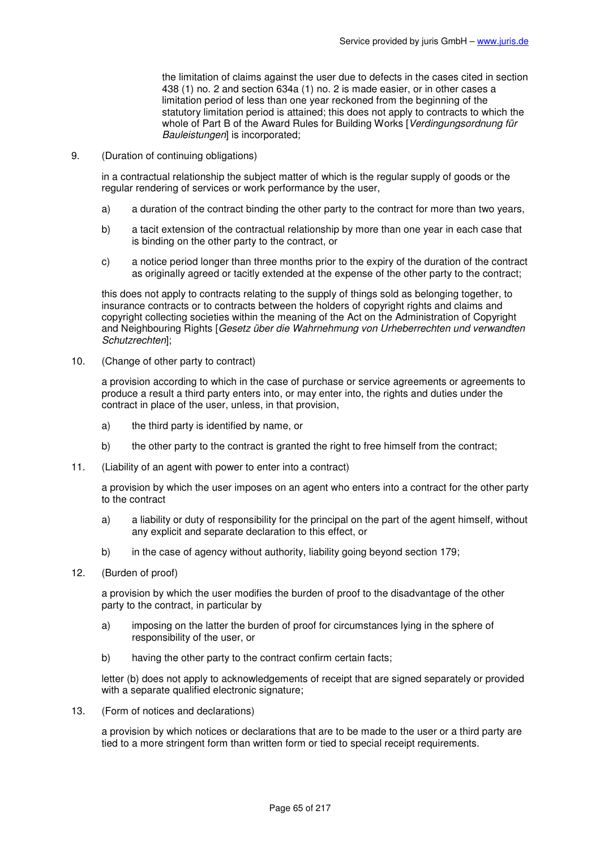the limitation of claims against the user due to defects in the cases cited in section 438 (1) no. 2 and section 634a (1) no. 2 is made easier, or in other cases a limitation period of less than one year reckoned from the beginning of the statutory limitation period is attained; this does not apply to contracts to which the whole of Part B of the Award Rules for Building Works [Verdingungsordnung für Bauleistungen] is incorporated;

9. (Duration of continuing obligations)

in a contractual relationship the subject matter of which is the regular supply of goods or the regular rendering of services or work performance by the user,

- a) a duration of the contract binding the other party to the contract for more than two years,
- b) a tacit extension of the contractual relationship by more than one year in each case that is binding on the other party to the contract, or
- c) a notice period longer than three months prior to the expiry of the duration of the contract as originally agreed or tacitly extended at the expense of the other party to the contract;

this does not apply to contracts relating to the supply of things sold as belonging together, to insurance contracts or to contracts between the holders of copyright rights and claims and copyright collecting societies within the meaning of the Act on the Administration of Copyright and Neighbouring Rights [Gesetz über die Wahrnehmung von Urheberrechten und verwandten Schutzrechten];

10. (Change of other party to contract)

a provision according to which in the case of purchase or service agreements or agreements to produce a result a third party enters into, or may enter into, the rights and duties under the contract in place of the user, unless, in that provision,

- a) the third party is identified by name, or
- b) the other party to the contract is granted the right to free himself from the contract;
- 11. (Liability of an agent with power to enter into a contract)

a provision by which the user imposes on an agent who enters into a contract for the other party to the contract

- a) a liability or duty of responsibility for the principal on the part of the agent himself, without any explicit and separate declaration to this effect, or
- b) in the case of agency without authority, liability going beyond section 179;
- 12. (Burden of proof)

a provision by which the user modifies the burden of proof to the disadvantage of the other party to the contract, in particular by

- a) imposing on the latter the burden of proof for circumstances lying in the sphere of responsibility of the user, or
- b) having the other party to the contract confirm certain facts;

letter (b) does not apply to acknowledgements of receipt that are signed separately or provided with a separate qualified electronic signature;

13. (Form of notices and declarations)

a provision by which notices or declarations that are to be made to the user or a third party are tied to a more stringent form than written form or tied to special receipt requirements.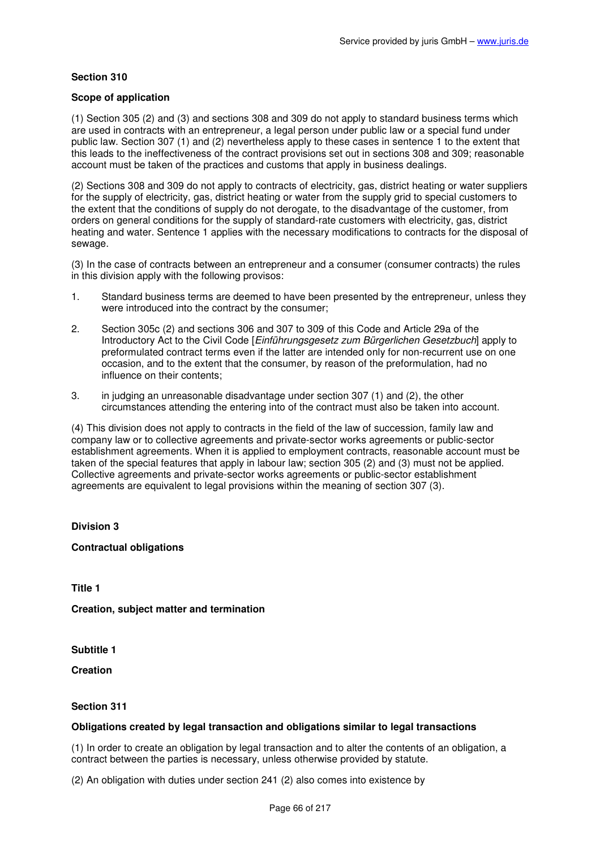### **Scope of application**

(1) Section 305 (2) and (3) and sections 308 and 309 do not apply to standard business terms which are used in contracts with an entrepreneur, a legal person under public law or a special fund under public law. Section 307 (1) and (2) nevertheless apply to these cases in sentence 1 to the extent that this leads to the ineffectiveness of the contract provisions set out in sections 308 and 309; reasonable account must be taken of the practices and customs that apply in business dealings.

(2) Sections 308 and 309 do not apply to contracts of electricity, gas, district heating or water suppliers for the supply of electricity, gas, district heating or water from the supply grid to special customers to the extent that the conditions of supply do not derogate, to the disadvantage of the customer, from orders on general conditions for the supply of standard-rate customers with electricity, gas, district heating and water. Sentence 1 applies with the necessary modifications to contracts for the disposal of sewage.

(3) In the case of contracts between an entrepreneur and a consumer (consumer contracts) the rules in this division apply with the following provisos:

- 1. Standard business terms are deemed to have been presented by the entrepreneur, unless they were introduced into the contract by the consumer;
- 2. Section 305c (2) and sections 306 and 307 to 309 of this Code and Article 29a of the Introductory Act to the Civil Code [*Einführungsgesetz zum Bürgerlichen Gesetzbuch*] apply to preformulated contract terms even if the latter are intended only for non-recurrent use on one occasion, and to the extent that the consumer, by reason of the preformulation, had no influence on their contents;
- 3. in judging an unreasonable disadvantage under section 307 (1) and (2), the other circumstances attending the entering into of the contract must also be taken into account.

(4) This division does not apply to contracts in the field of the law of succession, family law and company law or to collective agreements and private-sector works agreements or public-sector establishment agreements. When it is applied to employment contracts, reasonable account must be taken of the special features that apply in labour law; section 305 (2) and (3) must not be applied. Collective agreements and private-sector works agreements or public-sector establishment agreements are equivalent to legal provisions within the meaning of section 307 (3).

### **Division 3**

**Contractual obligations** 

**Title 1** 

**Creation, subject matter and termination** 

**Subtitle 1** 

**Creation** 

### **Section 311**

### **Obligations created by legal transaction and obligations similar to legal transactions**

(1) In order to create an obligation by legal transaction and to alter the contents of an obligation, a contract between the parties is necessary, unless otherwise provided by statute.

(2) An obligation with duties under section 241 (2) also comes into existence by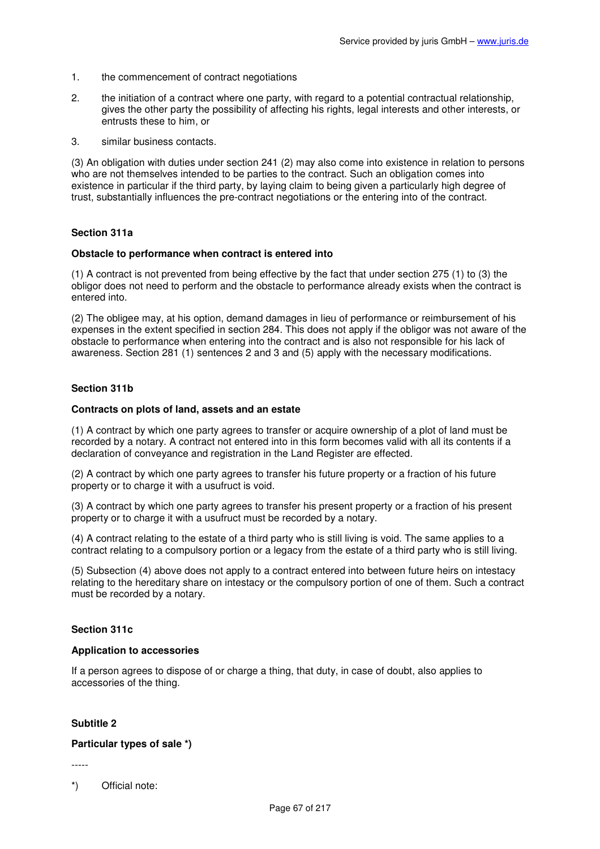- 1. the commencement of contract negotiations
- 2. the initiation of a contract where one party, with regard to a potential contractual relationship, gives the other party the possibility of affecting his rights, legal interests and other interests, or entrusts these to him, or
- 3. similar business contacts.

(3) An obligation with duties under section 241 (2) may also come into existence in relation to persons who are not themselves intended to be parties to the contract. Such an obligation comes into existence in particular if the third party, by laying claim to being given a particularly high degree of trust, substantially influences the pre-contract negotiations or the entering into of the contract.

#### **Section 311a**

#### **Obstacle to performance when contract is entered into**

(1) A contract is not prevented from being effective by the fact that under section 275 (1) to (3) the obligor does not need to perform and the obstacle to performance already exists when the contract is entered into.

(2) The obligee may, at his option, demand damages in lieu of performance or reimbursement of his expenses in the extent specified in section 284. This does not apply if the obligor was not aware of the obstacle to performance when entering into the contract and is also not responsible for his lack of awareness. Section 281 (1) sentences 2 and 3 and (5) apply with the necessary modifications.

#### **Section 311b**

#### **Contracts on plots of land, assets and an estate**

(1) A contract by which one party agrees to transfer or acquire ownership of a plot of land must be recorded by a notary. A contract not entered into in this form becomes valid with all its contents if a declaration of conveyance and registration in the Land Register are effected.

(2) A contract by which one party agrees to transfer his future property or a fraction of his future property or to charge it with a usufruct is void.

(3) A contract by which one party agrees to transfer his present property or a fraction of his present property or to charge it with a usufruct must be recorded by a notary.

(4) A contract relating to the estate of a third party who is still living is void. The same applies to a contract relating to a compulsory portion or a legacy from the estate of a third party who is still living.

(5) Subsection (4) above does not apply to a contract entered into between future heirs on intestacy relating to the hereditary share on intestacy or the compulsory portion of one of them. Such a contract must be recorded by a notary.

#### **Section 311c**

#### **Application to accessories**

If a person agrees to dispose of or charge a thing, that duty, in case of doubt, also applies to accessories of the thing.

### **Subtitle 2**

#### **Particular types of sale \*)**

-----

\*) Official note: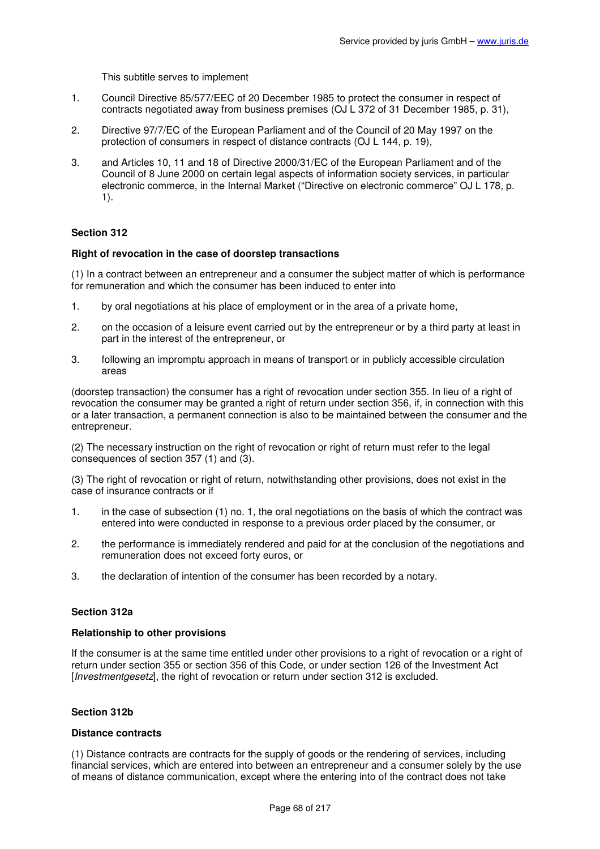This subtitle serves to implement

- 1. Council Directive 85/577/EEC of 20 December 1985 to protect the consumer in respect of contracts negotiated away from business premises (OJ L 372 of 31 December 1985, p. 31),
- 2. Directive 97/7/EC of the European Parliament and of the Council of 20 May 1997 on the protection of consumers in respect of distance contracts (OJ L 144, p. 19),
- 3. and Articles 10, 11 and 18 of Directive 2000/31/EC of the European Parliament and of the Council of 8 June 2000 on certain legal aspects of information society services, in particular electronic commerce, in the Internal Market ("Directive on electronic commerce" OJ L 178, p. 1).

# **Section 312**

## **Right of revocation in the case of doorstep transactions**

(1) In a contract between an entrepreneur and a consumer the subject matter of which is performance for remuneration and which the consumer has been induced to enter into

- 1. by oral negotiations at his place of employment or in the area of a private home,
- 2. on the occasion of a leisure event carried out by the entrepreneur or by a third party at least in part in the interest of the entrepreneur, or
- 3. following an impromptu approach in means of transport or in publicly accessible circulation areas

(doorstep transaction) the consumer has a right of revocation under section 355. In lieu of a right of revocation the consumer may be granted a right of return under section 356, if, in connection with this or a later transaction, a permanent connection is also to be maintained between the consumer and the entrepreneur.

(2) The necessary instruction on the right of revocation or right of return must refer to the legal consequences of section 357 (1) and (3).

(3) The right of revocation or right of return, notwithstanding other provisions, does not exist in the case of insurance contracts or if

- 1. in the case of subsection (1) no. 1, the oral negotiations on the basis of which the contract was entered into were conducted in response to a previous order placed by the consumer, or
- 2. the performance is immediately rendered and paid for at the conclusion of the negotiations and remuneration does not exceed forty euros, or
- 3. the declaration of intention of the consumer has been recorded by a notary.

# **Section 312a**

### **Relationship to other provisions**

If the consumer is at the same time entitled under other provisions to a right of revocation or a right of return under section 355 or section 356 of this Code, or under section 126 of the Investment Act [Investmentgesetz], the right of revocation or return under section 312 is excluded.

# **Section 312b**

### **Distance contracts**

(1) Distance contracts are contracts for the supply of goods or the rendering of services, including financial services, which are entered into between an entrepreneur and a consumer solely by the use of means of distance communication, except where the entering into of the contract does not take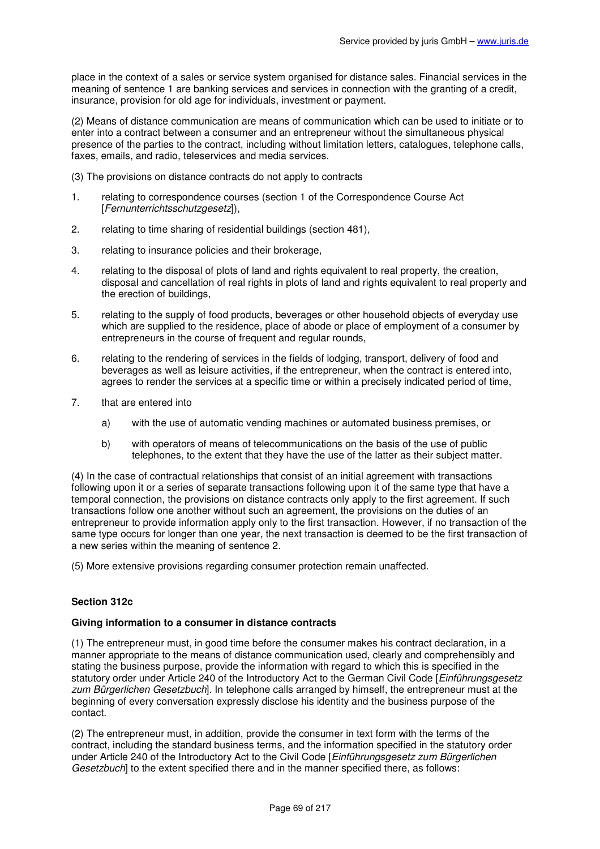place in the context of a sales or service system organised for distance sales. Financial services in the meaning of sentence 1 are banking services and services in connection with the granting of a credit, insurance, provision for old age for individuals, investment or payment.

(2) Means of distance communication are means of communication which can be used to initiate or to enter into a contract between a consumer and an entrepreneur without the simultaneous physical presence of the parties to the contract, including without limitation letters, catalogues, telephone calls, faxes, emails, and radio, teleservices and media services.

- (3) The provisions on distance contracts do not apply to contracts
- 1. relating to correspondence courses (section 1 of the Correspondence Course Act [Fernunterrichtsschutzgesetz]),
- 2. relating to time sharing of residential buildings (section 481),
- 3. relating to insurance policies and their brokerage,
- 4. relating to the disposal of plots of land and rights equivalent to real property, the creation, disposal and cancellation of real rights in plots of land and rights equivalent to real property and the erection of buildings,
- 5. relating to the supply of food products, beverages or other household objects of everyday use which are supplied to the residence, place of abode or place of employment of a consumer by entrepreneurs in the course of frequent and regular rounds.
- 6. relating to the rendering of services in the fields of lodging, transport, delivery of food and beverages as well as leisure activities, if the entrepreneur, when the contract is entered into, agrees to render the services at a specific time or within a precisely indicated period of time,
- 7. that are entered into
	- a) with the use of automatic vending machines or automated business premises, or
	- b) with operators of means of telecommunications on the basis of the use of public telephones, to the extent that they have the use of the latter as their subject matter.

(4) In the case of contractual relationships that consist of an initial agreement with transactions following upon it or a series of separate transactions following upon it of the same type that have a temporal connection, the provisions on distance contracts only apply to the first agreement. If such transactions follow one another without such an agreement, the provisions on the duties of an entrepreneur to provide information apply only to the first transaction. However, if no transaction of the same type occurs for longer than one year, the next transaction is deemed to be the first transaction of a new series within the meaning of sentence 2.

(5) More extensive provisions regarding consumer protection remain unaffected.

### **Section 312c**

### **Giving information to a consumer in distance contracts**

(1) The entrepreneur must, in good time before the consumer makes his contract declaration, in a manner appropriate to the means of distance communication used, clearly and comprehensibly and stating the business purpose, provide the information with regard to which this is specified in the statutory order under Article 240 of the Introductory Act to the German Civil Code [Einführungsgesetz zum Bürgerlichen Gesetzbuch]. In telephone calls arranged by himself, the entrepreneur must at the beginning of every conversation expressly disclose his identity and the business purpose of the contact.

(2) The entrepreneur must, in addition, provide the consumer in text form with the terms of the contract, including the standard business terms, and the information specified in the statutory order under Article 240 of the Introductory Act to the Civil Code [Einführungsgesetz zum Bürgerlichen] Gesetzbuch] to the extent specified there and in the manner specified there, as follows: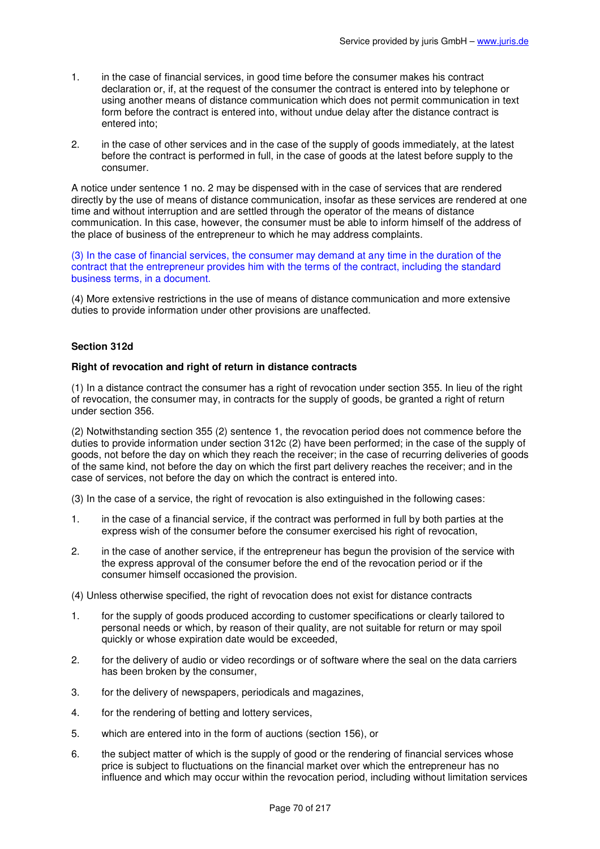- 1. in the case of financial services, in good time before the consumer makes his contract declaration or, if, at the request of the consumer the contract is entered into by telephone or using another means of distance communication which does not permit communication in text form before the contract is entered into, without undue delay after the distance contract is entered into;
- 2. in the case of other services and in the case of the supply of goods immediately, at the latest before the contract is performed in full, in the case of goods at the latest before supply to the consumer.

A notice under sentence 1 no. 2 may be dispensed with in the case of services that are rendered directly by the use of means of distance communication, insofar as these services are rendered at one time and without interruption and are settled through the operator of the means of distance communication. In this case, however, the consumer must be able to inform himself of the address of the place of business of the entrepreneur to which he may address complaints.

(3) In the case of financial services, the consumer may demand at any time in the duration of the contract that the entrepreneur provides him with the terms of the contract, including the standard business terms, in a document.

(4) More extensive restrictions in the use of means of distance communication and more extensive duties to provide information under other provisions are unaffected.

## **Section 312d**

### **Right of revocation and right of return in distance contracts**

(1) In a distance contract the consumer has a right of revocation under section 355. In lieu of the right of revocation, the consumer may, in contracts for the supply of goods, be granted a right of return under section 356.

(2) Notwithstanding section 355 (2) sentence 1, the revocation period does not commence before the duties to provide information under section 312c (2) have been performed; in the case of the supply of goods, not before the day on which they reach the receiver; in the case of recurring deliveries of goods of the same kind, not before the day on which the first part delivery reaches the receiver; and in the case of services, not before the day on which the contract is entered into.

(3) In the case of a service, the right of revocation is also extinguished in the following cases:

- 1. in the case of a financial service, if the contract was performed in full by both parties at the express wish of the consumer before the consumer exercised his right of revocation,
- 2. in the case of another service, if the entrepreneur has begun the provision of the service with the express approval of the consumer before the end of the revocation period or if the consumer himself occasioned the provision.

(4) Unless otherwise specified, the right of revocation does not exist for distance contracts

- 1. for the supply of goods produced according to customer specifications or clearly tailored to personal needs or which, by reason of their quality, are not suitable for return or may spoil quickly or whose expiration date would be exceeded,
- 2. for the delivery of audio or video recordings or of software where the seal on the data carriers has been broken by the consumer,
- 3. for the delivery of newspapers, periodicals and magazines,
- 4. for the rendering of betting and lottery services,
- 5. which are entered into in the form of auctions (section 156), or
- 6. the subject matter of which is the supply of good or the rendering of financial services whose price is subject to fluctuations on the financial market over which the entrepreneur has no influence and which may occur within the revocation period, including without limitation services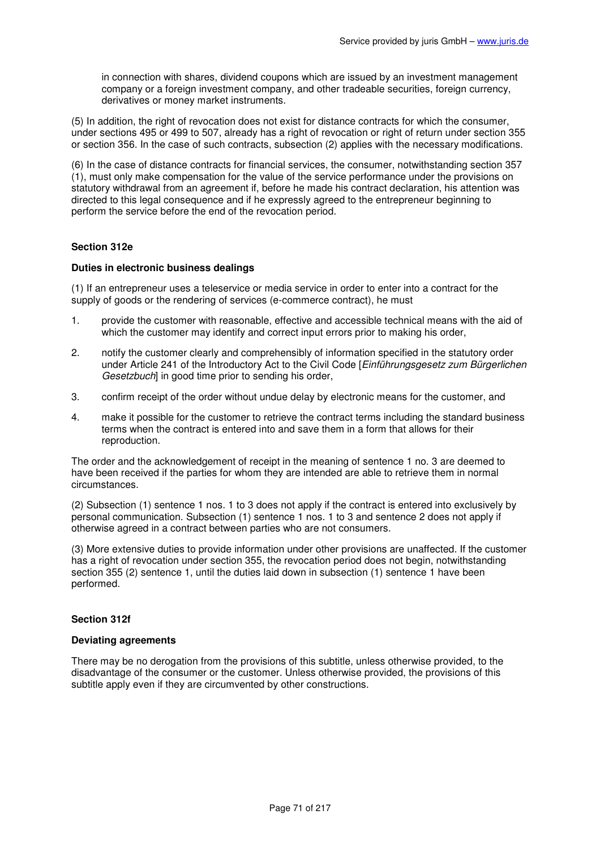in connection with shares, dividend coupons which are issued by an investment management company or a foreign investment company, and other tradeable securities, foreign currency, derivatives or money market instruments.

(5) In addition, the right of revocation does not exist for distance contracts for which the consumer, under sections 495 or 499 to 507, already has a right of revocation or right of return under section 355 or section 356. In the case of such contracts, subsection (2) applies with the necessary modifications.

(6) In the case of distance contracts for financial services, the consumer, notwithstanding section 357 (1), must only make compensation for the value of the service performance under the provisions on statutory withdrawal from an agreement if, before he made his contract declaration, his attention was directed to this legal consequence and if he expressly agreed to the entrepreneur beginning to perform the service before the end of the revocation period.

## **Section 312e**

### **Duties in electronic business dealings**

(1) If an entrepreneur uses a teleservice or media service in order to enter into a contract for the supply of goods or the rendering of services (e-commerce contract), he must

- 1. provide the customer with reasonable, effective and accessible technical means with the aid of which the customer may identify and correct input errors prior to making his order,
- 2. notify the customer clearly and comprehensibly of information specified in the statutory order under Article 241 of the Introductory Act to the Civil Code [Einführungsgesetz zum Bürgerlichen Gesetzbuch] in good time prior to sending his order,
- 3. confirm receipt of the order without undue delay by electronic means for the customer, and
- 4. make it possible for the customer to retrieve the contract terms including the standard business terms when the contract is entered into and save them in a form that allows for their reproduction.

The order and the acknowledgement of receipt in the meaning of sentence 1 no. 3 are deemed to have been received if the parties for whom they are intended are able to retrieve them in normal circumstances.

(2) Subsection (1) sentence 1 nos. 1 to 3 does not apply if the contract is entered into exclusively by personal communication. Subsection (1) sentence 1 nos. 1 to 3 and sentence 2 does not apply if otherwise agreed in a contract between parties who are not consumers.

(3) More extensive duties to provide information under other provisions are unaffected. If the customer has a right of revocation under section 355, the revocation period does not begin, notwithstanding section 355 (2) sentence 1, until the duties laid down in subsection (1) sentence 1 have been performed.

### **Section 312f**

### **Deviating agreements**

There may be no derogation from the provisions of this subtitle, unless otherwise provided, to the disadvantage of the consumer or the customer. Unless otherwise provided, the provisions of this subtitle apply even if they are circumvented by other constructions.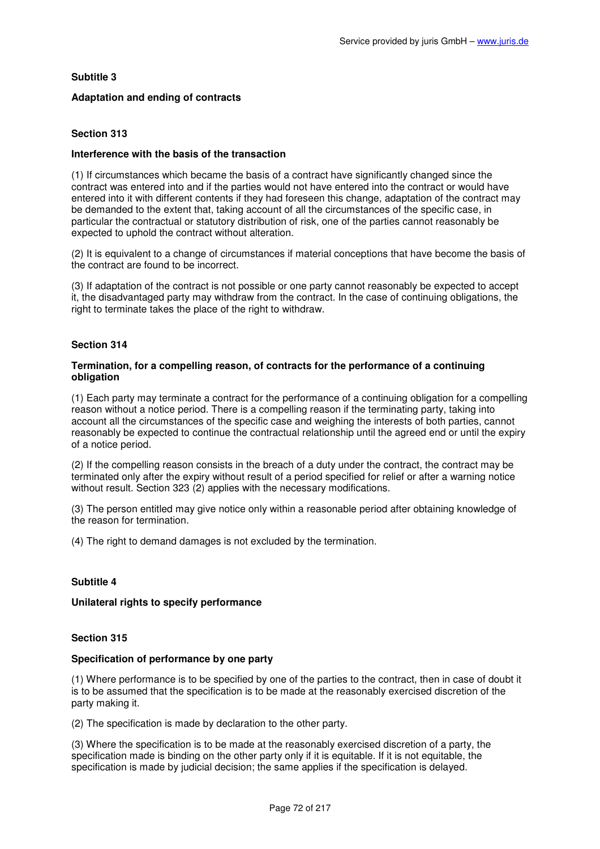## **Subtitle 3**

## **Adaptation and ending of contracts**

## **Section 313**

### **Interference with the basis of the transaction**

(1) If circumstances which became the basis of a contract have significantly changed since the contract was entered into and if the parties would not have entered into the contract or would have entered into it with different contents if they had foreseen this change, adaptation of the contract may be demanded to the extent that, taking account of all the circumstances of the specific case, in particular the contractual or statutory distribution of risk, one of the parties cannot reasonably be expected to uphold the contract without alteration.

(2) It is equivalent to a change of circumstances if material conceptions that have become the basis of the contract are found to be incorrect.

(3) If adaptation of the contract is not possible or one party cannot reasonably be expected to accept it, the disadvantaged party may withdraw from the contract. In the case of continuing obligations, the right to terminate takes the place of the right to withdraw.

### **Section 314**

### **Termination, for a compelling reason, of contracts for the performance of a continuing obligation**

(1) Each party may terminate a contract for the performance of a continuing obligation for a compelling reason without a notice period. There is a compelling reason if the terminating party, taking into account all the circumstances of the specific case and weighing the interests of both parties, cannot reasonably be expected to continue the contractual relationship until the agreed end or until the expiry of a notice period.

(2) If the compelling reason consists in the breach of a duty under the contract, the contract may be terminated only after the expiry without result of a period specified for relief or after a warning notice without result. Section 323 (2) applies with the necessary modifications.

(3) The person entitled may give notice only within a reasonable period after obtaining knowledge of the reason for termination.

(4) The right to demand damages is not excluded by the termination.

### **Subtitle 4**

### **Unilateral rights to specify performance**

## **Section 315**

#### **Specification of performance by one party**

(1) Where performance is to be specified by one of the parties to the contract, then in case of doubt it is to be assumed that the specification is to be made at the reasonably exercised discretion of the party making it.

(2) The specification is made by declaration to the other party.

(3) Where the specification is to be made at the reasonably exercised discretion of a party, the specification made is binding on the other party only if it is equitable. If it is not equitable, the specification is made by judicial decision; the same applies if the specification is delayed.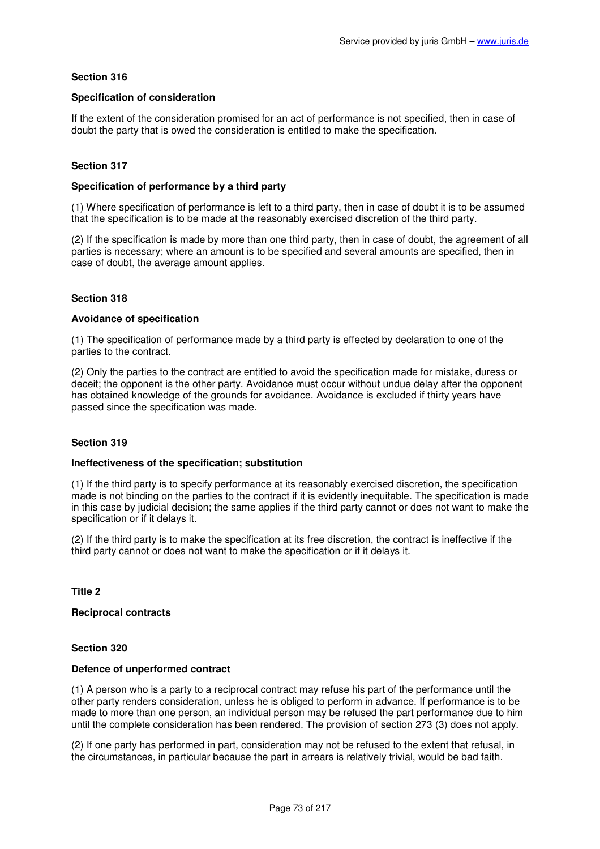### **Specification of consideration**

If the extent of the consideration promised for an act of performance is not specified, then in case of doubt the party that is owed the consideration is entitled to make the specification.

# **Section 317**

### **Specification of performance by a third party**

(1) Where specification of performance is left to a third party, then in case of doubt it is to be assumed that the specification is to be made at the reasonably exercised discretion of the third party.

(2) If the specification is made by more than one third party, then in case of doubt, the agreement of all parties is necessary; where an amount is to be specified and several amounts are specified, then in case of doubt, the average amount applies.

# **Section 318**

### **Avoidance of specification**

(1) The specification of performance made by a third party is effected by declaration to one of the parties to the contract.

(2) Only the parties to the contract are entitled to avoid the specification made for mistake, duress or deceit; the opponent is the other party. Avoidance must occur without undue delay after the opponent has obtained knowledge of the grounds for avoidance. Avoidance is excluded if thirty years have passed since the specification was made.

### **Section 319**

# **Ineffectiveness of the specification; substitution**

(1) If the third party is to specify performance at its reasonably exercised discretion, the specification made is not binding on the parties to the contract if it is evidently inequitable. The specification is made in this case by judicial decision; the same applies if the third party cannot or does not want to make the specification or if it delays it.

(2) If the third party is to make the specification at its free discretion, the contract is ineffective if the third party cannot or does not want to make the specification or if it delays it.

**Title 2** 

### **Reciprocal contracts**

### **Section 320**

#### **Defence of unperformed contract**

(1) A person who is a party to a reciprocal contract may refuse his part of the performance until the other party renders consideration, unless he is obliged to perform in advance. If performance is to be made to more than one person, an individual person may be refused the part performance due to him until the complete consideration has been rendered. The provision of section 273 (3) does not apply.

(2) If one party has performed in part, consideration may not be refused to the extent that refusal, in the circumstances, in particular because the part in arrears is relatively trivial, would be bad faith.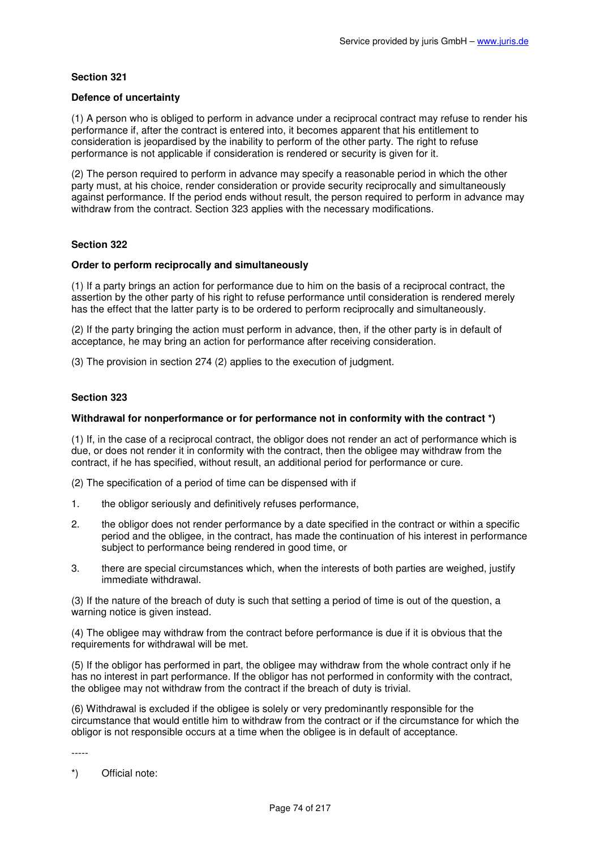### **Defence of uncertainty**

(1) A person who is obliged to perform in advance under a reciprocal contract may refuse to render his performance if, after the contract is entered into, it becomes apparent that his entitlement to consideration is jeopardised by the inability to perform of the other party. The right to refuse performance is not applicable if consideration is rendered or security is given for it.

(2) The person required to perform in advance may specify a reasonable period in which the other party must, at his choice, render consideration or provide security reciprocally and simultaneously against performance. If the period ends without result, the person required to perform in advance may withdraw from the contract. Section 323 applies with the necessary modifications.

# **Section 322**

### **Order to perform reciprocally and simultaneously**

(1) If a party brings an action for performance due to him on the basis of a reciprocal contract, the assertion by the other party of his right to refuse performance until consideration is rendered merely has the effect that the latter party is to be ordered to perform reciprocally and simultaneously.

(2) If the party bringing the action must perform in advance, then, if the other party is in default of acceptance, he may bring an action for performance after receiving consideration.

(3) The provision in section 274 (2) applies to the execution of judgment.

# **Section 323**

### **Withdrawal for nonperformance or for performance not in conformity with the contract \*)**

(1) If, in the case of a reciprocal contract, the obligor does not render an act of performance which is due, or does not render it in conformity with the contract, then the obligee may withdraw from the contract, if he has specified, without result, an additional period for performance or cure.

(2) The specification of a period of time can be dispensed with if

- 1. the obligor seriously and definitively refuses performance,
- 2. the obligor does not render performance by a date specified in the contract or within a specific period and the obligee, in the contract, has made the continuation of his interest in performance subject to performance being rendered in good time, or
- 3. there are special circumstances which, when the interests of both parties are weighed, justify immediate withdrawal.

(3) If the nature of the breach of duty is such that setting a period of time is out of the question, a warning notice is given instead.

(4) The obligee may withdraw from the contract before performance is due if it is obvious that the requirements for withdrawal will be met.

(5) If the obligor has performed in part, the obligee may withdraw from the whole contract only if he has no interest in part performance. If the obligor has not performed in conformity with the contract, the obligee may not withdraw from the contract if the breach of duty is trivial.

(6) Withdrawal is excluded if the obligee is solely or very predominantly responsible for the circumstance that would entitle him to withdraw from the contract or if the circumstance for which the obligor is not responsible occurs at a time when the obligee is in default of acceptance.

-----

\*) Official note: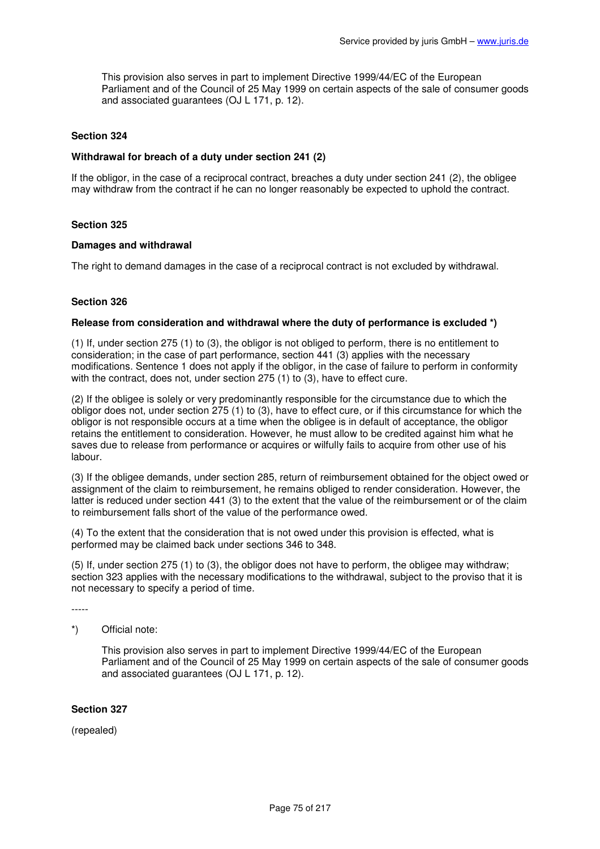This provision also serves in part to implement Directive 1999/44/EC of the European Parliament and of the Council of 25 May 1999 on certain aspects of the sale of consumer goods and associated guarantees (OJ L 171, p. 12).

### **Section 324**

### **Withdrawal for breach of a duty under section 241 (2)**

If the obligor, in the case of a reciprocal contract, breaches a duty under section 241 (2), the obligee may withdraw from the contract if he can no longer reasonably be expected to uphold the contract.

### **Section 325**

### **Damages and withdrawal**

The right to demand damages in the case of a reciprocal contract is not excluded by withdrawal.

# **Section 326**

### **Release from consideration and withdrawal where the duty of performance is excluded \*)**

(1) If, under section 275 (1) to (3), the obligor is not obliged to perform, there is no entitlement to consideration; in the case of part performance, section 441 (3) applies with the necessary modifications. Sentence 1 does not apply if the obligor, in the case of failure to perform in conformity with the contract, does not, under section 275 (1) to (3), have to effect cure.

(2) If the obligee is solely or very predominantly responsible for the circumstance due to which the obligor does not, under section 275 (1) to (3), have to effect cure, or if this circumstance for which the obligor is not responsible occurs at a time when the obligee is in default of acceptance, the obligor retains the entitlement to consideration. However, he must allow to be credited against him what he saves due to release from performance or acquires or wilfully fails to acquire from other use of his labour.

(3) If the obligee demands, under section 285, return of reimbursement obtained for the object owed or assignment of the claim to reimbursement, he remains obliged to render consideration. However, the latter is reduced under section 441 (3) to the extent that the value of the reimbursement or of the claim to reimbursement falls short of the value of the performance owed.

(4) To the extent that the consideration that is not owed under this provision is effected, what is performed may be claimed back under sections 346 to 348.

(5) If, under section 275 (1) to (3), the obligor does not have to perform, the obligee may withdraw; section 323 applies with the necessary modifications to the withdrawal, subject to the proviso that it is not necessary to specify a period of time.

-----

\*) Official note:

This provision also serves in part to implement Directive 1999/44/EC of the European Parliament and of the Council of 25 May 1999 on certain aspects of the sale of consumer goods and associated guarantees (OJ L 171, p. 12).

### **Section 327**

(repealed)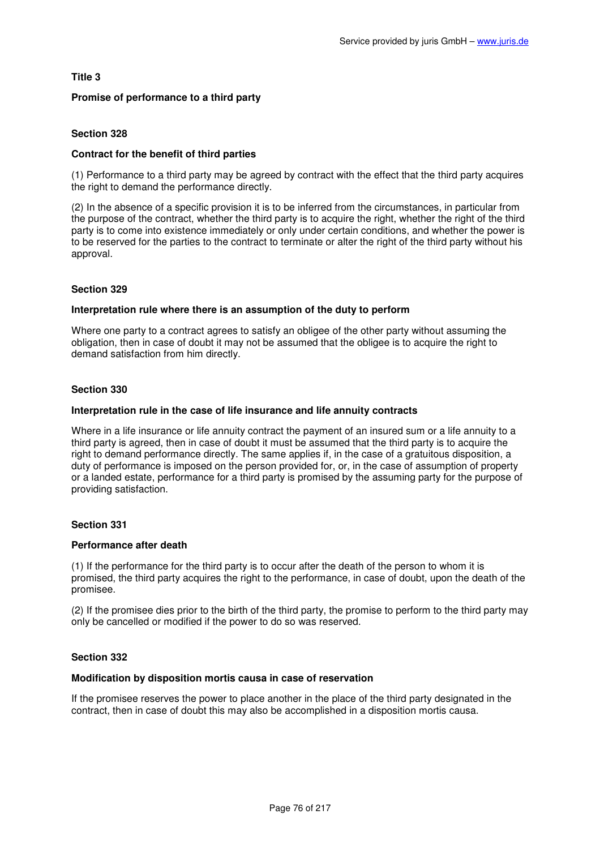# **Title 3**

# **Promise of performance to a third party**

# **Section 328**

### **Contract for the benefit of third parties**

(1) Performance to a third party may be agreed by contract with the effect that the third party acquires the right to demand the performance directly.

(2) In the absence of a specific provision it is to be inferred from the circumstances, in particular from the purpose of the contract, whether the third party is to acquire the right, whether the right of the third party is to come into existence immediately or only under certain conditions, and whether the power is to be reserved for the parties to the contract to terminate or alter the right of the third party without his approval.

### **Section 329**

### **Interpretation rule where there is an assumption of the duty to perform**

Where one party to a contract agrees to satisfy an obligee of the other party without assuming the obligation, then in case of doubt it may not be assumed that the obligee is to acquire the right to demand satisfaction from him directly.

### **Section 330**

#### **Interpretation rule in the case of life insurance and life annuity contracts**

Where in a life insurance or life annuity contract the payment of an insured sum or a life annuity to a third party is agreed, then in case of doubt it must be assumed that the third party is to acquire the right to demand performance directly. The same applies if, in the case of a gratuitous disposition, a duty of performance is imposed on the person provided for, or, in the case of assumption of property or a landed estate, performance for a third party is promised by the assuming party for the purpose of providing satisfaction.

### **Section 331**

### **Performance after death**

(1) If the performance for the third party is to occur after the death of the person to whom it is promised, the third party acquires the right to the performance, in case of doubt, upon the death of the promisee.

(2) If the promisee dies prior to the birth of the third party, the promise to perform to the third party may only be cancelled or modified if the power to do so was reserved.

### **Section 332**

### **Modification by disposition mortis causa in case of reservation**

If the promisee reserves the power to place another in the place of the third party designated in the contract, then in case of doubt this may also be accomplished in a disposition mortis causa.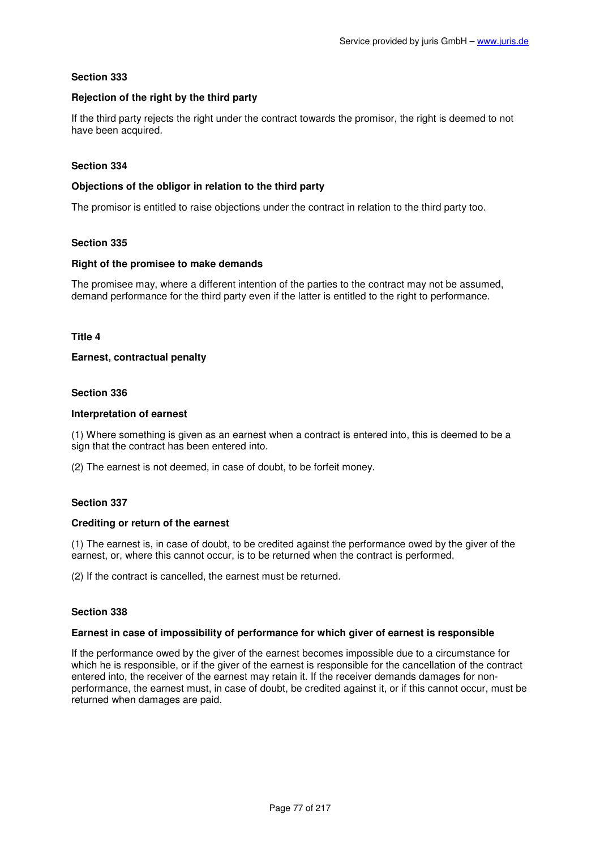### **Rejection of the right by the third party**

If the third party rejects the right under the contract towards the promisor, the right is deemed to not have been acquired.

### **Section 334**

### **Objections of the obligor in relation to the third party**

The promisor is entitled to raise objections under the contract in relation to the third party too.

# **Section 335**

### **Right of the promisee to make demands**

The promisee may, where a different intention of the parties to the contract may not be assumed, demand performance for the third party even if the latter is entitled to the right to performance.

### **Title 4**

# **Earnest, contractual penalty**

### **Section 336**

# **Interpretation of earnest**

(1) Where something is given as an earnest when a contract is entered into, this is deemed to be a sign that the contract has been entered into.

(2) The earnest is not deemed, in case of doubt, to be forfeit money.

### **Section 337**

### **Crediting or return of the earnest**

(1) The earnest is, in case of doubt, to be credited against the performance owed by the giver of the earnest, or, where this cannot occur, is to be returned when the contract is performed.

(2) If the contract is cancelled, the earnest must be returned.

# **Section 338**

### **Earnest in case of impossibility of performance for which giver of earnest is responsible**

If the performance owed by the giver of the earnest becomes impossible due to a circumstance for which he is responsible, or if the giver of the earnest is responsible for the cancellation of the contract entered into, the receiver of the earnest may retain it. If the receiver demands damages for nonperformance, the earnest must, in case of doubt, be credited against it, or if this cannot occur, must be returned when damages are paid.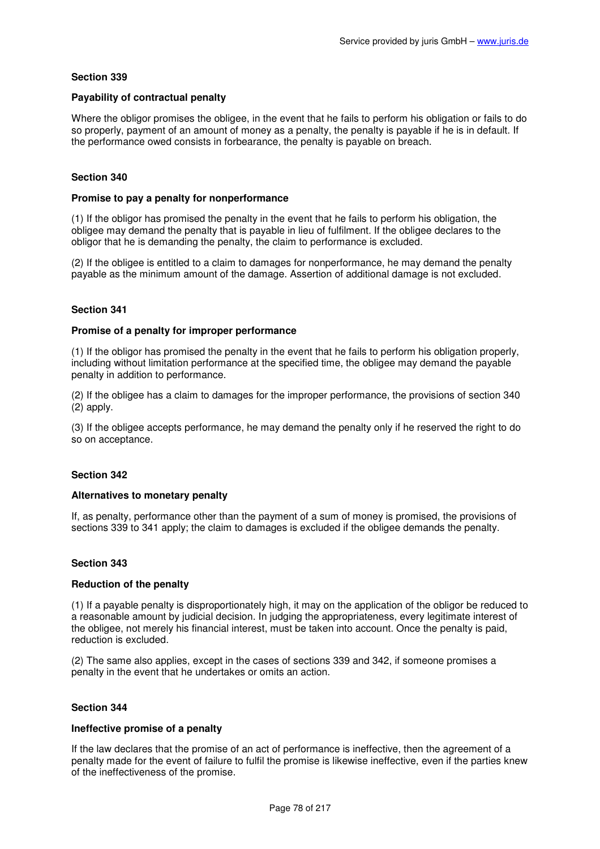# **Payability of contractual penalty**

Where the obligor promises the obligee, in the event that he fails to perform his obligation or fails to do so properly, payment of an amount of money as a penalty, the penalty is payable if he is in default. If the performance owed consists in forbearance, the penalty is payable on breach.

# **Section 340**

### **Promise to pay a penalty for nonperformance**

(1) If the obligor has promised the penalty in the event that he fails to perform his obligation, the obligee may demand the penalty that is payable in lieu of fulfilment. If the obligee declares to the obligor that he is demanding the penalty, the claim to performance is excluded.

(2) If the obligee is entitled to a claim to damages for nonperformance, he may demand the penalty payable as the minimum amount of the damage. Assertion of additional damage is not excluded.

# **Section 341**

### **Promise of a penalty for improper performance**

(1) If the obligor has promised the penalty in the event that he fails to perform his obligation properly, including without limitation performance at the specified time, the obligee may demand the payable penalty in addition to performance.

(2) If the obligee has a claim to damages for the improper performance, the provisions of section 340 (2) apply.

(3) If the obligee accepts performance, he may demand the penalty only if he reserved the right to do so on acceptance.

### **Section 342**

### **Alternatives to monetary penalty**

If, as penalty, performance other than the payment of a sum of money is promised, the provisions of sections 339 to 341 apply; the claim to damages is excluded if the obligee demands the penalty.

### **Section 343**

### **Reduction of the penalty**

(1) If a payable penalty is disproportionately high, it may on the application of the obligor be reduced to a reasonable amount by judicial decision. In judging the appropriateness, every legitimate interest of the obligee, not merely his financial interest, must be taken into account. Once the penalty is paid, reduction is excluded.

(2) The same also applies, except in the cases of sections 339 and 342, if someone promises a penalty in the event that he undertakes or omits an action.

### **Section 344**

### **Ineffective promise of a penalty**

If the law declares that the promise of an act of performance is ineffective, then the agreement of a penalty made for the event of failure to fulfil the promise is likewise ineffective, even if the parties knew of the ineffectiveness of the promise.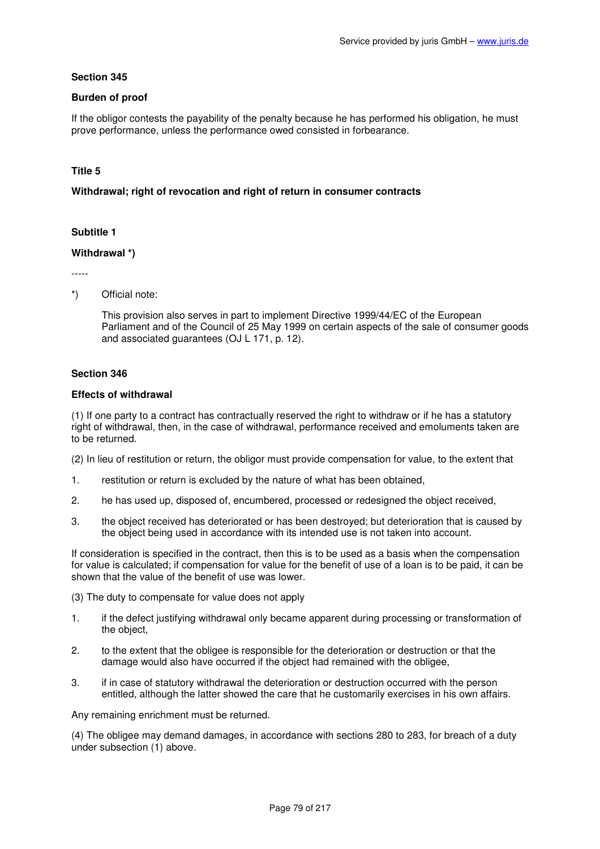# **Burden of proof**

If the obligor contests the payability of the penalty because he has performed his obligation, he must prove performance, unless the performance owed consisted in forbearance.

# **Title 5**

### **Withdrawal; right of revocation and right of return in consumer contracts**

# **Subtitle 1**

### **Withdrawal \*)**

-----

\*) Official note:

This provision also serves in part to implement Directive 1999/44/EC of the European Parliament and of the Council of 25 May 1999 on certain aspects of the sale of consumer goods and associated guarantees (OJ L 171, p. 12).

### **Section 346**

# **Effects of withdrawal**

(1) If one party to a contract has contractually reserved the right to withdraw or if he has a statutory right of withdrawal, then, in the case of withdrawal, performance received and emoluments taken are to be returned.

(2) In lieu of restitution or return, the obligor must provide compensation for value, to the extent that

- 1. restitution or return is excluded by the nature of what has been obtained,
- 2. he has used up, disposed of, encumbered, processed or redesigned the object received,
- 3. the object received has deteriorated or has been destroyed; but deterioration that is caused by the object being used in accordance with its intended use is not taken into account.

If consideration is specified in the contract, then this is to be used as a basis when the compensation for value is calculated; if compensation for value for the benefit of use of a loan is to be paid, it can be shown that the value of the benefit of use was lower.

(3) The duty to compensate for value does not apply

- 1. if the defect justifying withdrawal only became apparent during processing or transformation of the object,
- 2. to the extent that the obligee is responsible for the deterioration or destruction or that the damage would also have occurred if the object had remained with the obligee,
- 3. if in case of statutory withdrawal the deterioration or destruction occurred with the person entitled, although the latter showed the care that he customarily exercises in his own affairs.

Any remaining enrichment must be returned.

(4) The obligee may demand damages, in accordance with sections 280 to 283, for breach of a duty under subsection (1) above.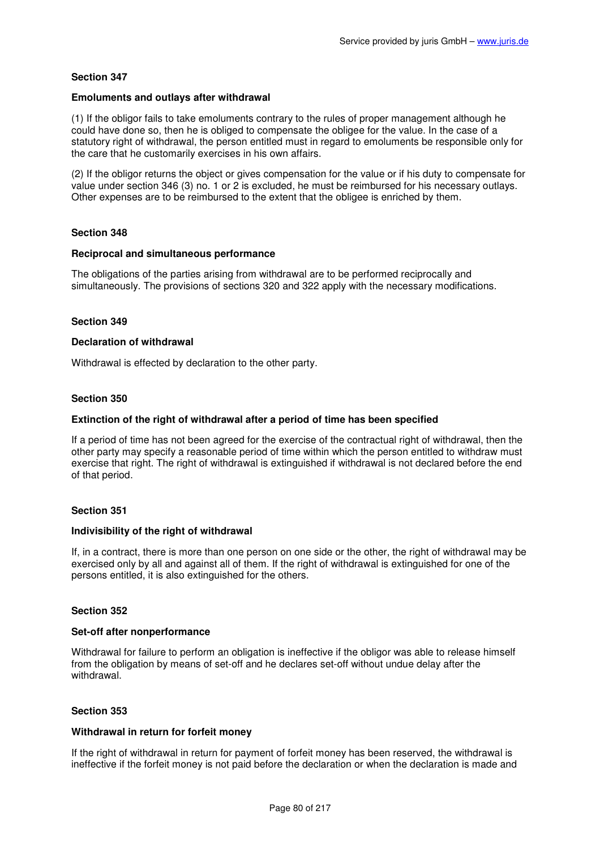### **Emoluments and outlays after withdrawal**

(1) If the obligor fails to take emoluments contrary to the rules of proper management although he could have done so, then he is obliged to compensate the obligee for the value. In the case of a statutory right of withdrawal, the person entitled must in regard to emoluments be responsible only for the care that he customarily exercises in his own affairs.

(2) If the obligor returns the object or gives compensation for the value or if his duty to compensate for value under section 346 (3) no. 1 or 2 is excluded, he must be reimbursed for his necessary outlays. Other expenses are to be reimbursed to the extent that the obligee is enriched by them.

### **Section 348**

# **Reciprocal and simultaneous performance**

The obligations of the parties arising from withdrawal are to be performed reciprocally and simultaneously. The provisions of sections 320 and 322 apply with the necessary modifications.

### **Section 349**

#### **Declaration of withdrawal**

Withdrawal is effected by declaration to the other party.

#### **Section 350**

#### **Extinction of the right of withdrawal after a period of time has been specified**

If a period of time has not been agreed for the exercise of the contractual right of withdrawal, then the other party may specify a reasonable period of time within which the person entitled to withdraw must exercise that right. The right of withdrawal is extinguished if withdrawal is not declared before the end of that period.

### **Section 351**

#### **Indivisibility of the right of withdrawal**

If, in a contract, there is more than one person on one side or the other, the right of withdrawal may be exercised only by all and against all of them. If the right of withdrawal is extinguished for one of the persons entitled, it is also extinguished for the others.

### **Section 352**

#### **Set-off after nonperformance**

Withdrawal for failure to perform an obligation is ineffective if the obligor was able to release himself from the obligation by means of set-off and he declares set-off without undue delay after the withdrawal.

### **Section 353**

#### **Withdrawal in return for forfeit money**

If the right of withdrawal in return for payment of forfeit money has been reserved, the withdrawal is ineffective if the forfeit money is not paid before the declaration or when the declaration is made and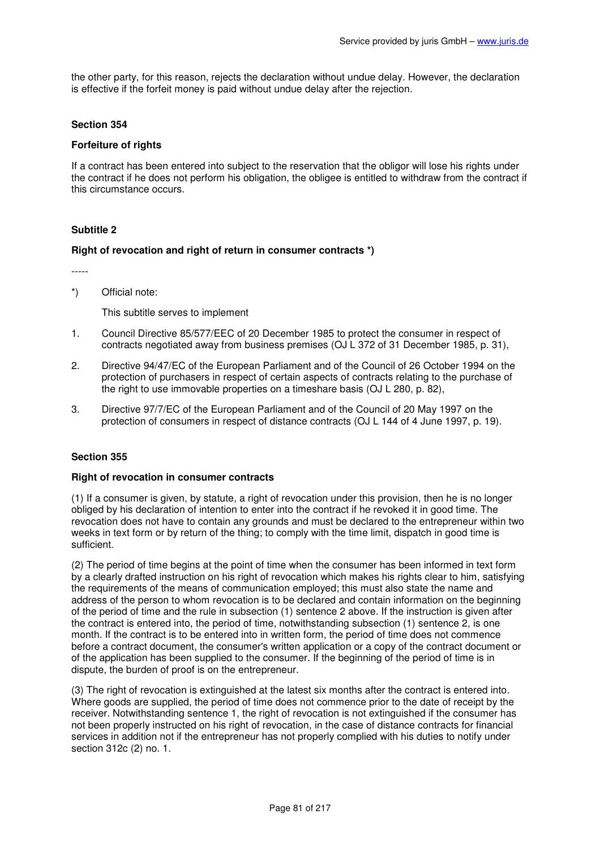the other party, for this reason, rejects the declaration without undue delay. However, the declaration is effective if the forfeit money is paid without undue delay after the rejection.

### **Section 354**

# **Forfeiture of rights**

If a contract has been entered into subject to the reservation that the obligor will lose his rights under the contract if he does not perform his obligation, the obligee is entitled to withdraw from the contract if this circumstance occurs.

# **Subtitle 2**

### **Right of revocation and right of return in consumer contracts \*)**

-----

\*) Official note:

This subtitle serves to implement

- 1. Council Directive 85/577/EEC of 20 December 1985 to protect the consumer in respect of contracts negotiated away from business premises (OJ L 372 of 31 December 1985, p. 31),
- 2. Directive 94/47/EC of the European Parliament and of the Council of 26 October 1994 on the protection of purchasers in respect of certain aspects of contracts relating to the purchase of the right to use immovable properties on a timeshare basis (OJ L 280, p. 82),
- 3. Directive 97/7/EC of the European Parliament and of the Council of 20 May 1997 on the protection of consumers in respect of distance contracts (OJ L 144 of 4 June 1997, p. 19).

### **Section 355**

### **Right of revocation in consumer contracts**

(1) If a consumer is given, by statute, a right of revocation under this provision, then he is no longer obliged by his declaration of intention to enter into the contract if he revoked it in good time. The revocation does not have to contain any grounds and must be declared to the entrepreneur within two weeks in text form or by return of the thing; to comply with the time limit, dispatch in good time is sufficient.

(2) The period of time begins at the point of time when the consumer has been informed in text form by a clearly drafted instruction on his right of revocation which makes his rights clear to him, satisfying the requirements of the means of communication employed; this must also state the name and address of the person to whom revocation is to be declared and contain information on the beginning of the period of time and the rule in subsection (1) sentence 2 above. If the instruction is given after the contract is entered into, the period of time, notwithstanding subsection (1) sentence 2, is one month. If the contract is to be entered into in written form, the period of time does not commence before a contract document, the consumer's written application or a copy of the contract document or of the application has been supplied to the consumer. If the beginning of the period of time is in dispute, the burden of proof is on the entrepreneur.

(3) The right of revocation is extinguished at the latest six months after the contract is entered into. Where goods are supplied, the period of time does not commence prior to the date of receipt by the receiver. Notwithstanding sentence 1, the right of revocation is not extinguished if the consumer has not been properly instructed on his right of revocation, in the case of distance contracts for financial services in addition not if the entrepreneur has not properly complied with his duties to notify under section 312c (2) no. 1.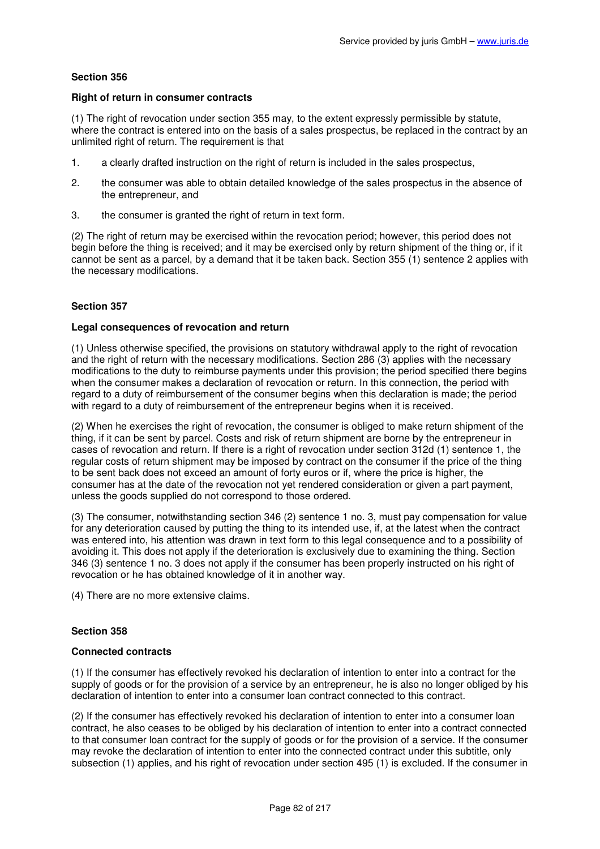### **Right of return in consumer contracts**

(1) The right of revocation under section 355 may, to the extent expressly permissible by statute, where the contract is entered into on the basis of a sales prospectus, be replaced in the contract by an unlimited right of return. The requirement is that

- 1. a clearly drafted instruction on the right of return is included in the sales prospectus,
- 2. the consumer was able to obtain detailed knowledge of the sales prospectus in the absence of the entrepreneur, and
- 3. the consumer is granted the right of return in text form.

(2) The right of return may be exercised within the revocation period; however, this period does not begin before the thing is received; and it may be exercised only by return shipment of the thing or, if it cannot be sent as a parcel, by a demand that it be taken back. Section 355 (1) sentence 2 applies with the necessary modifications.

# **Section 357**

### **Legal consequences of revocation and return**

(1) Unless otherwise specified, the provisions on statutory withdrawal apply to the right of revocation and the right of return with the necessary modifications. Section 286 (3) applies with the necessary modifications to the duty to reimburse payments under this provision; the period specified there begins when the consumer makes a declaration of revocation or return. In this connection, the period with regard to a duty of reimbursement of the consumer begins when this declaration is made; the period with regard to a duty of reimbursement of the entrepreneur begins when it is received.

(2) When he exercises the right of revocation, the consumer is obliged to make return shipment of the thing, if it can be sent by parcel. Costs and risk of return shipment are borne by the entrepreneur in cases of revocation and return. If there is a right of revocation under section 312d (1) sentence 1, the regular costs of return shipment may be imposed by contract on the consumer if the price of the thing to be sent back does not exceed an amount of forty euros or if, where the price is higher, the consumer has at the date of the revocation not yet rendered consideration or given a part payment, unless the goods supplied do not correspond to those ordered.

(3) The consumer, notwithstanding section 346 (2) sentence 1 no. 3, must pay compensation for value for any deterioration caused by putting the thing to its intended use, if, at the latest when the contract was entered into, his attention was drawn in text form to this legal consequence and to a possibility of avoiding it. This does not apply if the deterioration is exclusively due to examining the thing. Section 346 (3) sentence 1 no. 3 does not apply if the consumer has been properly instructed on his right of revocation or he has obtained knowledge of it in another way.

(4) There are no more extensive claims.

# **Section 358**

### **Connected contracts**

(1) If the consumer has effectively revoked his declaration of intention to enter into a contract for the supply of goods or for the provision of a service by an entrepreneur, he is also no longer obliged by his declaration of intention to enter into a consumer loan contract connected to this contract.

(2) If the consumer has effectively revoked his declaration of intention to enter into a consumer loan contract, he also ceases to be obliged by his declaration of intention to enter into a contract connected to that consumer loan contract for the supply of goods or for the provision of a service. If the consumer may revoke the declaration of intention to enter into the connected contract under this subtitle, only subsection (1) applies, and his right of revocation under section 495 (1) is excluded. If the consumer in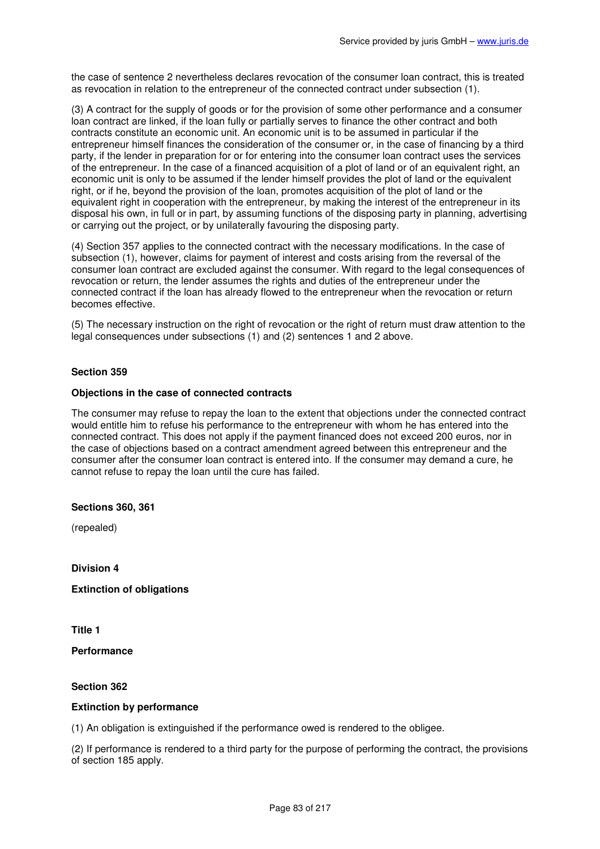the case of sentence 2 nevertheless declares revocation of the consumer loan contract, this is treated as revocation in relation to the entrepreneur of the connected contract under subsection (1).

(3) A contract for the supply of goods or for the provision of some other performance and a consumer loan contract are linked, if the loan fully or partially serves to finance the other contract and both contracts constitute an economic unit. An economic unit is to be assumed in particular if the entrepreneur himself finances the consideration of the consumer or, in the case of financing by a third party, if the lender in preparation for or for entering into the consumer loan contract uses the services of the entrepreneur. In the case of a financed acquisition of a plot of land or of an equivalent right, an economic unit is only to be assumed if the lender himself provides the plot of land or the equivalent right, or if he, beyond the provision of the loan, promotes acquisition of the plot of land or the equivalent right in cooperation with the entrepreneur, by making the interest of the entrepreneur in its disposal his own, in full or in part, by assuming functions of the disposing party in planning, advertising or carrying out the project, or by unilaterally favouring the disposing party.

(4) Section 357 applies to the connected contract with the necessary modifications. In the case of subsection (1), however, claims for payment of interest and costs arising from the reversal of the consumer loan contract are excluded against the consumer. With regard to the legal consequences of revocation or return, the lender assumes the rights and duties of the entrepreneur under the connected contract if the loan has already flowed to the entrepreneur when the revocation or return becomes effective.

(5) The necessary instruction on the right of revocation or the right of return must draw attention to the legal consequences under subsections (1) and (2) sentences 1 and 2 above.

# **Section 359**

### **Objections in the case of connected contracts**

The consumer may refuse to repay the loan to the extent that objections under the connected contract would entitle him to refuse his performance to the entrepreneur with whom he has entered into the connected contract. This does not apply if the payment financed does not exceed 200 euros, nor in the case of objections based on a contract amendment agreed between this entrepreneur and the consumer after the consumer loan contract is entered into. If the consumer may demand a cure, he cannot refuse to repay the loan until the cure has failed.

### **Sections 360, 361**

(repealed)

**Division 4** 

**Extinction of obligations** 

**Title 1** 

**Performance** 

#### **Section 362**

#### **Extinction by performance**

(1) An obligation is extinguished if the performance owed is rendered to the obligee.

(2) If performance is rendered to a third party for the purpose of performing the contract, the provisions of section 185 apply.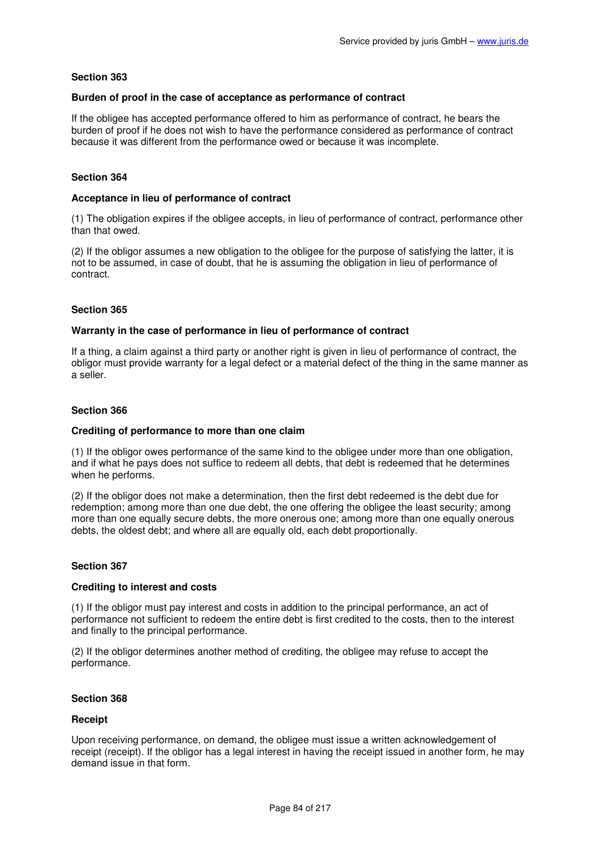### **Burden of proof in the case of acceptance as performance of contract**

If the obligee has accepted performance offered to him as performance of contract, he bears the burden of proof if he does not wish to have the performance considered as performance of contract because it was different from the performance owed or because it was incomplete.

### **Section 364**

### **Acceptance in lieu of performance of contract**

(1) The obligation expires if the obligee accepts, in lieu of performance of contract, performance other than that owed.

(2) If the obligor assumes a new obligation to the obligee for the purpose of satisfying the latter, it is not to be assumed, in case of doubt, that he is assuming the obligation in lieu of performance of contract.

# **Section 365**

### **Warranty in the case of performance in lieu of performance of contract**

If a thing, a claim against a third party or another right is given in lieu of performance of contract, the obligor must provide warranty for a legal defect or a material defect of the thing in the same manner as a seller.

# **Section 366**

### **Crediting of performance to more than one claim**

(1) If the obligor owes performance of the same kind to the obligee under more than one obligation, and if what he pays does not suffice to redeem all debts, that debt is redeemed that he determines when he performs.

(2) If the obligor does not make a determination, then the first debt redeemed is the debt due for redemption; among more than one due debt, the one offering the obligee the least security; among more than one equally secure debts, the more onerous one; among more than one equally onerous debts, the oldest debt; and where all are equally old, each debt proportionally.

### **Section 367**

### **Crediting to interest and costs**

(1) If the obligor must pay interest and costs in addition to the principal performance, an act of performance not sufficient to redeem the entire debt is first credited to the costs, then to the interest and finally to the principal performance.

(2) If the obligor determines another method of crediting, the obligee may refuse to accept the performance.

### **Section 368**

### **Receipt**

Upon receiving performance, on demand, the obligee must issue a written acknowledgement of receipt (receipt). If the obligor has a legal interest in having the receipt issued in another form, he may demand issue in that form.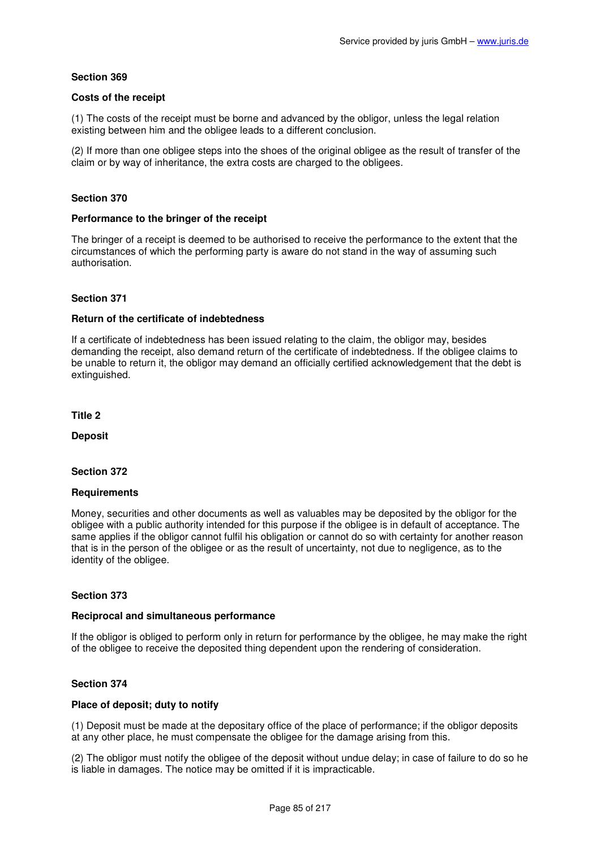# **Costs of the receipt**

(1) The costs of the receipt must be borne and advanced by the obligor, unless the legal relation existing between him and the obligee leads to a different conclusion.

(2) If more than one obligee steps into the shoes of the original obligee as the result of transfer of the claim or by way of inheritance, the extra costs are charged to the obligees.

### **Section 370**

### **Performance to the bringer of the receipt**

The bringer of a receipt is deemed to be authorised to receive the performance to the extent that the circumstances of which the performing party is aware do not stand in the way of assuming such authorisation.

# **Section 371**

### **Return of the certificate of indebtedness**

If a certificate of indebtedness has been issued relating to the claim, the obligor may, besides demanding the receipt, also demand return of the certificate of indebtedness. If the obligee claims to be unable to return it, the obligor may demand an officially certified acknowledgement that the debt is extinguished.

**Title 2** 

**Deposit** 

**Section 372** 

### **Requirements**

Money, securities and other documents as well as valuables may be deposited by the obligor for the obligee with a public authority intended for this purpose if the obligee is in default of acceptance. The same applies if the obligor cannot fulfil his obligation or cannot do so with certainty for another reason that is in the person of the obligee or as the result of uncertainty, not due to negligence, as to the identity of the obligee.

# **Section 373**

### **Reciprocal and simultaneous performance**

If the obligor is obliged to perform only in return for performance by the obligee, he may make the right of the obligee to receive the deposited thing dependent upon the rendering of consideration.

### **Section 374**

# **Place of deposit; duty to notify**

(1) Deposit must be made at the depositary office of the place of performance; if the obligor deposits at any other place, he must compensate the obligee for the damage arising from this.

(2) The obligor must notify the obligee of the deposit without undue delay; in case of failure to do so he is liable in damages. The notice may be omitted if it is impracticable.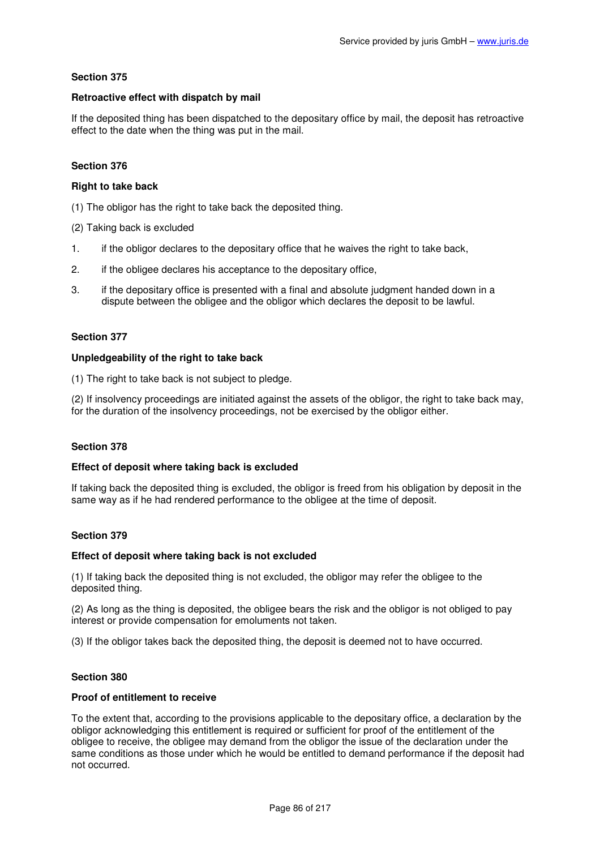# **Retroactive effect with dispatch by mail**

If the deposited thing has been dispatched to the depositary office by mail, the deposit has retroactive effect to the date when the thing was put in the mail.

# **Section 376**

### **Right to take back**

(1) The obligor has the right to take back the deposited thing.

- (2) Taking back is excluded
- 1. if the obligor declares to the depositary office that he waives the right to take back,
- 2. if the obligee declares his acceptance to the depositary office,
- 3. if the depositary office is presented with a final and absolute judgment handed down in a dispute between the obligee and the obligor which declares the deposit to be lawful.

# **Section 377**

# **Unpledgeability of the right to take back**

(1) The right to take back is not subject to pledge.

(2) If insolvency proceedings are initiated against the assets of the obligor, the right to take back may, for the duration of the insolvency proceedings, not be exercised by the obligor either.

### **Section 378**

### **Effect of deposit where taking back is excluded**

If taking back the deposited thing is excluded, the obligor is freed from his obligation by deposit in the same way as if he had rendered performance to the obligee at the time of deposit.

### **Section 379**

### **Effect of deposit where taking back is not excluded**

(1) If taking back the deposited thing is not excluded, the obligor may refer the obligee to the deposited thing.

(2) As long as the thing is deposited, the obligee bears the risk and the obligor is not obliged to pay interest or provide compensation for emoluments not taken.

(3) If the obligor takes back the deposited thing, the deposit is deemed not to have occurred.

### **Section 380**

### **Proof of entitlement to receive**

To the extent that, according to the provisions applicable to the depositary office, a declaration by the obligor acknowledging this entitlement is required or sufficient for proof of the entitlement of the obligee to receive, the obligee may demand from the obligor the issue of the declaration under the same conditions as those under which he would be entitled to demand performance if the deposit had not occurred.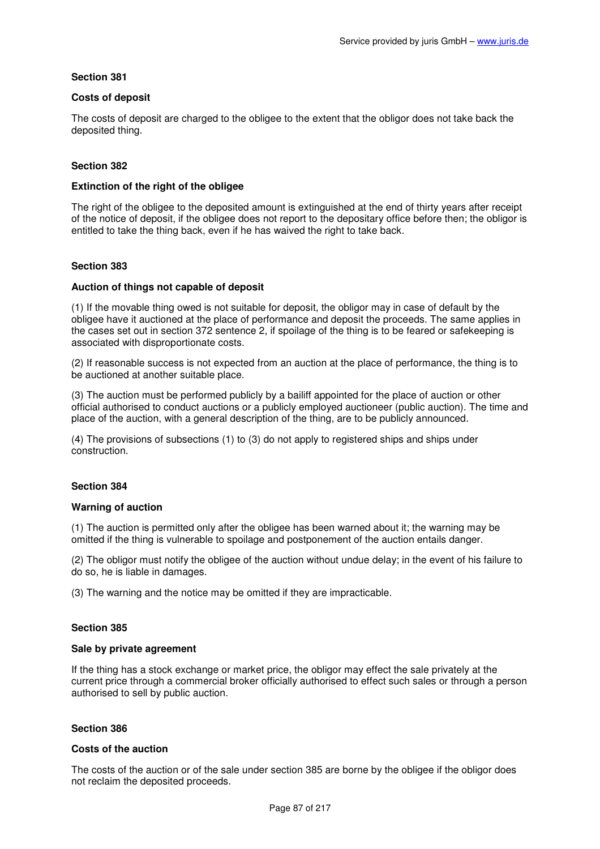# **Costs of deposit**

The costs of deposit are charged to the obligee to the extent that the obligor does not take back the deposited thing.

# **Section 382**

# **Extinction of the right of the obligee**

The right of the obligee to the deposited amount is extinguished at the end of thirty years after receipt of the notice of deposit, if the obligee does not report to the depositary office before then; the obligor is entitled to take the thing back, even if he has waived the right to take back.

### **Section 383**

### **Auction of things not capable of deposit**

(1) If the movable thing owed is not suitable for deposit, the obligor may in case of default by the obligee have it auctioned at the place of performance and deposit the proceeds. The same applies in the cases set out in section 372 sentence 2, if spoilage of the thing is to be feared or safekeeping is associated with disproportionate costs.

(2) If reasonable success is not expected from an auction at the place of performance, the thing is to be auctioned at another suitable place.

(3) The auction must be performed publicly by a bailiff appointed for the place of auction or other official authorised to conduct auctions or a publicly employed auctioneer (public auction). The time and place of the auction, with a general description of the thing, are to be publicly announced.

(4) The provisions of subsections (1) to (3) do not apply to registered ships and ships under construction.

### **Section 384**

### **Warning of auction**

(1) The auction is permitted only after the obligee has been warned about it; the warning may be omitted if the thing is vulnerable to spoilage and postponement of the auction entails danger.

(2) The obligor must notify the obligee of the auction without undue delay; in the event of his failure to do so, he is liable in damages.

(3) The warning and the notice may be omitted if they are impracticable.

### **Section 385**

### **Sale by private agreement**

If the thing has a stock exchange or market price, the obligor may effect the sale privately at the current price through a commercial broker officially authorised to effect such sales or through a person authorised to sell by public auction.

### **Section 386**

### **Costs of the auction**

The costs of the auction or of the sale under section 385 are borne by the obligee if the obligor does not reclaim the deposited proceeds.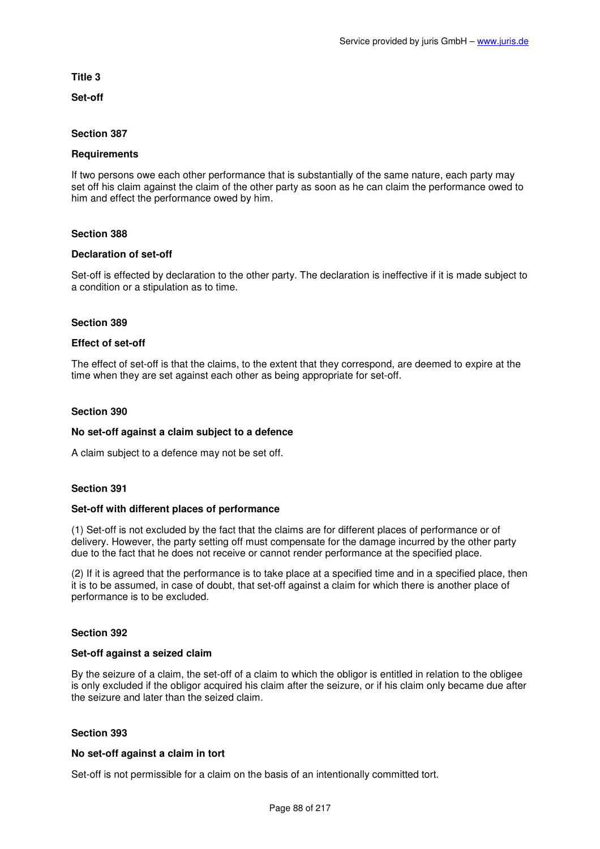### **Title 3**

**Set-off** 

### **Section 387**

### **Requirements**

If two persons owe each other performance that is substantially of the same nature, each party may set off his claim against the claim of the other party as soon as he can claim the performance owed to him and effect the performance owed by him.

### **Section 388**

#### **Declaration of set-off**

Set-off is effected by declaration to the other party. The declaration is ineffective if it is made subject to a condition or a stipulation as to time.

#### **Section 389**

#### **Effect of set-off**

The effect of set-off is that the claims, to the extent that they correspond, are deemed to expire at the time when they are set against each other as being appropriate for set-off.

#### **Section 390**

### **No set-off against a claim subject to a defence**

A claim subject to a defence may not be set off.

### **Section 391**

#### **Set-off with different places of performance**

(1) Set-off is not excluded by the fact that the claims are for different places of performance or of delivery. However, the party setting off must compensate for the damage incurred by the other party due to the fact that he does not receive or cannot render performance at the specified place.

(2) If it is agreed that the performance is to take place at a specified time and in a specified place, then it is to be assumed, in case of doubt, that set-off against a claim for which there is another place of performance is to be excluded.

### **Section 392**

#### **Set-off against a seized claim**

By the seizure of a claim, the set-off of a claim to which the obligor is entitled in relation to the obligee is only excluded if the obligor acquired his claim after the seizure, or if his claim only became due after the seizure and later than the seized claim.

### **Section 393**

#### **No set-off against a claim in tort**

Set-off is not permissible for a claim on the basis of an intentionally committed tort.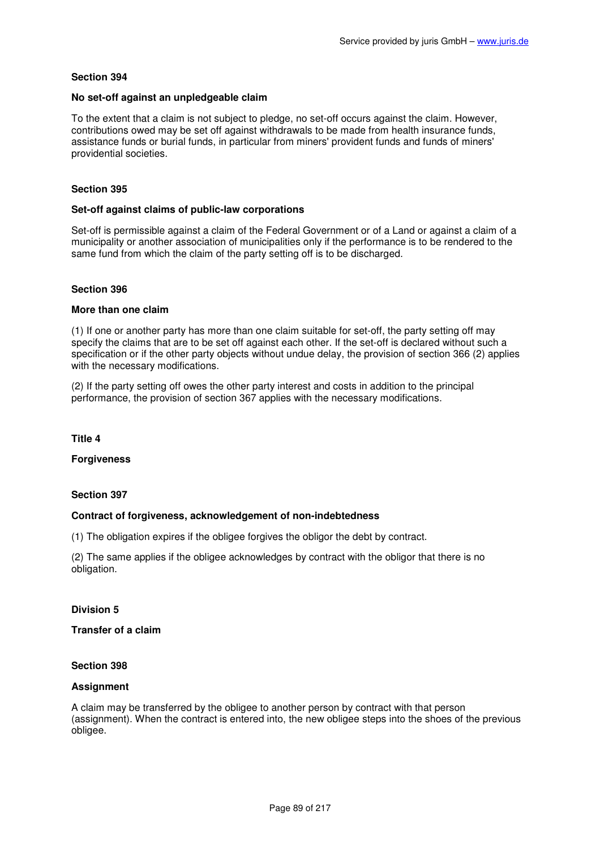### **No set-off against an unpledgeable claim**

To the extent that a claim is not subject to pledge, no set-off occurs against the claim. However, contributions owed may be set off against withdrawals to be made from health insurance funds, assistance funds or burial funds, in particular from miners' provident funds and funds of miners' providential societies.

# **Section 395**

### **Set-off against claims of public-law corporations**

Set-off is permissible against a claim of the Federal Government or of a Land or against a claim of a municipality or another association of municipalities only if the performance is to be rendered to the same fund from which the claim of the party setting off is to be discharged.

### **Section 396**

### **More than one claim**

(1) If one or another party has more than one claim suitable for set-off, the party setting off may specify the claims that are to be set off against each other. If the set-off is declared without such a specification or if the other party objects without undue delay, the provision of section 366 (2) applies with the necessary modifications.

(2) If the party setting off owes the other party interest and costs in addition to the principal performance, the provision of section 367 applies with the necessary modifications.

**Title 4** 

**Forgiveness** 

### **Section 397**

### **Contract of forgiveness, acknowledgement of non-indebtedness**

(1) The obligation expires if the obligee forgives the obligor the debt by contract.

(2) The same applies if the obligee acknowledges by contract with the obligor that there is no obligation.

### **Division 5**

### **Transfer of a claim**

### **Section 398**

### **Assignment**

A claim may be transferred by the obligee to another person by contract with that person (assignment). When the contract is entered into, the new obligee steps into the shoes of the previous obligee.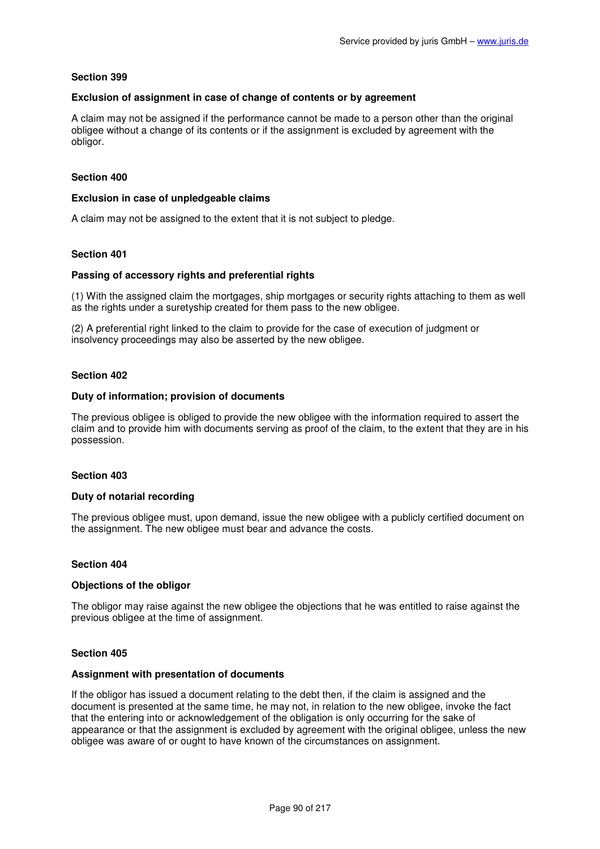### **Exclusion of assignment in case of change of contents or by agreement**

A claim may not be assigned if the performance cannot be made to a person other than the original obligee without a change of its contents or if the assignment is excluded by agreement with the obligor.

### **Section 400**

### **Exclusion in case of unpledgeable claims**

A claim may not be assigned to the extent that it is not subject to pledge.

### **Section 401**

### **Passing of accessory rights and preferential rights**

(1) With the assigned claim the mortgages, ship mortgages or security rights attaching to them as well as the rights under a suretyship created for them pass to the new obligee.

(2) A preferential right linked to the claim to provide for the case of execution of judgment or insolvency proceedings may also be asserted by the new obligee.

### **Section 402**

### **Duty of information; provision of documents**

The previous obligee is obliged to provide the new obligee with the information required to assert the claim and to provide him with documents serving as proof of the claim, to the extent that they are in his possession.

### **Section 403**

### **Duty of notarial recording**

The previous obligee must, upon demand, issue the new obligee with a publicly certified document on the assignment. The new obligee must bear and advance the costs.

### **Section 404**

### **Objections of the obligor**

The obligor may raise against the new obligee the objections that he was entitled to raise against the previous obligee at the time of assignment.

### **Section 405**

#### **Assignment with presentation of documents**

If the obligor has issued a document relating to the debt then, if the claim is assigned and the document is presented at the same time, he may not, in relation to the new obligee, invoke the fact that the entering into or acknowledgement of the obligation is only occurring for the sake of appearance or that the assignment is excluded by agreement with the original obligee, unless the new obligee was aware of or ought to have known of the circumstances on assignment.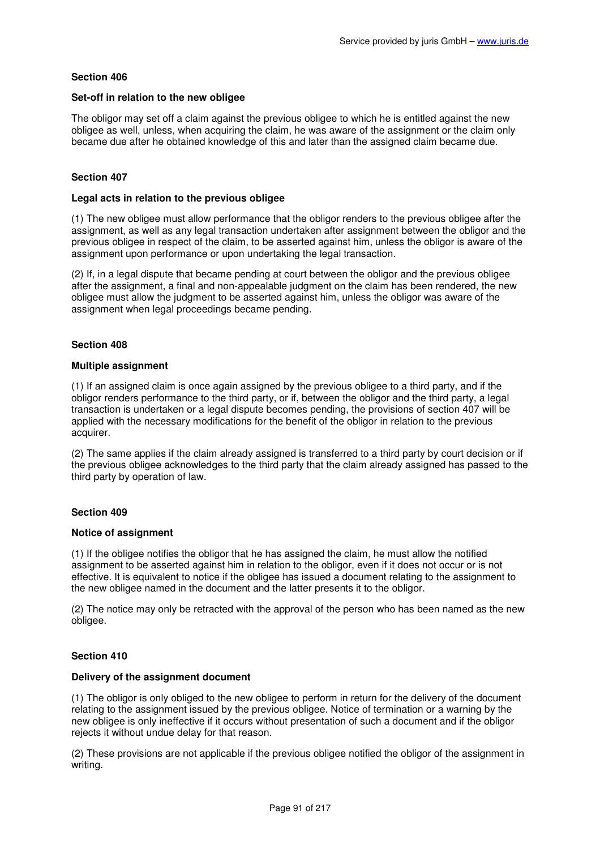### **Set-off in relation to the new obligee**

The obligor may set off a claim against the previous obligee to which he is entitled against the new obligee as well, unless, when acquiring the claim, he was aware of the assignment or the claim only became due after he obtained knowledge of this and later than the assigned claim became due.

# **Section 407**

### **Legal acts in relation to the previous obligee**

(1) The new obligee must allow performance that the obligor renders to the previous obligee after the assignment, as well as any legal transaction undertaken after assignment between the obligor and the previous obligee in respect of the claim, to be asserted against him, unless the obligor is aware of the assignment upon performance or upon undertaking the legal transaction.

(2) If, in a legal dispute that became pending at court between the obligor and the previous obligee after the assignment, a final and non-appealable judgment on the claim has been rendered, the new obligee must allow the judgment to be asserted against him, unless the obligor was aware of the assignment when legal proceedings became pending.

# **Section 408**

### **Multiple assignment**

(1) If an assigned claim is once again assigned by the previous obligee to a third party, and if the obligor renders performance to the third party, or if, between the obligor and the third party, a legal transaction is undertaken or a legal dispute becomes pending, the provisions of section 407 will be applied with the necessary modifications for the benefit of the obligor in relation to the previous acquirer.

(2) The same applies if the claim already assigned is transferred to a third party by court decision or if the previous obligee acknowledges to the third party that the claim already assigned has passed to the third party by operation of law.

### **Section 409**

### **Notice of assignment**

(1) If the obligee notifies the obligor that he has assigned the claim, he must allow the notified assignment to be asserted against him in relation to the obligor, even if it does not occur or is not effective. It is equivalent to notice if the obligee has issued a document relating to the assignment to the new obligee named in the document and the latter presents it to the obligor.

(2) The notice may only be retracted with the approval of the person who has been named as the new obligee.

# **Section 410**

# **Delivery of the assignment document**

(1) The obligor is only obliged to the new obligee to perform in return for the delivery of the document relating to the assignment issued by the previous obligee. Notice of termination or a warning by the new obligee is only ineffective if it occurs without presentation of such a document and if the obligor rejects it without undue delay for that reason.

(2) These provisions are not applicable if the previous obligee notified the obligor of the assignment in writing.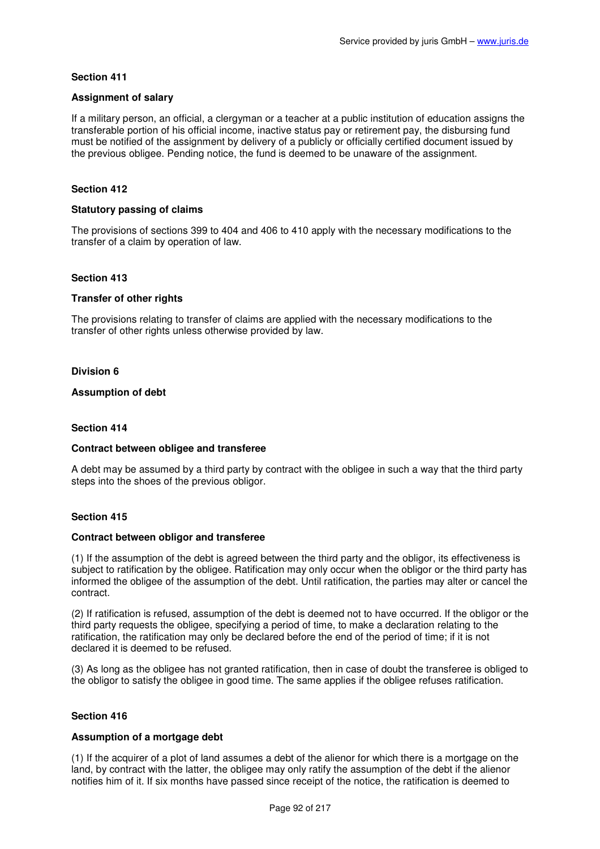### **Assignment of salary**

If a military person, an official, a clergyman or a teacher at a public institution of education assigns the transferable portion of his official income, inactive status pay or retirement pay, the disbursing fund must be notified of the assignment by delivery of a publicly or officially certified document issued by the previous obligee. Pending notice, the fund is deemed to be unaware of the assignment.

# **Section 412**

### **Statutory passing of claims**

The provisions of sections 399 to 404 and 406 to 410 apply with the necessary modifications to the transfer of a claim by operation of law.

### **Section 413**

### **Transfer of other rights**

The provisions relating to transfer of claims are applied with the necessary modifications to the transfer of other rights unless otherwise provided by law.

### **Division 6**

# **Assumption of debt**

#### **Section 414**

### **Contract between obligee and transferee**

A debt may be assumed by a third party by contract with the obligee in such a way that the third party steps into the shoes of the previous obligor.

### **Section 415**

#### **Contract between obligor and transferee**

(1) If the assumption of the debt is agreed between the third party and the obligor, its effectiveness is subject to ratification by the obligee. Ratification may only occur when the obligor or the third party has informed the obligee of the assumption of the debt. Until ratification, the parties may alter or cancel the contract.

(2) If ratification is refused, assumption of the debt is deemed not to have occurred. If the obligor or the third party requests the obligee, specifying a period of time, to make a declaration relating to the ratification, the ratification may only be declared before the end of the period of time; if it is not declared it is deemed to be refused.

(3) As long as the obligee has not granted ratification, then in case of doubt the transferee is obliged to the obligor to satisfy the obligee in good time. The same applies if the obligee refuses ratification.

### **Section 416**

### **Assumption of a mortgage debt**

(1) If the acquirer of a plot of land assumes a debt of the alienor for which there is a mortgage on the land, by contract with the latter, the obligee may only ratify the assumption of the debt if the alienor notifies him of it. If six months have passed since receipt of the notice, the ratification is deemed to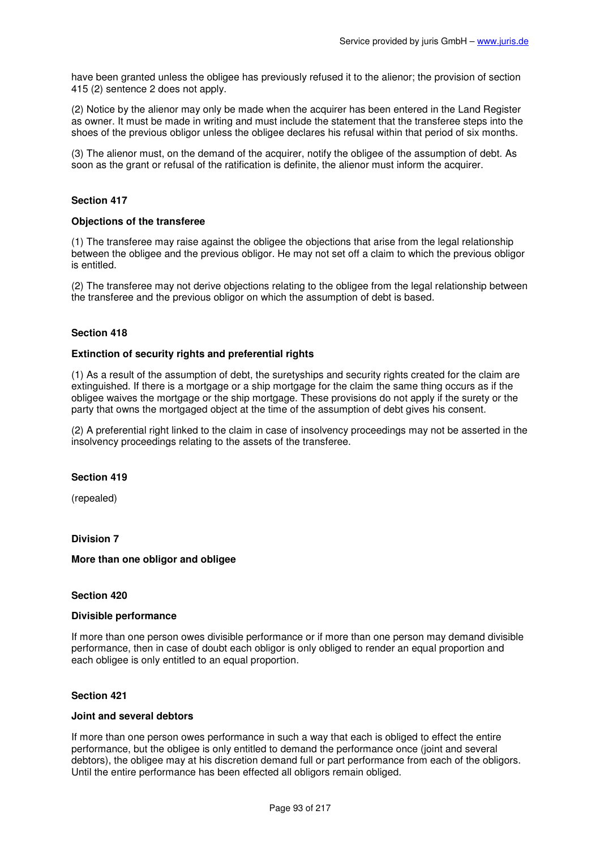have been granted unless the obligee has previously refused it to the alienor; the provision of section 415 (2) sentence 2 does not apply.

(2) Notice by the alienor may only be made when the acquirer has been entered in the Land Register as owner. It must be made in writing and must include the statement that the transferee steps into the shoes of the previous obligor unless the obligee declares his refusal within that period of six months.

(3) The alienor must, on the demand of the acquirer, notify the obligee of the assumption of debt. As soon as the grant or refusal of the ratification is definite, the alienor must inform the acquirer.

### **Section 417**

### **Objections of the transferee**

(1) The transferee may raise against the obligee the objections that arise from the legal relationship between the obligee and the previous obligor. He may not set off a claim to which the previous obligor is entitled.

(2) The transferee may not derive objections relating to the obligee from the legal relationship between the transferee and the previous obligor on which the assumption of debt is based.

#### **Section 418**

#### **Extinction of security rights and preferential rights**

(1) As a result of the assumption of debt, the suretyships and security rights created for the claim are extinguished. If there is a mortgage or a ship mortgage for the claim the same thing occurs as if the obligee waives the mortgage or the ship mortgage. These provisions do not apply if the surety or the party that owns the mortgaged object at the time of the assumption of debt gives his consent.

(2) A preferential right linked to the claim in case of insolvency proceedings may not be asserted in the insolvency proceedings relating to the assets of the transferee.

#### **Section 419**

(repealed)

# **Division 7**

#### **More than one obligor and obligee**

### **Section 420**

#### **Divisible performance**

If more than one person owes divisible performance or if more than one person may demand divisible performance, then in case of doubt each obligor is only obliged to render an equal proportion and each obligee is only entitled to an equal proportion.

#### **Section 421**

#### **Joint and several debtors**

If more than one person owes performance in such a way that each is obliged to effect the entire performance, but the obligee is only entitled to demand the performance once (joint and several debtors), the obligee may at his discretion demand full or part performance from each of the obligors. Until the entire performance has been effected all obligors remain obliged.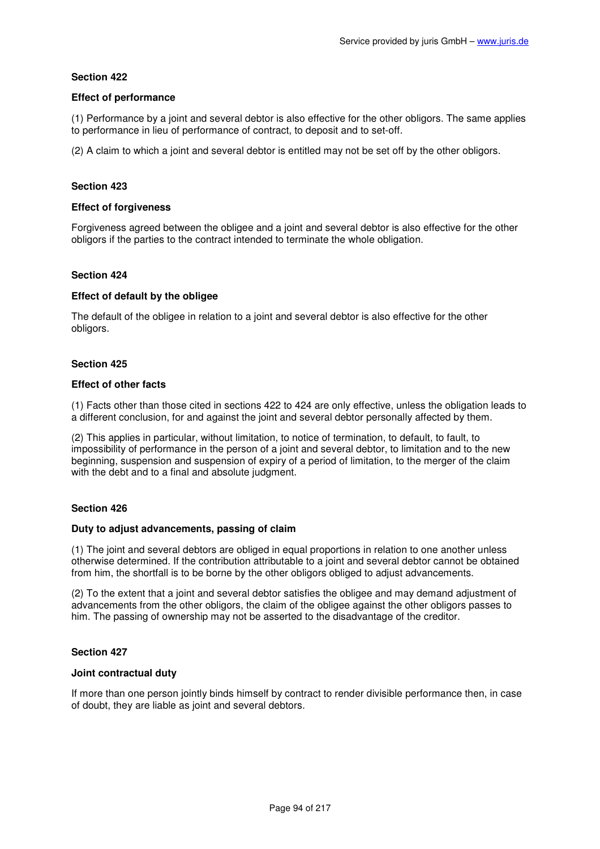# **Effect of performance**

(1) Performance by a joint and several debtor is also effective for the other obligors. The same applies to performance in lieu of performance of contract, to deposit and to set-off.

(2) A claim to which a joint and several debtor is entitled may not be set off by the other obligors.

# **Section 423**

### **Effect of forgiveness**

Forgiveness agreed between the obligee and a joint and several debtor is also effective for the other obligors if the parties to the contract intended to terminate the whole obligation.

# **Section 424**

# **Effect of default by the obligee**

The default of the obligee in relation to a joint and several debtor is also effective for the other obligors.

### **Section 425**

### **Effect of other facts**

(1) Facts other than those cited in sections 422 to 424 are only effective, unless the obligation leads to a different conclusion, for and against the joint and several debtor personally affected by them.

(2) This applies in particular, without limitation, to notice of termination, to default, to fault, to impossibility of performance in the person of a joint and several debtor, to limitation and to the new beginning, suspension and suspension of expiry of a period of limitation, to the merger of the claim with the debt and to a final and absolute judgment.

### **Section 426**

### **Duty to adjust advancements, passing of claim**

(1) The joint and several debtors are obliged in equal proportions in relation to one another unless otherwise determined. If the contribution attributable to a joint and several debtor cannot be obtained from him, the shortfall is to be borne by the other obligors obliged to adjust advancements.

(2) To the extent that a joint and several debtor satisfies the obligee and may demand adjustment of advancements from the other obligors, the claim of the obligee against the other obligors passes to him. The passing of ownership may not be asserted to the disadvantage of the creditor.

### **Section 427**

### **Joint contractual duty**

If more than one person jointly binds himself by contract to render divisible performance then, in case of doubt, they are liable as joint and several debtors.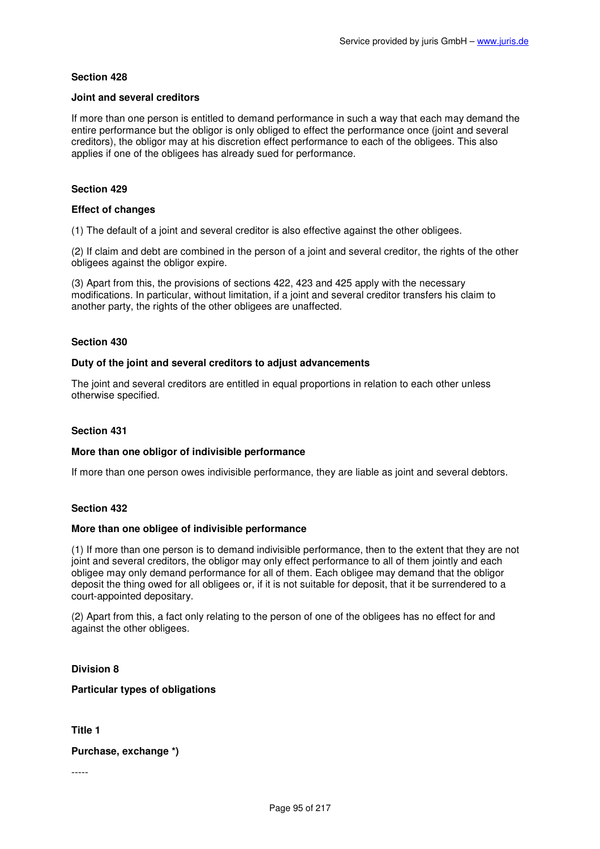### **Joint and several creditors**

If more than one person is entitled to demand performance in such a way that each may demand the entire performance but the obligor is only obliged to effect the performance once (joint and several creditors), the obligor may at his discretion effect performance to each of the obligees. This also applies if one of the obligees has already sued for performance.

# **Section 429**

### **Effect of changes**

(1) The default of a joint and several creditor is also effective against the other obligees.

(2) If claim and debt are combined in the person of a joint and several creditor, the rights of the other obligees against the obligor expire.

(3) Apart from this, the provisions of sections 422, 423 and 425 apply with the necessary modifications. In particular, without limitation, if a joint and several creditor transfers his claim to another party, the rights of the other obligees are unaffected.

# **Section 430**

### **Duty of the joint and several creditors to adjust advancements**

The joint and several creditors are entitled in equal proportions in relation to each other unless otherwise specified.

### **Section 431**

### **More than one obligor of indivisible performance**

If more than one person owes indivisible performance, they are liable as joint and several debtors.

### **Section 432**

### **More than one obligee of indivisible performance**

(1) If more than one person is to demand indivisible performance, then to the extent that they are not joint and several creditors, the obligor may only effect performance to all of them jointly and each obligee may only demand performance for all of them. Each obligee may demand that the obligor deposit the thing owed for all obligees or, if it is not suitable for deposit, that it be surrendered to a court-appointed depositary.

(2) Apart from this, a fact only relating to the person of one of the obligees has no effect for and against the other obligees.

# **Division 8**

**Particular types of obligations** 

**Title 1** 

**Purchase, exchange \*)** 

-----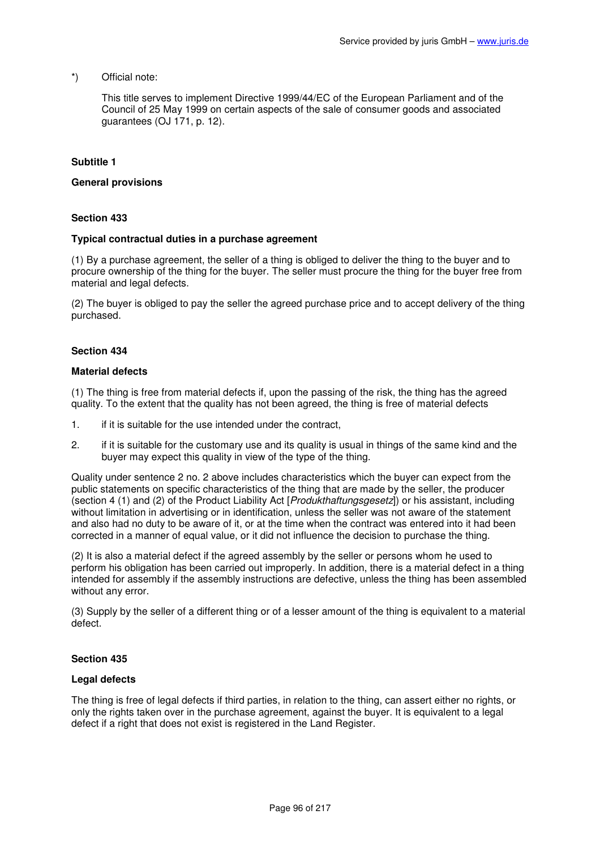# \*) Official note:

This title serves to implement Directive 1999/44/EC of the European Parliament and of the Council of 25 May 1999 on certain aspects of the sale of consumer goods and associated guarantees (OJ 171, p. 12).

# **Subtitle 1**

#### **General provisions**

### **Section 433**

#### **Typical contractual duties in a purchase agreement**

(1) By a purchase agreement, the seller of a thing is obliged to deliver the thing to the buyer and to procure ownership of the thing for the buyer. The seller must procure the thing for the buyer free from material and legal defects.

(2) The buyer is obliged to pay the seller the agreed purchase price and to accept delivery of the thing purchased.

#### **Section 434**

#### **Material defects**

(1) The thing is free from material defects if, upon the passing of the risk, the thing has the agreed quality. To the extent that the quality has not been agreed, the thing is free of material defects

- 1. if it is suitable for the use intended under the contract,
- 2. if it is suitable for the customary use and its quality is usual in things of the same kind and the buyer may expect this quality in view of the type of the thing.

Quality under sentence 2 no. 2 above includes characteristics which the buyer can expect from the public statements on specific characteristics of the thing that are made by the seller, the producer (section 4 (1) and (2) of the Product Liability Act [Produkthaftungsgesetz]) or his assistant, including without limitation in advertising or in identification, unless the seller was not aware of the statement and also had no duty to be aware of it, or at the time when the contract was entered into it had been corrected in a manner of equal value, or it did not influence the decision to purchase the thing.

(2) It is also a material defect if the agreed assembly by the seller or persons whom he used to perform his obligation has been carried out improperly. In addition, there is a material defect in a thing intended for assembly if the assembly instructions are defective, unless the thing has been assembled without any error.

(3) Supply by the seller of a different thing or of a lesser amount of the thing is equivalent to a material defect.

### **Section 435**

#### **Legal defects**

The thing is free of legal defects if third parties, in relation to the thing, can assert either no rights, or only the rights taken over in the purchase agreement, against the buyer. It is equivalent to a legal defect if a right that does not exist is registered in the Land Register.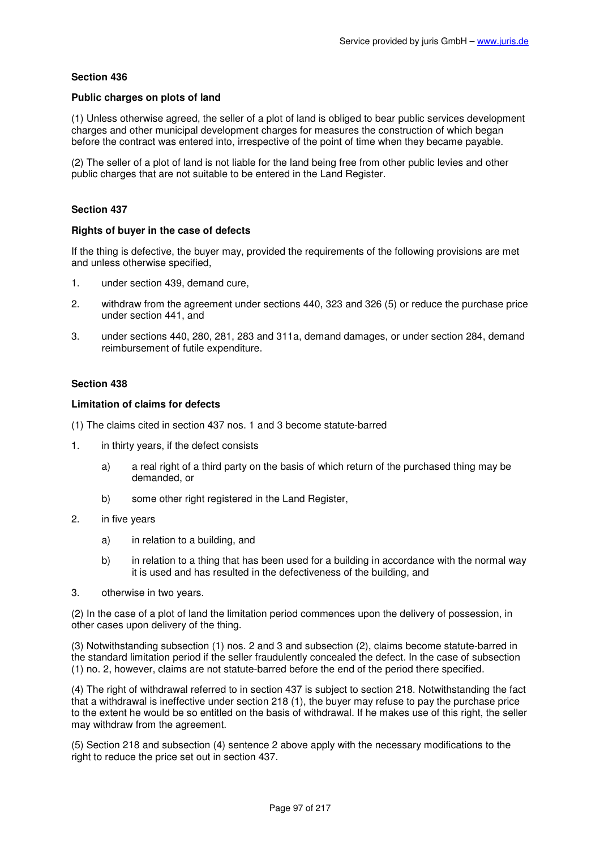### **Public charges on plots of land**

(1) Unless otherwise agreed, the seller of a plot of land is obliged to bear public services development charges and other municipal development charges for measures the construction of which began before the contract was entered into, irrespective of the point of time when they became payable.

(2) The seller of a plot of land is not liable for the land being free from other public levies and other public charges that are not suitable to be entered in the Land Register.

### **Section 437**

### **Rights of buyer in the case of defects**

If the thing is defective, the buyer may, provided the requirements of the following provisions are met and unless otherwise specified,

- 1. under section 439, demand cure,
- 2. withdraw from the agreement under sections 440, 323 and 326 (5) or reduce the purchase price under section 441, and
- 3. under sections 440, 280, 281, 283 and 311a, demand damages, or under section 284, demand reimbursement of futile expenditure.

# **Section 438**

### **Limitation of claims for defects**

- (1) The claims cited in section 437 nos. 1 and 3 become statute-barred
- 1. in thirty years, if the defect consists
	- a) a real right of a third party on the basis of which return of the purchased thing may be demanded, or
	- b) some other right registered in the Land Register,
- 2. in five years
	- a) in relation to a building, and
	- b) in relation to a thing that has been used for a building in accordance with the normal way it is used and has resulted in the defectiveness of the building, and
- 3. otherwise in two years.

(2) In the case of a plot of land the limitation period commences upon the delivery of possession, in other cases upon delivery of the thing.

(3) Notwithstanding subsection (1) nos. 2 and 3 and subsection (2), claims become statute-barred in the standard limitation period if the seller fraudulently concealed the defect. In the case of subsection (1) no. 2, however, claims are not statute-barred before the end of the period there specified.

(4) The right of withdrawal referred to in section 437 is subject to section 218. Notwithstanding the fact that a withdrawal is ineffective under section 218 (1), the buyer may refuse to pay the purchase price to the extent he would be so entitled on the basis of withdrawal. If he makes use of this right, the seller may withdraw from the agreement.

(5) Section 218 and subsection (4) sentence 2 above apply with the necessary modifications to the right to reduce the price set out in section 437.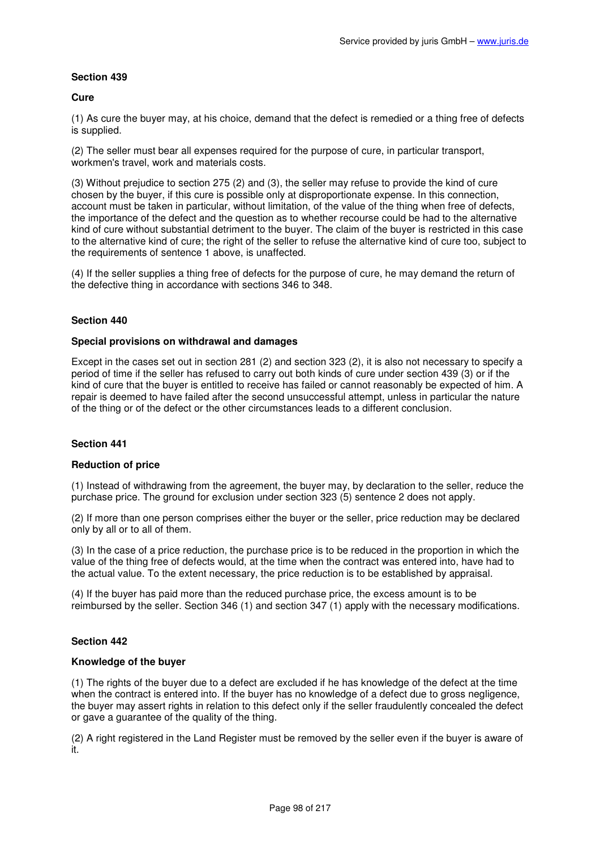### **Cure**

(1) As cure the buyer may, at his choice, demand that the defect is remedied or a thing free of defects is supplied.

(2) The seller must bear all expenses required for the purpose of cure, in particular transport, workmen's travel, work and materials costs.

(3) Without prejudice to section 275 (2) and (3), the seller may refuse to provide the kind of cure chosen by the buyer, if this cure is possible only at disproportionate expense. In this connection, account must be taken in particular, without limitation, of the value of the thing when free of defects, the importance of the defect and the question as to whether recourse could be had to the alternative kind of cure without substantial detriment to the buyer. The claim of the buyer is restricted in this case to the alternative kind of cure; the right of the seller to refuse the alternative kind of cure too, subject to the requirements of sentence 1 above, is unaffected.

(4) If the seller supplies a thing free of defects for the purpose of cure, he may demand the return of the defective thing in accordance with sections 346 to 348.

# **Section 440**

#### **Special provisions on withdrawal and damages**

Except in the cases set out in section 281 (2) and section 323 (2), it is also not necessary to specify a period of time if the seller has refused to carry out both kinds of cure under section 439 (3) or if the kind of cure that the buyer is entitled to receive has failed or cannot reasonably be expected of him. A repair is deemed to have failed after the second unsuccessful attempt, unless in particular the nature of the thing or of the defect or the other circumstances leads to a different conclusion.

### **Section 441**

### **Reduction of price**

(1) Instead of withdrawing from the agreement, the buyer may, by declaration to the seller, reduce the purchase price. The ground for exclusion under section 323 (5) sentence 2 does not apply.

(2) If more than one person comprises either the buyer or the seller, price reduction may be declared only by all or to all of them.

(3) In the case of a price reduction, the purchase price is to be reduced in the proportion in which the value of the thing free of defects would, at the time when the contract was entered into, have had to the actual value. To the extent necessary, the price reduction is to be established by appraisal.

(4) If the buyer has paid more than the reduced purchase price, the excess amount is to be reimbursed by the seller. Section 346 (1) and section 347 (1) apply with the necessary modifications.

### **Section 442**

### **Knowledge of the buyer**

(1) The rights of the buyer due to a defect are excluded if he has knowledge of the defect at the time when the contract is entered into. If the buyer has no knowledge of a defect due to gross negligence, the buyer may assert rights in relation to this defect only if the seller fraudulently concealed the defect or gave a guarantee of the quality of the thing.

(2) A right registered in the Land Register must be removed by the seller even if the buyer is aware of it.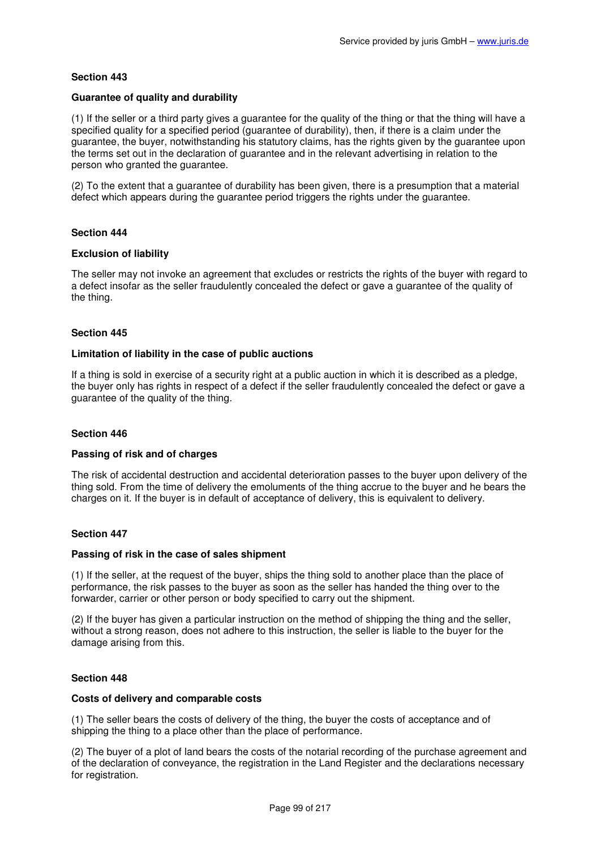### **Guarantee of quality and durability**

(1) If the seller or a third party gives a guarantee for the quality of the thing or that the thing will have a specified quality for a specified period (quarantee of durability), then, if there is a claim under the guarantee, the buyer, notwithstanding his statutory claims, has the rights given by the guarantee upon the terms set out in the declaration of guarantee and in the relevant advertising in relation to the person who granted the guarantee.

(2) To the extent that a guarantee of durability has been given, there is a presumption that a material defect which appears during the guarantee period triggers the rights under the guarantee.

# **Section 444**

### **Exclusion of liability**

The seller may not invoke an agreement that excludes or restricts the rights of the buyer with regard to a defect insofar as the seller fraudulently concealed the defect or gave a guarantee of the quality of the thing.

### **Section 445**

### **Limitation of liability in the case of public auctions**

If a thing is sold in exercise of a security right at a public auction in which it is described as a pledge, the buyer only has rights in respect of a defect if the seller fraudulently concealed the defect or gave a guarantee of the quality of the thing.

### **Section 446**

### **Passing of risk and of charges**

The risk of accidental destruction and accidental deterioration passes to the buyer upon delivery of the thing sold. From the time of delivery the emoluments of the thing accrue to the buyer and he bears the charges on it. If the buyer is in default of acceptance of delivery, this is equivalent to delivery.

### **Section 447**

### **Passing of risk in the case of sales shipment**

(1) If the seller, at the request of the buyer, ships the thing sold to another place than the place of performance, the risk passes to the buyer as soon as the seller has handed the thing over to the forwarder, carrier or other person or body specified to carry out the shipment.

(2) If the buyer has given a particular instruction on the method of shipping the thing and the seller, without a strong reason, does not adhere to this instruction, the seller is liable to the buyer for the damage arising from this.

### **Section 448**

#### **Costs of delivery and comparable costs**

(1) The seller bears the costs of delivery of the thing, the buyer the costs of acceptance and of shipping the thing to a place other than the place of performance.

(2) The buyer of a plot of land bears the costs of the notarial recording of the purchase agreement and of the declaration of conveyance, the registration in the Land Register and the declarations necessary for registration.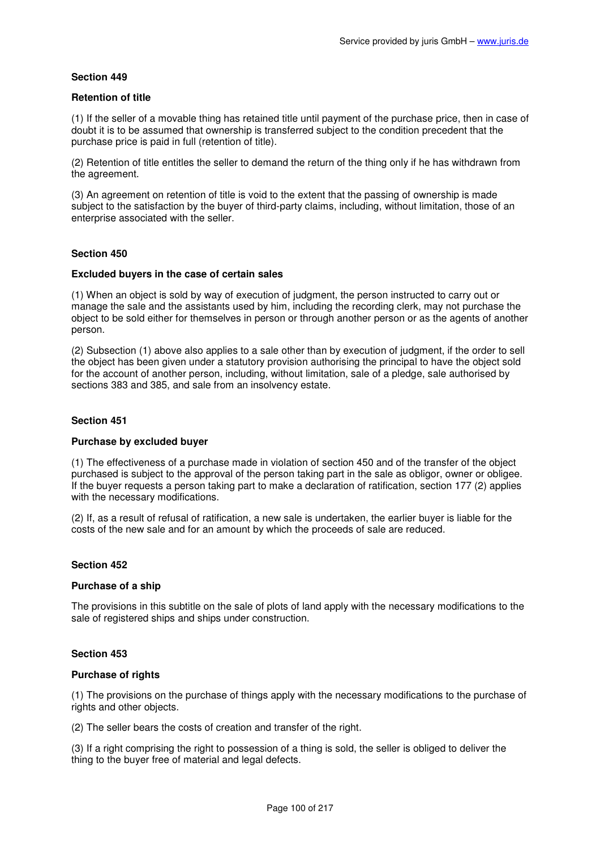### **Retention of title**

(1) If the seller of a movable thing has retained title until payment of the purchase price, then in case of doubt it is to be assumed that ownership is transferred subject to the condition precedent that the purchase price is paid in full (retention of title).

(2) Retention of title entitles the seller to demand the return of the thing only if he has withdrawn from the agreement.

(3) An agreement on retention of title is void to the extent that the passing of ownership is made subject to the satisfaction by the buyer of third-party claims, including, without limitation, those of an enterprise associated with the seller.

### **Section 450**

### **Excluded buyers in the case of certain sales**

(1) When an object is sold by way of execution of judgment, the person instructed to carry out or manage the sale and the assistants used by him, including the recording clerk, may not purchase the object to be sold either for themselves in person or through another person or as the agents of another person.

(2) Subsection (1) above also applies to a sale other than by execution of judgment, if the order to sell the object has been given under a statutory provision authorising the principal to have the object sold for the account of another person, including, without limitation, sale of a pledge, sale authorised by sections 383 and 385, and sale from an insolvency estate.

# **Section 451**

### **Purchase by excluded buyer**

(1) The effectiveness of a purchase made in violation of section 450 and of the transfer of the object purchased is subject to the approval of the person taking part in the sale as obligor, owner or obligee. If the buyer requests a person taking part to make a declaration of ratification, section 177 (2) applies with the necessary modifications.

(2) If, as a result of refusal of ratification, a new sale is undertaken, the earlier buyer is liable for the costs of the new sale and for an amount by which the proceeds of sale are reduced.

### **Section 452**

### **Purchase of a ship**

The provisions in this subtitle on the sale of plots of land apply with the necessary modifications to the sale of registered ships and ships under construction.

### **Section 453**

### **Purchase of rights**

(1) The provisions on the purchase of things apply with the necessary modifications to the purchase of rights and other objects.

(2) The seller bears the costs of creation and transfer of the right.

(3) If a right comprising the right to possession of a thing is sold, the seller is obliged to deliver the thing to the buyer free of material and legal defects.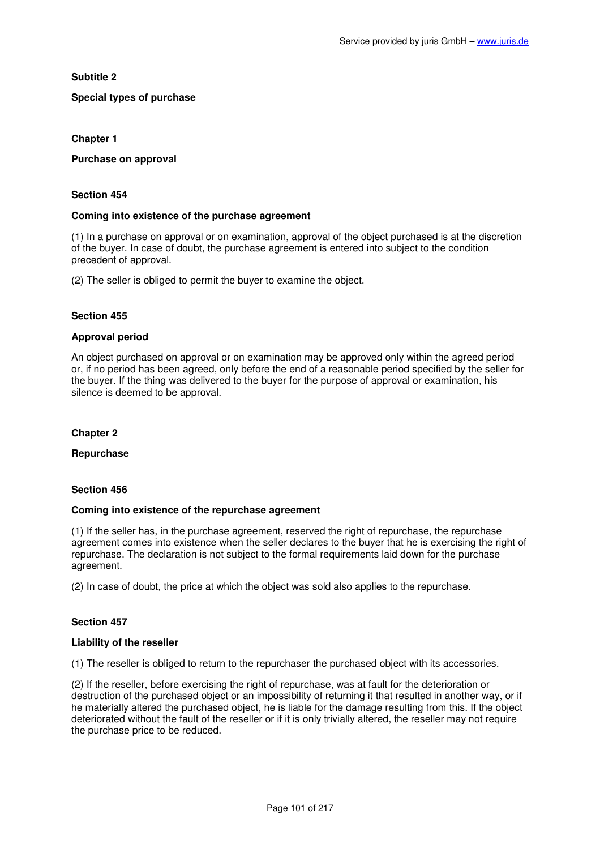# **Subtitle 2**

# **Special types of purchase**

# **Chapter 1**

### **Purchase on approval**

### **Section 454**

# **Coming into existence of the purchase agreement**

(1) In a purchase on approval or on examination, approval of the object purchased is at the discretion of the buyer. In case of doubt, the purchase agreement is entered into subject to the condition precedent of approval.

(2) The seller is obliged to permit the buyer to examine the object.

# **Section 455**

# **Approval period**

An object purchased on approval or on examination may be approved only within the agreed period or, if no period has been agreed, only before the end of a reasonable period specified by the seller for the buyer. If the thing was delivered to the buyer for the purpose of approval or examination, his silence is deemed to be approval.

# **Chapter 2**

# **Repurchase**

### **Section 456**

# **Coming into existence of the repurchase agreement**

(1) If the seller has, in the purchase agreement, reserved the right of repurchase, the repurchase agreement comes into existence when the seller declares to the buyer that he is exercising the right of repurchase. The declaration is not subject to the formal requirements laid down for the purchase agreement.

(2) In case of doubt, the price at which the object was sold also applies to the repurchase.

# **Section 457**

### **Liability of the reseller**

(1) The reseller is obliged to return to the repurchaser the purchased object with its accessories.

(2) If the reseller, before exercising the right of repurchase, was at fault for the deterioration or destruction of the purchased object or an impossibility of returning it that resulted in another way, or if he materially altered the purchased object, he is liable for the damage resulting from this. If the object deteriorated without the fault of the reseller or if it is only trivially altered, the reseller may not require the purchase price to be reduced.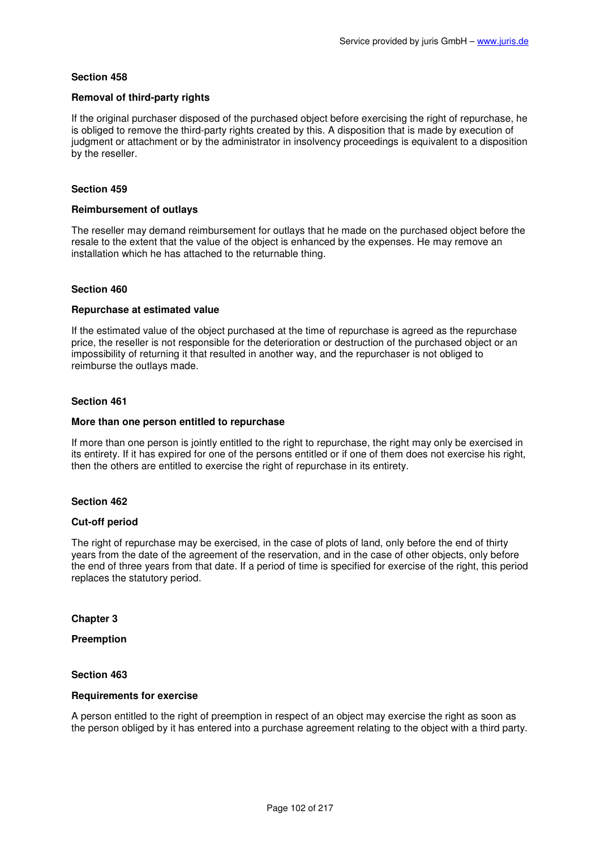### **Removal of third-party rights**

If the original purchaser disposed of the purchased object before exercising the right of repurchase, he is obliged to remove the third-party rights created by this. A disposition that is made by execution of judgment or attachment or by the administrator in insolvency proceedings is equivalent to a disposition by the reseller.

# **Section 459**

#### **Reimbursement of outlays**

The reseller may demand reimbursement for outlays that he made on the purchased object before the resale to the extent that the value of the object is enhanced by the expenses. He may remove an installation which he has attached to the returnable thing.

### **Section 460**

### **Repurchase at estimated value**

If the estimated value of the object purchased at the time of repurchase is agreed as the repurchase price, the reseller is not responsible for the deterioration or destruction of the purchased object or an impossibility of returning it that resulted in another way, and the repurchaser is not obliged to reimburse the outlays made.

### **Section 461**

#### **More than one person entitled to repurchase**

If more than one person is jointly entitled to the right to repurchase, the right may only be exercised in its entirety. If it has expired for one of the persons entitled or if one of them does not exercise his right, then the others are entitled to exercise the right of repurchase in its entirety.

### **Section 462**

### **Cut-off period**

The right of repurchase may be exercised, in the case of plots of land, only before the end of thirty years from the date of the agreement of the reservation, and in the case of other objects, only before the end of three years from that date. If a period of time is specified for exercise of the right, this period replaces the statutory period.

**Chapter 3** 

**Preemption** 

### **Section 463**

### **Requirements for exercise**

A person entitled to the right of preemption in respect of an object may exercise the right as soon as the person obliged by it has entered into a purchase agreement relating to the object with a third party.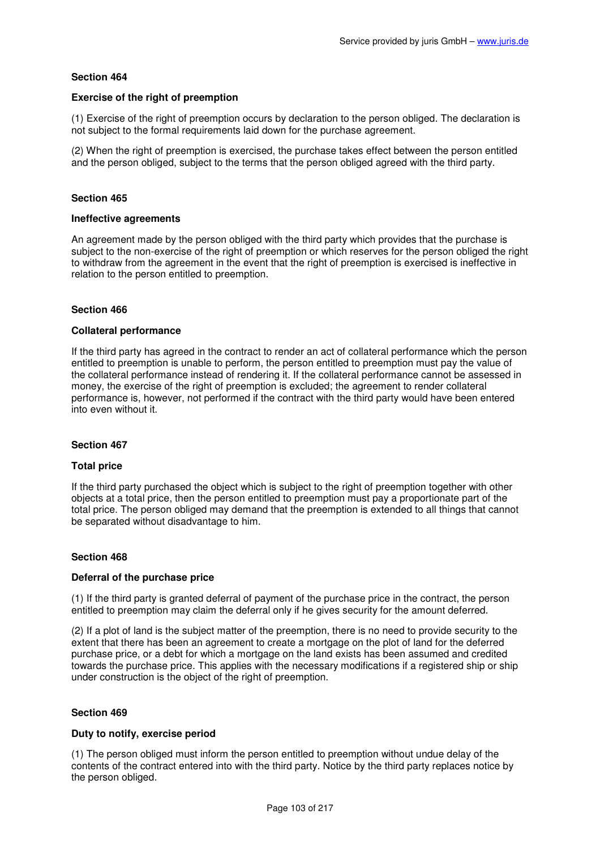### **Exercise of the right of preemption**

(1) Exercise of the right of preemption occurs by declaration to the person obliged. The declaration is not subject to the formal requirements laid down for the purchase agreement.

(2) When the right of preemption is exercised, the purchase takes effect between the person entitled and the person obliged, subject to the terms that the person obliged agreed with the third party.

### **Section 465**

#### **Ineffective agreements**

An agreement made by the person obliged with the third party which provides that the purchase is subject to the non-exercise of the right of preemption or which reserves for the person obliged the right to withdraw from the agreement in the event that the right of preemption is exercised is ineffective in relation to the person entitled to preemption.

### **Section 466**

### **Collateral performance**

If the third party has agreed in the contract to render an act of collateral performance which the person entitled to preemption is unable to perform, the person entitled to preemption must pay the value of the collateral performance instead of rendering it. If the collateral performance cannot be assessed in money, the exercise of the right of preemption is excluded; the agreement to render collateral performance is, however, not performed if the contract with the third party would have been entered into even without it.

### **Section 467**

### **Total price**

If the third party purchased the object which is subject to the right of preemption together with other objects at a total price, then the person entitled to preemption must pay a proportionate part of the total price. The person obliged may demand that the preemption is extended to all things that cannot be separated without disadvantage to him.

### **Section 468**

### **Deferral of the purchase price**

(1) If the third party is granted deferral of payment of the purchase price in the contract, the person entitled to preemption may claim the deferral only if he gives security for the amount deferred.

(2) If a plot of land is the subject matter of the preemption, there is no need to provide security to the extent that there has been an agreement to create a mortgage on the plot of land for the deferred purchase price, or a debt for which a mortgage on the land exists has been assumed and credited towards the purchase price. This applies with the necessary modifications if a registered ship or ship under construction is the object of the right of preemption.

### **Section 469**

### **Duty to notify, exercise period**

(1) The person obliged must inform the person entitled to preemption without undue delay of the contents of the contract entered into with the third party. Notice by the third party replaces notice by the person obliged.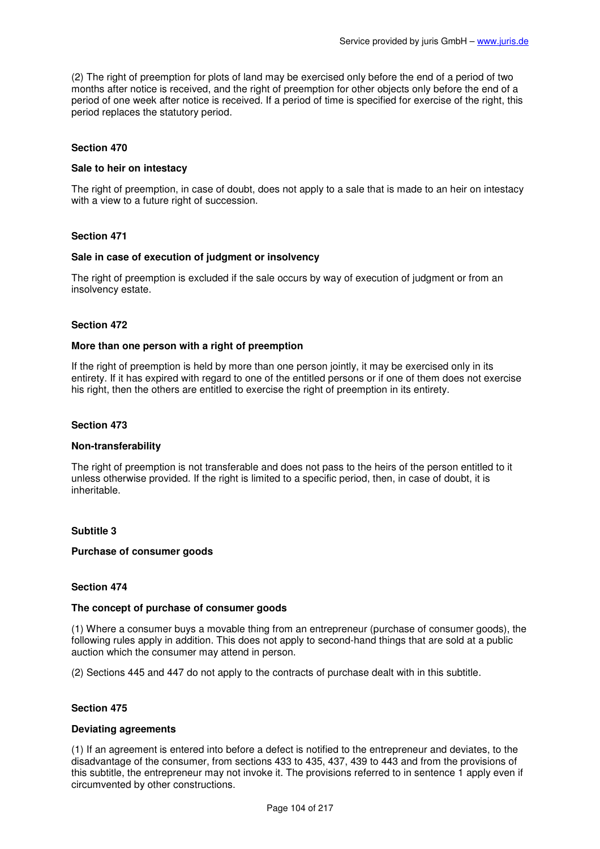(2) The right of preemption for plots of land may be exercised only before the end of a period of two months after notice is received, and the right of preemption for other objects only before the end of a period of one week after notice is received. If a period of time is specified for exercise of the right, this period replaces the statutory period.

### **Section 470**

### **Sale to heir on intestacy**

The right of preemption, in case of doubt, does not apply to a sale that is made to an heir on intestacy with a view to a future right of succession.

### **Section 471**

### **Sale in case of execution of judgment or insolvency**

The right of preemption is excluded if the sale occurs by way of execution of judgment or from an insolvency estate.

### **Section 472**

#### **More than one person with a right of preemption**

If the right of preemption is held by more than one person jointly, it may be exercised only in its entirety. If it has expired with regard to one of the entitled persons or if one of them does not exercise his right, then the others are entitled to exercise the right of preemption in its entirety.

#### **Section 473**

#### **Non-transferability**

The right of preemption is not transferable and does not pass to the heirs of the person entitled to it unless otherwise provided. If the right is limited to a specific period, then, in case of doubt, it is inheritable.

### **Subtitle 3**

### **Purchase of consumer goods**

### **Section 474**

#### **The concept of purchase of consumer goods**

(1) Where a consumer buys a movable thing from an entrepreneur (purchase of consumer goods), the following rules apply in addition. This does not apply to second-hand things that are sold at a public auction which the consumer may attend in person.

(2) Sections 445 and 447 do not apply to the contracts of purchase dealt with in this subtitle.

#### **Section 475**

#### **Deviating agreements**

(1) If an agreement is entered into before a defect is notified to the entrepreneur and deviates, to the disadvantage of the consumer, from sections 433 to 435, 437, 439 to 443 and from the provisions of this subtitle, the entrepreneur may not invoke it. The provisions referred to in sentence 1 apply even if circumvented by other constructions.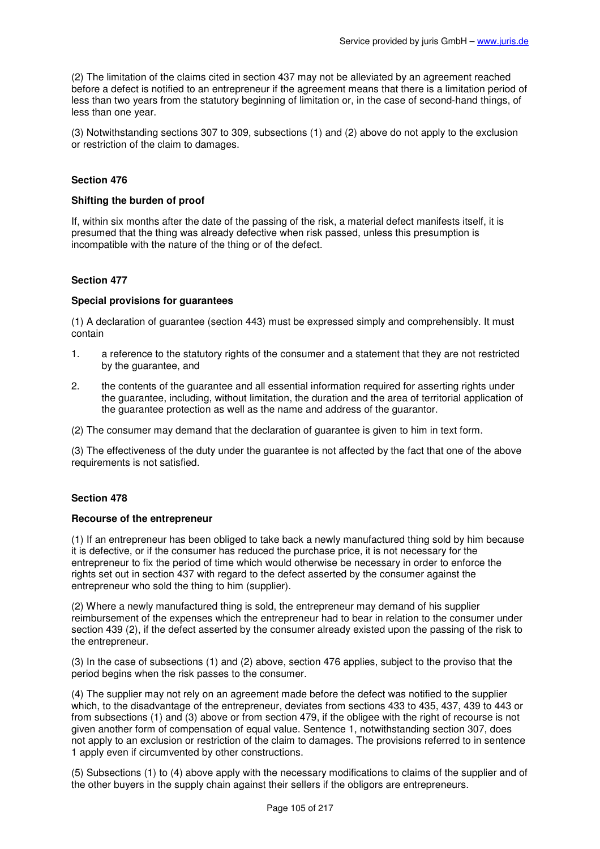(2) The limitation of the claims cited in section 437 may not be alleviated by an agreement reached before a defect is notified to an entrepreneur if the agreement means that there is a limitation period of less than two years from the statutory beginning of limitation or, in the case of second-hand things, of less than one year.

(3) Notwithstanding sections 307 to 309, subsections (1) and (2) above do not apply to the exclusion or restriction of the claim to damages.

# **Section 476**

### **Shifting the burden of proof**

If, within six months after the date of the passing of the risk, a material defect manifests itself, it is presumed that the thing was already defective when risk passed, unless this presumption is incompatible with the nature of the thing or of the defect.

### **Section 477**

#### **Special provisions for guarantees**

(1) A declaration of guarantee (section 443) must be expressed simply and comprehensibly. It must contain

- 1. a reference to the statutory rights of the consumer and a statement that they are not restricted by the guarantee, and
- 2. the contents of the guarantee and all essential information required for asserting rights under the guarantee, including, without limitation, the duration and the area of territorial application of the guarantee protection as well as the name and address of the guarantor.

(2) The consumer may demand that the declaration of guarantee is given to him in text form.

(3) The effectiveness of the duty under the guarantee is not affected by the fact that one of the above requirements is not satisfied.

### **Section 478**

### **Recourse of the entrepreneur**

(1) If an entrepreneur has been obliged to take back a newly manufactured thing sold by him because it is defective, or if the consumer has reduced the purchase price, it is not necessary for the entrepreneur to fix the period of time which would otherwise be necessary in order to enforce the rights set out in section 437 with regard to the defect asserted by the consumer against the entrepreneur who sold the thing to him (supplier).

(2) Where a newly manufactured thing is sold, the entrepreneur may demand of his supplier reimbursement of the expenses which the entrepreneur had to bear in relation to the consumer under section 439 (2), if the defect asserted by the consumer already existed upon the passing of the risk to the entrepreneur.

(3) In the case of subsections (1) and (2) above, section 476 applies, subject to the proviso that the period begins when the risk passes to the consumer.

(4) The supplier may not rely on an agreement made before the defect was notified to the supplier which, to the disadvantage of the entrepreneur, deviates from sections 433 to 435, 437, 439 to 443 or from subsections (1) and (3) above or from section 479, if the obligee with the right of recourse is not given another form of compensation of equal value. Sentence 1, notwithstanding section 307, does not apply to an exclusion or restriction of the claim to damages. The provisions referred to in sentence 1 apply even if circumvented by other constructions.

(5) Subsections (1) to (4) above apply with the necessary modifications to claims of the supplier and of the other buyers in the supply chain against their sellers if the obligors are entrepreneurs.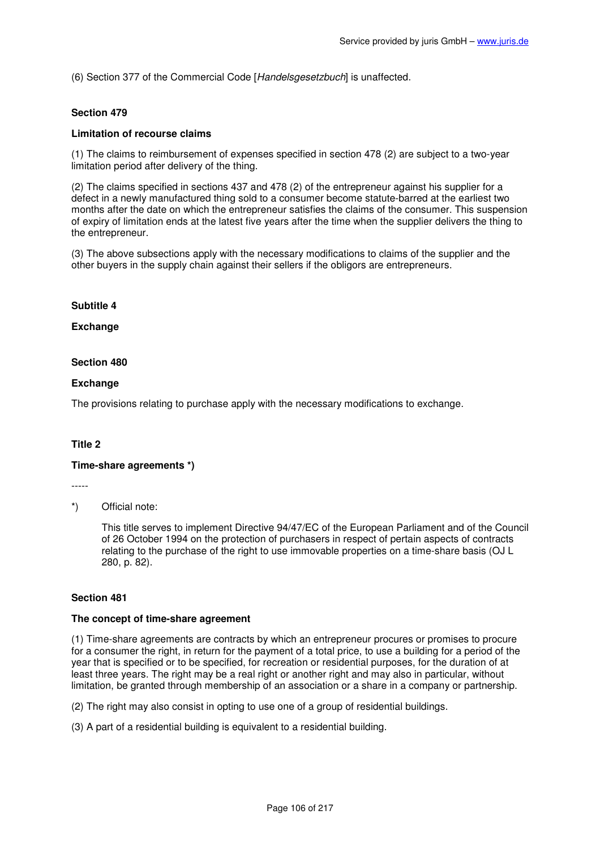(6) Section 377 of the Commercial Code [Handelsgesetzbuch] is unaffected.

### **Section 479**

### **Limitation of recourse claims**

(1) The claims to reimbursement of expenses specified in section 478 (2) are subject to a two-year limitation period after delivery of the thing.

(2) The claims specified in sections 437 and 478 (2) of the entrepreneur against his supplier for a defect in a newly manufactured thing sold to a consumer become statute-barred at the earliest two months after the date on which the entrepreneur satisfies the claims of the consumer. This suspension of expiry of limitation ends at the latest five years after the time when the supplier delivers the thing to the entrepreneur.

(3) The above subsections apply with the necessary modifications to claims of the supplier and the other buyers in the supply chain against their sellers if the obligors are entrepreneurs.

#### **Subtitle 4**

### **Exchange**

#### **Section 480**

### **Exchange**

The provisions relating to purchase apply with the necessary modifications to exchange.

### **Title 2**

#### **Time-share agreements \*)**

-----

### \*) Official note:

This title serves to implement Directive 94/47/EC of the European Parliament and of the Council of 26 October 1994 on the protection of purchasers in respect of pertain aspects of contracts relating to the purchase of the right to use immovable properties on a time-share basis (OJ L 280, p. 82).

### **Section 481**

#### **The concept of time-share agreement**

(1) Time-share agreements are contracts by which an entrepreneur procures or promises to procure for a consumer the right, in return for the payment of a total price, to use a building for a period of the year that is specified or to be specified, for recreation or residential purposes, for the duration of at least three years. The right may be a real right or another right and may also in particular, without limitation, be granted through membership of an association or a share in a company or partnership.

(2) The right may also consist in opting to use one of a group of residential buildings.

(3) A part of a residential building is equivalent to a residential building.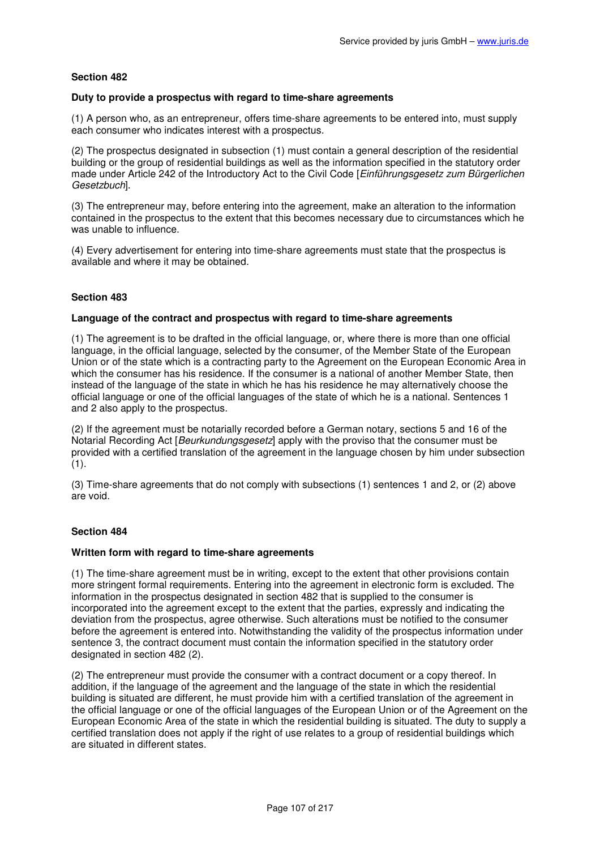### **Duty to provide a prospectus with regard to time-share agreements**

(1) A person who, as an entrepreneur, offers time-share agreements to be entered into, must supply each consumer who indicates interest with a prospectus.

(2) The prospectus designated in subsection (1) must contain a general description of the residential building or the group of residential buildings as well as the information specified in the statutory order made under Article 242 of the Introductory Act to the Civil Code [Einführungsgesetz zum Bürgerlichen] Gesetzbuch].

(3) The entrepreneur may, before entering into the agreement, make an alteration to the information contained in the prospectus to the extent that this becomes necessary due to circumstances which he was unable to influence.

(4) Every advertisement for entering into time-share agreements must state that the prospectus is available and where it may be obtained.

# **Section 483**

# **Language of the contract and prospectus with regard to time-share agreements**

(1) The agreement is to be drafted in the official language, or, where there is more than one official language, in the official language, selected by the consumer, of the Member State of the European Union or of the state which is a contracting party to the Agreement on the European Economic Area in which the consumer has his residence. If the consumer is a national of another Member State, then instead of the language of the state in which he has his residence he may alternatively choose the official language or one of the official languages of the state of which he is a national. Sentences 1 and 2 also apply to the prospectus.

(2) If the agreement must be notarially recorded before a German notary, sections 5 and 16 of the Notarial Recording Act [Beurkundungsgesetz] apply with the proviso that the consumer must be provided with a certified translation of the agreement in the language chosen by him under subsection  $(1).$ 

(3) Time-share agreements that do not comply with subsections (1) sentences 1 and 2, or (2) above are void.

### **Section 484**

### **Written form with regard to time-share agreements**

(1) The time-share agreement must be in writing, except to the extent that other provisions contain more stringent formal requirements. Entering into the agreement in electronic form is excluded. The information in the prospectus designated in section 482 that is supplied to the consumer is incorporated into the agreement except to the extent that the parties, expressly and indicating the deviation from the prospectus, agree otherwise. Such alterations must be notified to the consumer before the agreement is entered into. Notwithstanding the validity of the prospectus information under sentence 3, the contract document must contain the information specified in the statutory order designated in section 482 (2).

(2) The entrepreneur must provide the consumer with a contract document or a copy thereof. In addition, if the language of the agreement and the language of the state in which the residential building is situated are different, he must provide him with a certified translation of the agreement in the official language or one of the official languages of the European Union or of the Agreement on the European Economic Area of the state in which the residential building is situated. The duty to supply a certified translation does not apply if the right of use relates to a group of residential buildings which are situated in different states.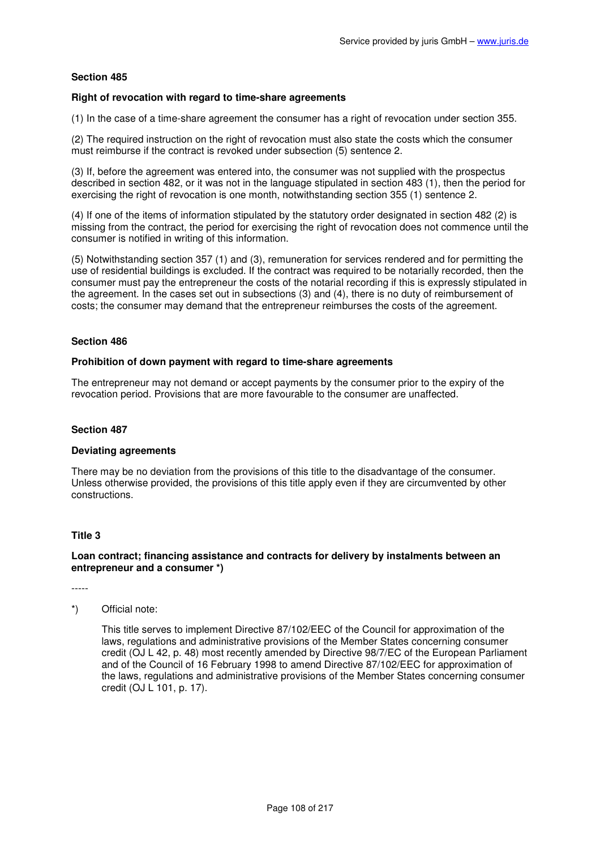### **Right of revocation with regard to time-share agreements**

(1) In the case of a time-share agreement the consumer has a right of revocation under section 355.

(2) The required instruction on the right of revocation must also state the costs which the consumer must reimburse if the contract is revoked under subsection (5) sentence 2.

(3) If, before the agreement was entered into, the consumer was not supplied with the prospectus described in section 482, or it was not in the language stipulated in section 483 (1), then the period for exercising the right of revocation is one month, notwithstanding section 355 (1) sentence 2.

(4) If one of the items of information stipulated by the statutory order designated in section 482 (2) is missing from the contract, the period for exercising the right of revocation does not commence until the consumer is notified in writing of this information.

(5) Notwithstanding section 357 (1) and (3), remuneration for services rendered and for permitting the use of residential buildings is excluded. If the contract was required to be notarially recorded, then the consumer must pay the entrepreneur the costs of the notarial recording if this is expressly stipulated in the agreement. In the cases set out in subsections (3) and (4), there is no duty of reimbursement of costs; the consumer may demand that the entrepreneur reimburses the costs of the agreement.

### **Section 486**

#### **Prohibition of down payment with regard to time-share agreements**

The entrepreneur may not demand or accept payments by the consumer prior to the expiry of the revocation period. Provisions that are more favourable to the consumer are unaffected.

#### **Section 487**

#### **Deviating agreements**

There may be no deviation from the provisions of this title to the disadvantage of the consumer. Unless otherwise provided, the provisions of this title apply even if they are circumvented by other constructions.

### **Title 3**

### **Loan contract; financing assistance and contracts for delivery by instalments between an entrepreneur and a consumer \*)**

-----

# \*) Official note:

This title serves to implement Directive 87/102/EEC of the Council for approximation of the laws, regulations and administrative provisions of the Member States concerning consumer credit (OJ L 42, p. 48) most recently amended by Directive 98/7/EC of the European Parliament and of the Council of 16 February 1998 to amend Directive 87/102/EEC for approximation of the laws, regulations and administrative provisions of the Member States concerning consumer credit (OJ L 101, p. 17).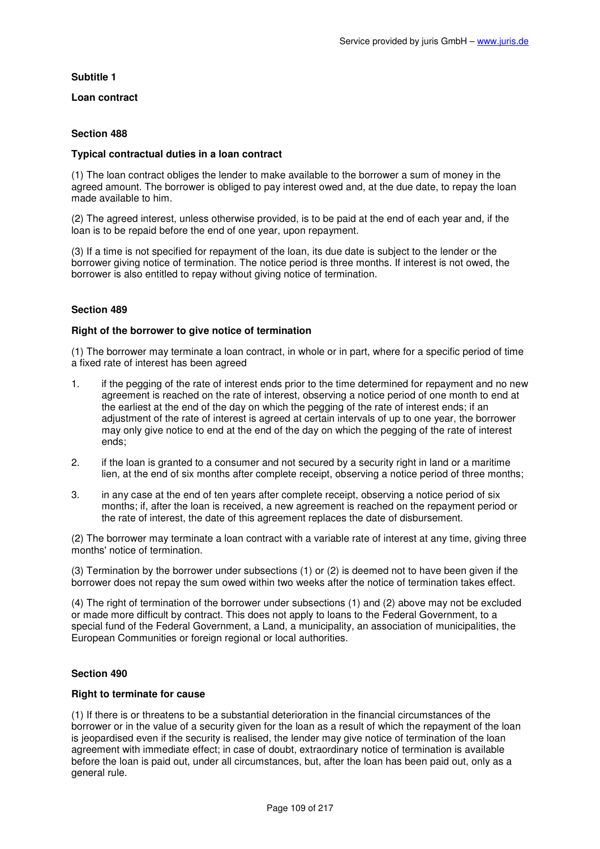# **Subtitle 1**

**Loan contract** 

# **Section 488**

## **Typical contractual duties in a loan contract**

(1) The loan contract obliges the lender to make available to the borrower a sum of money in the agreed amount. The borrower is obliged to pay interest owed and, at the due date, to repay the loan made available to him.

(2) The agreed interest, unless otherwise provided, is to be paid at the end of each year and, if the loan is to be repaid before the end of one year, upon repayment.

(3) If a time is not specified for repayment of the loan, its due date is subject to the lender or the borrower giving notice of termination. The notice period is three months. If interest is not owed, the borrower is also entitled to repay without giving notice of termination.

# **Section 489**

## **Right of the borrower to give notice of termination**

(1) The borrower may terminate a loan contract, in whole or in part, where for a specific period of time a fixed rate of interest has been agreed

- 1. if the pegging of the rate of interest ends prior to the time determined for repayment and no new agreement is reached on the rate of interest, observing a notice period of one month to end at the earliest at the end of the day on which the pegging of the rate of interest ends; if an adjustment of the rate of interest is agreed at certain intervals of up to one year, the borrower may only give notice to end at the end of the day on which the pegging of the rate of interest ends;
- 2. if the loan is granted to a consumer and not secured by a security right in land or a maritime lien, at the end of six months after complete receipt, observing a notice period of three months;
- 3. in any case at the end of ten years after complete receipt, observing a notice period of six months; if, after the loan is received, a new agreement is reached on the repayment period or the rate of interest, the date of this agreement replaces the date of disbursement.

(2) The borrower may terminate a loan contract with a variable rate of interest at any time, giving three months' notice of termination.

(3) Termination by the borrower under subsections (1) or (2) is deemed not to have been given if the borrower does not repay the sum owed within two weeks after the notice of termination takes effect.

(4) The right of termination of the borrower under subsections (1) and (2) above may not be excluded or made more difficult by contract. This does not apply to loans to the Federal Government, to a special fund of the Federal Government, a Land, a municipality, an association of municipalities, the European Communities or foreign regional or local authorities.

## **Section 490**

## **Right to terminate for cause**

(1) If there is or threatens to be a substantial deterioration in the financial circumstances of the borrower or in the value of a security given for the loan as a result of which the repayment of the loan is jeopardised even if the security is realised, the lender may give notice of termination of the loan agreement with immediate effect; in case of doubt, extraordinary notice of termination is available before the loan is paid out, under all circumstances, but, after the loan has been paid out, only as a general rule.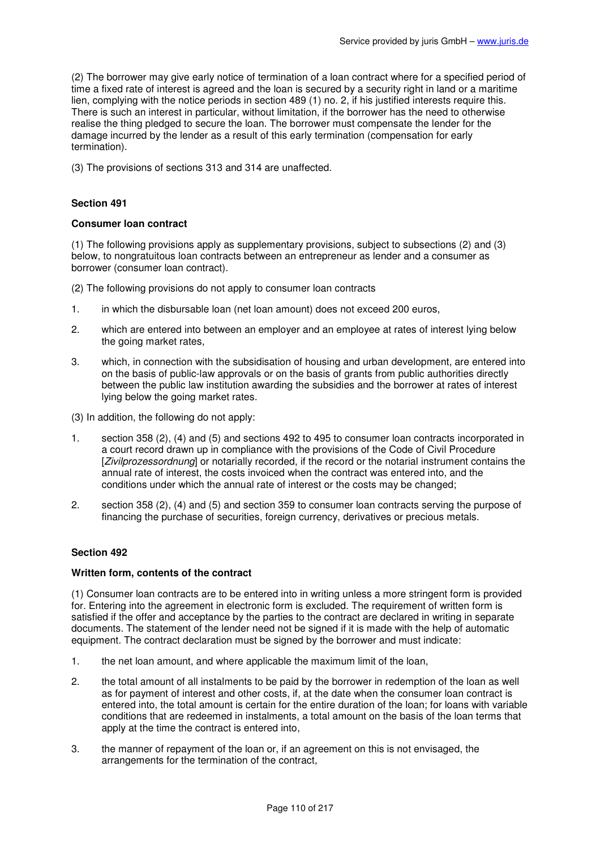(2) The borrower may give early notice of termination of a loan contract where for a specified period of time a fixed rate of interest is agreed and the loan is secured by a security right in land or a maritime lien, complying with the notice periods in section 489 (1) no. 2, if his justified interests require this. There is such an interest in particular, without limitation, if the borrower has the need to otherwise realise the thing pledged to secure the loan. The borrower must compensate the lender for the damage incurred by the lender as a result of this early termination (compensation for early termination).

(3) The provisions of sections 313 and 314 are unaffected.

# **Section 491**

## **Consumer loan contract**

(1) The following provisions apply as supplementary provisions, subject to subsections (2) and (3) below, to nongratuitous loan contracts between an entrepreneur as lender and a consumer as borrower (consumer loan contract).

(2) The following provisions do not apply to consumer loan contracts

- 1. in which the disbursable loan (net loan amount) does not exceed 200 euros,
- 2. which are entered into between an employer and an employee at rates of interest lying below the going market rates.
- 3. which, in connection with the subsidisation of housing and urban development, are entered into on the basis of public-law approvals or on the basis of grants from public authorities directly between the public law institution awarding the subsidies and the borrower at rates of interest lying below the going market rates.
- (3) In addition, the following do not apply:
- 1. section 358 (2), (4) and (5) and sections 492 to 495 to consumer loan contracts incorporated in a court record drawn up in compliance with the provisions of the Code of Civil Procedure [Zivilprozessordnung] or notarially recorded, if the record or the notarial instrument contains the annual rate of interest, the costs invoiced when the contract was entered into, and the conditions under which the annual rate of interest or the costs may be changed;
- 2. section 358 (2), (4) and (5) and section 359 to consumer loan contracts serving the purpose of financing the purchase of securities, foreign currency, derivatives or precious metals.

## **Section 492**

## **Written form, contents of the contract**

(1) Consumer loan contracts are to be entered into in writing unless a more stringent form is provided for. Entering into the agreement in electronic form is excluded. The requirement of written form is satisfied if the offer and acceptance by the parties to the contract are declared in writing in separate documents. The statement of the lender need not be signed if it is made with the help of automatic equipment. The contract declaration must be signed by the borrower and must indicate:

- 1. the net loan amount, and where applicable the maximum limit of the loan,
- 2. the total amount of all instalments to be paid by the borrower in redemption of the loan as well as for payment of interest and other costs, if, at the date when the consumer loan contract is entered into, the total amount is certain for the entire duration of the loan; for loans with variable conditions that are redeemed in instalments, a total amount on the basis of the loan terms that apply at the time the contract is entered into,
- 3. the manner of repayment of the loan or, if an agreement on this is not envisaged, the arrangements for the termination of the contract,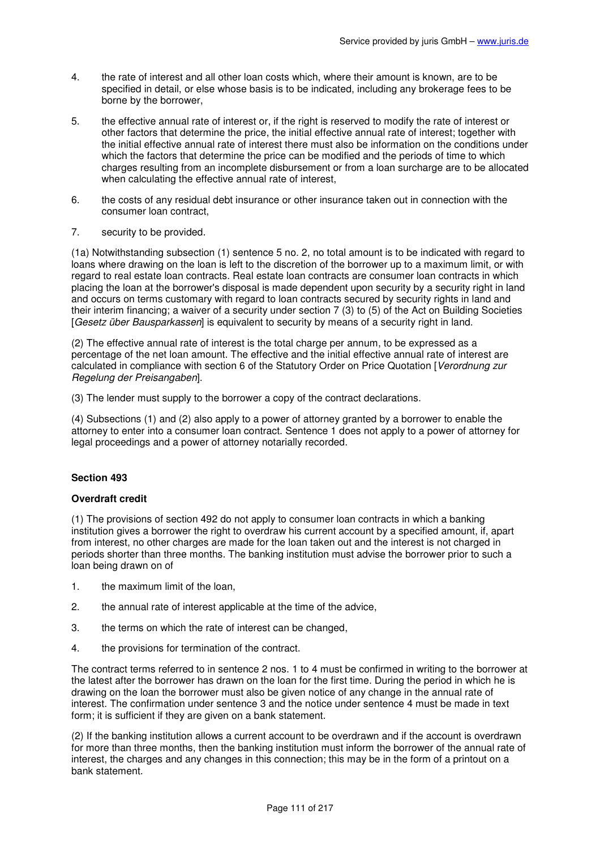- 4. the rate of interest and all other loan costs which, where their amount is known, are to be specified in detail, or else whose basis is to be indicated, including any brokerage fees to be borne by the borrower,
- 5. the effective annual rate of interest or, if the right is reserved to modify the rate of interest or other factors that determine the price, the initial effective annual rate of interest; together with the initial effective annual rate of interest there must also be information on the conditions under which the factors that determine the price can be modified and the periods of time to which charges resulting from an incomplete disbursement or from a loan surcharge are to be allocated when calculating the effective annual rate of interest,
- 6. the costs of any residual debt insurance or other insurance taken out in connection with the consumer loan contract,
- 7. security to be provided.

(1a) Notwithstanding subsection (1) sentence 5 no. 2, no total amount is to be indicated with regard to loans where drawing on the loan is left to the discretion of the borrower up to a maximum limit, or with regard to real estate loan contracts. Real estate loan contracts are consumer loan contracts in which placing the loan at the borrower's disposal is made dependent upon security by a security right in land and occurs on terms customary with regard to loan contracts secured by security rights in land and their interim financing; a waiver of a security under section 7 (3) to (5) of the Act on Building Societies [Gesetz über Bausparkassen] is equivalent to security by means of a security right in land.

(2) The effective annual rate of interest is the total charge per annum, to be expressed as a percentage of the net loan amount. The effective and the initial effective annual rate of interest are calculated in compliance with section 6 of the Statutory Order on Price Quotation [Verordnung zur Regelung der Preisangaben].

(3) The lender must supply to the borrower a copy of the contract declarations.

(4) Subsections (1) and (2) also apply to a power of attorney granted by a borrower to enable the attorney to enter into a consumer loan contract. Sentence 1 does not apply to a power of attorney for legal proceedings and a power of attorney notarially recorded.

## **Section 493**

## **Overdraft credit**

(1) The provisions of section 492 do not apply to consumer loan contracts in which a banking institution gives a borrower the right to overdraw his current account by a specified amount, if, apart from interest, no other charges are made for the loan taken out and the interest is not charged in periods shorter than three months. The banking institution must advise the borrower prior to such a loan being drawn on of

- 1. the maximum limit of the loan,
- 2. the annual rate of interest applicable at the time of the advice,
- 3. the terms on which the rate of interest can be changed,
- 4. the provisions for termination of the contract.

The contract terms referred to in sentence 2 nos. 1 to 4 must be confirmed in writing to the borrower at the latest after the borrower has drawn on the loan for the first time. During the period in which he is drawing on the loan the borrower must also be given notice of any change in the annual rate of interest. The confirmation under sentence 3 and the notice under sentence 4 must be made in text form; it is sufficient if they are given on a bank statement.

(2) If the banking institution allows a current account to be overdrawn and if the account is overdrawn for more than three months, then the banking institution must inform the borrower of the annual rate of interest, the charges and any changes in this connection; this may be in the form of a printout on a bank statement.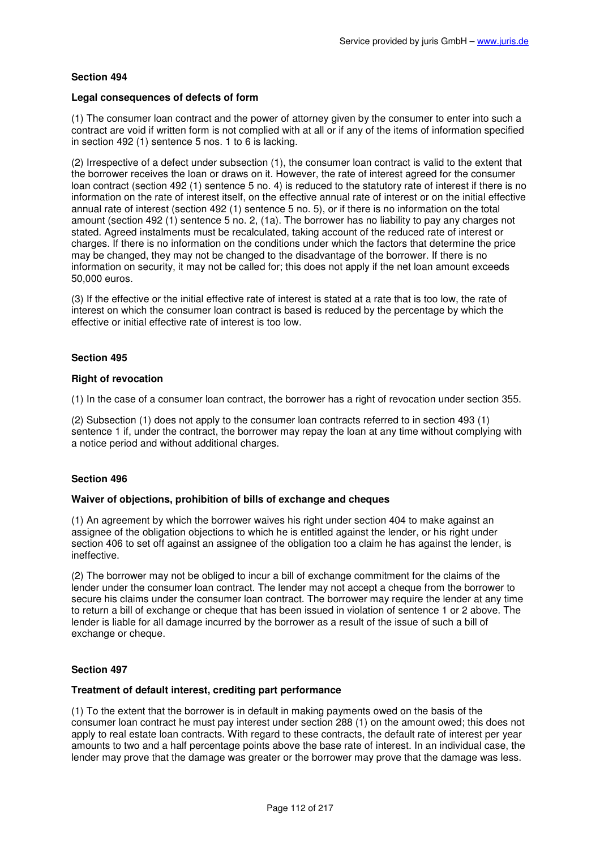## **Legal consequences of defects of form**

(1) The consumer loan contract and the power of attorney given by the consumer to enter into such a contract are void if written form is not complied with at all or if any of the items of information specified in section 492 (1) sentence 5 nos. 1 to 6 is lacking.

(2) Irrespective of a defect under subsection (1), the consumer loan contract is valid to the extent that the borrower receives the loan or draws on it. However, the rate of interest agreed for the consumer loan contract (section 492 (1) sentence 5 no. 4) is reduced to the statutory rate of interest if there is no information on the rate of interest itself, on the effective annual rate of interest or on the initial effective annual rate of interest (section 492 (1) sentence 5 no. 5), or if there is no information on the total amount (section 492 (1) sentence 5 no. 2, (1a). The borrower has no liability to pay any charges not stated. Agreed instalments must be recalculated, taking account of the reduced rate of interest or charges. If there is no information on the conditions under which the factors that determine the price may be changed, they may not be changed to the disadvantage of the borrower. If there is no information on security, it may not be called for; this does not apply if the net loan amount exceeds 50,000 euros.

(3) If the effective or the initial effective rate of interest is stated at a rate that is too low, the rate of interest on which the consumer loan contract is based is reduced by the percentage by which the effective or initial effective rate of interest is too low.

# **Section 495**

#### **Right of revocation**

(1) In the case of a consumer loan contract, the borrower has a right of revocation under section 355.

(2) Subsection (1) does not apply to the consumer loan contracts referred to in section 493 (1) sentence 1 if, under the contract, the borrower may repay the loan at any time without complying with a notice period and without additional charges.

## **Section 496**

#### **Waiver of objections, prohibition of bills of exchange and cheques**

(1) An agreement by which the borrower waives his right under section 404 to make against an assignee of the obligation objections to which he is entitled against the lender, or his right under section 406 to set off against an assignee of the obligation too a claim he has against the lender, is ineffective.

(2) The borrower may not be obliged to incur a bill of exchange commitment for the claims of the lender under the consumer loan contract. The lender may not accept a cheque from the borrower to secure his claims under the consumer loan contract. The borrower may require the lender at any time to return a bill of exchange or cheque that has been issued in violation of sentence 1 or 2 above. The lender is liable for all damage incurred by the borrower as a result of the issue of such a bill of exchange or cheque.

## **Section 497**

## **Treatment of default interest, crediting part performance**

(1) To the extent that the borrower is in default in making payments owed on the basis of the consumer loan contract he must pay interest under section 288 (1) on the amount owed; this does not apply to real estate loan contracts. With regard to these contracts, the default rate of interest per year amounts to two and a half percentage points above the base rate of interest. In an individual case, the lender may prove that the damage was greater or the borrower may prove that the damage was less.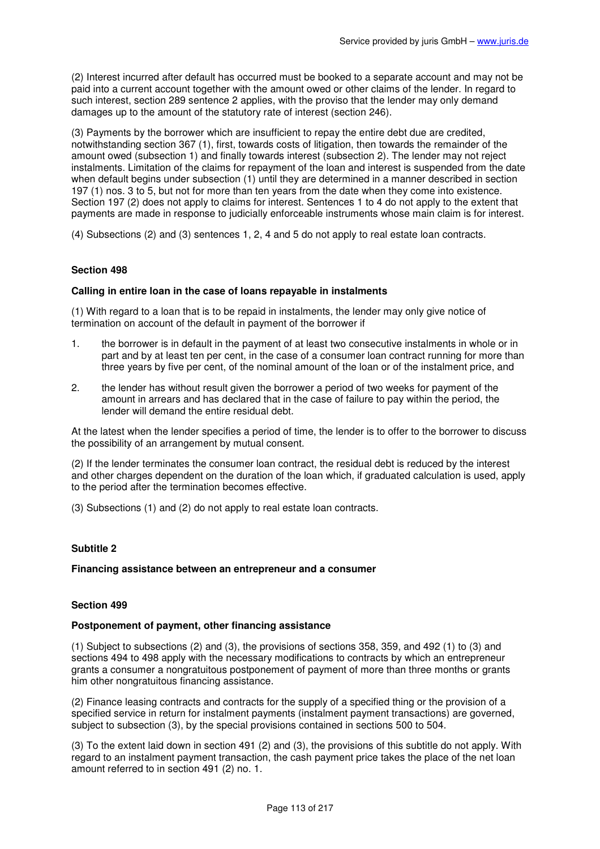(2) Interest incurred after default has occurred must be booked to a separate account and may not be paid into a current account together with the amount owed or other claims of the lender. In regard to such interest, section 289 sentence 2 applies, with the proviso that the lender may only demand damages up to the amount of the statutory rate of interest (section 246).

(3) Payments by the borrower which are insufficient to repay the entire debt due are credited, notwithstanding section 367 (1), first, towards costs of litigation, then towards the remainder of the amount owed (subsection 1) and finally towards interest (subsection 2). The lender may not reject instalments. Limitation of the claims for repayment of the loan and interest is suspended from the date when default begins under subsection (1) until they are determined in a manner described in section 197 (1) nos. 3 to 5, but not for more than ten years from the date when they come into existence. Section 197 (2) does not apply to claims for interest. Sentences 1 to 4 do not apply to the extent that payments are made in response to judicially enforceable instruments whose main claim is for interest.

(4) Subsections (2) and (3) sentences 1, 2, 4 and 5 do not apply to real estate loan contracts.

# **Section 498**

## **Calling in entire loan in the case of loans repayable in instalments**

(1) With regard to a loan that is to be repaid in instalments, the lender may only give notice of termination on account of the default in payment of the borrower if

- 1. the borrower is in default in the payment of at least two consecutive instalments in whole or in part and by at least ten per cent, in the case of a consumer loan contract running for more than three years by five per cent, of the nominal amount of the loan or of the instalment price, and
- 2. the lender has without result given the borrower a period of two weeks for payment of the amount in arrears and has declared that in the case of failure to pay within the period, the lender will demand the entire residual debt.

At the latest when the lender specifies a period of time, the lender is to offer to the borrower to discuss the possibility of an arrangement by mutual consent.

(2) If the lender terminates the consumer loan contract, the residual debt is reduced by the interest and other charges dependent on the duration of the loan which, if graduated calculation is used, apply to the period after the termination becomes effective.

(3) Subsections (1) and (2) do not apply to real estate loan contracts.

# **Subtitle 2**

## **Financing assistance between an entrepreneur and a consumer**

## **Section 499**

### **Postponement of payment, other financing assistance**

(1) Subject to subsections (2) and (3), the provisions of sections 358, 359, and 492 (1) to (3) and sections 494 to 498 apply with the necessary modifications to contracts by which an entrepreneur grants a consumer a nongratuitous postponement of payment of more than three months or grants him other nongratuitous financing assistance.

(2) Finance leasing contracts and contracts for the supply of a specified thing or the provision of a specified service in return for instalment payments (instalment payment transactions) are governed, subject to subsection (3), by the special provisions contained in sections 500 to 504.

(3) To the extent laid down in section 491 (2) and (3), the provisions of this subtitle do not apply. With regard to an instalment payment transaction, the cash payment price takes the place of the net loan amount referred to in section 491 (2) no. 1.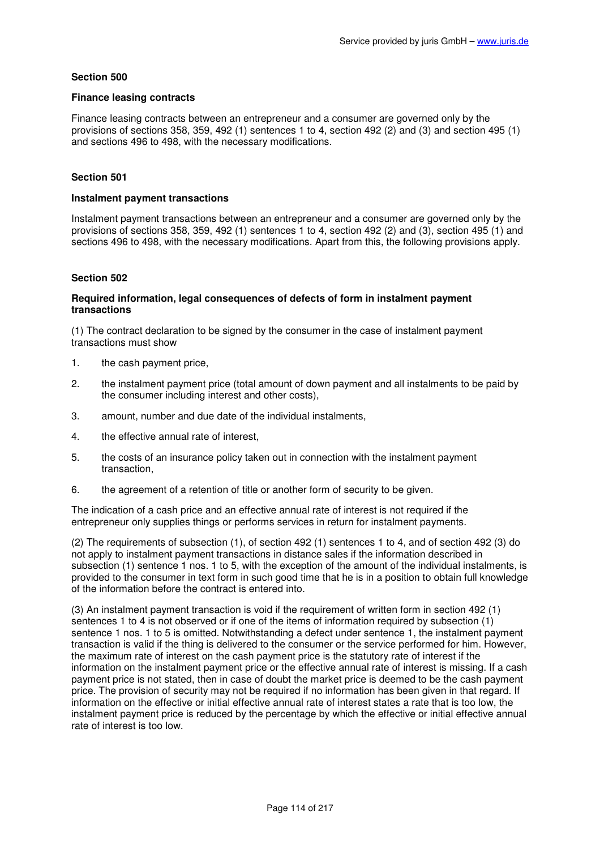## **Finance leasing contracts**

Finance leasing contracts between an entrepreneur and a consumer are governed only by the provisions of sections 358, 359, 492 (1) sentences 1 to 4, section 492 (2) and (3) and section 495 (1) and sections 496 to 498, with the necessary modifications.

# **Section 501**

## **Instalment payment transactions**

Instalment payment transactions between an entrepreneur and a consumer are governed only by the provisions of sections 358, 359, 492 (1) sentences 1 to 4, section 492 (2) and (3), section 495 (1) and sections 496 to 498, with the necessary modifications. Apart from this, the following provisions apply.

# **Section 502**

## **Required information, legal consequences of defects of form in instalment payment transactions**

(1) The contract declaration to be signed by the consumer in the case of instalment payment transactions must show

- 1. the cash payment price,
- 2. the instalment payment price (total amount of down payment and all instalments to be paid by the consumer including interest and other costs),
- 3. amount, number and due date of the individual instalments,
- 4. the effective annual rate of interest,
- 5. the costs of an insurance policy taken out in connection with the instalment payment transaction,
- 6. the agreement of a retention of title or another form of security to be given.

The indication of a cash price and an effective annual rate of interest is not required if the entrepreneur only supplies things or performs services in return for instalment payments.

(2) The requirements of subsection (1), of section 492 (1) sentences 1 to 4, and of section 492 (3) do not apply to instalment payment transactions in distance sales if the information described in subsection (1) sentence 1 nos. 1 to 5, with the exception of the amount of the individual instalments, is provided to the consumer in text form in such good time that he is in a position to obtain full knowledge of the information before the contract is entered into.

(3) An instalment payment transaction is void if the requirement of written form in section 492 (1) sentences 1 to 4 is not observed or if one of the items of information required by subsection (1) sentence 1 nos. 1 to 5 is omitted. Notwithstanding a defect under sentence 1, the instalment payment transaction is valid if the thing is delivered to the consumer or the service performed for him. However, the maximum rate of interest on the cash payment price is the statutory rate of interest if the information on the instalment payment price or the effective annual rate of interest is missing. If a cash payment price is not stated, then in case of doubt the market price is deemed to be the cash payment price. The provision of security may not be required if no information has been given in that regard. If information on the effective or initial effective annual rate of interest states a rate that is too low, the instalment payment price is reduced by the percentage by which the effective or initial effective annual rate of interest is too low.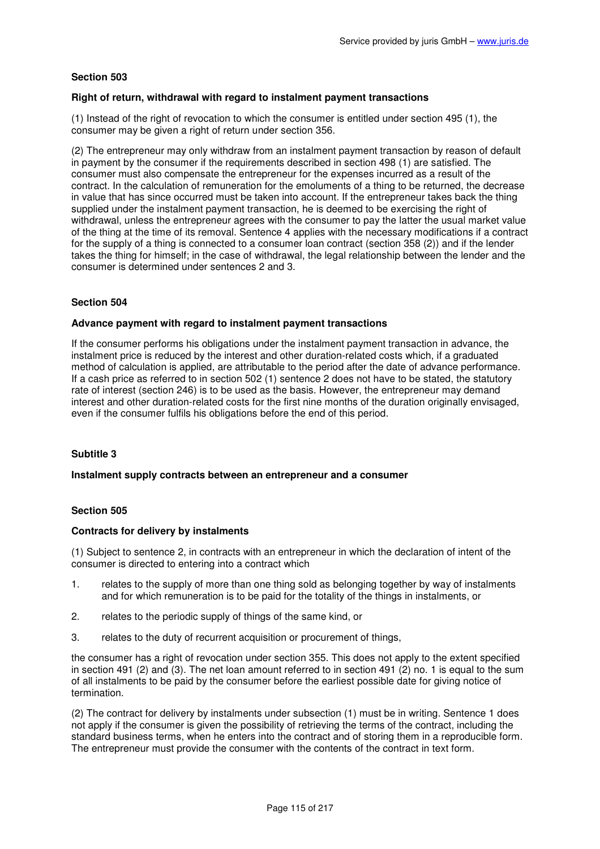## **Right of return, withdrawal with regard to instalment payment transactions**

(1) Instead of the right of revocation to which the consumer is entitled under section 495 (1), the consumer may be given a right of return under section 356.

(2) The entrepreneur may only withdraw from an instalment payment transaction by reason of default in payment by the consumer if the requirements described in section 498 (1) are satisfied. The consumer must also compensate the entrepreneur for the expenses incurred as a result of the contract. In the calculation of remuneration for the emoluments of a thing to be returned, the decrease in value that has since occurred must be taken into account. If the entrepreneur takes back the thing supplied under the instalment payment transaction, he is deemed to be exercising the right of withdrawal, unless the entrepreneur agrees with the consumer to pay the latter the usual market value of the thing at the time of its removal. Sentence 4 applies with the necessary modifications if a contract for the supply of a thing is connected to a consumer loan contract (section 358 (2)) and if the lender takes the thing for himself; in the case of withdrawal, the legal relationship between the lender and the consumer is determined under sentences 2 and 3.

# **Section 504**

## **Advance payment with regard to instalment payment transactions**

If the consumer performs his obligations under the instalment payment transaction in advance, the instalment price is reduced by the interest and other duration-related costs which, if a graduated method of calculation is applied, are attributable to the period after the date of advance performance. If a cash price as referred to in section 502 (1) sentence 2 does not have to be stated, the statutory rate of interest (section 246) is to be used as the basis. However, the entrepreneur may demand interest and other duration-related costs for the first nine months of the duration originally envisaged, even if the consumer fulfils his obligations before the end of this period.

## **Subtitle 3**

## **Instalment supply contracts between an entrepreneur and a consumer**

## **Section 505**

## **Contracts for delivery by instalments**

(1) Subject to sentence 2, in contracts with an entrepreneur in which the declaration of intent of the consumer is directed to entering into a contract which

- 1. relates to the supply of more than one thing sold as belonging together by way of instalments and for which remuneration is to be paid for the totality of the things in instalments, or
- 2. relates to the periodic supply of things of the same kind, or
- 3. relates to the duty of recurrent acquisition or procurement of things,

the consumer has a right of revocation under section 355. This does not apply to the extent specified in section 491 (2) and (3). The net loan amount referred to in section 491 (2) no. 1 is equal to the sum of all instalments to be paid by the consumer before the earliest possible date for giving notice of termination.

(2) The contract for delivery by instalments under subsection (1) must be in writing. Sentence 1 does not apply if the consumer is given the possibility of retrieving the terms of the contract, including the standard business terms, when he enters into the contract and of storing them in a reproducible form. The entrepreneur must provide the consumer with the contents of the contract in text form.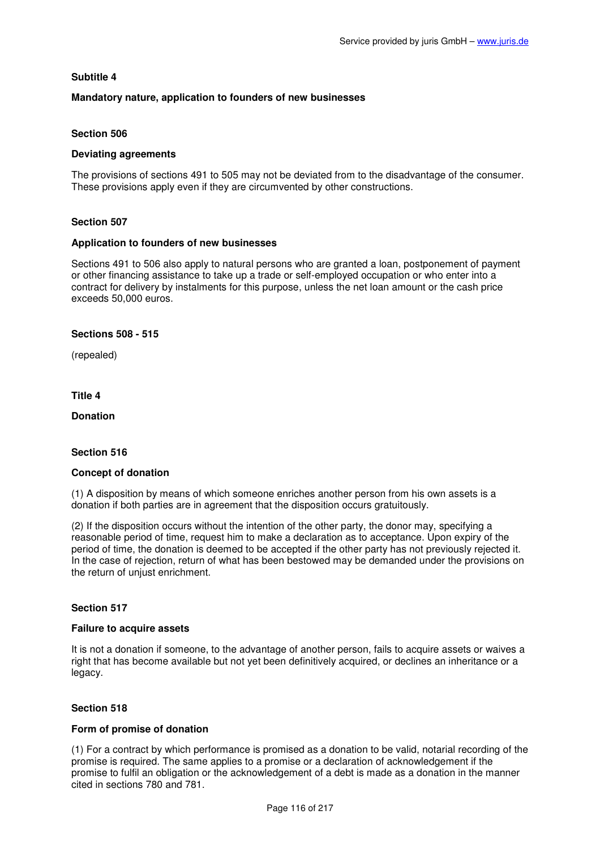# **Subtitle 4**

# **Mandatory nature, application to founders of new businesses**

## **Section 506**

## **Deviating agreements**

The provisions of sections 491 to 505 may not be deviated from to the disadvantage of the consumer. These provisions apply even if they are circumvented by other constructions.

## **Section 507**

#### **Application to founders of new businesses**

Sections 491 to 506 also apply to natural persons who are granted a loan, postponement of payment or other financing assistance to take up a trade or self-employed occupation or who enter into a contract for delivery by instalments for this purpose, unless the net loan amount or the cash price exceeds 50,000 euros.

## **Sections 508 - 515**

(repealed)

**Title 4** 

**Donation** 

## **Section 516**

## **Concept of donation**

(1) A disposition by means of which someone enriches another person from his own assets is a donation if both parties are in agreement that the disposition occurs gratuitously.

(2) If the disposition occurs without the intention of the other party, the donor may, specifying a reasonable period of time, request him to make a declaration as to acceptance. Upon expiry of the period of time, the donation is deemed to be accepted if the other party has not previously rejected it. In the case of rejection, return of what has been bestowed may be demanded under the provisions on the return of unjust enrichment.

## **Section 517**

# **Failure to acquire assets**

It is not a donation if someone, to the advantage of another person, fails to acquire assets or waives a right that has become available but not yet been definitively acquired, or declines an inheritance or a legacy.

## **Section 518**

## **Form of promise of donation**

(1) For a contract by which performance is promised as a donation to be valid, notarial recording of the promise is required. The same applies to a promise or a declaration of acknowledgement if the promise to fulfil an obligation or the acknowledgement of a debt is made as a donation in the manner cited in sections 780 and 781.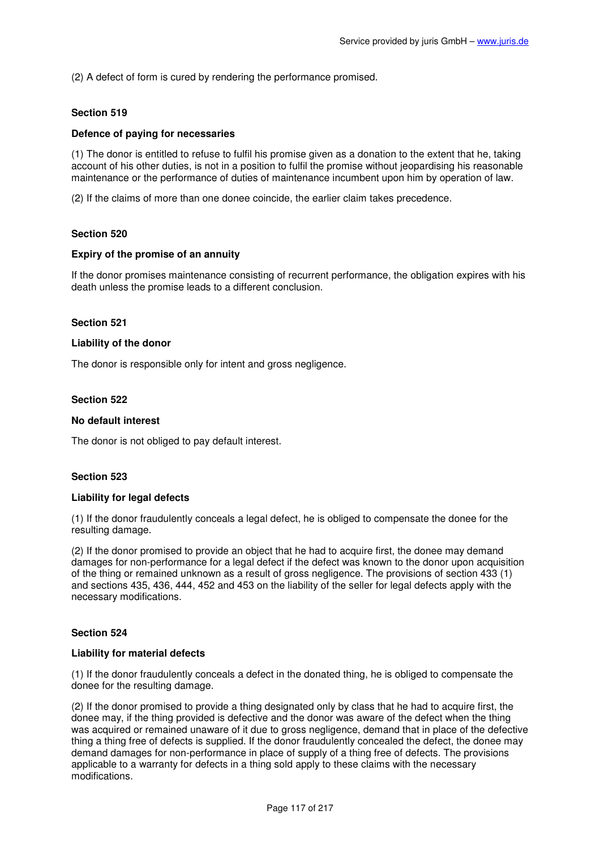(2) A defect of form is cured by rendering the performance promised.

# **Section 519**

## **Defence of paying for necessaries**

(1) The donor is entitled to refuse to fulfil his promise given as a donation to the extent that he, taking account of his other duties, is not in a position to fulfil the promise without jeopardising his reasonable maintenance or the performance of duties of maintenance incumbent upon him by operation of law.

(2) If the claims of more than one donee coincide, the earlier claim takes precedence.

## **Section 520**

#### **Expiry of the promise of an annuity**

If the donor promises maintenance consisting of recurrent performance, the obligation expires with his death unless the promise leads to a different conclusion.

#### **Section 521**

#### **Liability of the donor**

The donor is responsible only for intent and gross negligence.

#### **Section 522**

## **No default interest**

The donor is not obliged to pay default interest.

## **Section 523**

#### **Liability for legal defects**

(1) If the donor fraudulently conceals a legal defect, he is obliged to compensate the donee for the resulting damage.

(2) If the donor promised to provide an object that he had to acquire first, the donee may demand damages for non-performance for a legal defect if the defect was known to the donor upon acquisition of the thing or remained unknown as a result of gross negligence. The provisions of section 433 (1) and sections 435, 436, 444, 452 and 453 on the liability of the seller for legal defects apply with the necessary modifications.

## **Section 524**

#### **Liability for material defects**

(1) If the donor fraudulently conceals a defect in the donated thing, he is obliged to compensate the donee for the resulting damage.

(2) If the donor promised to provide a thing designated only by class that he had to acquire first, the donee may, if the thing provided is defective and the donor was aware of the defect when the thing was acquired or remained unaware of it due to gross negligence, demand that in place of the defective thing a thing free of defects is supplied. If the donor fraudulently concealed the defect, the donee may demand damages for non-performance in place of supply of a thing free of defects. The provisions applicable to a warranty for defects in a thing sold apply to these claims with the necessary modifications.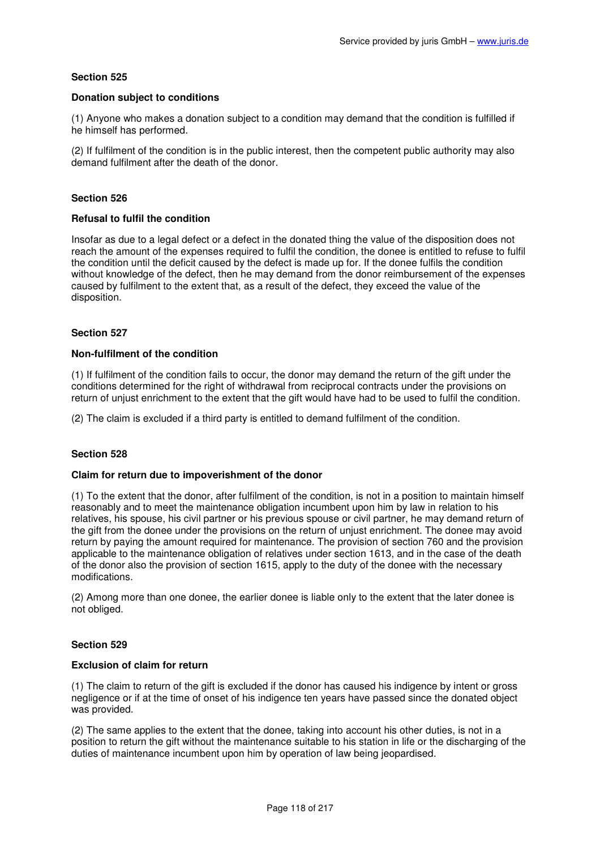## **Donation subject to conditions**

(1) Anyone who makes a donation subject to a condition may demand that the condition is fulfilled if he himself has performed.

(2) If fulfilment of the condition is in the public interest, then the competent public authority may also demand fulfilment after the death of the donor.

# **Section 526**

## **Refusal to fulfil the condition**

Insofar as due to a legal defect or a defect in the donated thing the value of the disposition does not reach the amount of the expenses required to fulfil the condition, the donee is entitled to refuse to fulfil the condition until the deficit caused by the defect is made up for. If the donee fulfils the condition without knowledge of the defect, then he may demand from the donor reimbursement of the expenses caused by fulfilment to the extent that, as a result of the defect, they exceed the value of the disposition.

## **Section 527**

## **Non-fulfilment of the condition**

(1) If fulfilment of the condition fails to occur, the donor may demand the return of the gift under the conditions determined for the right of withdrawal from reciprocal contracts under the provisions on return of unjust enrichment to the extent that the gift would have had to be used to fulfil the condition.

(2) The claim is excluded if a third party is entitled to demand fulfilment of the condition.

# **Section 528**

## **Claim for return due to impoverishment of the donor**

(1) To the extent that the donor, after fulfilment of the condition, is not in a position to maintain himself reasonably and to meet the maintenance obligation incumbent upon him by law in relation to his relatives, his spouse, his civil partner or his previous spouse or civil partner, he may demand return of the gift from the donee under the provisions on the return of unjust enrichment. The donee may avoid return by paying the amount required for maintenance. The provision of section 760 and the provision applicable to the maintenance obligation of relatives under section 1613, and in the case of the death of the donor also the provision of section 1615, apply to the duty of the donee with the necessary modifications.

(2) Among more than one donee, the earlier donee is liable only to the extent that the later donee is not obliged.

## **Section 529**

## **Exclusion of claim for return**

(1) The claim to return of the gift is excluded if the donor has caused his indigence by intent or gross negligence or if at the time of onset of his indigence ten years have passed since the donated object was provided.

(2) The same applies to the extent that the donee, taking into account his other duties, is not in a position to return the gift without the maintenance suitable to his station in life or the discharging of the duties of maintenance incumbent upon him by operation of law being jeopardised.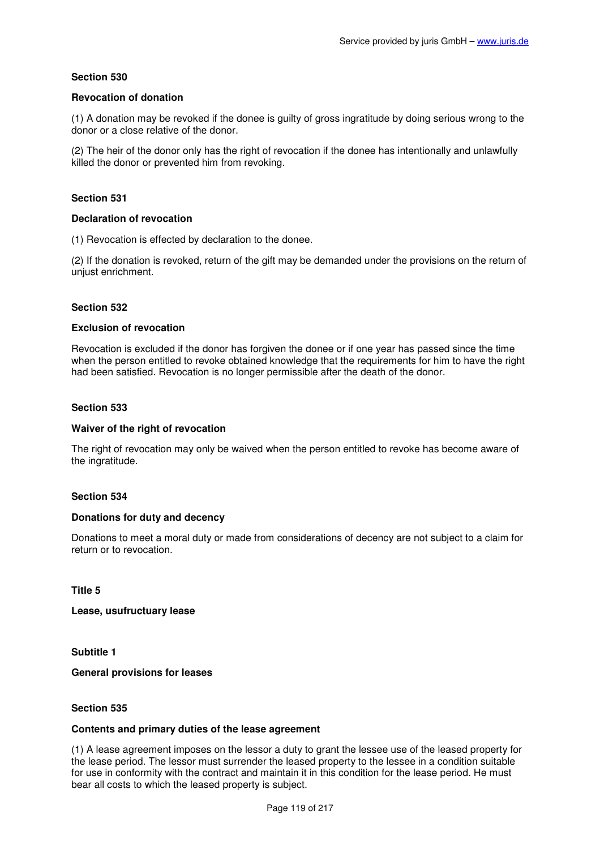## **Revocation of donation**

(1) A donation may be revoked if the donee is guilty of gross ingratitude by doing serious wrong to the donor or a close relative of the donor.

(2) The heir of the donor only has the right of revocation if the donee has intentionally and unlawfully killed the donor or prevented him from revoking.

# **Section 531**

## **Declaration of revocation**

(1) Revocation is effected by declaration to the donee.

(2) If the donation is revoked, return of the gift may be demanded under the provisions on the return of unjust enrichment.

# **Section 532**

## **Exclusion of revocation**

Revocation is excluded if the donor has forgiven the donee or if one year has passed since the time when the person entitled to revoke obtained knowledge that the requirements for him to have the right had been satisfied. Revocation is no longer permissible after the death of the donor.

## **Section 533**

## **Waiver of the right of revocation**

The right of revocation may only be waived when the person entitled to revoke has become aware of the ingratitude.

## **Section 534**

## **Donations for duty and decency**

Donations to meet a moral duty or made from considerations of decency are not subject to a claim for return or to revocation.

**Title 5** 

**Lease, usufructuary lease** 

**Subtitle 1** 

**General provisions for leases** 

## **Section 535**

## **Contents and primary duties of the lease agreement**

(1) A lease agreement imposes on the lessor a duty to grant the lessee use of the leased property for the lease period. The lessor must surrender the leased property to the lessee in a condition suitable for use in conformity with the contract and maintain it in this condition for the lease period. He must bear all costs to which the leased property is subject.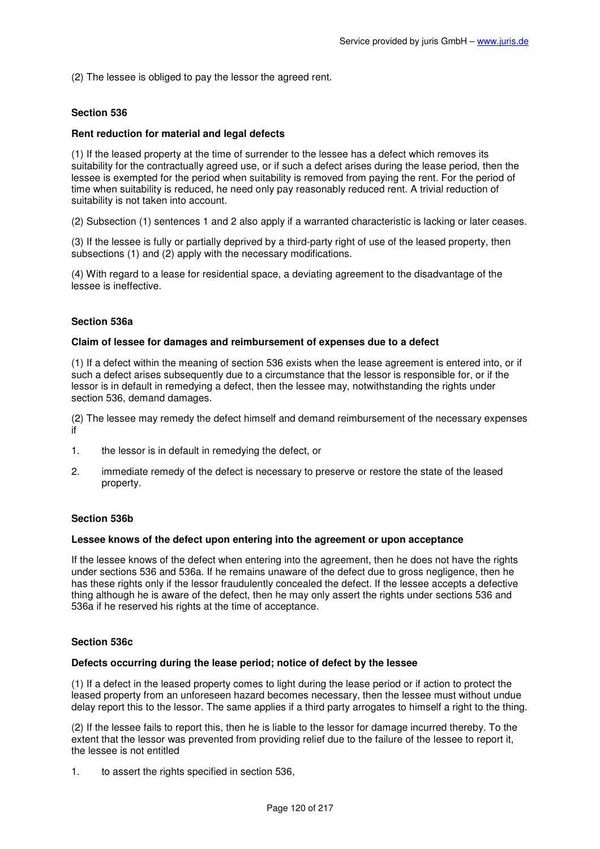(2) The lessee is obliged to pay the lessor the agreed rent.

## **Section 536**

## **Rent reduction for material and legal defects**

(1) If the leased property at the time of surrender to the lessee has a defect which removes its suitability for the contractually agreed use, or if such a defect arises during the lease period, then the lessee is exempted for the period when suitability is removed from paying the rent. For the period of time when suitability is reduced, he need only pay reasonably reduced rent. A trivial reduction of suitability is not taken into account.

(2) Subsection (1) sentences 1 and 2 also apply if a warranted characteristic is lacking or later ceases.

(3) If the lessee is fully or partially deprived by a third-party right of use of the leased property, then subsections (1) and (2) apply with the necessary modifications.

(4) With regard to a lease for residential space, a deviating agreement to the disadvantage of the lessee is ineffective.

## **Section 536a**

#### **Claim of lessee for damages and reimbursement of expenses due to a defect**

(1) If a defect within the meaning of section 536 exists when the lease agreement is entered into, or if such a defect arises subsequently due to a circumstance that the lessor is responsible for, or if the lessor is in default in remedying a defect, then the lessee may, notwithstanding the rights under section 536, demand damages.

(2) The lessee may remedy the defect himself and demand reimbursement of the necessary expenses if

- 1. the lessor is in default in remedying the defect, or
- 2. immediate remedy of the defect is necessary to preserve or restore the state of the leased property.

## **Section 536b**

## **Lessee knows of the defect upon entering into the agreement or upon acceptance**

If the lessee knows of the defect when entering into the agreement, then he does not have the rights under sections 536 and 536a. If he remains unaware of the defect due to gross negligence, then he has these rights only if the lessor fraudulently concealed the defect. If the lessee accepts a defective thing although he is aware of the defect, then he may only assert the rights under sections 536 and 536a if he reserved his rights at the time of acceptance.

## **Section 536c**

#### **Defects occurring during the lease period; notice of defect by the lessee**

(1) If a defect in the leased property comes to light during the lease period or if action to protect the leased property from an unforeseen hazard becomes necessary, then the lessee must without undue delay report this to the lessor. The same applies if a third party arrogates to himself a right to the thing.

(2) If the lessee fails to report this, then he is liable to the lessor for damage incurred thereby. To the extent that the lessor was prevented from providing relief due to the failure of the lessee to report it, the lessee is not entitled

1. to assert the rights specified in section 536,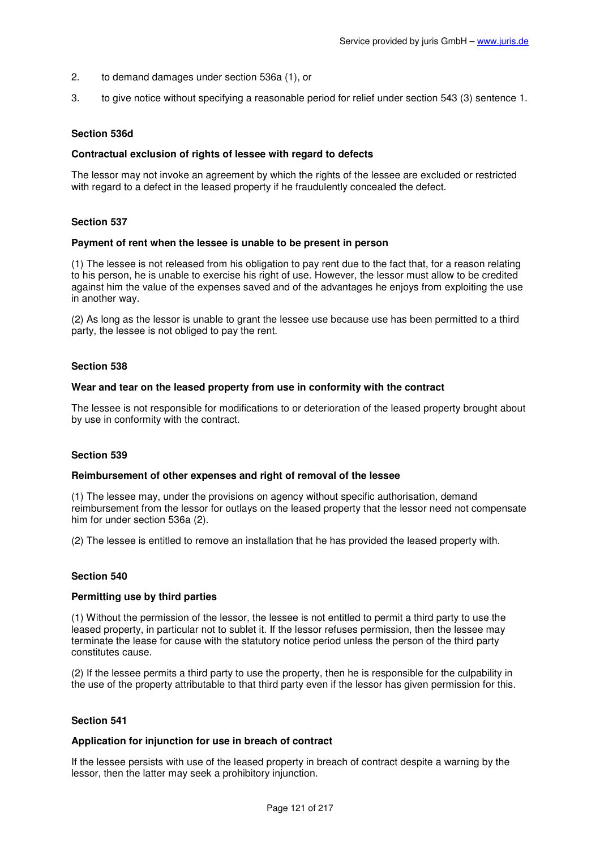- 2. to demand damages under section 536a (1), or
- 3. to give notice without specifying a reasonable period for relief under section 543 (3) sentence 1.

### **Section 536d**

#### **Contractual exclusion of rights of lessee with regard to defects**

The lessor may not invoke an agreement by which the rights of the lessee are excluded or restricted with regard to a defect in the leased property if he fraudulently concealed the defect.

#### **Section 537**

#### **Payment of rent when the lessee is unable to be present in person**

(1) The lessee is not released from his obligation to pay rent due to the fact that, for a reason relating to his person, he is unable to exercise his right of use. However, the lessor must allow to be credited against him the value of the expenses saved and of the advantages he enjoys from exploiting the use in another way.

(2) As long as the lessor is unable to grant the lessee use because use has been permitted to a third party, the lessee is not obliged to pay the rent.

#### **Section 538**

#### **Wear and tear on the leased property from use in conformity with the contract**

The lessee is not responsible for modifications to or deterioration of the leased property brought about by use in conformity with the contract.

#### **Section 539**

#### **Reimbursement of other expenses and right of removal of the lessee**

(1) The lessee may, under the provisions on agency without specific authorisation, demand reimbursement from the lessor for outlays on the leased property that the lessor need not compensate him for under section 536a (2).

(2) The lessee is entitled to remove an installation that he has provided the leased property with.

#### **Section 540**

#### **Permitting use by third parties**

(1) Without the permission of the lessor, the lessee is not entitled to permit a third party to use the leased property, in particular not to sublet it. If the lessor refuses permission, then the lessee may terminate the lease for cause with the statutory notice period unless the person of the third party constitutes cause.

(2) If the lessee permits a third party to use the property, then he is responsible for the culpability in the use of the property attributable to that third party even if the lessor has given permission for this.

#### **Section 541**

#### **Application for injunction for use in breach of contract**

If the lessee persists with use of the leased property in breach of contract despite a warning by the lessor, then the latter may seek a prohibitory injunction.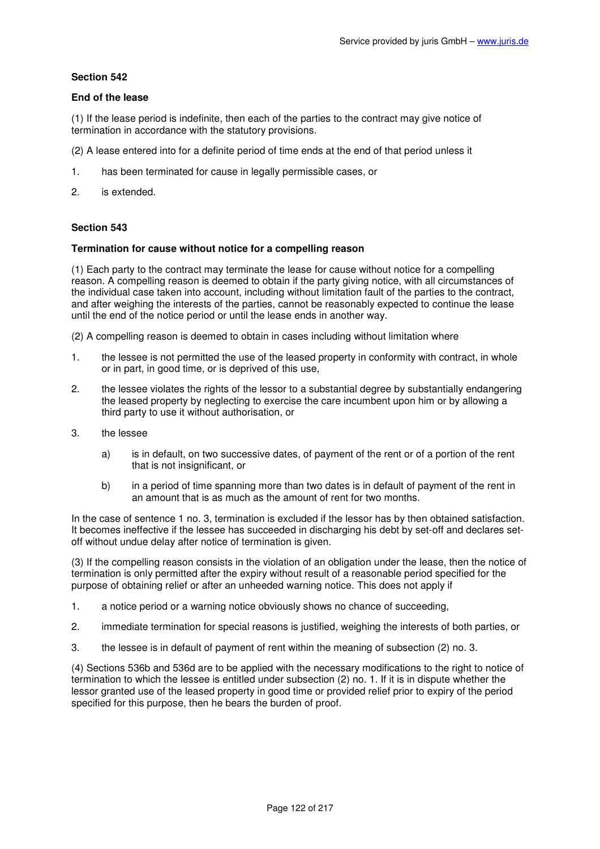## **End of the lease**

(1) If the lease period is indefinite, then each of the parties to the contract may give notice of termination in accordance with the statutory provisions.

- (2) A lease entered into for a definite period of time ends at the end of that period unless it
- 1. has been terminated for cause in legally permissible cases, or
- 2. is extended.

# **Section 543**

## **Termination for cause without notice for a compelling reason**

(1) Each party to the contract may terminate the lease for cause without notice for a compelling reason. A compelling reason is deemed to obtain if the party giving notice, with all circumstances of the individual case taken into account, including without limitation fault of the parties to the contract, and after weighing the interests of the parties, cannot be reasonably expected to continue the lease until the end of the notice period or until the lease ends in another way.

(2) A compelling reason is deemed to obtain in cases including without limitation where

- 1. the lessee is not permitted the use of the leased property in conformity with contract, in whole or in part, in good time, or is deprived of this use,
- 2. the lessee violates the rights of the lessor to a substantial degree by substantially endangering the leased property by neglecting to exercise the care incumbent upon him or by allowing a third party to use it without authorisation, or
- 3. the lessee
	- a) is in default, on two successive dates, of payment of the rent or of a portion of the rent that is not insignificant, or
	- b) in a period of time spanning more than two dates is in default of payment of the rent in an amount that is as much as the amount of rent for two months.

In the case of sentence 1 no. 3, termination is excluded if the lessor has by then obtained satisfaction. It becomes ineffective if the lessee has succeeded in discharging his debt by set-off and declares setoff without undue delay after notice of termination is given.

(3) If the compelling reason consists in the violation of an obligation under the lease, then the notice of termination is only permitted after the expiry without result of a reasonable period specified for the purpose of obtaining relief or after an unheeded warning notice. This does not apply if

- 1. a notice period or a warning notice obviously shows no chance of succeeding,
- 2. immediate termination for special reasons is justified, weighing the interests of both parties, or
- 3. the lessee is in default of payment of rent within the meaning of subsection (2) no. 3.

(4) Sections 536b and 536d are to be applied with the necessary modifications to the right to notice of termination to which the lessee is entitled under subsection (2) no. 1. If it is in dispute whether the lessor granted use of the leased property in good time or provided relief prior to expiry of the period specified for this purpose, then he bears the burden of proof.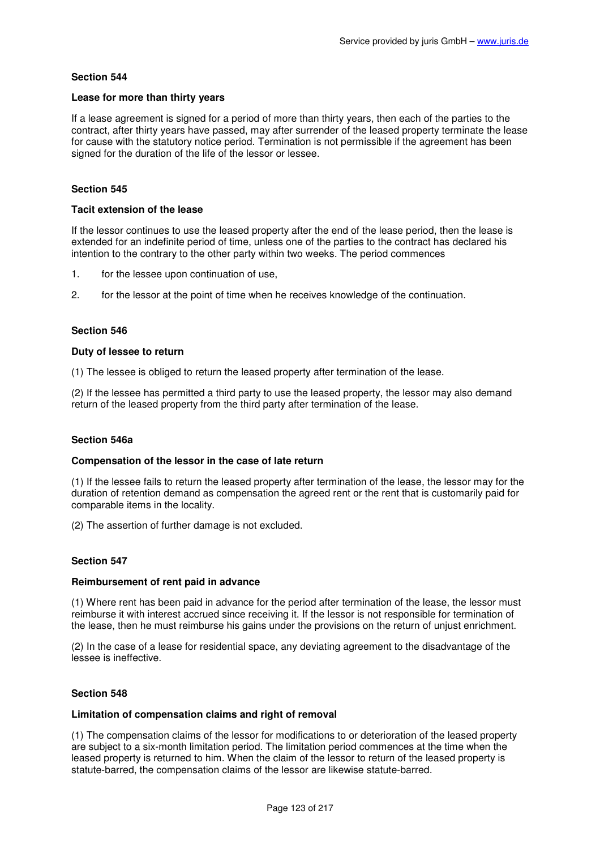## **Lease for more than thirty years**

If a lease agreement is signed for a period of more than thirty years, then each of the parties to the contract, after thirty years have passed, may after surrender of the leased property terminate the lease for cause with the statutory notice period. Termination is not permissible if the agreement has been signed for the duration of the life of the lessor or lessee.

# **Section 545**

### **Tacit extension of the lease**

If the lessor continues to use the leased property after the end of the lease period, then the lease is extended for an indefinite period of time, unless one of the parties to the contract has declared his intention to the contrary to the other party within two weeks. The period commences

- 1. for the lessee upon continuation of use,
- 2. for the lessor at the point of time when he receives knowledge of the continuation.

## **Section 546**

## **Duty of lessee to return**

(1) The lessee is obliged to return the leased property after termination of the lease.

(2) If the lessee has permitted a third party to use the leased property, the lessor may also demand return of the leased property from the third party after termination of the lease.

## **Section 546a**

## **Compensation of the lessor in the case of late return**

(1) If the lessee fails to return the leased property after termination of the lease, the lessor may for the duration of retention demand as compensation the agreed rent or the rent that is customarily paid for comparable items in the locality.

(2) The assertion of further damage is not excluded.

## **Section 547**

## **Reimbursement of rent paid in advance**

(1) Where rent has been paid in advance for the period after termination of the lease, the lessor must reimburse it with interest accrued since receiving it. If the lessor is not responsible for termination of the lease, then he must reimburse his gains under the provisions on the return of unjust enrichment.

(2) In the case of a lease for residential space, any deviating agreement to the disadvantage of the lessee is ineffective.

## **Section 548**

#### **Limitation of compensation claims and right of removal**

(1) The compensation claims of the lessor for modifications to or deterioration of the leased property are subject to a six-month limitation period. The limitation period commences at the time when the leased property is returned to him. When the claim of the lessor to return of the leased property is statute-barred, the compensation claims of the lessor are likewise statute-barred.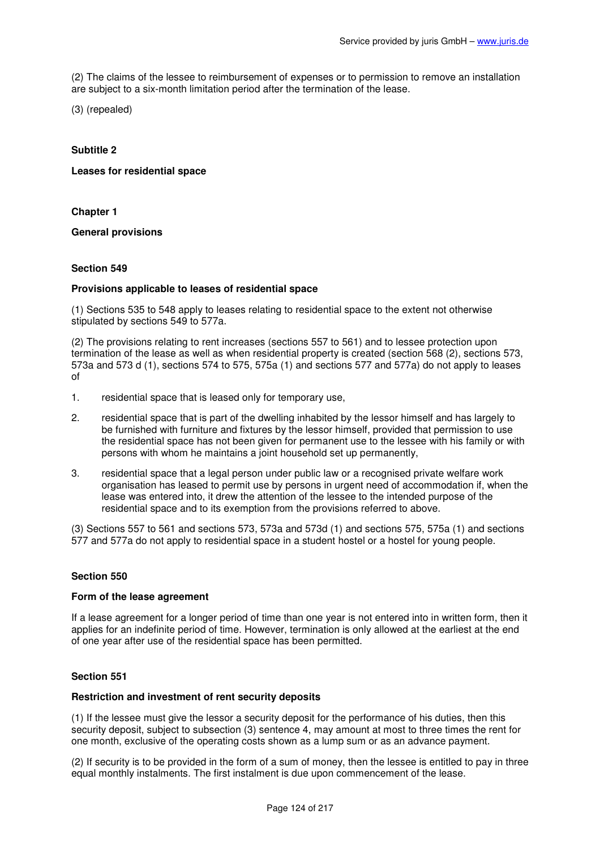(2) The claims of the lessee to reimbursement of expenses or to permission to remove an installation are subject to a six-month limitation period after the termination of the lease.

(3) (repealed)

# **Subtitle 2**

# **Leases for residential space**

**Chapter 1** 

**General provisions** 

# **Section 549**

## **Provisions applicable to leases of residential space**

(1) Sections 535 to 548 apply to leases relating to residential space to the extent not otherwise stipulated by sections 549 to 577a.

(2) The provisions relating to rent increases (sections 557 to 561) and to lessee protection upon termination of the lease as well as when residential property is created (section 568 (2), sections 573, 573a and 573 d (1), sections 574 to 575, 575a (1) and sections 577 and 577a) do not apply to leases of

- 1. residential space that is leased only for temporary use,
- 2. residential space that is part of the dwelling inhabited by the lessor himself and has largely to be furnished with furniture and fixtures by the lessor himself, provided that permission to use the residential space has not been given for permanent use to the lessee with his family or with persons with whom he maintains a joint household set up permanently,
- 3. residential space that a legal person under public law or a recognised private welfare work organisation has leased to permit use by persons in urgent need of accommodation if, when the lease was entered into, it drew the attention of the lessee to the intended purpose of the residential space and to its exemption from the provisions referred to above.

(3) Sections 557 to 561 and sections 573, 573a and 573d (1) and sections 575, 575a (1) and sections 577 and 577a do not apply to residential space in a student hostel or a hostel for young people.

## **Section 550**

#### **Form of the lease agreement**

If a lease agreement for a longer period of time than one year is not entered into in written form, then it applies for an indefinite period of time. However, termination is only allowed at the earliest at the end of one year after use of the residential space has been permitted.

## **Section 551**

## **Restriction and investment of rent security deposits**

(1) If the lessee must give the lessor a security deposit for the performance of his duties, then this security deposit, subject to subsection (3) sentence 4, may amount at most to three times the rent for one month, exclusive of the operating costs shown as a lump sum or as an advance payment.

(2) If security is to be provided in the form of a sum of money, then the lessee is entitled to pay in three equal monthly instalments. The first instalment is due upon commencement of the lease.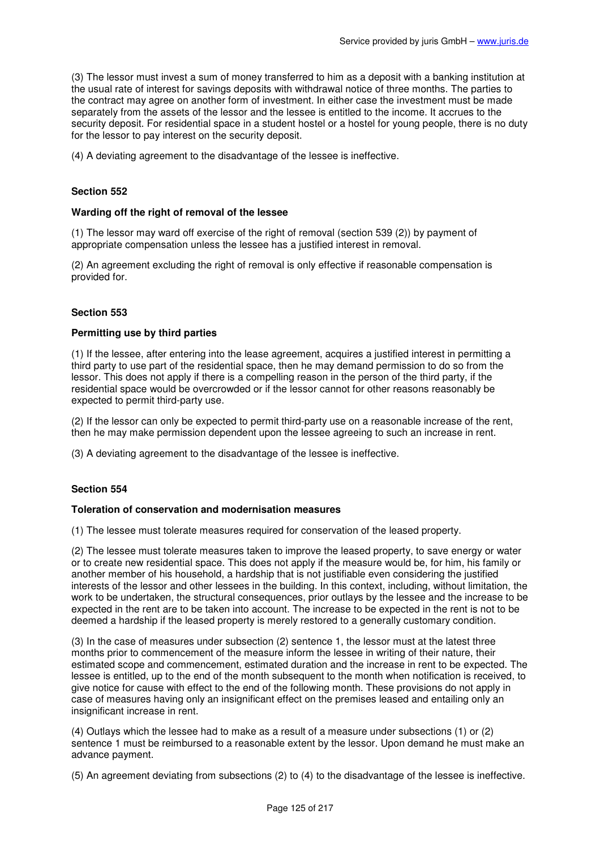(3) The lessor must invest a sum of money transferred to him as a deposit with a banking institution at the usual rate of interest for savings deposits with withdrawal notice of three months. The parties to the contract may agree on another form of investment. In either case the investment must be made separately from the assets of the lessor and the lessee is entitled to the income. It accrues to the security deposit. For residential space in a student hostel or a hostel for young people, there is no duty for the lessor to pay interest on the security deposit.

(4) A deviating agreement to the disadvantage of the lessee is ineffective.

## **Section 552**

#### **Warding off the right of removal of the lessee**

(1) The lessor may ward off exercise of the right of removal (section 539 (2)) by payment of appropriate compensation unless the lessee has a justified interest in removal.

(2) An agreement excluding the right of removal is only effective if reasonable compensation is provided for.

# **Section 553**

# **Permitting use by third parties**

(1) If the lessee, after entering into the lease agreement, acquires a justified interest in permitting a third party to use part of the residential space, then he may demand permission to do so from the lessor. This does not apply if there is a compelling reason in the person of the third party, if the residential space would be overcrowded or if the lessor cannot for other reasons reasonably be expected to permit third-party use.

(2) If the lessor can only be expected to permit third-party use on a reasonable increase of the rent, then he may make permission dependent upon the lessee agreeing to such an increase in rent.

(3) A deviating agreement to the disadvantage of the lessee is ineffective.

## **Section 554**

#### **Toleration of conservation and modernisation measures**

(1) The lessee must tolerate measures required for conservation of the leased property.

(2) The lessee must tolerate measures taken to improve the leased property, to save energy or water or to create new residential space. This does not apply if the measure would be, for him, his family or another member of his household, a hardship that is not justifiable even considering the justified interests of the lessor and other lessees in the building. In this context, including, without limitation, the work to be undertaken, the structural consequences, prior outlays by the lessee and the increase to be expected in the rent are to be taken into account. The increase to be expected in the rent is not to be deemed a hardship if the leased property is merely restored to a generally customary condition.

(3) In the case of measures under subsection (2) sentence 1, the lessor must at the latest three months prior to commencement of the measure inform the lessee in writing of their nature, their estimated scope and commencement, estimated duration and the increase in rent to be expected. The lessee is entitled, up to the end of the month subsequent to the month when notification is received, to give notice for cause with effect to the end of the following month. These provisions do not apply in case of measures having only an insignificant effect on the premises leased and entailing only an insignificant increase in rent.

(4) Outlays which the lessee had to make as a result of a measure under subsections (1) or (2) sentence 1 must be reimbursed to a reasonable extent by the lessor. Upon demand he must make an advance payment.

(5) An agreement deviating from subsections (2) to (4) to the disadvantage of the lessee is ineffective.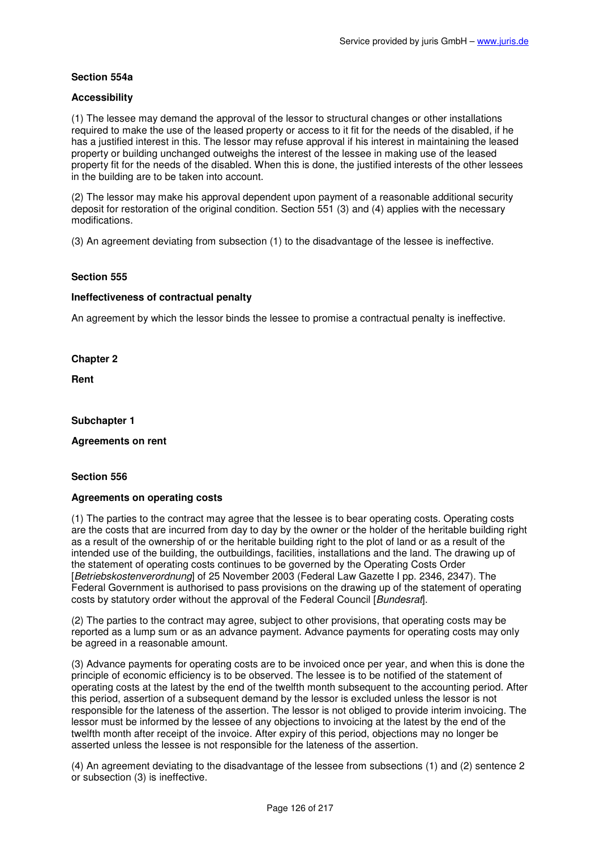# **Section 554a**

## **Accessibility**

(1) The lessee may demand the approval of the lessor to structural changes or other installations required to make the use of the leased property or access to it fit for the needs of the disabled, if he has a justified interest in this. The lessor may refuse approval if his interest in maintaining the leased property or building unchanged outweighs the interest of the lessee in making use of the leased property fit for the needs of the disabled. When this is done, the justified interests of the other lessees in the building are to be taken into account.

(2) The lessor may make his approval dependent upon payment of a reasonable additional security deposit for restoration of the original condition. Section 551 (3) and (4) applies with the necessary modifications.

(3) An agreement deviating from subsection (1) to the disadvantage of the lessee is ineffective.

# **Section 555**

## **Ineffectiveness of contractual penalty**

An agreement by which the lessor binds the lessee to promise a contractual penalty is ineffective.

**Chapter 2** 

**Rent** 

#### **Subchapter 1**

#### **Agreements on rent**

#### **Section 556**

## **Agreements on operating costs**

(1) The parties to the contract may agree that the lessee is to bear operating costs. Operating costs are the costs that are incurred from day to day by the owner or the holder of the heritable building right as a result of the ownership of or the heritable building right to the plot of land or as a result of the intended use of the building, the outbuildings, facilities, installations and the land. The drawing up of the statement of operating costs continues to be governed by the Operating Costs Order [Betriebskostenverordnung] of 25 November 2003 (Federal Law Gazette I pp. 2346, 2347). The Federal Government is authorised to pass provisions on the drawing up of the statement of operating costs by statutory order without the approval of the Federal Council [Bundesraf].

(2) The parties to the contract may agree, subject to other provisions, that operating costs may be reported as a lump sum or as an advance payment. Advance payments for operating costs may only be agreed in a reasonable amount.

(3) Advance payments for operating costs are to be invoiced once per year, and when this is done the principle of economic efficiency is to be observed. The lessee is to be notified of the statement of operating costs at the latest by the end of the twelfth month subsequent to the accounting period. After this period, assertion of a subsequent demand by the lessor is excluded unless the lessor is not responsible for the lateness of the assertion. The lessor is not obliged to provide interim invoicing. The lessor must be informed by the lessee of any objections to invoicing at the latest by the end of the twelfth month after receipt of the invoice. After expiry of this period, objections may no longer be asserted unless the lessee is not responsible for the lateness of the assertion.

(4) An agreement deviating to the disadvantage of the lessee from subsections (1) and (2) sentence 2 or subsection (3) is ineffective.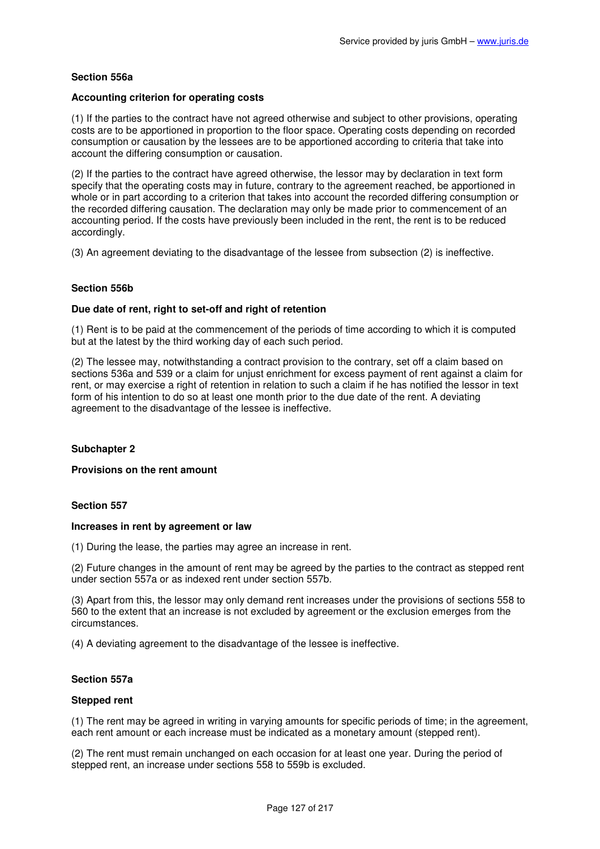# **Section 556a**

## **Accounting criterion for operating costs**

(1) If the parties to the contract have not agreed otherwise and subject to other provisions, operating costs are to be apportioned in proportion to the floor space. Operating costs depending on recorded consumption or causation by the lessees are to be apportioned according to criteria that take into account the differing consumption or causation.

(2) If the parties to the contract have agreed otherwise, the lessor may by declaration in text form specify that the operating costs may in future, contrary to the agreement reached, be apportioned in whole or in part according to a criterion that takes into account the recorded differing consumption or the recorded differing causation. The declaration may only be made prior to commencement of an accounting period. If the costs have previously been included in the rent, the rent is to be reduced accordingly.

(3) An agreement deviating to the disadvantage of the lessee from subsection (2) is ineffective.

## **Section 556b**

## **Due date of rent, right to set-off and right of retention**

(1) Rent is to be paid at the commencement of the periods of time according to which it is computed but at the latest by the third working day of each such period.

(2) The lessee may, notwithstanding a contract provision to the contrary, set off a claim based on sections 536a and 539 or a claim for unjust enrichment for excess payment of rent against a claim for rent, or may exercise a right of retention in relation to such a claim if he has notified the lessor in text form of his intention to do so at least one month prior to the due date of the rent. A deviating agreement to the disadvantage of the lessee is ineffective.

## **Subchapter 2**

#### **Provisions on the rent amount**

### **Section 557**

#### **Increases in rent by agreement or law**

(1) During the lease, the parties may agree an increase in rent.

(2) Future changes in the amount of rent may be agreed by the parties to the contract as stepped rent under section 557a or as indexed rent under section 557b.

(3) Apart from this, the lessor may only demand rent increases under the provisions of sections 558 to 560 to the extent that an increase is not excluded by agreement or the exclusion emerges from the circumstances.

(4) A deviating agreement to the disadvantage of the lessee is ineffective.

#### **Section 557a**

#### **Stepped rent**

(1) The rent may be agreed in writing in varying amounts for specific periods of time; in the agreement, each rent amount or each increase must be indicated as a monetary amount (stepped rent).

(2) The rent must remain unchanged on each occasion for at least one year. During the period of stepped rent, an increase under sections 558 to 559b is excluded.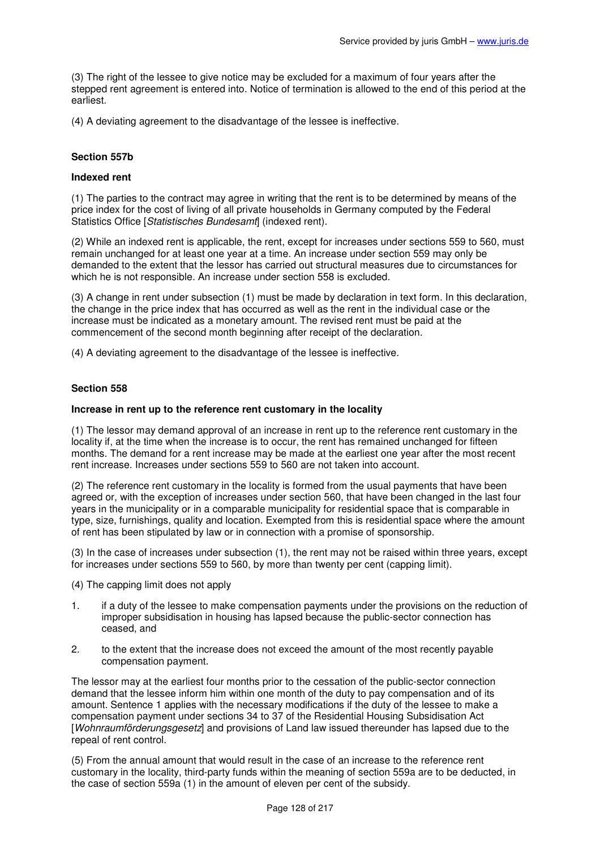(3) The right of the lessee to give notice may be excluded for a maximum of four years after the stepped rent agreement is entered into. Notice of termination is allowed to the end of this period at the earliest.

(4) A deviating agreement to the disadvantage of the lessee is ineffective.

## **Section 557b**

## **Indexed rent**

(1) The parties to the contract may agree in writing that the rent is to be determined by means of the price index for the cost of living of all private households in Germany computed by the Federal Statistics Office [Statistisches Bundesamt] (indexed rent).

(2) While an indexed rent is applicable, the rent, except for increases under sections 559 to 560, must remain unchanged for at least one year at a time. An increase under section 559 may only be demanded to the extent that the lessor has carried out structural measures due to circumstances for which he is not responsible. An increase under section 558 is excluded.

(3) A change in rent under subsection (1) must be made by declaration in text form. In this declaration, the change in the price index that has occurred as well as the rent in the individual case or the increase must be indicated as a monetary amount. The revised rent must be paid at the commencement of the second month beginning after receipt of the declaration.

(4) A deviating agreement to the disadvantage of the lessee is ineffective.

#### **Section 558**

#### **Increase in rent up to the reference rent customary in the locality**

(1) The lessor may demand approval of an increase in rent up to the reference rent customary in the locality if, at the time when the increase is to occur, the rent has remained unchanged for fifteen months. The demand for a rent increase may be made at the earliest one year after the most recent rent increase. Increases under sections 559 to 560 are not taken into account.

(2) The reference rent customary in the locality is formed from the usual payments that have been agreed or, with the exception of increases under section 560, that have been changed in the last four years in the municipality or in a comparable municipality for residential space that is comparable in type, size, furnishings, quality and location. Exempted from this is residential space where the amount of rent has been stipulated by law or in connection with a promise of sponsorship.

(3) In the case of increases under subsection (1), the rent may not be raised within three years, except for increases under sections 559 to 560, by more than twenty per cent (capping limit).

- (4) The capping limit does not apply
- 1. if a duty of the lessee to make compensation payments under the provisions on the reduction of improper subsidisation in housing has lapsed because the public-sector connection has ceased, and
- 2. to the extent that the increase does not exceed the amount of the most recently payable compensation payment.

The lessor may at the earliest four months prior to the cessation of the public-sector connection demand that the lessee inform him within one month of the duty to pay compensation and of its amount. Sentence 1 applies with the necessary modifications if the duty of the lessee to make a compensation payment under sections 34 to 37 of the Residential Housing Subsidisation Act [Wohnraumförderungsgesetz] and provisions of Land law issued thereunder has lapsed due to the repeal of rent control.

(5) From the annual amount that would result in the case of an increase to the reference rent customary in the locality, third-party funds within the meaning of section 559a are to be deducted, in the case of section 559a (1) in the amount of eleven per cent of the subsidy.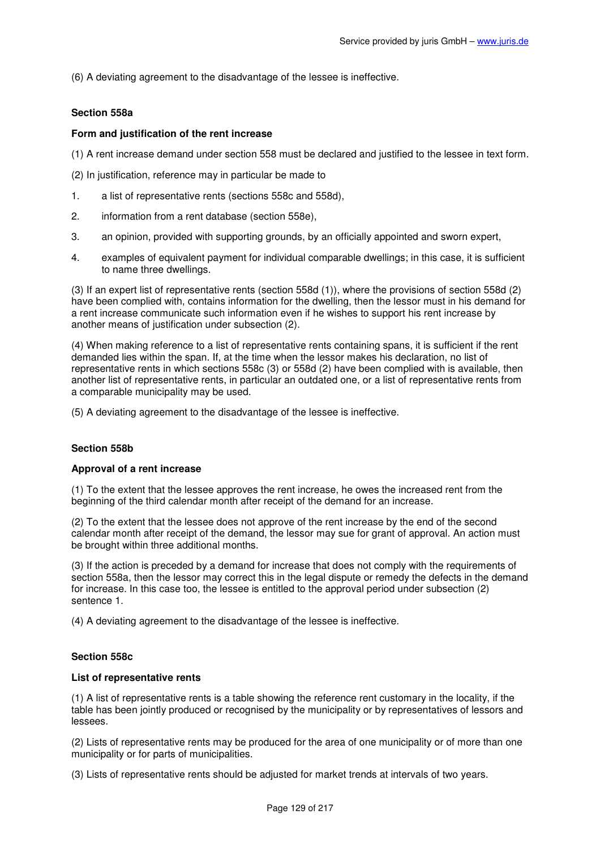(6) A deviating agreement to the disadvantage of the lessee is ineffective.

# **Section 558a**

# **Form and justification of the rent increase**

- (1) A rent increase demand under section 558 must be declared and justified to the lessee in text form.
- (2) In justification, reference may in particular be made to
- 1. a list of representative rents (sections 558c and 558d),
- 2. information from a rent database (section 558e),
- 3. an opinion, provided with supporting grounds, by an officially appointed and sworn expert,
- 4. examples of equivalent payment for individual comparable dwellings; in this case, it is sufficient to name three dwellings.

(3) If an expert list of representative rents (section 558d (1)), where the provisions of section 558d (2) have been complied with, contains information for the dwelling, then the lessor must in his demand for a rent increase communicate such information even if he wishes to support his rent increase by another means of justification under subsection (2).

(4) When making reference to a list of representative rents containing spans, it is sufficient if the rent demanded lies within the span. If, at the time when the lessor makes his declaration, no list of representative rents in which sections 558c (3) or 558d (2) have been complied with is available, then another list of representative rents, in particular an outdated one, or a list of representative rents from a comparable municipality may be used.

(5) A deviating agreement to the disadvantage of the lessee is ineffective.

## **Section 558b**

## **Approval of a rent increase**

(1) To the extent that the lessee approves the rent increase, he owes the increased rent from the beginning of the third calendar month after receipt of the demand for an increase.

(2) To the extent that the lessee does not approve of the rent increase by the end of the second calendar month after receipt of the demand, the lessor may sue for grant of approval. An action must be brought within three additional months.

(3) If the action is preceded by a demand for increase that does not comply with the requirements of section 558a, then the lessor may correct this in the legal dispute or remedy the defects in the demand for increase. In this case too, the lessee is entitled to the approval period under subsection (2) sentence 1.

(4) A deviating agreement to the disadvantage of the lessee is ineffective.

# **Section 558c**

## **List of representative rents**

(1) A list of representative rents is a table showing the reference rent customary in the locality, if the table has been jointly produced or recognised by the municipality or by representatives of lessors and lessees.

(2) Lists of representative rents may be produced for the area of one municipality or of more than one municipality or for parts of municipalities.

(3) Lists of representative rents should be adjusted for market trends at intervals of two years.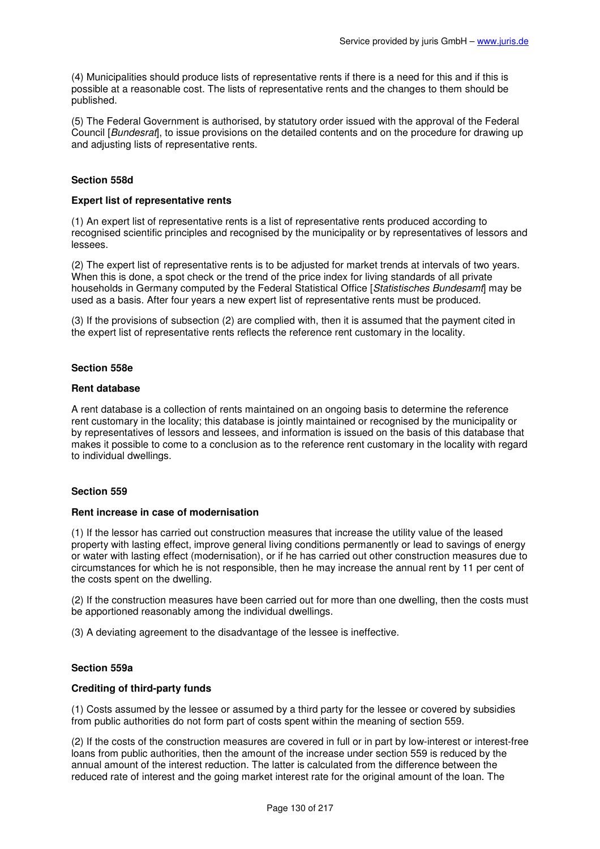(4) Municipalities should produce lists of representative rents if there is a need for this and if this is possible at a reasonable cost. The lists of representative rents and the changes to them should be published.

(5) The Federal Government is authorised, by statutory order issued with the approval of the Federal Council [Bundesrat], to issue provisions on the detailed contents and on the procedure for drawing up and adjusting lists of representative rents.

## **Section 558d**

### **Expert list of representative rents**

(1) An expert list of representative rents is a list of representative rents produced according to recognised scientific principles and recognised by the municipality or by representatives of lessors and lessees.

(2) The expert list of representative rents is to be adjusted for market trends at intervals of two years. When this is done, a spot check or the trend of the price index for living standards of all private households in Germany computed by the Federal Statistical Office [Statistisches Bundesamt] may be used as a basis. After four years a new expert list of representative rents must be produced.

(3) If the provisions of subsection (2) are complied with, then it is assumed that the payment cited in the expert list of representative rents reflects the reference rent customary in the locality.

## **Section 558e**

#### **Rent database**

A rent database is a collection of rents maintained on an ongoing basis to determine the reference rent customary in the locality; this database is jointly maintained or recognised by the municipality or by representatives of lessors and lessees, and information is issued on the basis of this database that makes it possible to come to a conclusion as to the reference rent customary in the locality with regard to individual dwellings.

## **Section 559**

#### **Rent increase in case of modernisation**

(1) If the lessor has carried out construction measures that increase the utility value of the leased property with lasting effect, improve general living conditions permanently or lead to savings of energy or water with lasting effect (modernisation), or if he has carried out other construction measures due to circumstances for which he is not responsible, then he may increase the annual rent by 11 per cent of the costs spent on the dwelling.

(2) If the construction measures have been carried out for more than one dwelling, then the costs must be apportioned reasonably among the individual dwellings.

(3) A deviating agreement to the disadvantage of the lessee is ineffective.

## **Section 559a**

## **Crediting of third-party funds**

(1) Costs assumed by the lessee or assumed by a third party for the lessee or covered by subsidies from public authorities do not form part of costs spent within the meaning of section 559.

(2) If the costs of the construction measures are covered in full or in part by low-interest or interest-free loans from public authorities, then the amount of the increase under section 559 is reduced by the annual amount of the interest reduction. The latter is calculated from the difference between the reduced rate of interest and the going market interest rate for the original amount of the loan. The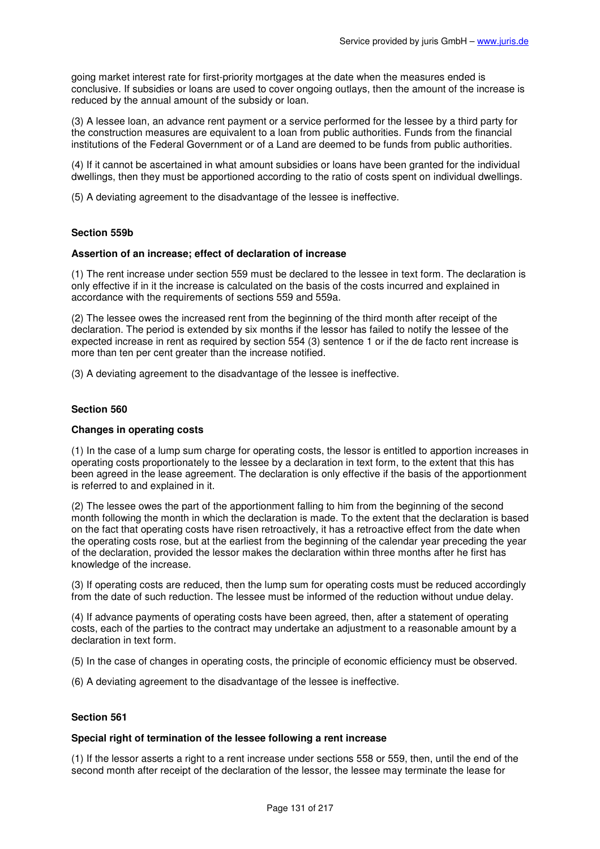going market interest rate for first-priority mortgages at the date when the measures ended is conclusive. If subsidies or loans are used to cover ongoing outlays, then the amount of the increase is reduced by the annual amount of the subsidy or loan.

(3) A lessee loan, an advance rent payment or a service performed for the lessee by a third party for the construction measures are equivalent to a loan from public authorities. Funds from the financial institutions of the Federal Government or of a Land are deemed to be funds from public authorities.

(4) If it cannot be ascertained in what amount subsidies or loans have been granted for the individual dwellings, then they must be apportioned according to the ratio of costs spent on individual dwellings.

(5) A deviating agreement to the disadvantage of the lessee is ineffective.

## **Section 559b**

#### **Assertion of an increase; effect of declaration of increase**

(1) The rent increase under section 559 must be declared to the lessee in text form. The declaration is only effective if in it the increase is calculated on the basis of the costs incurred and explained in accordance with the requirements of sections 559 and 559a.

(2) The lessee owes the increased rent from the beginning of the third month after receipt of the declaration. The period is extended by six months if the lessor has failed to notify the lessee of the expected increase in rent as required by section 554 (3) sentence 1 or if the de facto rent increase is more than ten per cent greater than the increase notified.

(3) A deviating agreement to the disadvantage of the lessee is ineffective.

## **Section 560**

### **Changes in operating costs**

(1) In the case of a lump sum charge for operating costs, the lessor is entitled to apportion increases in operating costs proportionately to the lessee by a declaration in text form, to the extent that this has been agreed in the lease agreement. The declaration is only effective if the basis of the apportionment is referred to and explained in it.

(2) The lessee owes the part of the apportionment falling to him from the beginning of the second month following the month in which the declaration is made. To the extent that the declaration is based on the fact that operating costs have risen retroactively, it has a retroactive effect from the date when the operating costs rose, but at the earliest from the beginning of the calendar year preceding the year of the declaration, provided the lessor makes the declaration within three months after he first has knowledge of the increase.

(3) If operating costs are reduced, then the lump sum for operating costs must be reduced accordingly from the date of such reduction. The lessee must be informed of the reduction without undue delay.

(4) If advance payments of operating costs have been agreed, then, after a statement of operating costs, each of the parties to the contract may undertake an adjustment to a reasonable amount by a declaration in text form.

(5) In the case of changes in operating costs, the principle of economic efficiency must be observed.

(6) A deviating agreement to the disadvantage of the lessee is ineffective.

## **Section 561**

#### **Special right of termination of the lessee following a rent increase**

(1) If the lessor asserts a right to a rent increase under sections 558 or 559, then, until the end of the second month after receipt of the declaration of the lessor, the lessee may terminate the lease for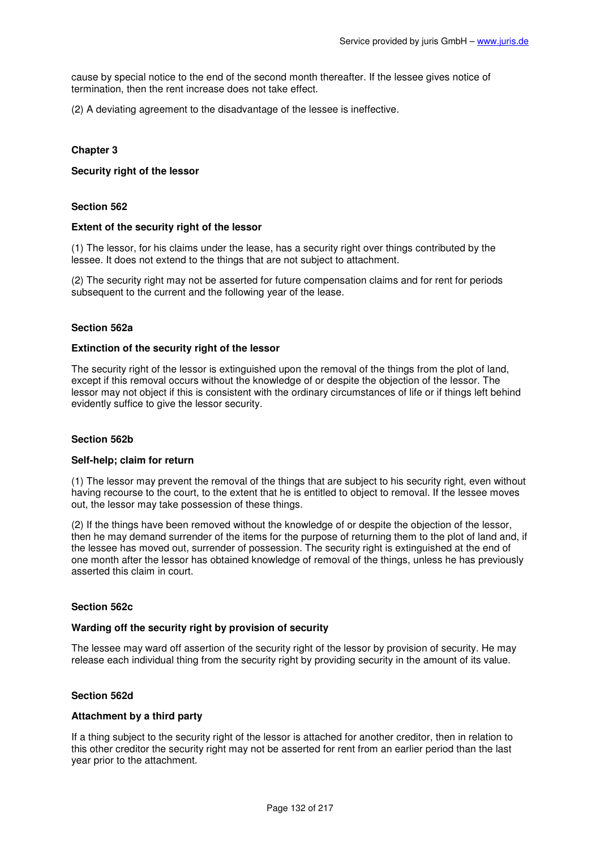cause by special notice to the end of the second month thereafter. If the lessee gives notice of termination, then the rent increase does not take effect.

(2) A deviating agreement to the disadvantage of the lessee is ineffective.

# **Chapter 3**

### **Security right of the lessor**

## **Section 562**

#### **Extent of the security right of the lessor**

(1) The lessor, for his claims under the lease, has a security right over things contributed by the lessee. It does not extend to the things that are not subject to attachment.

(2) The security right may not be asserted for future compensation claims and for rent for periods subsequent to the current and the following year of the lease.

## **Section 562a**

#### **Extinction of the security right of the lessor**

The security right of the lessor is extinguished upon the removal of the things from the plot of land, except if this removal occurs without the knowledge of or despite the objection of the lessor. The lessor may not object if this is consistent with the ordinary circumstances of life or if things left behind evidently suffice to give the lessor security.

#### **Section 562b**

#### **Self-help; claim for return**

(1) The lessor may prevent the removal of the things that are subject to his security right, even without having recourse to the court, to the extent that he is entitled to object to removal. If the lessee moves out, the lessor may take possession of these things.

(2) If the things have been removed without the knowledge of or despite the objection of the lessor, then he may demand surrender of the items for the purpose of returning them to the plot of land and, if the lessee has moved out, surrender of possession. The security right is extinguished at the end of one month after the lessor has obtained knowledge of removal of the things, unless he has previously asserted this claim in court.

#### **Section 562c**

#### **Warding off the security right by provision of security**

The lessee may ward off assertion of the security right of the lessor by provision of security. He may release each individual thing from the security right by providing security in the amount of its value.

#### **Section 562d**

#### **Attachment by a third party**

If a thing subject to the security right of the lessor is attached for another creditor, then in relation to this other creditor the security right may not be asserted for rent from an earlier period than the last year prior to the attachment.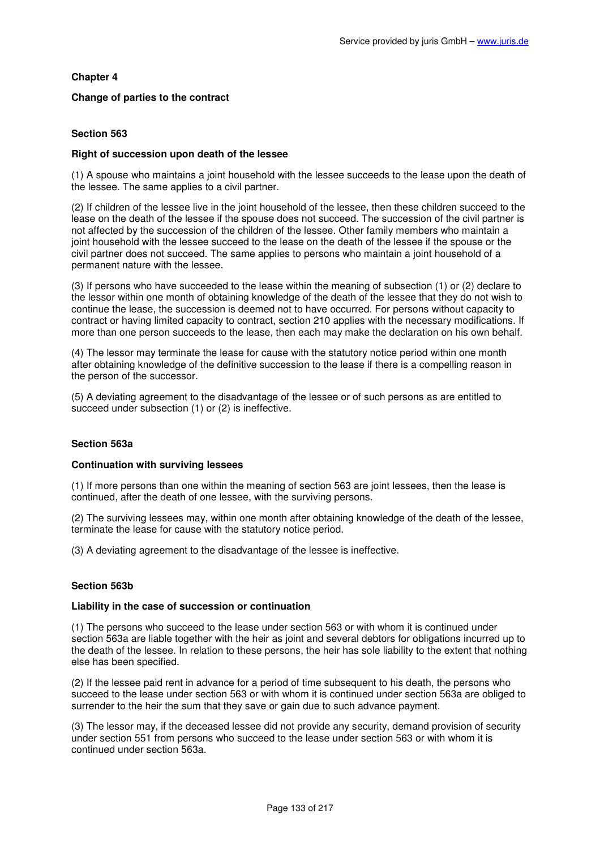# **Chapter 4**

# **Change of parties to the contract**

# **Section 563**

## **Right of succession upon death of the lessee**

(1) A spouse who maintains a joint household with the lessee succeeds to the lease upon the death of the lessee. The same applies to a civil partner.

(2) If children of the lessee live in the joint household of the lessee, then these children succeed to the lease on the death of the lessee if the spouse does not succeed. The succession of the civil partner is not affected by the succession of the children of the lessee. Other family members who maintain a joint household with the lessee succeed to the lease on the death of the lessee if the spouse or the civil partner does not succeed. The same applies to persons who maintain a joint household of a permanent nature with the lessee.

(3) If persons who have succeeded to the lease within the meaning of subsection (1) or (2) declare to the lessor within one month of obtaining knowledge of the death of the lessee that they do not wish to continue the lease, the succession is deemed not to have occurred. For persons without capacity to contract or having limited capacity to contract, section 210 applies with the necessary modifications. If more than one person succeeds to the lease, then each may make the declaration on his own behalf.

(4) The lessor may terminate the lease for cause with the statutory notice period within one month after obtaining knowledge of the definitive succession to the lease if there is a compelling reason in the person of the successor.

(5) A deviating agreement to the disadvantage of the lessee or of such persons as are entitled to succeed under subsection (1) or (2) is ineffective.

## **Section 563a**

## **Continuation with surviving lessees**

(1) If more persons than one within the meaning of section 563 are joint lessees, then the lease is continued, after the death of one lessee, with the surviving persons.

(2) The surviving lessees may, within one month after obtaining knowledge of the death of the lessee, terminate the lease for cause with the statutory notice period.

(3) A deviating agreement to the disadvantage of the lessee is ineffective.

## **Section 563b**

## **Liability in the case of succession or continuation**

(1) The persons who succeed to the lease under section 563 or with whom it is continued under section 563a are liable together with the heir as joint and several debtors for obligations incurred up to the death of the lessee. In relation to these persons, the heir has sole liability to the extent that nothing else has been specified.

(2) If the lessee paid rent in advance for a period of time subsequent to his death, the persons who succeed to the lease under section 563 or with whom it is continued under section 563a are obliged to surrender to the heir the sum that they save or gain due to such advance payment.

(3) The lessor may, if the deceased lessee did not provide any security, demand provision of security under section 551 from persons who succeed to the lease under section 563 or with whom it is continued under section 563a.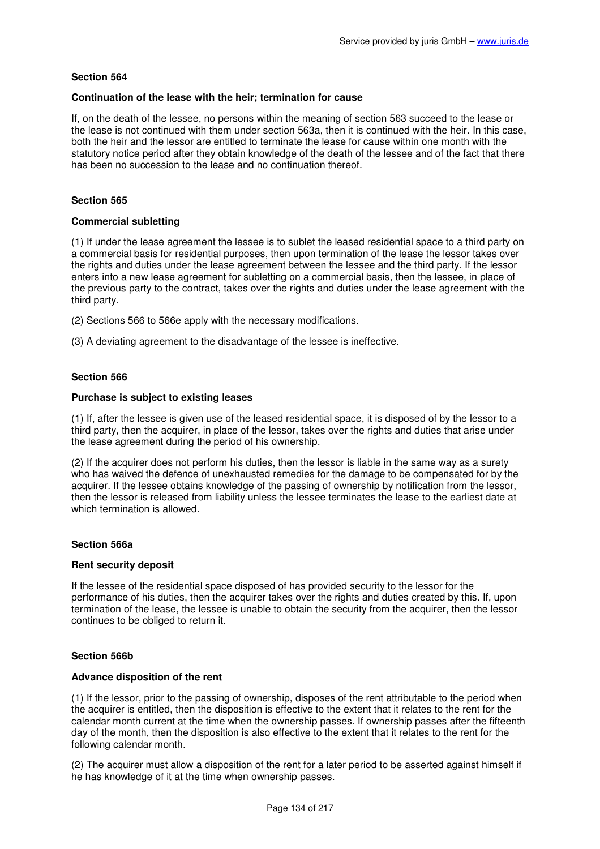## **Continuation of the lease with the heir; termination for cause**

If, on the death of the lessee, no persons within the meaning of section 563 succeed to the lease or the lease is not continued with them under section 563a, then it is continued with the heir. In this case, both the heir and the lessor are entitled to terminate the lease for cause within one month with the statutory notice period after they obtain knowledge of the death of the lessee and of the fact that there has been no succession to the lease and no continuation thereof.

# **Section 565**

## **Commercial subletting**

(1) If under the lease agreement the lessee is to sublet the leased residential space to a third party on a commercial basis for residential purposes, then upon termination of the lease the lessor takes over the rights and duties under the lease agreement between the lessee and the third party. If the lessor enters into a new lease agreement for subletting on a commercial basis, then the lessee, in place of the previous party to the contract, takes over the rights and duties under the lease agreement with the third party.

- (2) Sections 566 to 566e apply with the necessary modifications.
- (3) A deviating agreement to the disadvantage of the lessee is ineffective.

# **Section 566**

## **Purchase is subject to existing leases**

(1) If, after the lessee is given use of the leased residential space, it is disposed of by the lessor to a third party, then the acquirer, in place of the lessor, takes over the rights and duties that arise under the lease agreement during the period of his ownership.

(2) If the acquirer does not perform his duties, then the lessor is liable in the same way as a surety who has waived the defence of unexhausted remedies for the damage to be compensated for by the acquirer. If the lessee obtains knowledge of the passing of ownership by notification from the lessor, then the lessor is released from liability unless the lessee terminates the lease to the earliest date at which termination is allowed.

## **Section 566a**

## **Rent security deposit**

If the lessee of the residential space disposed of has provided security to the lessor for the performance of his duties, then the acquirer takes over the rights and duties created by this. If, upon termination of the lease, the lessee is unable to obtain the security from the acquirer, then the lessor continues to be obliged to return it.

## **Section 566b**

## **Advance disposition of the rent**

(1) If the lessor, prior to the passing of ownership, disposes of the rent attributable to the period when the acquirer is entitled, then the disposition is effective to the extent that it relates to the rent for the calendar month current at the time when the ownership passes. If ownership passes after the fifteenth day of the month, then the disposition is also effective to the extent that it relates to the rent for the following calendar month.

(2) The acquirer must allow a disposition of the rent for a later period to be asserted against himself if he has knowledge of it at the time when ownership passes.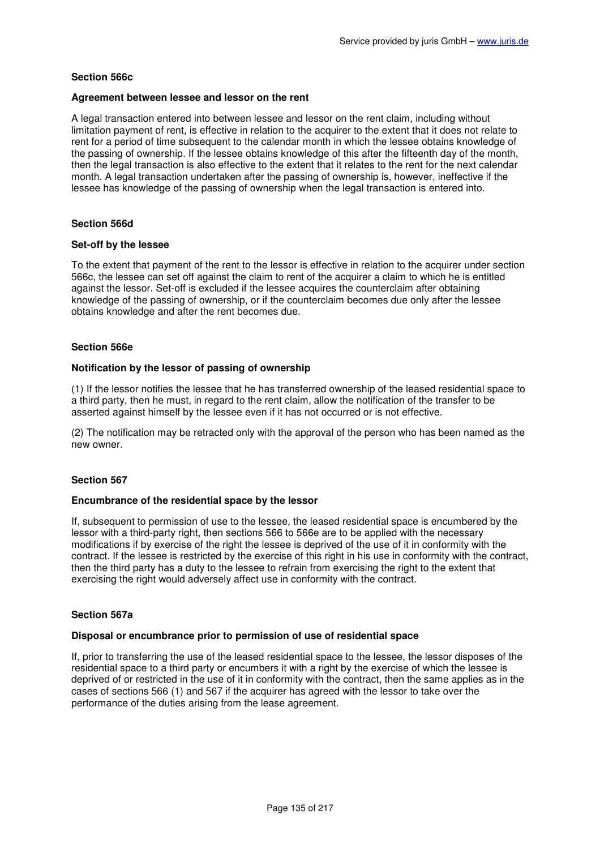# **Section 566c**

## **Agreement between lessee and lessor on the rent**

A legal transaction entered into between lessee and lessor on the rent claim, including without limitation payment of rent, is effective in relation to the acquirer to the extent that it does not relate to rent for a period of time subsequent to the calendar month in which the lessee obtains knowledge of the passing of ownership. If the lessee obtains knowledge of this after the fifteenth day of the month, then the legal transaction is also effective to the extent that it relates to the rent for the next calendar month. A legal transaction undertaken after the passing of ownership is, however, ineffective if the lessee has knowledge of the passing of ownership when the legal transaction is entered into.

# **Section 566d**

## **Set-off by the lessee**

To the extent that payment of the rent to the lessor is effective in relation to the acquirer under section 566c, the lessee can set off against the claim to rent of the acquirer a claim to which he is entitled against the lessor. Set-off is excluded if the lessee acquires the counterclaim after obtaining knowledge of the passing of ownership, or if the counterclaim becomes due only after the lessee obtains knowledge and after the rent becomes due.

# **Section 566e**

## **Notification by the lessor of passing of ownership**

(1) If the lessor notifies the lessee that he has transferred ownership of the leased residential space to a third party, then he must, in regard to the rent claim, allow the notification of the transfer to be asserted against himself by the lessee even if it has not occurred or is not effective.

(2) The notification may be retracted only with the approval of the person who has been named as the new owner.

## **Section 567**

## **Encumbrance of the residential space by the lessor**

If, subsequent to permission of use to the lessee, the leased residential space is encumbered by the lessor with a third-party right, then sections 566 to 566e are to be applied with the necessary modifications if by exercise of the right the lessee is deprived of the use of it in conformity with the contract. If the lessee is restricted by the exercise of this right in his use in conformity with the contract, then the third party has a duty to the lessee to refrain from exercising the right to the extent that exercising the right would adversely affect use in conformity with the contract.

## **Section 567a**

## **Disposal or encumbrance prior to permission of use of residential space**

If, prior to transferring the use of the leased residential space to the lessee, the lessor disposes of the residential space to a third party or encumbers it with a right by the exercise of which the lessee is deprived of or restricted in the use of it in conformity with the contract, then the same applies as in the cases of sections 566 (1) and 567 if the acquirer has agreed with the lessor to take over the performance of the duties arising from the lease agreement.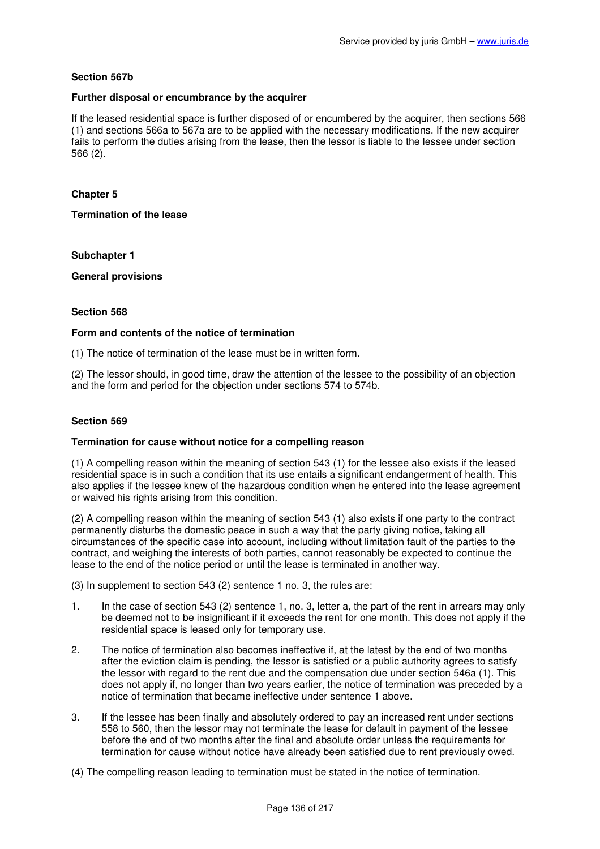# **Section 567b**

## **Further disposal or encumbrance by the acquirer**

If the leased residential space is further disposed of or encumbered by the acquirer, then sections 566 (1) and sections 566a to 567a are to be applied with the necessary modifications. If the new acquirer fails to perform the duties arising from the lease, then the lessor is liable to the lessee under section 566 (2).

# **Chapter 5**

**Termination of the lease** 

## **Subchapter 1**

**General provisions** 

# **Section 568**

## **Form and contents of the notice of termination**

(1) The notice of termination of the lease must be in written form.

(2) The lessor should, in good time, draw the attention of the lessee to the possibility of an objection and the form and period for the objection under sections 574 to 574b.

## **Section 569**

## **Termination for cause without notice for a compelling reason**

(1) A compelling reason within the meaning of section 543 (1) for the lessee also exists if the leased residential space is in such a condition that its use entails a significant endangerment of health. This also applies if the lessee knew of the hazardous condition when he entered into the lease agreement or waived his rights arising from this condition.

(2) A compelling reason within the meaning of section 543 (1) also exists if one party to the contract permanently disturbs the domestic peace in such a way that the party giving notice, taking all circumstances of the specific case into account, including without limitation fault of the parties to the contract, and weighing the interests of both parties, cannot reasonably be expected to continue the lease to the end of the notice period or until the lease is terminated in another way.

(3) In supplement to section 543 (2) sentence 1 no. 3, the rules are:

- 1. In the case of section 543 (2) sentence 1, no. 3, letter a, the part of the rent in arrears may only be deemed not to be insignificant if it exceeds the rent for one month. This does not apply if the residential space is leased only for temporary use.
- 2. The notice of termination also becomes ineffective if, at the latest by the end of two months after the eviction claim is pending, the lessor is satisfied or a public authority agrees to satisfy the lessor with regard to the rent due and the compensation due under section 546a (1). This does not apply if, no longer than two years earlier, the notice of termination was preceded by a notice of termination that became ineffective under sentence 1 above.
- 3. If the lessee has been finally and absolutely ordered to pay an increased rent under sections 558 to 560, then the lessor may not terminate the lease for default in payment of the lessee before the end of two months after the final and absolute order unless the requirements for termination for cause without notice have already been satisfied due to rent previously owed.
- (4) The compelling reason leading to termination must be stated in the notice of termination.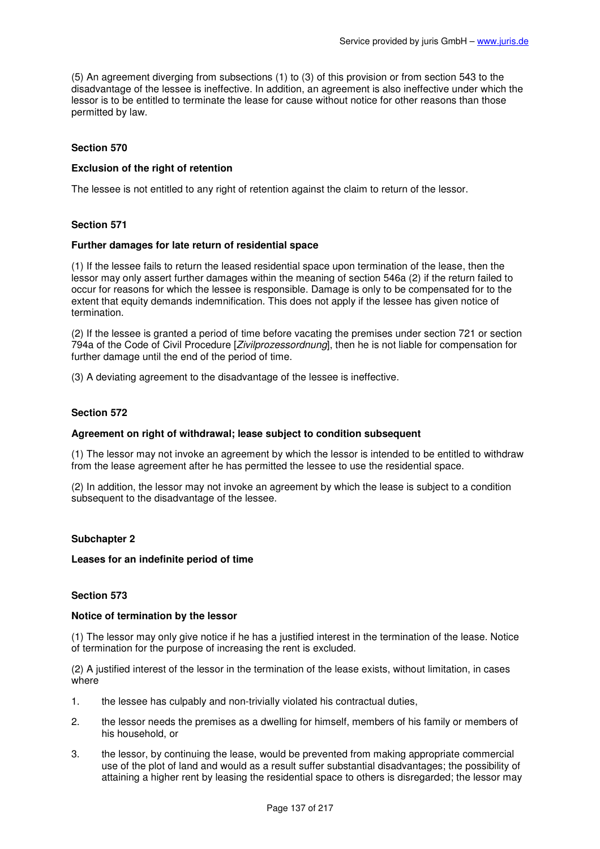(5) An agreement diverging from subsections (1) to (3) of this provision or from section 543 to the disadvantage of the lessee is ineffective. In addition, an agreement is also ineffective under which the lessor is to be entitled to terminate the lease for cause without notice for other reasons than those permitted by law.

# **Section 570**

# **Exclusion of the right of retention**

The lessee is not entitled to any right of retention against the claim to return of the lessor.

# **Section 571**

## **Further damages for late return of residential space**

(1) If the lessee fails to return the leased residential space upon termination of the lease, then the lessor may only assert further damages within the meaning of section 546a (2) if the return failed to occur for reasons for which the lessee is responsible. Damage is only to be compensated for to the extent that equity demands indemnification. This does not apply if the lessee has given notice of termination.

(2) If the lessee is granted a period of time before vacating the premises under section 721 or section 794a of the Code of Civil Procedure [Zivilprozessordnung], then he is not liable for compensation for further damage until the end of the period of time.

(3) A deviating agreement to the disadvantage of the lessee is ineffective.

## **Section 572**

#### **Agreement on right of withdrawal; lease subject to condition subsequent**

(1) The lessor may not invoke an agreement by which the lessor is intended to be entitled to withdraw from the lease agreement after he has permitted the lessee to use the residential space.

(2) In addition, the lessor may not invoke an agreement by which the lease is subject to a condition subsequent to the disadvantage of the lessee.

## **Subchapter 2**

#### **Leases for an indefinite period of time**

# **Section 573**

#### **Notice of termination by the lessor**

(1) The lessor may only give notice if he has a justified interest in the termination of the lease. Notice of termination for the purpose of increasing the rent is excluded.

(2) A justified interest of the lessor in the termination of the lease exists, without limitation, in cases where

- 1. the lessee has culpably and non-trivially violated his contractual duties,
- 2. the lessor needs the premises as a dwelling for himself, members of his family or members of his household, or
- 3. the lessor, by continuing the lease, would be prevented from making appropriate commercial use of the plot of land and would as a result suffer substantial disadvantages; the possibility of attaining a higher rent by leasing the residential space to others is disregarded; the lessor may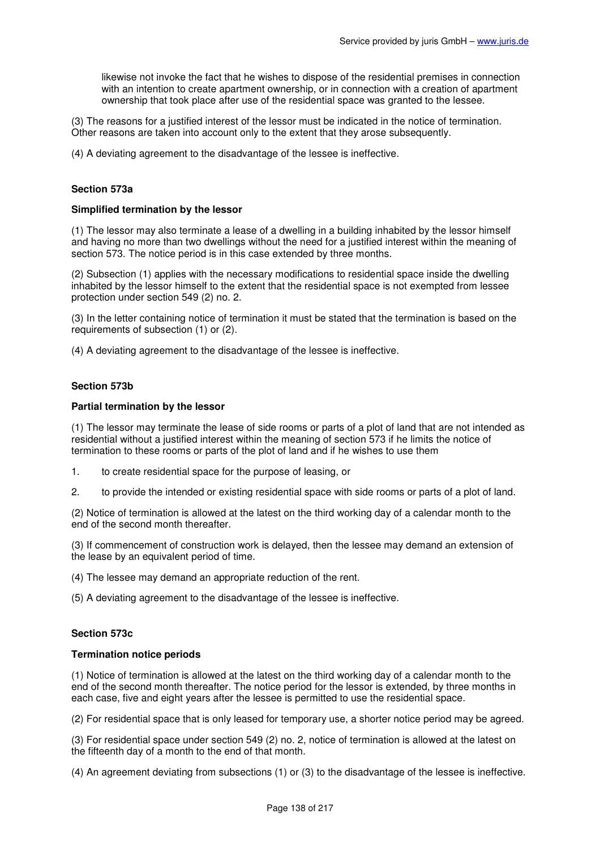likewise not invoke the fact that he wishes to dispose of the residential premises in connection with an intention to create apartment ownership, or in connection with a creation of apartment ownership that took place after use of the residential space was granted to the lessee.

(3) The reasons for a justified interest of the lessor must be indicated in the notice of termination. Other reasons are taken into account only to the extent that they arose subsequently.

(4) A deviating agreement to the disadvantage of the lessee is ineffective.

## **Section 573a**

#### **Simplified termination by the lessor**

(1) The lessor may also terminate a lease of a dwelling in a building inhabited by the lessor himself and having no more than two dwellings without the need for a justified interest within the meaning of section 573. The notice period is in this case extended by three months.

(2) Subsection (1) applies with the necessary modifications to residential space inside the dwelling inhabited by the lessor himself to the extent that the residential space is not exempted from lessee protection under section 549 (2) no. 2.

(3) In the letter containing notice of termination it must be stated that the termination is based on the requirements of subsection (1) or (2).

(4) A deviating agreement to the disadvantage of the lessee is ineffective.

## **Section 573b**

#### **Partial termination by the lessor**

(1) The lessor may terminate the lease of side rooms or parts of a plot of land that are not intended as residential without a justified interest within the meaning of section 573 if he limits the notice of termination to these rooms or parts of the plot of land and if he wishes to use them

- 1. to create residential space for the purpose of leasing, or
- 2. to provide the intended or existing residential space with side rooms or parts of a plot of land.

(2) Notice of termination is allowed at the latest on the third working day of a calendar month to the end of the second month thereafter.

(3) If commencement of construction work is delayed, then the lessee may demand an extension of the lease by an equivalent period of time.

(4) The lessee may demand an appropriate reduction of the rent.

(5) A deviating agreement to the disadvantage of the lessee is ineffective.

## **Section 573c**

#### **Termination notice periods**

(1) Notice of termination is allowed at the latest on the third working day of a calendar month to the end of the second month thereafter. The notice period for the lessor is extended, by three months in each case, five and eight years after the lessee is permitted to use the residential space.

(2) For residential space that is only leased for temporary use, a shorter notice period may be agreed.

(3) For residential space under section 549 (2) no. 2, notice of termination is allowed at the latest on the fifteenth day of a month to the end of that month.

(4) An agreement deviating from subsections (1) or (3) to the disadvantage of the lessee is ineffective.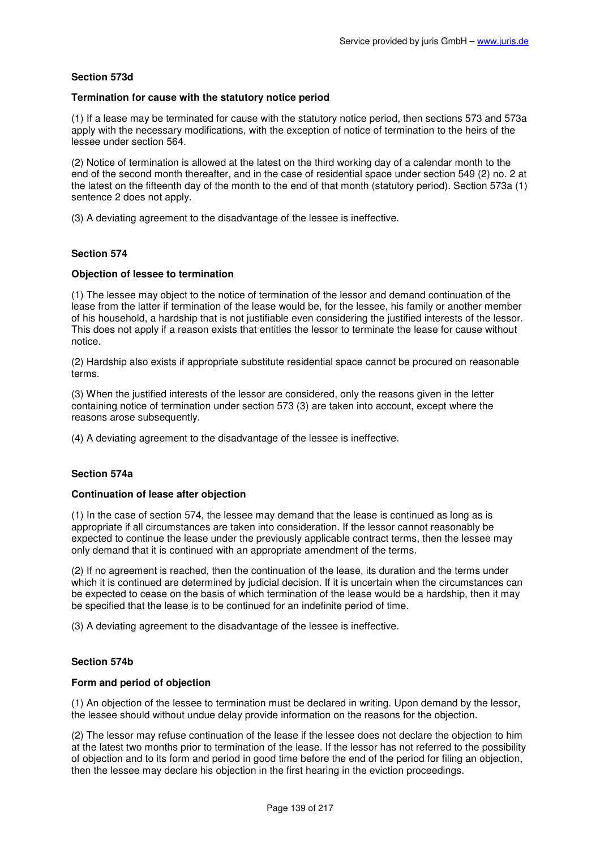# **Section 573d**

## **Termination for cause with the statutory notice period**

(1) If a lease may be terminated for cause with the statutory notice period, then sections 573 and 573a apply with the necessary modifications, with the exception of notice of termination to the heirs of the lessee under section 564.

(2) Notice of termination is allowed at the latest on the third working day of a calendar month to the end of the second month thereafter, and in the case of residential space under section 549 (2) no. 2 at the latest on the fifteenth day of the month to the end of that month (statutory period). Section 573a (1) sentence 2 does not apply.

(3) A deviating agreement to the disadvantage of the lessee is ineffective.

## **Section 574**

## **Objection of lessee to termination**

(1) The lessee may object to the notice of termination of the lessor and demand continuation of the lease from the latter if termination of the lease would be, for the lessee, his family or another member of his household, a hardship that is not justifiable even considering the justified interests of the lessor. This does not apply if a reason exists that entitles the lessor to terminate the lease for cause without notice.

(2) Hardship also exists if appropriate substitute residential space cannot be procured on reasonable terms.

(3) When the justified interests of the lessor are considered, only the reasons given in the letter containing notice of termination under section 573 (3) are taken into account, except where the reasons arose subsequently.

(4) A deviating agreement to the disadvantage of the lessee is ineffective.

## **Section 574a**

## **Continuation of lease after objection**

(1) In the case of section 574, the lessee may demand that the lease is continued as long as is appropriate if all circumstances are taken into consideration. If the lessor cannot reasonably be expected to continue the lease under the previously applicable contract terms, then the lessee may only demand that it is continued with an appropriate amendment of the terms.

(2) If no agreement is reached, then the continuation of the lease, its duration and the terms under which it is continued are determined by judicial decision. If it is uncertain when the circumstances can be expected to cease on the basis of which termination of the lease would be a hardship, then it may be specified that the lease is to be continued for an indefinite period of time.

(3) A deviating agreement to the disadvantage of the lessee is ineffective.

## **Section 574b**

## **Form and period of objection**

(1) An objection of the lessee to termination must be declared in writing. Upon demand by the lessor, the lessee should without undue delay provide information on the reasons for the objection.

(2) The lessor may refuse continuation of the lease if the lessee does not declare the objection to him at the latest two months prior to termination of the lease. If the lessor has not referred to the possibility of objection and to its form and period in good time before the end of the period for filing an objection, then the lessee may declare his objection in the first hearing in the eviction proceedings.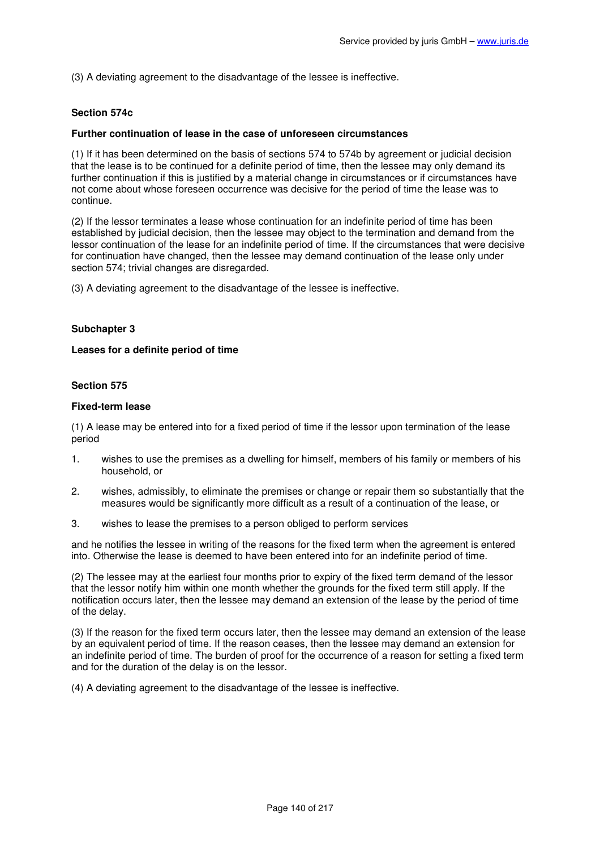(3) A deviating agreement to the disadvantage of the lessee is ineffective.

### **Section 574c**

#### **Further continuation of lease in the case of unforeseen circumstances**

(1) If it has been determined on the basis of sections 574 to 574b by agreement or judicial decision that the lease is to be continued for a definite period of time, then the lessee may only demand its further continuation if this is justified by a material change in circumstances or if circumstances have not come about whose foreseen occurrence was decisive for the period of time the lease was to continue.

(2) If the lessor terminates a lease whose continuation for an indefinite period of time has been established by judicial decision, then the lessee may object to the termination and demand from the lessor continuation of the lease for an indefinite period of time. If the circumstances that were decisive for continuation have changed, then the lessee may demand continuation of the lease only under section 574; trivial changes are disregarded.

(3) A deviating agreement to the disadvantage of the lessee is ineffective.

# **Subchapter 3**

#### **Leases for a definite period of time**

#### **Section 575**

### **Fixed-term lease**

(1) A lease may be entered into for a fixed period of time if the lessor upon termination of the lease period

- 1. wishes to use the premises as a dwelling for himself, members of his family or members of his household, or
- 2. wishes, admissibly, to eliminate the premises or change or repair them so substantially that the measures would be significantly more difficult as a result of a continuation of the lease, or
- 3. wishes to lease the premises to a person obliged to perform services

and he notifies the lessee in writing of the reasons for the fixed term when the agreement is entered into. Otherwise the lease is deemed to have been entered into for an indefinite period of time.

(2) The lessee may at the earliest four months prior to expiry of the fixed term demand of the lessor that the lessor notify him within one month whether the grounds for the fixed term still apply. If the notification occurs later, then the lessee may demand an extension of the lease by the period of time of the delay.

(3) If the reason for the fixed term occurs later, then the lessee may demand an extension of the lease by an equivalent period of time. If the reason ceases, then the lessee may demand an extension for an indefinite period of time. The burden of proof for the occurrence of a reason for setting a fixed term and for the duration of the delay is on the lessor.

(4) A deviating agreement to the disadvantage of the lessee is ineffective.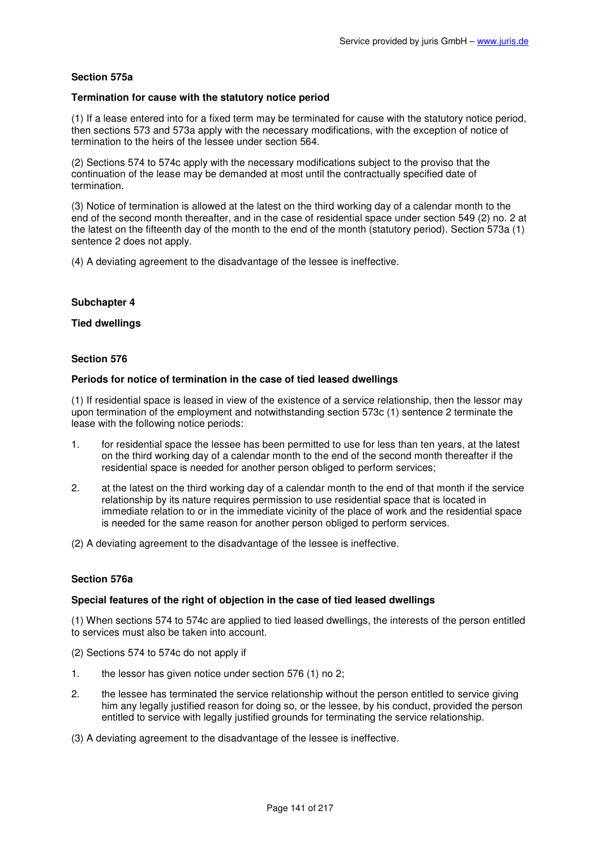# **Section 575a**

## **Termination for cause with the statutory notice period**

(1) If a lease entered into for a fixed term may be terminated for cause with the statutory notice period, then sections 573 and 573a apply with the necessary modifications, with the exception of notice of termination to the heirs of the lessee under section 564.

(2) Sections 574 to 574c apply with the necessary modifications subject to the proviso that the continuation of the lease may be demanded at most until the contractually specified date of termination.

(3) Notice of termination is allowed at the latest on the third working day of a calendar month to the end of the second month thereafter, and in the case of residential space under section 549 (2) no. 2 at the latest on the fifteenth day of the month to the end of the month (statutory period). Section 573a (1) sentence 2 does not apply.

(4) A deviating agreement to the disadvantage of the lessee is ineffective.

## **Subchapter 4**

## **Tied dwellings**

#### **Section 576**

#### **Periods for notice of termination in the case of tied leased dwellings**

(1) If residential space is leased in view of the existence of a service relationship, then the lessor may upon termination of the employment and notwithstanding section 573c (1) sentence 2 terminate the lease with the following notice periods:

- 1. for residential space the lessee has been permitted to use for less than ten years, at the latest on the third working day of a calendar month to the end of the second month thereafter if the residential space is needed for another person obliged to perform services;
- 2. at the latest on the third working day of a calendar month to the end of that month if the service relationship by its nature requires permission to use residential space that is located in immediate relation to or in the immediate vicinity of the place of work and the residential space is needed for the same reason for another person obliged to perform services.

(2) A deviating agreement to the disadvantage of the lessee is ineffective.

## **Section 576a**

#### **Special features of the right of objection in the case of tied leased dwellings**

(1) When sections 574 to 574c are applied to tied leased dwellings, the interests of the person entitled to services must also be taken into account.

- (2) Sections 574 to 574c do not apply if
- 1. the lessor has given notice under section 576 (1) no 2;
- 2. the lessee has terminated the service relationship without the person entitled to service giving him any legally justified reason for doing so, or the lessee, by his conduct, provided the person entitled to service with legally justified grounds for terminating the service relationship.
- (3) A deviating agreement to the disadvantage of the lessee is ineffective.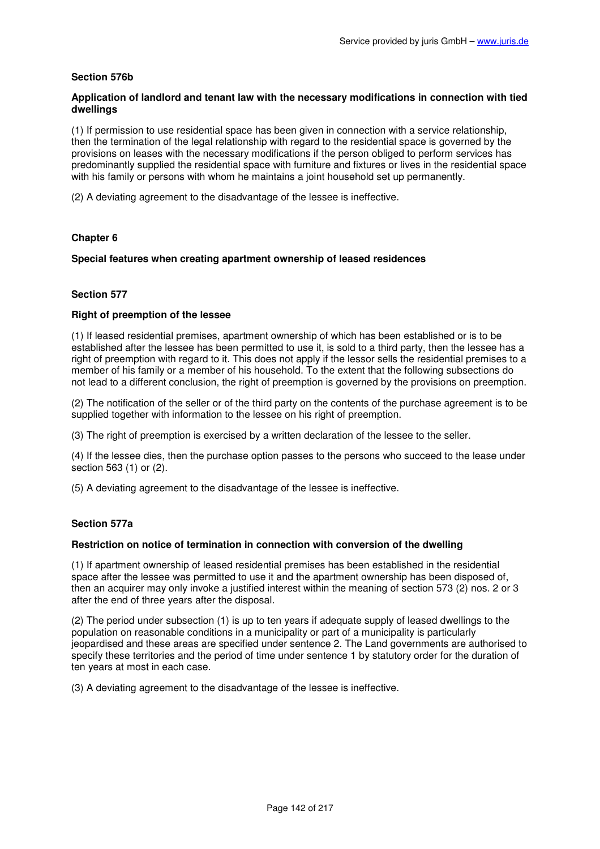# **Section 576b**

# **Application of landlord and tenant law with the necessary modifications in connection with tied dwellings**

(1) If permission to use residential space has been given in connection with a service relationship, then the termination of the legal relationship with regard to the residential space is governed by the provisions on leases with the necessary modifications if the person obliged to perform services has predominantly supplied the residential space with furniture and fixtures or lives in the residential space with his family or persons with whom he maintains a joint household set up permanently.

(2) A deviating agreement to the disadvantage of the lessee is ineffective.

# **Chapter 6**

# **Special features when creating apartment ownership of leased residences**

## **Section 577**

## **Right of preemption of the lessee**

(1) If leased residential premises, apartment ownership of which has been established or is to be established after the lessee has been permitted to use it, is sold to a third party, then the lessee has a right of preemption with regard to it. This does not apply if the lessor sells the residential premises to a member of his family or a member of his household. To the extent that the following subsections do not lead to a different conclusion, the right of preemption is governed by the provisions on preemption.

(2) The notification of the seller or of the third party on the contents of the purchase agreement is to be supplied together with information to the lessee on his right of preemption.

(3) The right of preemption is exercised by a written declaration of the lessee to the seller.

(4) If the lessee dies, then the purchase option passes to the persons who succeed to the lease under section 563 (1) or (2).

(5) A deviating agreement to the disadvantage of the lessee is ineffective.

## **Section 577a**

## **Restriction on notice of termination in connection with conversion of the dwelling**

(1) If apartment ownership of leased residential premises has been established in the residential space after the lessee was permitted to use it and the apartment ownership has been disposed of, then an acquirer may only invoke a justified interest within the meaning of section 573 (2) nos. 2 or 3 after the end of three years after the disposal.

(2) The period under subsection (1) is up to ten years if adequate supply of leased dwellings to the population on reasonable conditions in a municipality or part of a municipality is particularly jeopardised and these areas are specified under sentence 2. The Land governments are authorised to specify these territories and the period of time under sentence 1 by statutory order for the duration of ten years at most in each case.

(3) A deviating agreement to the disadvantage of the lessee is ineffective.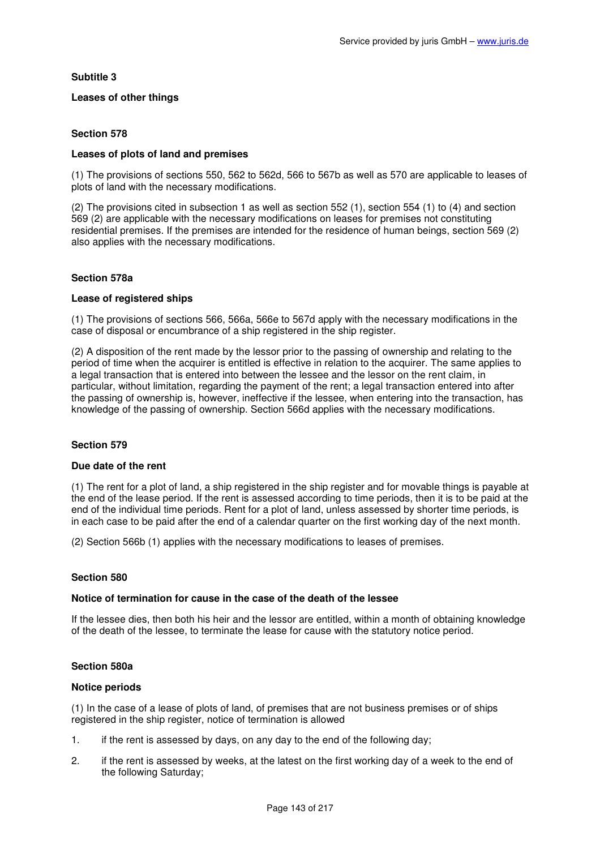# **Subtitle 3**

# **Leases of other things**

# **Section 578**

## **Leases of plots of land and premises**

(1) The provisions of sections 550, 562 to 562d, 566 to 567b as well as 570 are applicable to leases of plots of land with the necessary modifications.

(2) The provisions cited in subsection 1 as well as section 552 (1), section 554 (1) to (4) and section 569 (2) are applicable with the necessary modifications on leases for premises not constituting residential premises. If the premises are intended for the residence of human beings, section 569 (2) also applies with the necessary modifications.

# **Section 578a**

## **Lease of registered ships**

(1) The provisions of sections 566, 566a, 566e to 567d apply with the necessary modifications in the case of disposal or encumbrance of a ship registered in the ship register.

(2) A disposition of the rent made by the lessor prior to the passing of ownership and relating to the period of time when the acquirer is entitled is effective in relation to the acquirer. The same applies to a legal transaction that is entered into between the lessee and the lessor on the rent claim, in particular, without limitation, regarding the payment of the rent; a legal transaction entered into after the passing of ownership is, however, ineffective if the lessee, when entering into the transaction, has knowledge of the passing of ownership. Section 566d applies with the necessary modifications.

## **Section 579**

## **Due date of the rent**

(1) The rent for a plot of land, a ship registered in the ship register and for movable things is payable at the end of the lease period. If the rent is assessed according to time periods, then it is to be paid at the end of the individual time periods. Rent for a plot of land, unless assessed by shorter time periods, is in each case to be paid after the end of a calendar quarter on the first working day of the next month.

(2) Section 566b (1) applies with the necessary modifications to leases of premises.

## **Section 580**

## **Notice of termination for cause in the case of the death of the lessee**

If the lessee dies, then both his heir and the lessor are entitled, within a month of obtaining knowledge of the death of the lessee, to terminate the lease for cause with the statutory notice period.

## **Section 580a**

## **Notice periods**

(1) In the case of a lease of plots of land, of premises that are not business premises or of ships registered in the ship register, notice of termination is allowed

- 1. if the rent is assessed by days, on any day to the end of the following day;
- 2. if the rent is assessed by weeks, at the latest on the first working day of a week to the end of the following Saturday;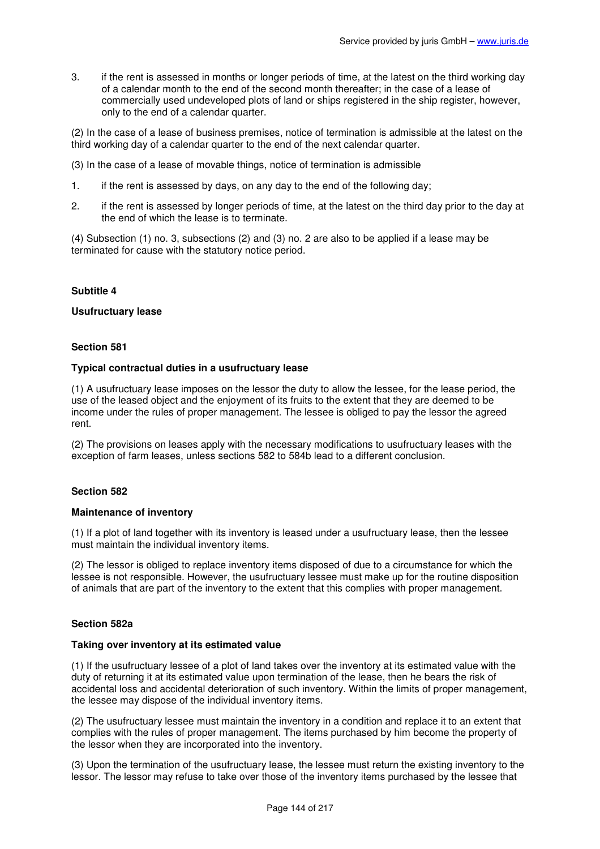3. if the rent is assessed in months or longer periods of time, at the latest on the third working day of a calendar month to the end of the second month thereafter; in the case of a lease of commercially used undeveloped plots of land or ships registered in the ship register, however, only to the end of a calendar quarter.

(2) In the case of a lease of business premises, notice of termination is admissible at the latest on the third working day of a calendar quarter to the end of the next calendar quarter.

- (3) In the case of a lease of movable things, notice of termination is admissible
- 1. if the rent is assessed by days, on any day to the end of the following day;
- 2. if the rent is assessed by longer periods of time, at the latest on the third day prior to the day at the end of which the lease is to terminate.

(4) Subsection (1) no. 3, subsections (2) and (3) no. 2 are also to be applied if a lease may be terminated for cause with the statutory notice period.

## **Subtitle 4**

#### **Usufructuary lease**

## **Section 581**

#### **Typical contractual duties in a usufructuary lease**

(1) A usufructuary lease imposes on the lessor the duty to allow the lessee, for the lease period, the use of the leased object and the enjoyment of its fruits to the extent that they are deemed to be income under the rules of proper management. The lessee is obliged to pay the lessor the agreed rent.

(2) The provisions on leases apply with the necessary modifications to usufructuary leases with the exception of farm leases, unless sections 582 to 584b lead to a different conclusion.

## **Section 582**

#### **Maintenance of inventory**

(1) If a plot of land together with its inventory is leased under a usufructuary lease, then the lessee must maintain the individual inventory items.

(2) The lessor is obliged to replace inventory items disposed of due to a circumstance for which the lessee is not responsible. However, the usufructuary lessee must make up for the routine disposition of animals that are part of the inventory to the extent that this complies with proper management.

## **Section 582a**

#### **Taking over inventory at its estimated value**

(1) If the usufructuary lessee of a plot of land takes over the inventory at its estimated value with the duty of returning it at its estimated value upon termination of the lease, then he bears the risk of accidental loss and accidental deterioration of such inventory. Within the limits of proper management, the lessee may dispose of the individual inventory items.

(2) The usufructuary lessee must maintain the inventory in a condition and replace it to an extent that complies with the rules of proper management. The items purchased by him become the property of the lessor when they are incorporated into the inventory.

(3) Upon the termination of the usufructuary lease, the lessee must return the existing inventory to the lessor. The lessor may refuse to take over those of the inventory items purchased by the lessee that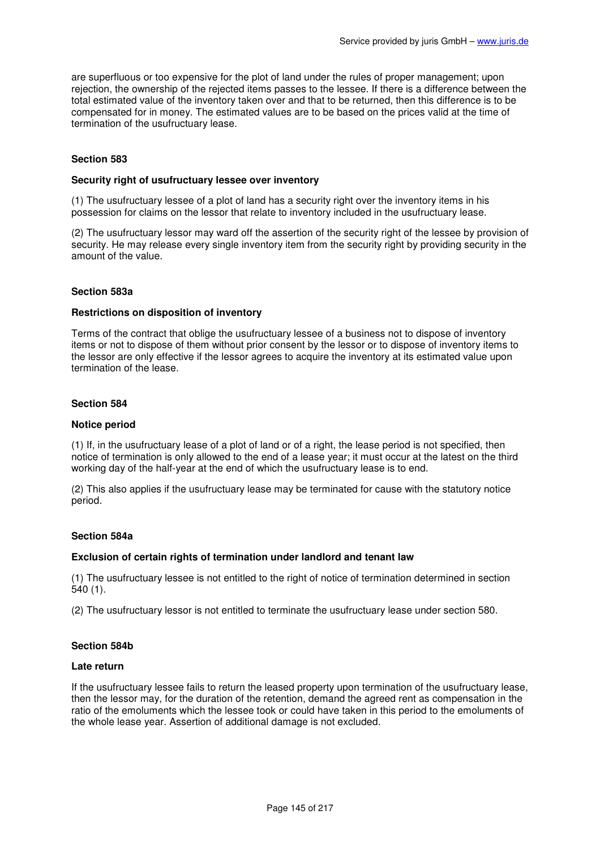are superfluous or too expensive for the plot of land under the rules of proper management; upon rejection, the ownership of the rejected items passes to the lessee. If there is a difference between the total estimated value of the inventory taken over and that to be returned, then this difference is to be compensated for in money. The estimated values are to be based on the prices valid at the time of termination of the usufructuary lease.

## **Section 583**

### **Security right of usufructuary lessee over inventory**

(1) The usufructuary lessee of a plot of land has a security right over the inventory items in his possession for claims on the lessor that relate to inventory included in the usufructuary lease.

(2) The usufructuary lessor may ward off the assertion of the security right of the lessee by provision of security. He may release every single inventory item from the security right by providing security in the amount of the value.

#### **Section 583a**

#### **Restrictions on disposition of inventory**

Terms of the contract that oblige the usufructuary lessee of a business not to dispose of inventory items or not to dispose of them without prior consent by the lessor or to dispose of inventory items to the lessor are only effective if the lessor agrees to acquire the inventory at its estimated value upon termination of the lease.

### **Section 584**

#### **Notice period**

(1) If, in the usufructuary lease of a plot of land or of a right, the lease period is not specified, then notice of termination is only allowed to the end of a lease year; it must occur at the latest on the third working day of the half-year at the end of which the usufructuary lease is to end.

(2) This also applies if the usufructuary lease may be terminated for cause with the statutory notice period.

## **Section 584a**

### **Exclusion of certain rights of termination under landlord and tenant law**

(1) The usufructuary lessee is not entitled to the right of notice of termination determined in section 540 (1).

(2) The usufructuary lessor is not entitled to terminate the usufructuary lease under section 580.

# **Section 584b**

#### **Late return**

If the usufructuary lessee fails to return the leased property upon termination of the usufructuary lease, then the lessor may, for the duration of the retention, demand the agreed rent as compensation in the ratio of the emoluments which the lessee took or could have taken in this period to the emoluments of the whole lease year. Assertion of additional damage is not excluded.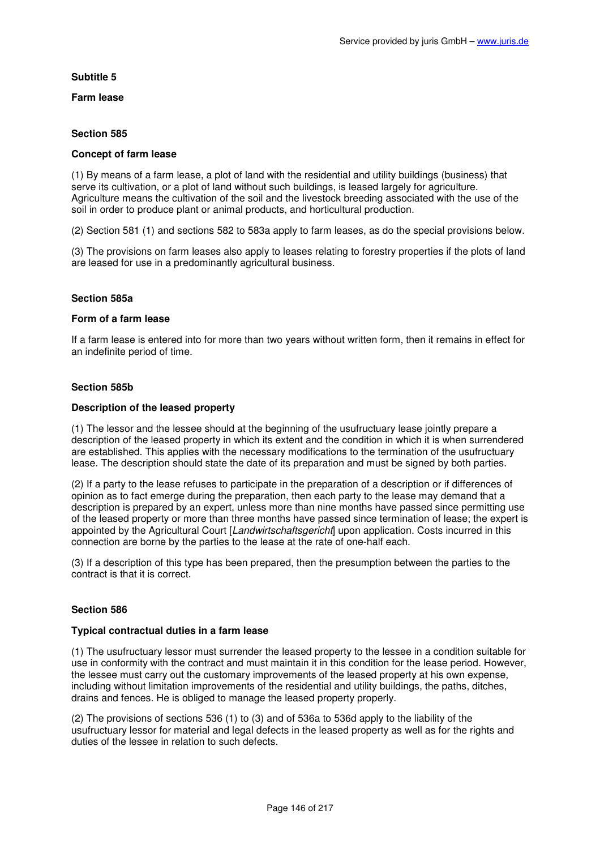# **Subtitle 5**

# **Farm lease**

# **Section 585**

## **Concept of farm lease**

(1) By means of a farm lease, a plot of land with the residential and utility buildings (business) that serve its cultivation, or a plot of land without such buildings, is leased largely for agriculture. Agriculture means the cultivation of the soil and the livestock breeding associated with the use of the soil in order to produce plant or animal products, and horticultural production.

(2) Section 581 (1) and sections 582 to 583a apply to farm leases, as do the special provisions below.

(3) The provisions on farm leases also apply to leases relating to forestry properties if the plots of land are leased for use in a predominantly agricultural business.

# **Section 585a**

### **Form of a farm lease**

If a farm lease is entered into for more than two years without written form, then it remains in effect for an indefinite period of time.

# **Section 585b**

# **Description of the leased property**

(1) The lessor and the lessee should at the beginning of the usufructuary lease jointly prepare a description of the leased property in which its extent and the condition in which it is when surrendered are established. This applies with the necessary modifications to the termination of the usufructuary lease. The description should state the date of its preparation and must be signed by both parties.

(2) If a party to the lease refuses to participate in the preparation of a description or if differences of opinion as to fact emerge during the preparation, then each party to the lease may demand that a description is prepared by an expert, unless more than nine months have passed since permitting use of the leased property or more than three months have passed since termination of lease; the expert is appointed by the Agricultural Court [Landwirtschaftsgericht] upon application. Costs incurred in this connection are borne by the parties to the lease at the rate of one-half each.

(3) If a description of this type has been prepared, then the presumption between the parties to the contract is that it is correct.

# **Section 586**

### **Typical contractual duties in a farm lease**

(1) The usufructuary lessor must surrender the leased property to the lessee in a condition suitable for use in conformity with the contract and must maintain it in this condition for the lease period. However, the lessee must carry out the customary improvements of the leased property at his own expense, including without limitation improvements of the residential and utility buildings, the paths, ditches, drains and fences. He is obliged to manage the leased property properly.

(2) The provisions of sections 536 (1) to (3) and of 536a to 536d apply to the liability of the usufructuary lessor for material and legal defects in the leased property as well as for the rights and duties of the lessee in relation to such defects.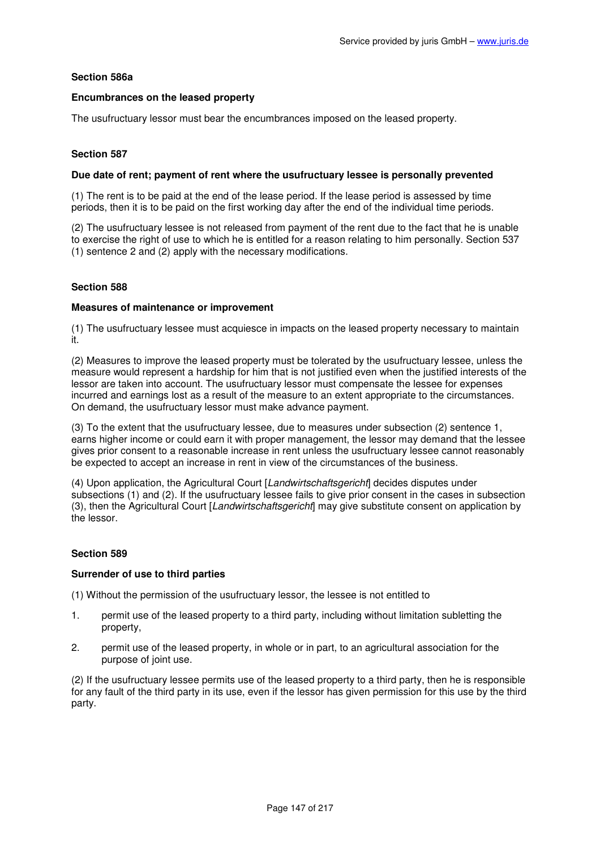# **Section 586a**

## **Encumbrances on the leased property**

The usufructuary lessor must bear the encumbrances imposed on the leased property.

## **Section 587**

### **Due date of rent; payment of rent where the usufructuary lessee is personally prevented**

(1) The rent is to be paid at the end of the lease period. If the lease period is assessed by time periods, then it is to be paid on the first working day after the end of the individual time periods.

(2) The usufructuary lessee is not released from payment of the rent due to the fact that he is unable to exercise the right of use to which he is entitled for a reason relating to him personally. Section 537 (1) sentence 2 and (2) apply with the necessary modifications.

### **Section 588**

### **Measures of maintenance or improvement**

(1) The usufructuary lessee must acquiesce in impacts on the leased property necessary to maintain it.

(2) Measures to improve the leased property must be tolerated by the usufructuary lessee, unless the measure would represent a hardship for him that is not justified even when the justified interests of the lessor are taken into account. The usufructuary lessor must compensate the lessee for expenses incurred and earnings lost as a result of the measure to an extent appropriate to the circumstances. On demand, the usufructuary lessor must make advance payment.

(3) To the extent that the usufructuary lessee, due to measures under subsection (2) sentence 1, earns higher income or could earn it with proper management, the lessor may demand that the lessee gives prior consent to a reasonable increase in rent unless the usufructuary lessee cannot reasonably be expected to accept an increase in rent in view of the circumstances of the business.

(4) Upon application, the Agricultural Court [Landwirtschaftsgericht] decides disputes under subsections (1) and (2). If the usufructuary lessee fails to give prior consent in the cases in subsection (3), then the Agricultural Court [Landwirtschaftsgericht] may give substitute consent on application by the lessor.

### **Section 589**

### **Surrender of use to third parties**

(1) Without the permission of the usufructuary lessor, the lessee is not entitled to

- 1. permit use of the leased property to a third party, including without limitation subletting the property,
- 2. permit use of the leased property, in whole or in part, to an agricultural association for the purpose of joint use.

(2) If the usufructuary lessee permits use of the leased property to a third party, then he is responsible for any fault of the third party in its use, even if the lessor has given permission for this use by the third party.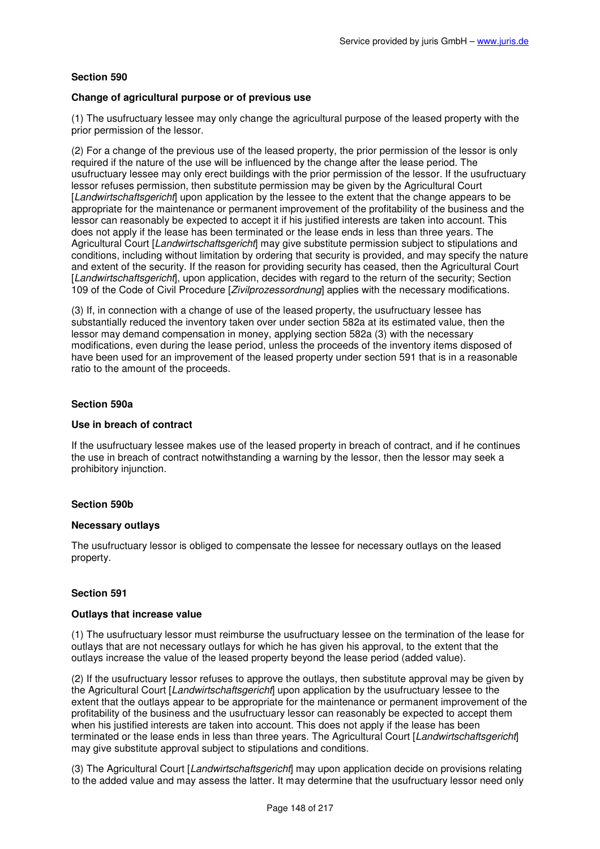### **Change of agricultural purpose or of previous use**

(1) The usufructuary lessee may only change the agricultural purpose of the leased property with the prior permission of the lessor.

(2) For a change of the previous use of the leased property, the prior permission of the lessor is only required if the nature of the use will be influenced by the change after the lease period. The usufructuary lessee may only erect buildings with the prior permission of the lessor. If the usufructuary lessor refuses permission, then substitute permission may be given by the Agricultural Court [Landwirtschaftsgericht] upon application by the lessee to the extent that the change appears to be appropriate for the maintenance or permanent improvement of the profitability of the business and the lessor can reasonably be expected to accept it if his justified interests are taken into account. This does not apply if the lease has been terminated or the lease ends in less than three years. The Agricultural Court [Landwirtschaftsgericht] may give substitute permission subject to stipulations and conditions, including without limitation by ordering that security is provided, and may specify the nature and extent of the security. If the reason for providing security has ceased, then the Agricultural Court [Landwirtschaftsgericht], upon application, decides with regard to the return of the security; Section 109 of the Code of Civil Procedure [Zivilprozessordnung] applies with the necessary modifications.

(3) If, in connection with a change of use of the leased property, the usufructuary lessee has substantially reduced the inventory taken over under section 582a at its estimated value, then the lessor may demand compensation in money, applying section 582a (3) with the necessary modifications, even during the lease period, unless the proceeds of the inventory items disposed of have been used for an improvement of the leased property under section 591 that is in a reasonable ratio to the amount of the proceeds.

## **Section 590a**

# **Use in breach of contract**

If the usufructuary lessee makes use of the leased property in breach of contract, and if he continues the use in breach of contract notwithstanding a warning by the lessor, then the lessor may seek a prohibitory injunction.

### **Section 590b**

### **Necessary outlays**

The usufructuary lessor is obliged to compensate the lessee for necessary outlays on the leased property.

### **Section 591**

### **Outlays that increase value**

(1) The usufructuary lessor must reimburse the usufructuary lessee on the termination of the lease for outlays that are not necessary outlays for which he has given his approval, to the extent that the outlays increase the value of the leased property beyond the lease period (added value).

(2) If the usufructuary lessor refuses to approve the outlays, then substitute approval may be given by the Agricultural Court [Landwirtschaftsgericht] upon application by the usufructuary lessee to the extent that the outlays appear to be appropriate for the maintenance or permanent improvement of the profitability of the business and the usufructuary lessor can reasonably be expected to accept them when his justified interests are taken into account. This does not apply if the lease has been terminated or the lease ends in less than three years. The Agricultural Court [Landwirtschaftsgericht] may give substitute approval subject to stipulations and conditions.

(3) The Agricultural Court [Landwirtschaftsgericht] may upon application decide on provisions relating to the added value and may assess the latter. It may determine that the usufructuary lessor need only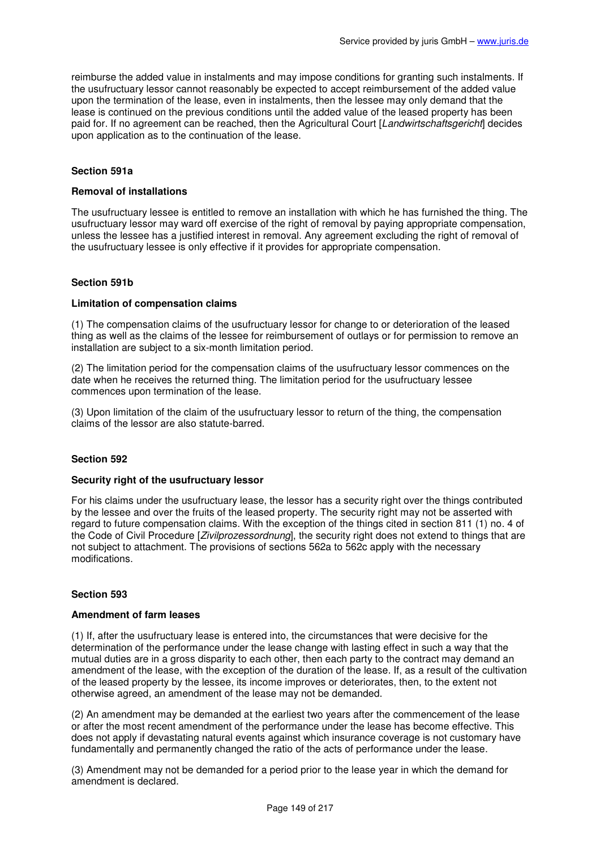reimburse the added value in instalments and may impose conditions for granting such instalments. If the usufructuary lessor cannot reasonably be expected to accept reimbursement of the added value upon the termination of the lease, even in instalments, then the lessee may only demand that the lease is continued on the previous conditions until the added value of the leased property has been paid for. If no agreement can be reached, then the Agricultural Court [Landwirtschaftsgericht] decides upon application as to the continuation of the lease.

# **Section 591a**

#### **Removal of installations**

The usufructuary lessee is entitled to remove an installation with which he has furnished the thing. The usufructuary lessor may ward off exercise of the right of removal by paying appropriate compensation, unless the lessee has a justified interest in removal. Any agreement excluding the right of removal of the usufructuary lessee is only effective if it provides for appropriate compensation.

### **Section 591b**

#### **Limitation of compensation claims**

(1) The compensation claims of the usufructuary lessor for change to or deterioration of the leased thing as well as the claims of the lessee for reimbursement of outlays or for permission to remove an installation are subject to a six-month limitation period.

(2) The limitation period for the compensation claims of the usufructuary lessor commences on the date when he receives the returned thing. The limitation period for the usufructuary lessee commences upon termination of the lease.

(3) Upon limitation of the claim of the usufructuary lessor to return of the thing, the compensation claims of the lessor are also statute-barred.

#### **Section 592**

### **Security right of the usufructuary lessor**

For his claims under the usufructuary lease, the lessor has a security right over the things contributed by the lessee and over the fruits of the leased property. The security right may not be asserted with regard to future compensation claims. With the exception of the things cited in section 811 (1) no. 4 of the Code of Civil Procedure [*Zivilprozessordnung*], the security right does not extend to things that are not subject to attachment. The provisions of sections 562a to 562c apply with the necessary modifications.

### **Section 593**

#### **Amendment of farm leases**

(1) If, after the usufructuary lease is entered into, the circumstances that were decisive for the determination of the performance under the lease change with lasting effect in such a way that the mutual duties are in a gross disparity to each other, then each party to the contract may demand an amendment of the lease, with the exception of the duration of the lease. If, as a result of the cultivation of the leased property by the lessee, its income improves or deteriorates, then, to the extent not otherwise agreed, an amendment of the lease may not be demanded.

(2) An amendment may be demanded at the earliest two years after the commencement of the lease or after the most recent amendment of the performance under the lease has become effective. This does not apply if devastating natural events against which insurance coverage is not customary have fundamentally and permanently changed the ratio of the acts of performance under the lease.

(3) Amendment may not be demanded for a period prior to the lease year in which the demand for amendment is declared.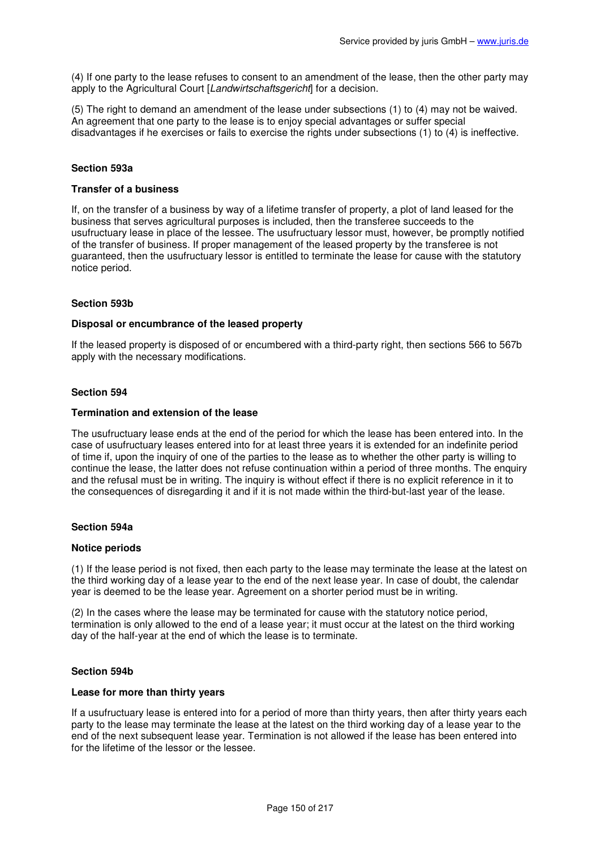(4) If one party to the lease refuses to consent to an amendment of the lease, then the other party may apply to the Agricultural Court [Landwirtschaftsgericht] for a decision.

(5) The right to demand an amendment of the lease under subsections (1) to (4) may not be waived. An agreement that one party to the lease is to enjoy special advantages or suffer special disadvantages if he exercises or fails to exercise the rights under subsections (1) to (4) is ineffective.

## **Section 593a**

#### **Transfer of a business**

If, on the transfer of a business by way of a lifetime transfer of property, a plot of land leased for the business that serves agricultural purposes is included, then the transferee succeeds to the usufructuary lease in place of the lessee. The usufructuary lessor must, however, be promptly notified of the transfer of business. If proper management of the leased property by the transferee is not guaranteed, then the usufructuary lessor is entitled to terminate the lease for cause with the statutory notice period.

### **Section 593b**

### **Disposal or encumbrance of the leased property**

If the leased property is disposed of or encumbered with a third-party right, then sections 566 to 567b apply with the necessary modifications.

### **Section 594**

#### **Termination and extension of the lease**

The usufructuary lease ends at the end of the period for which the lease has been entered into. In the case of usufructuary leases entered into for at least three years it is extended for an indefinite period of time if, upon the inquiry of one of the parties to the lease as to whether the other party is willing to continue the lease, the latter does not refuse continuation within a period of three months. The enquiry and the refusal must be in writing. The inquiry is without effect if there is no explicit reference in it to the consequences of disregarding it and if it is not made within the third-but-last year of the lease.

# **Section 594a**

#### **Notice periods**

(1) If the lease period is not fixed, then each party to the lease may terminate the lease at the latest on the third working day of a lease year to the end of the next lease year. In case of doubt, the calendar year is deemed to be the lease year. Agreement on a shorter period must be in writing.

(2) In the cases where the lease may be terminated for cause with the statutory notice period, termination is only allowed to the end of a lease year; it must occur at the latest on the third working day of the half-year at the end of which the lease is to terminate.

### **Section 594b**

### **Lease for more than thirty years**

If a usufructuary lease is entered into for a period of more than thirty years, then after thirty years each party to the lease may terminate the lease at the latest on the third working day of a lease year to the end of the next subsequent lease year. Termination is not allowed if the lease has been entered into for the lifetime of the lessor or the lessee.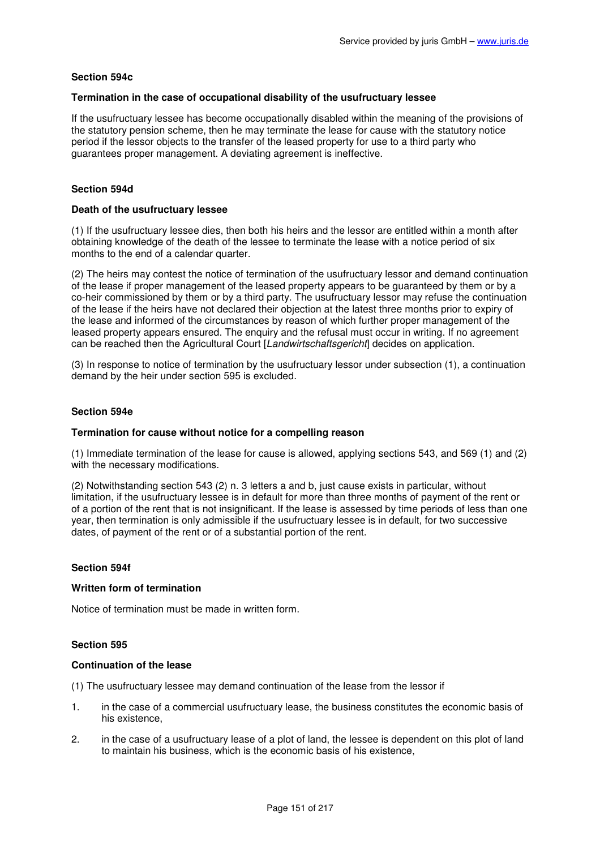# **Section 594c**

### **Termination in the case of occupational disability of the usufructuary lessee**

If the usufructuary lessee has become occupationally disabled within the meaning of the provisions of the statutory pension scheme, then he may terminate the lease for cause with the statutory notice period if the lessor objects to the transfer of the leased property for use to a third party who guarantees proper management. A deviating agreement is ineffective.

# **Section 594d**

#### **Death of the usufructuary lessee**

(1) If the usufructuary lessee dies, then both his heirs and the lessor are entitled within a month after obtaining knowledge of the death of the lessee to terminate the lease with a notice period of six months to the end of a calendar quarter.

(2) The heirs may contest the notice of termination of the usufructuary lessor and demand continuation of the lease if proper management of the leased property appears to be guaranteed by them or by a co-heir commissioned by them or by a third party. The usufructuary lessor may refuse the continuation of the lease if the heirs have not declared their objection at the latest three months prior to expiry of the lease and informed of the circumstances by reason of which further proper management of the leased property appears ensured. The enquiry and the refusal must occur in writing. If no agreement can be reached then the Agricultural Court [Landwirtschaftsgericht] decides on application.

(3) In response to notice of termination by the usufructuary lessor under subsection (1), a continuation demand by the heir under section 595 is excluded.

### **Section 594e**

### **Termination for cause without notice for a compelling reason**

(1) Immediate termination of the lease for cause is allowed, applying sections 543, and 569 (1) and (2) with the necessary modifications.

(2) Notwithstanding section 543 (2) n. 3 letters a and b, just cause exists in particular, without limitation, if the usufructuary lessee is in default for more than three months of payment of the rent or of a portion of the rent that is not insignificant. If the lease is assessed by time periods of less than one year, then termination is only admissible if the usufructuary lessee is in default, for two successive dates, of payment of the rent or of a substantial portion of the rent.

### **Section 594f**

### **Written form of termination**

Notice of termination must be made in written form.

### **Section 595**

#### **Continuation of the lease**

(1) The usufructuary lessee may demand continuation of the lease from the lessor if

- 1. in the case of a commercial usufructuary lease, the business constitutes the economic basis of his existence,
- 2. in the case of a usufructuary lease of a plot of land, the lessee is dependent on this plot of land to maintain his business, which is the economic basis of his existence,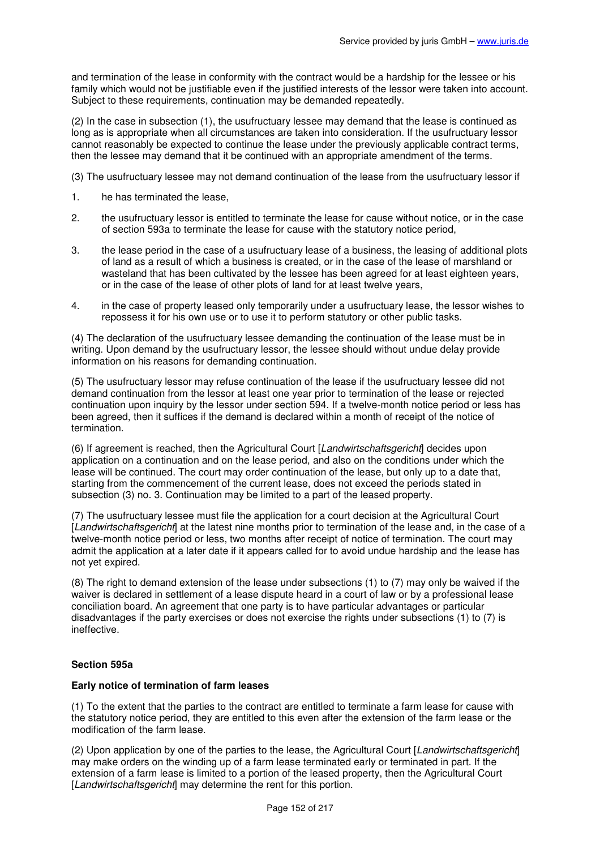and termination of the lease in conformity with the contract would be a hardship for the lessee or his family which would not be justifiable even if the justified interests of the lessor were taken into account. Subject to these requirements, continuation may be demanded repeatedly.

(2) In the case in subsection (1), the usufructuary lessee may demand that the lease is continued as long as is appropriate when all circumstances are taken into consideration. If the usufructuary lessor cannot reasonably be expected to continue the lease under the previously applicable contract terms, then the lessee may demand that it be continued with an appropriate amendment of the terms.

(3) The usufructuary lessee may not demand continuation of the lease from the usufructuary lessor if

- 1. he has terminated the lease,
- 2. the usufructuary lessor is entitled to terminate the lease for cause without notice, or in the case of section 593a to terminate the lease for cause with the statutory notice period,
- 3. the lease period in the case of a usufructuary lease of a business, the leasing of additional plots of land as a result of which a business is created, or in the case of the lease of marshland or wasteland that has been cultivated by the lessee has been agreed for at least eighteen years, or in the case of the lease of other plots of land for at least twelve years,
- 4. in the case of property leased only temporarily under a usufructuary lease, the lessor wishes to repossess it for his own use or to use it to perform statutory or other public tasks.

(4) The declaration of the usufructuary lessee demanding the continuation of the lease must be in writing. Upon demand by the usufructuary lessor, the lessee should without undue delay provide information on his reasons for demanding continuation.

(5) The usufructuary lessor may refuse continuation of the lease if the usufructuary lessee did not demand continuation from the lessor at least one year prior to termination of the lease or rejected continuation upon inquiry by the lessor under section 594. If a twelve-month notice period or less has been agreed, then it suffices if the demand is declared within a month of receipt of the notice of termination.

(6) If agreement is reached, then the Agricultural Court [Landwirtschaftsgericht] decides upon application on a continuation and on the lease period, and also on the conditions under which the lease will be continued. The court may order continuation of the lease, but only up to a date that, starting from the commencement of the current lease, does not exceed the periods stated in subsection (3) no. 3. Continuation may be limited to a part of the leased property.

(7) The usufructuary lessee must file the application for a court decision at the Agricultural Court [Landwirtschaftsgericht] at the latest nine months prior to termination of the lease and, in the case of a twelve-month notice period or less, two months after receipt of notice of termination. The court may admit the application at a later date if it appears called for to avoid undue hardship and the lease has not yet expired.

(8) The right to demand extension of the lease under subsections (1) to (7) may only be waived if the waiver is declared in settlement of a lease dispute heard in a court of law or by a professional lease conciliation board. An agreement that one party is to have particular advantages or particular disadvantages if the party exercises or does not exercise the rights under subsections (1) to (7) is ineffective.

# **Section 595a**

### **Early notice of termination of farm leases**

(1) To the extent that the parties to the contract are entitled to terminate a farm lease for cause with the statutory notice period, they are entitled to this even after the extension of the farm lease or the modification of the farm lease.

(2) Upon application by one of the parties to the lease, the Agricultural Court [Landwirtschaftsgericht] may make orders on the winding up of a farm lease terminated early or terminated in part. If the extension of a farm lease is limited to a portion of the leased property, then the Agricultural Court [Landwirtschaftsgericht] may determine the rent for this portion.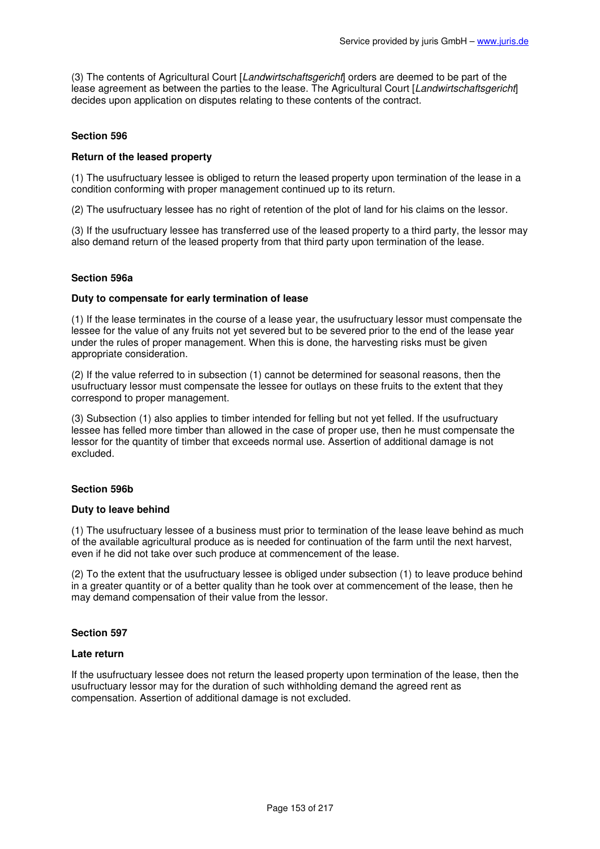(3) The contents of Agricultural Court [Landwirtschaftsgericht] orders are deemed to be part of the lease agreement as between the parties to the lease. The Agricultural Court [Landwirtschaftsgericht] decides upon application on disputes relating to these contents of the contract.

# **Section 596**

### **Return of the leased property**

(1) The usufructuary lessee is obliged to return the leased property upon termination of the lease in a condition conforming with proper management continued up to its return.

(2) The usufructuary lessee has no right of retention of the plot of land for his claims on the lessor.

(3) If the usufructuary lessee has transferred use of the leased property to a third party, the lessor may also demand return of the leased property from that third party upon termination of the lease.

### **Section 596a**

#### **Duty to compensate for early termination of lease**

(1) If the lease terminates in the course of a lease year, the usufructuary lessor must compensate the lessee for the value of any fruits not yet severed but to be severed prior to the end of the lease year under the rules of proper management. When this is done, the harvesting risks must be given appropriate consideration.

(2) If the value referred to in subsection (1) cannot be determined for seasonal reasons, then the usufructuary lessor must compensate the lessee for outlays on these fruits to the extent that they correspond to proper management.

(3) Subsection (1) also applies to timber intended for felling but not yet felled. If the usufructuary lessee has felled more timber than allowed in the case of proper use, then he must compensate the lessor for the quantity of timber that exceeds normal use. Assertion of additional damage is not excluded.

### **Section 596b**

#### **Duty to leave behind**

(1) The usufructuary lessee of a business must prior to termination of the lease leave behind as much of the available agricultural produce as is needed for continuation of the farm until the next harvest, even if he did not take over such produce at commencement of the lease.

(2) To the extent that the usufructuary lessee is obliged under subsection (1) to leave produce behind in a greater quantity or of a better quality than he took over at commencement of the lease, then he may demand compensation of their value from the lessor.

### **Section 597**

#### **Late return**

If the usufructuary lessee does not return the leased property upon termination of the lease, then the usufructuary lessor may for the duration of such withholding demand the agreed rent as compensation. Assertion of additional damage is not excluded.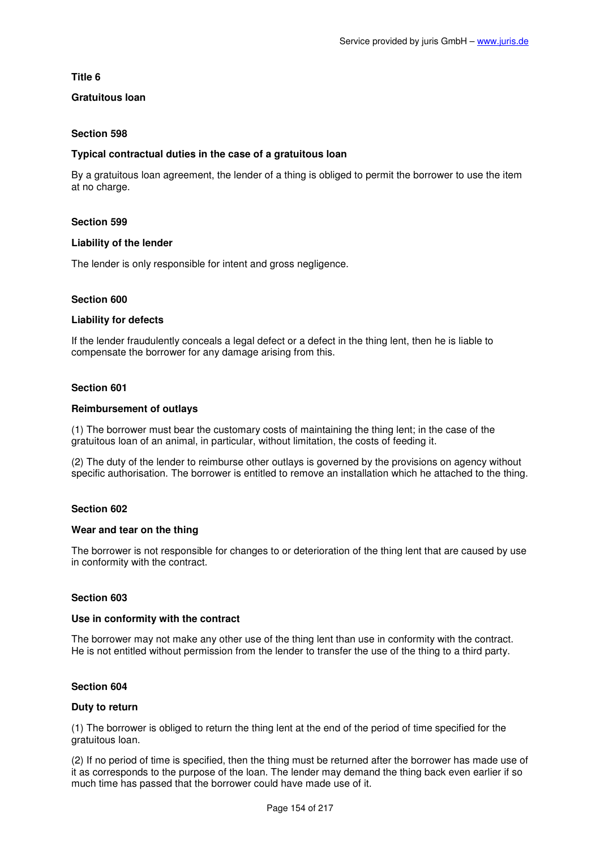**Title 6** 

# **Gratuitous loan**

# **Section 598**

## **Typical contractual duties in the case of a gratuitous loan**

By a gratuitous loan agreement, the lender of a thing is obliged to permit the borrower to use the item at no charge.

### **Section 599**

### **Liability of the lender**

The lender is only responsible for intent and gross negligence.

### **Section 600**

### **Liability for defects**

If the lender fraudulently conceals a legal defect or a defect in the thing lent, then he is liable to compensate the borrower for any damage arising from this.

### **Section 601**

### **Reimbursement of outlays**

(1) The borrower must bear the customary costs of maintaining the thing lent; in the case of the gratuitous loan of an animal, in particular, without limitation, the costs of feeding it.

(2) The duty of the lender to reimburse other outlays is governed by the provisions on agency without specific authorisation. The borrower is entitled to remove an installation which he attached to the thing.

### **Section 602**

### **Wear and tear on the thing**

The borrower is not responsible for changes to or deterioration of the thing lent that are caused by use in conformity with the contract.

### **Section 603**

# **Use in conformity with the contract**

The borrower may not make any other use of the thing lent than use in conformity with the contract. He is not entitled without permission from the lender to transfer the use of the thing to a third party.

### **Section 604**

### **Duty to return**

(1) The borrower is obliged to return the thing lent at the end of the period of time specified for the gratuitous loan.

(2) If no period of time is specified, then the thing must be returned after the borrower has made use of it as corresponds to the purpose of the loan. The lender may demand the thing back even earlier if so much time has passed that the borrower could have made use of it.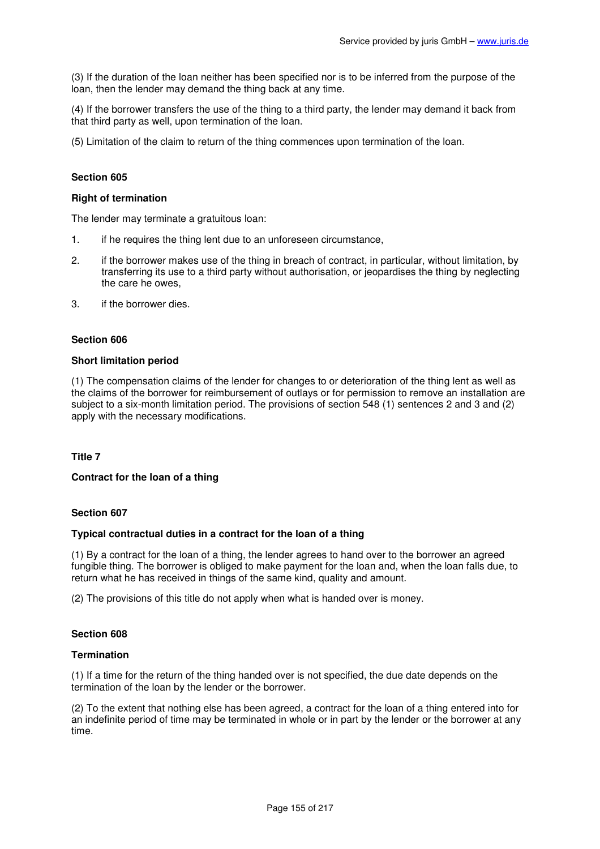(3) If the duration of the loan neither has been specified nor is to be inferred from the purpose of the loan, then the lender may demand the thing back at any time.

(4) If the borrower transfers the use of the thing to a third party, the lender may demand it back from that third party as well, upon termination of the loan.

(5) Limitation of the claim to return of the thing commences upon termination of the loan.

### **Section 605**

#### **Right of termination**

The lender may terminate a gratuitous loan:

- 1. if he requires the thing lent due to an unforeseen circumstance,
- 2. if the borrower makes use of the thing in breach of contract, in particular, without limitation, by transferring its use to a third party without authorisation, or jeopardises the thing by neglecting the care he owes,
- 3. if the borrower dies.

### **Section 606**

#### **Short limitation period**

(1) The compensation claims of the lender for changes to or deterioration of the thing lent as well as the claims of the borrower for reimbursement of outlays or for permission to remove an installation are subject to a six-month limitation period. The provisions of section 548 (1) sentences 2 and 3 and (2) apply with the necessary modifications.

### **Title 7**

#### **Contract for the loan of a thing**

#### **Section 607**

#### **Typical contractual duties in a contract for the loan of a thing**

(1) By a contract for the loan of a thing, the lender agrees to hand over to the borrower an agreed fungible thing. The borrower is obliged to make payment for the loan and, when the loan falls due, to return what he has received in things of the same kind, quality and amount.

(2) The provisions of this title do not apply when what is handed over is money.

### **Section 608**

#### **Termination**

(1) If a time for the return of the thing handed over is not specified, the due date depends on the termination of the loan by the lender or the borrower.

(2) To the extent that nothing else has been agreed, a contract for the loan of a thing entered into for an indefinite period of time may be terminated in whole or in part by the lender or the borrower at any time.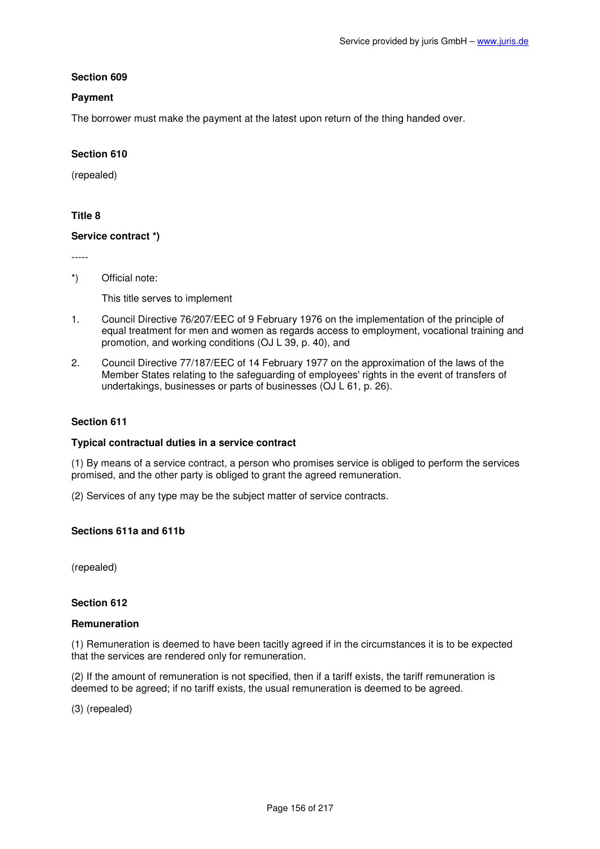## **Payment**

The borrower must make the payment at the latest upon return of the thing handed over.

# **Section 610**

(repealed)

# **Title 8**

### **Service contract \*)**

-----

\*) Official note:

This title serves to implement

- 1. Council Directive 76/207/EEC of 9 February 1976 on the implementation of the principle of equal treatment for men and women as regards access to employment, vocational training and promotion, and working conditions (OJ L 39, p. 40), and
- 2. Council Directive 77/187/EEC of 14 February 1977 on the approximation of the laws of the Member States relating to the safeguarding of employees' rights in the event of transfers of undertakings, businesses or parts of businesses (OJ L 61, p. 26).

## **Section 611**

### **Typical contractual duties in a service contract**

(1) By means of a service contract, a person who promises service is obliged to perform the services promised, and the other party is obliged to grant the agreed remuneration.

(2) Services of any type may be the subject matter of service contracts.

### **Sections 611a and 611b**

(repealed)

### **Section 612**

# **Remuneration**

(1) Remuneration is deemed to have been tacitly agreed if in the circumstances it is to be expected that the services are rendered only for remuneration.

(2) If the amount of remuneration is not specified, then if a tariff exists, the tariff remuneration is deemed to be agreed; if no tariff exists, the usual remuneration is deemed to be agreed.

(3) (repealed)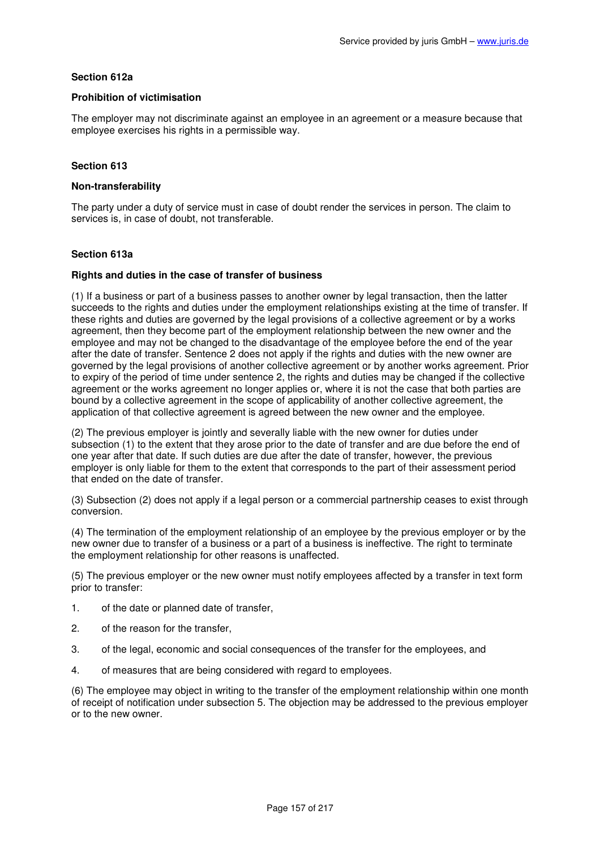## **Section 612a**

## **Prohibition of victimisation**

The employer may not discriminate against an employee in an agreement or a measure because that employee exercises his rights in a permissible way.

# **Section 613**

### **Non-transferability**

The party under a duty of service must in case of doubt render the services in person. The claim to services is, in case of doubt, not transferable.

### **Section 613a**

#### **Rights and duties in the case of transfer of business**

(1) If a business or part of a business passes to another owner by legal transaction, then the latter succeeds to the rights and duties under the employment relationships existing at the time of transfer. If these rights and duties are governed by the legal provisions of a collective agreement or by a works agreement, then they become part of the employment relationship between the new owner and the employee and may not be changed to the disadvantage of the employee before the end of the year after the date of transfer. Sentence 2 does not apply if the rights and duties with the new owner are governed by the legal provisions of another collective agreement or by another works agreement. Prior to expiry of the period of time under sentence 2, the rights and duties may be changed if the collective agreement or the works agreement no longer applies or, where it is not the case that both parties are bound by a collective agreement in the scope of applicability of another collective agreement, the application of that collective agreement is agreed between the new owner and the employee.

(2) The previous employer is jointly and severally liable with the new owner for duties under subsection (1) to the extent that they arose prior to the date of transfer and are due before the end of one year after that date. If such duties are due after the date of transfer, however, the previous employer is only liable for them to the extent that corresponds to the part of their assessment period that ended on the date of transfer.

(3) Subsection (2) does not apply if a legal person or a commercial partnership ceases to exist through conversion.

(4) The termination of the employment relationship of an employee by the previous employer or by the new owner due to transfer of a business or a part of a business is ineffective. The right to terminate the employment relationship for other reasons is unaffected.

(5) The previous employer or the new owner must notify employees affected by a transfer in text form prior to transfer:

- 1. of the date or planned date of transfer,
- 2. of the reason for the transfer,
- 3. of the legal, economic and social consequences of the transfer for the employees, and
- 4. of measures that are being considered with regard to employees.

(6) The employee may object in writing to the transfer of the employment relationship within one month of receipt of notification under subsection 5. The objection may be addressed to the previous employer or to the new owner.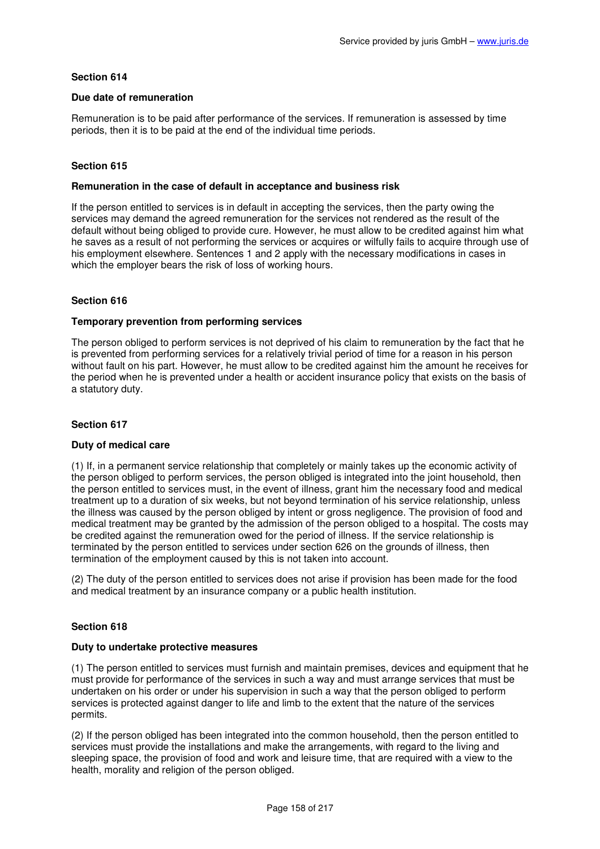### **Due date of remuneration**

Remuneration is to be paid after performance of the services. If remuneration is assessed by time periods, then it is to be paid at the end of the individual time periods.

# **Section 615**

### **Remuneration in the case of default in acceptance and business risk**

If the person entitled to services is in default in accepting the services, then the party owing the services may demand the agreed remuneration for the services not rendered as the result of the default without being obliged to provide cure. However, he must allow to be credited against him what he saves as a result of not performing the services or acquires or wilfully fails to acquire through use of his employment elsewhere. Sentences 1 and 2 apply with the necessary modifications in cases in which the employer bears the risk of loss of working hours.

### **Section 616**

### **Temporary prevention from performing services**

The person obliged to perform services is not deprived of his claim to remuneration by the fact that he is prevented from performing services for a relatively trivial period of time for a reason in his person without fault on his part. However, he must allow to be credited against him the amount he receives for the period when he is prevented under a health or accident insurance policy that exists on the basis of a statutory duty.

## **Section 617**

### **Duty of medical care**

(1) If, in a permanent service relationship that completely or mainly takes up the economic activity of the person obliged to perform services, the person obliged is integrated into the joint household, then the person entitled to services must, in the event of illness, grant him the necessary food and medical treatment up to a duration of six weeks, but not beyond termination of his service relationship, unless the illness was caused by the person obliged by intent or gross negligence. The provision of food and medical treatment may be granted by the admission of the person obliged to a hospital. The costs may be credited against the remuneration owed for the period of illness. If the service relationship is terminated by the person entitled to services under section 626 on the grounds of illness, then termination of the employment caused by this is not taken into account.

(2) The duty of the person entitled to services does not arise if provision has been made for the food and medical treatment by an insurance company or a public health institution.

# **Section 618**

### **Duty to undertake protective measures**

(1) The person entitled to services must furnish and maintain premises, devices and equipment that he must provide for performance of the services in such a way and must arrange services that must be undertaken on his order or under his supervision in such a way that the person obliged to perform services is protected against danger to life and limb to the extent that the nature of the services permits.

(2) If the person obliged has been integrated into the common household, then the person entitled to services must provide the installations and make the arrangements, with regard to the living and sleeping space, the provision of food and work and leisure time, that are required with a view to the health, morality and religion of the person obliged.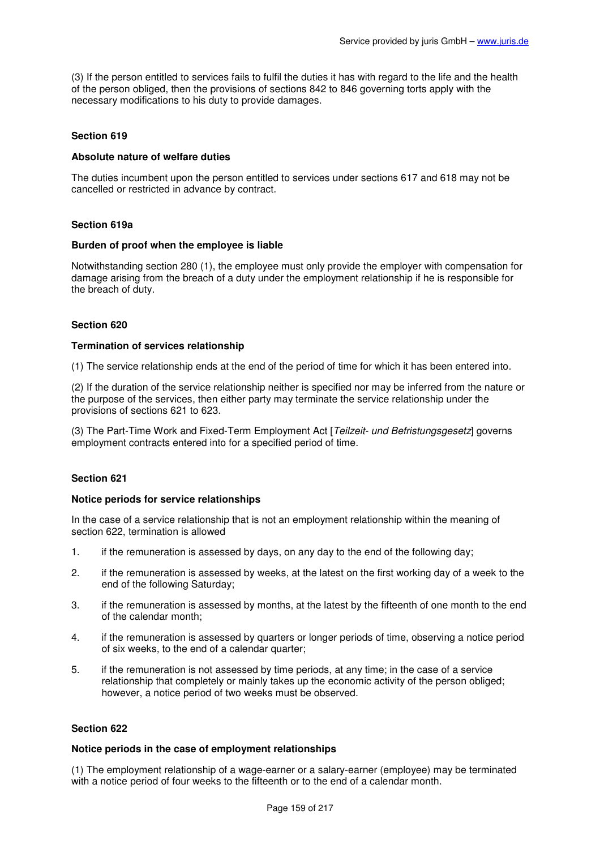(3) If the person entitled to services fails to fulfil the duties it has with regard to the life and the health of the person obliged, then the provisions of sections 842 to 846 governing torts apply with the necessary modifications to his duty to provide damages.

# **Section 619**

### **Absolute nature of welfare duties**

The duties incumbent upon the person entitled to services under sections 617 and 618 may not be cancelled or restricted in advance by contract.

### **Section 619a**

### **Burden of proof when the employee is liable**

Notwithstanding section 280 (1), the employee must only provide the employer with compensation for damage arising from the breach of a duty under the employment relationship if he is responsible for the breach of duty.

### **Section 620**

### **Termination of services relationship**

(1) The service relationship ends at the end of the period of time for which it has been entered into.

(2) If the duration of the service relationship neither is specified nor may be inferred from the nature or the purpose of the services, then either party may terminate the service relationship under the provisions of sections 621 to 623.

(3) The Part-Time Work and Fixed-Term Employment Act [Teilzeit- und Befristungsgesetz] governs employment contracts entered into for a specified period of time.

### **Section 621**

### **Notice periods for service relationships**

In the case of a service relationship that is not an employment relationship within the meaning of section 622, termination is allowed

- 1. if the remuneration is assessed by days, on any day to the end of the following day;
- 2. if the remuneration is assessed by weeks, at the latest on the first working day of a week to the end of the following Saturday;
- 3. if the remuneration is assessed by months, at the latest by the fifteenth of one month to the end of the calendar month;
- 4. if the remuneration is assessed by quarters or longer periods of time, observing a notice period of six weeks, to the end of a calendar quarter;
- 5. if the remuneration is not assessed by time periods, at any time; in the case of a service relationship that completely or mainly takes up the economic activity of the person obliged; however, a notice period of two weeks must be observed.

### **Section 622**

### **Notice periods in the case of employment relationships**

(1) The employment relationship of a wage-earner or a salary-earner (employee) may be terminated with a notice period of four weeks to the fifteenth or to the end of a calendar month.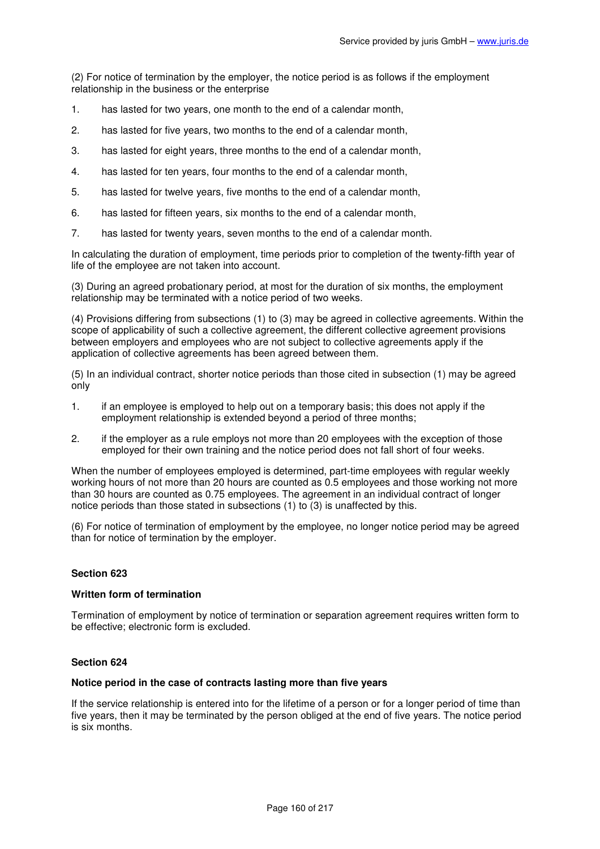(2) For notice of termination by the employer, the notice period is as follows if the employment relationship in the business or the enterprise

- 1. has lasted for two years, one month to the end of a calendar month,
- 2. has lasted for five years, two months to the end of a calendar month,
- 3. has lasted for eight years, three months to the end of a calendar month,
- 4. has lasted for ten years, four months to the end of a calendar month,
- 5. has lasted for twelve years, five months to the end of a calendar month,
- 6. has lasted for fifteen years, six months to the end of a calendar month,
- 7. has lasted for twenty years, seven months to the end of a calendar month.

In calculating the duration of employment, time periods prior to completion of the twenty-fifth year of life of the employee are not taken into account.

(3) During an agreed probationary period, at most for the duration of six months, the employment relationship may be terminated with a notice period of two weeks.

(4) Provisions differing from subsections (1) to (3) may be agreed in collective agreements. Within the scope of applicability of such a collective agreement, the different collective agreement provisions between employers and employees who are not subject to collective agreements apply if the application of collective agreements has been agreed between them.

(5) In an individual contract, shorter notice periods than those cited in subsection (1) may be agreed only

- 1. if an employee is employed to help out on a temporary basis; this does not apply if the employment relationship is extended beyond a period of three months;
- 2. if the employer as a rule employs not more than 20 employees with the exception of those employed for their own training and the notice period does not fall short of four weeks.

When the number of employees employed is determined, part-time employees with regular weekly working hours of not more than 20 hours are counted as 0.5 employees and those working not more than 30 hours are counted as 0.75 employees. The agreement in an individual contract of longer notice periods than those stated in subsections (1) to (3) is unaffected by this.

(6) For notice of termination of employment by the employee, no longer notice period may be agreed than for notice of termination by the employer.

### **Section 623**

### **Written form of termination**

Termination of employment by notice of termination or separation agreement requires written form to be effective; electronic form is excluded.

### **Section 624**

### **Notice period in the case of contracts lasting more than five years**

If the service relationship is entered into for the lifetime of a person or for a longer period of time than five years, then it may be terminated by the person obliged at the end of five years. The notice period is six months.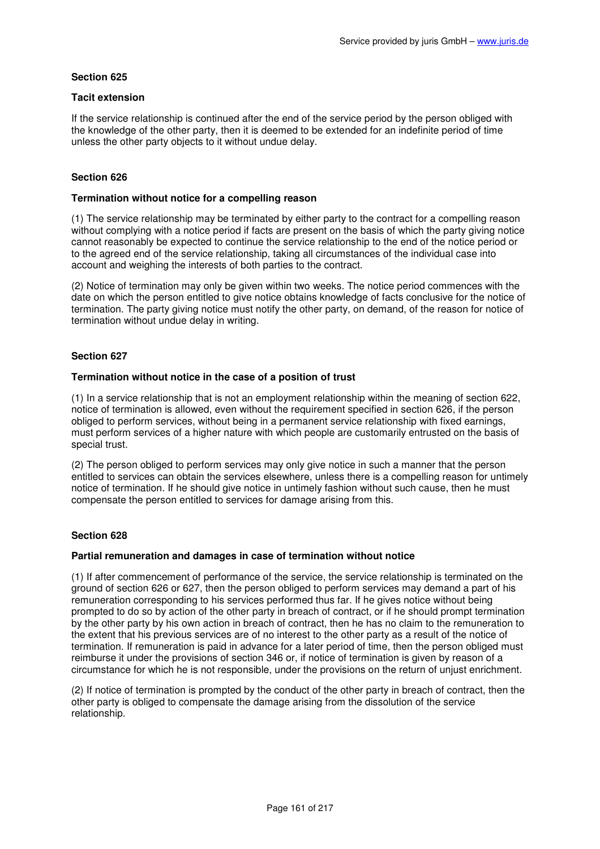## **Tacit extension**

If the service relationship is continued after the end of the service period by the person obliged with the knowledge of the other party, then it is deemed to be extended for an indefinite period of time unless the other party objects to it without undue delay.

# **Section 626**

## **Termination without notice for a compelling reason**

(1) The service relationship may be terminated by either party to the contract for a compelling reason without complying with a notice period if facts are present on the basis of which the party giving notice cannot reasonably be expected to continue the service relationship to the end of the notice period or to the agreed end of the service relationship, taking all circumstances of the individual case into account and weighing the interests of both parties to the contract.

(2) Notice of termination may only be given within two weeks. The notice period commences with the date on which the person entitled to give notice obtains knowledge of facts conclusive for the notice of termination. The party giving notice must notify the other party, on demand, of the reason for notice of termination without undue delay in writing.

# **Section 627**

### **Termination without notice in the case of a position of trust**

(1) In a service relationship that is not an employment relationship within the meaning of section 622, notice of termination is allowed, even without the requirement specified in section 626, if the person obliged to perform services, without being in a permanent service relationship with fixed earnings, must perform services of a higher nature with which people are customarily entrusted on the basis of special trust.

(2) The person obliged to perform services may only give notice in such a manner that the person entitled to services can obtain the services elsewhere, unless there is a compelling reason for untimely notice of termination. If he should give notice in untimely fashion without such cause, then he must compensate the person entitled to services for damage arising from this.

### **Section 628**

### **Partial remuneration and damages in case of termination without notice**

(1) If after commencement of performance of the service, the service relationship is terminated on the ground of section 626 or 627, then the person obliged to perform services may demand a part of his remuneration corresponding to his services performed thus far. If he gives notice without being prompted to do so by action of the other party in breach of contract, or if he should prompt termination by the other party by his own action in breach of contract, then he has no claim to the remuneration to the extent that his previous services are of no interest to the other party as a result of the notice of termination. If remuneration is paid in advance for a later period of time, then the person obliged must reimburse it under the provisions of section 346 or, if notice of termination is given by reason of a circumstance for which he is not responsible, under the provisions on the return of unjust enrichment.

(2) If notice of termination is prompted by the conduct of the other party in breach of contract, then the other party is obliged to compensate the damage arising from the dissolution of the service relationship.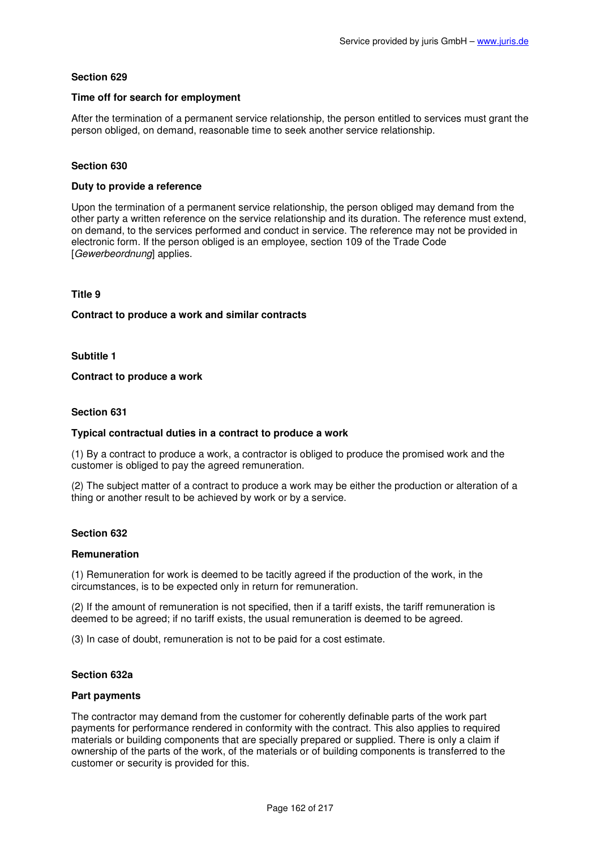## **Time off for search for employment**

After the termination of a permanent service relationship, the person entitled to services must grant the person obliged, on demand, reasonable time to seek another service relationship.

# **Section 630**

### **Duty to provide a reference**

Upon the termination of a permanent service relationship, the person obliged may demand from the other party a written reference on the service relationship and its duration. The reference must extend, on demand, to the services performed and conduct in service. The reference may not be provided in electronic form. If the person obliged is an employee, section 109 of the Trade Code [Gewerbeordnung] applies.

## **Title 9**

#### **Contract to produce a work and similar contracts**

### **Subtitle 1**

#### **Contract to produce a work**

### **Section 631**

### **Typical contractual duties in a contract to produce a work**

(1) By a contract to produce a work, a contractor is obliged to produce the promised work and the customer is obliged to pay the agreed remuneration.

(2) The subject matter of a contract to produce a work may be either the production or alteration of a thing or another result to be achieved by work or by a service.

### **Section 632**

#### **Remuneration**

(1) Remuneration for work is deemed to be tacitly agreed if the production of the work, in the circumstances, is to be expected only in return for remuneration.

(2) If the amount of remuneration is not specified, then if a tariff exists, the tariff remuneration is deemed to be agreed; if no tariff exists, the usual remuneration is deemed to be agreed.

(3) In case of doubt, remuneration is not to be paid for a cost estimate.

#### **Section 632a**

#### **Part payments**

The contractor may demand from the customer for coherently definable parts of the work part payments for performance rendered in conformity with the contract. This also applies to required materials or building components that are specially prepared or supplied. There is only a claim if ownership of the parts of the work, of the materials or of building components is transferred to the customer or security is provided for this.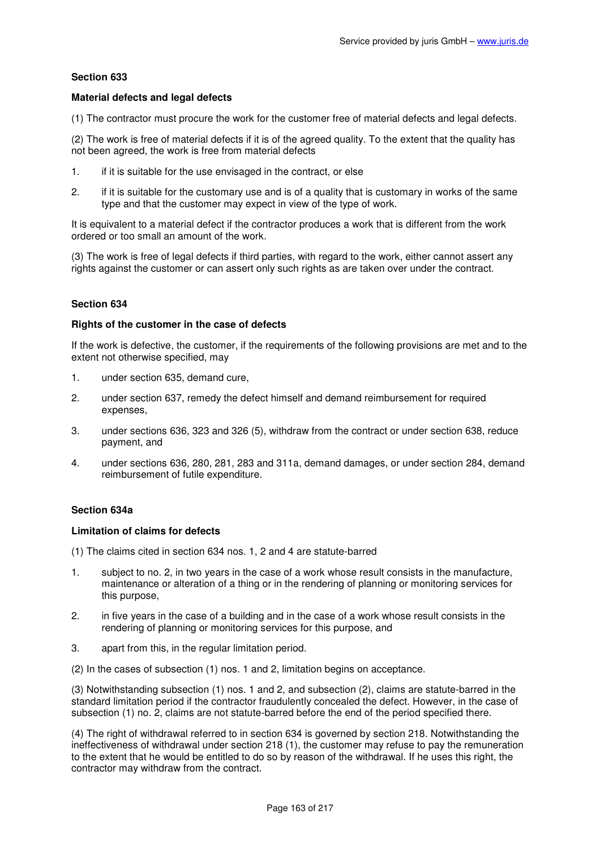## **Material defects and legal defects**

(1) The contractor must procure the work for the customer free of material defects and legal defects.

(2) The work is free of material defects if it is of the agreed quality. To the extent that the quality has not been agreed, the work is free from material defects

- 1. if it is suitable for the use envisaged in the contract, or else
- 2. if it is suitable for the customary use and is of a quality that is customary in works of the same type and that the customer may expect in view of the type of work.

It is equivalent to a material defect if the contractor produces a work that is different from the work ordered or too small an amount of the work.

(3) The work is free of legal defects if third parties, with regard to the work, either cannot assert any rights against the customer or can assert only such rights as are taken over under the contract.

# **Section 634**

### **Rights of the customer in the case of defects**

If the work is defective, the customer, if the requirements of the following provisions are met and to the extent not otherwise specified, may

- 1. under section 635, demand cure,
- 2. under section 637, remedy the defect himself and demand reimbursement for required expenses,
- 3. under sections 636, 323 and 326 (5), withdraw from the contract or under section 638, reduce payment, and
- 4. under sections 636, 280, 281, 283 and 311a, demand damages, or under section 284, demand reimbursement of futile expenditure.

### **Section 634a**

### **Limitation of claims for defects**

(1) The claims cited in section 634 nos. 1, 2 and 4 are statute-barred

- 1. subject to no. 2, in two years in the case of a work whose result consists in the manufacture, maintenance or alteration of a thing or in the rendering of planning or monitoring services for this purpose,
- 2. in five years in the case of a building and in the case of a work whose result consists in the rendering of planning or monitoring services for this purpose, and
- 3. apart from this, in the regular limitation period.
- (2) In the cases of subsection (1) nos. 1 and 2, limitation begins on acceptance.

(3) Notwithstanding subsection (1) nos. 1 and 2, and subsection (2), claims are statute-barred in the standard limitation period if the contractor fraudulently concealed the defect. However, in the case of subsection (1) no. 2, claims are not statute-barred before the end of the period specified there.

(4) The right of withdrawal referred to in section 634 is governed by section 218. Notwithstanding the ineffectiveness of withdrawal under section 218 (1), the customer may refuse to pay the remuneration to the extent that he would be entitled to do so by reason of the withdrawal. If he uses this right, the contractor may withdraw from the contract.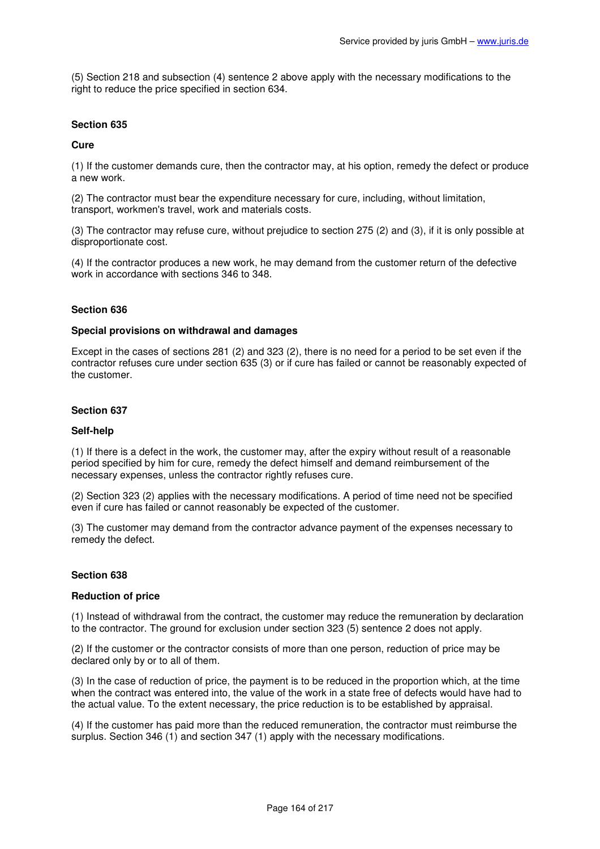(5) Section 218 and subsection (4) sentence 2 above apply with the necessary modifications to the right to reduce the price specified in section 634.

# **Section 635**

## **Cure**

(1) If the customer demands cure, then the contractor may, at his option, remedy the defect or produce a new work.

(2) The contractor must bear the expenditure necessary for cure, including, without limitation, transport, workmen's travel, work and materials costs.

(3) The contractor may refuse cure, without prejudice to section 275 (2) and (3), if it is only possible at disproportionate cost.

(4) If the contractor produces a new work, he may demand from the customer return of the defective work in accordance with sections 346 to 348.

### **Section 636**

### **Special provisions on withdrawal and damages**

Except in the cases of sections 281 (2) and 323 (2), there is no need for a period to be set even if the contractor refuses cure under section 635 (3) or if cure has failed or cannot be reasonably expected of the customer.

### **Section 637**

### **Self-help**

(1) If there is a defect in the work, the customer may, after the expiry without result of a reasonable period specified by him for cure, remedy the defect himself and demand reimbursement of the necessary expenses, unless the contractor rightly refuses cure.

(2) Section 323 (2) applies with the necessary modifications. A period of time need not be specified even if cure has failed or cannot reasonably be expected of the customer.

(3) The customer may demand from the contractor advance payment of the expenses necessary to remedy the defect.

### **Section 638**

### **Reduction of price**

(1) Instead of withdrawal from the contract, the customer may reduce the remuneration by declaration to the contractor. The ground for exclusion under section 323 (5) sentence 2 does not apply.

(2) If the customer or the contractor consists of more than one person, reduction of price may be declared only by or to all of them.

(3) In the case of reduction of price, the payment is to be reduced in the proportion which, at the time when the contract was entered into, the value of the work in a state free of defects would have had to the actual value. To the extent necessary, the price reduction is to be established by appraisal.

(4) If the customer has paid more than the reduced remuneration, the contractor must reimburse the surplus. Section 346 (1) and section 347 (1) apply with the necessary modifications.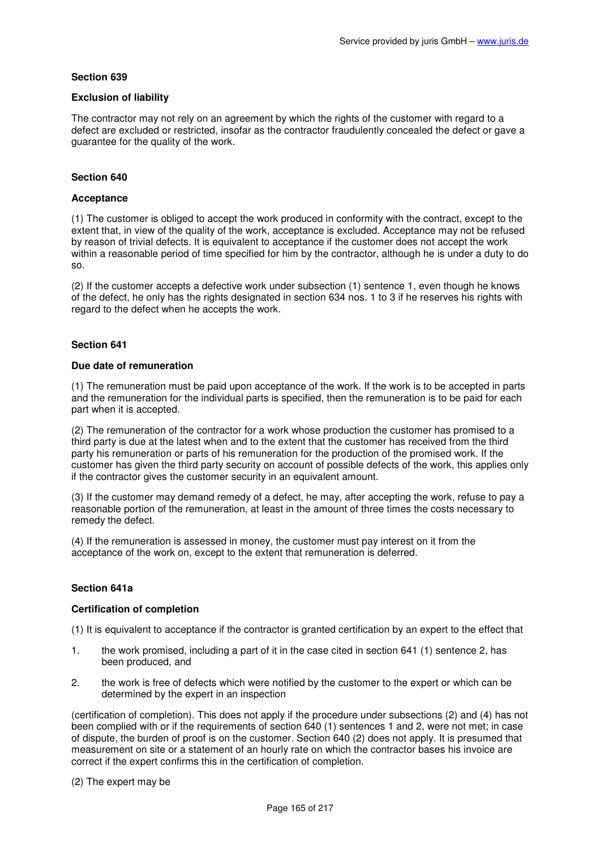## **Exclusion of liability**

The contractor may not rely on an agreement by which the rights of the customer with regard to a defect are excluded or restricted, insofar as the contractor fraudulently concealed the defect or gave a guarantee for the quality of the work.

# **Section 640**

## **Acceptance**

(1) The customer is obliged to accept the work produced in conformity with the contract, except to the extent that, in view of the quality of the work, acceptance is excluded. Acceptance may not be refused by reason of trivial defects. It is equivalent to acceptance if the customer does not accept the work within a reasonable period of time specified for him by the contractor, although he is under a duty to do so.

(2) If the customer accepts a defective work under subsection (1) sentence 1, even though he knows of the defect, he only has the rights designated in section 634 nos. 1 to 3 if he reserves his rights with regard to the defect when he accepts the work.

# **Section 641**

### **Due date of remuneration**

(1) The remuneration must be paid upon acceptance of the work. If the work is to be accepted in parts and the remuneration for the individual parts is specified, then the remuneration is to be paid for each part when it is accepted.

(2) The remuneration of the contractor for a work whose production the customer has promised to a third party is due at the latest when and to the extent that the customer has received from the third party his remuneration or parts of his remuneration for the production of the promised work. If the customer has given the third party security on account of possible defects of the work, this applies only if the contractor gives the customer security in an equivalent amount.

(3) If the customer may demand remedy of a defect, he may, after accepting the work, refuse to pay a reasonable portion of the remuneration, at least in the amount of three times the costs necessary to remedy the defect.

(4) If the remuneration is assessed in money, the customer must pay interest on it from the acceptance of the work on, except to the extent that remuneration is deferred.

### **Section 641a**

### **Certification of completion**

(1) It is equivalent to acceptance if the contractor is granted certification by an expert to the effect that

- 1. the work promised, including a part of it in the case cited in section 641 (1) sentence 2, has been produced, and
- 2. the work is free of defects which were notified by the customer to the expert or which can be determined by the expert in an inspection

(certification of completion). This does not apply if the procedure under subsections (2) and (4) has not been complied with or if the requirements of section 640 (1) sentences 1 and 2, were not met; in case of dispute, the burden of proof is on the customer. Section 640 (2) does not apply. It is presumed that measurement on site or a statement of an hourly rate on which the contractor bases his invoice are correct if the expert confirms this in the certification of completion.

### (2) The expert may be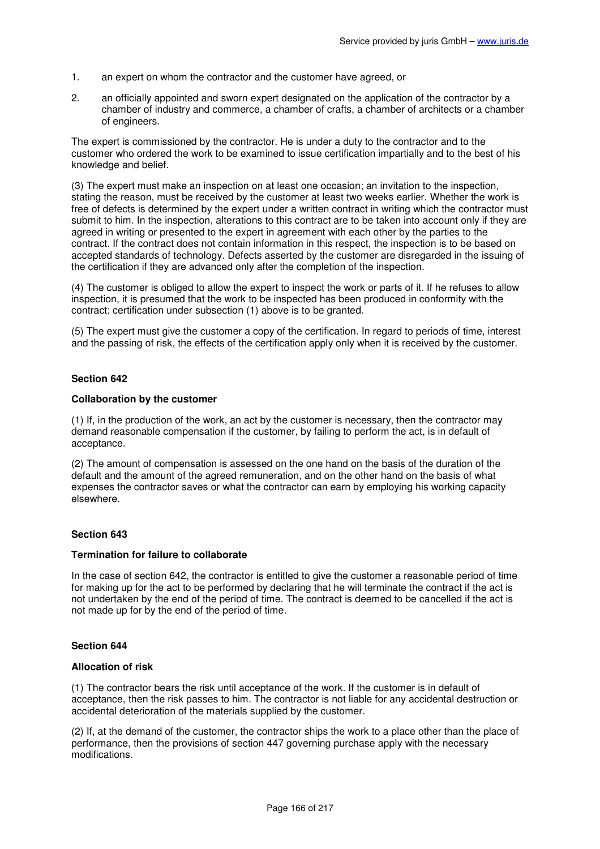- 1. an expert on whom the contractor and the customer have agreed, or
- 2. an officially appointed and sworn expert designated on the application of the contractor by a chamber of industry and commerce, a chamber of crafts, a chamber of architects or a chamber of engineers.

The expert is commissioned by the contractor. He is under a duty to the contractor and to the customer who ordered the work to be examined to issue certification impartially and to the best of his knowledge and belief.

(3) The expert must make an inspection on at least one occasion; an invitation to the inspection, stating the reason, must be received by the customer at least two weeks earlier. Whether the work is free of defects is determined by the expert under a written contract in writing which the contractor must submit to him. In the inspection, alterations to this contract are to be taken into account only if they are agreed in writing or presented to the expert in agreement with each other by the parties to the contract. If the contract does not contain information in this respect, the inspection is to be based on accepted standards of technology. Defects asserted by the customer are disregarded in the issuing of the certification if they are advanced only after the completion of the inspection.

(4) The customer is obliged to allow the expert to inspect the work or parts of it. If he refuses to allow inspection, it is presumed that the work to be inspected has been produced in conformity with the contract; certification under subsection (1) above is to be granted.

(5) The expert must give the customer a copy of the certification. In regard to periods of time, interest and the passing of risk, the effects of the certification apply only when it is received by the customer.

# **Section 642**

### **Collaboration by the customer**

(1) If, in the production of the work, an act by the customer is necessary, then the contractor may demand reasonable compensation if the customer, by failing to perform the act, is in default of acceptance.

(2) The amount of compensation is assessed on the one hand on the basis of the duration of the default and the amount of the agreed remuneration, and on the other hand on the basis of what expenses the contractor saves or what the contractor can earn by employing his working capacity elsewhere.

### **Section 643**

### **Termination for failure to collaborate**

In the case of section 642, the contractor is entitled to give the customer a reasonable period of time for making up for the act to be performed by declaring that he will terminate the contract if the act is not undertaken by the end of the period of time. The contract is deemed to be cancelled if the act is not made up for by the end of the period of time.

# **Section 644**

# **Allocation of risk**

(1) The contractor bears the risk until acceptance of the work. If the customer is in default of acceptance, then the risk passes to him. The contractor is not liable for any accidental destruction or accidental deterioration of the materials supplied by the customer.

(2) If, at the demand of the customer, the contractor ships the work to a place other than the place of performance, then the provisions of section 447 governing purchase apply with the necessary modifications.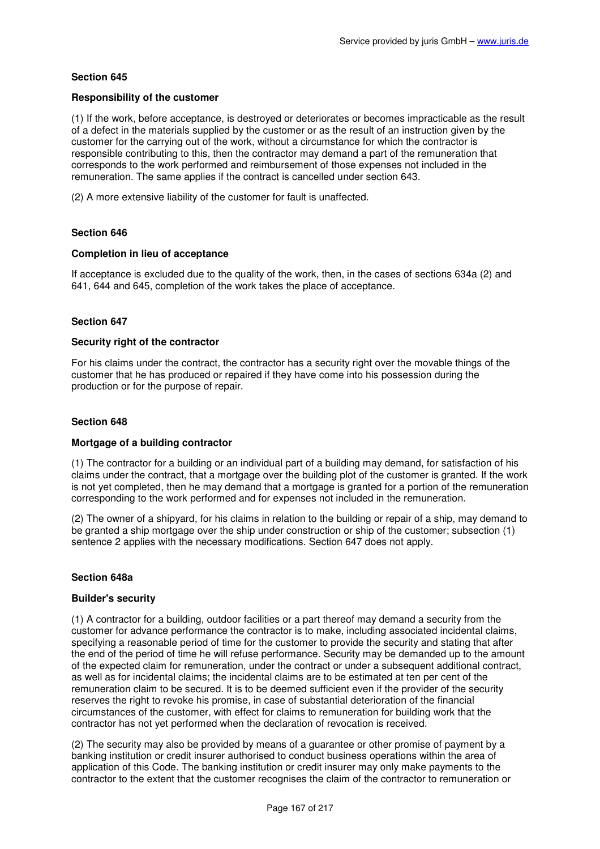### **Responsibility of the customer**

(1) If the work, before acceptance, is destroyed or deteriorates or becomes impracticable as the result of a defect in the materials supplied by the customer or as the result of an instruction given by the customer for the carrying out of the work, without a circumstance for which the contractor is responsible contributing to this, then the contractor may demand a part of the remuneration that corresponds to the work performed and reimbursement of those expenses not included in the remuneration. The same applies if the contract is cancelled under section 643.

(2) A more extensive liability of the customer for fault is unaffected.

# **Section 646**

### **Completion in lieu of acceptance**

If acceptance is excluded due to the quality of the work, then, in the cases of sections 634a (2) and 641, 644 and 645, completion of the work takes the place of acceptance.

### **Section 647**

#### **Security right of the contractor**

For his claims under the contract, the contractor has a security right over the movable things of the customer that he has produced or repaired if they have come into his possession during the production or for the purpose of repair.

#### **Section 648**

### **Mortgage of a building contractor**

(1) The contractor for a building or an individual part of a building may demand, for satisfaction of his claims under the contract, that a mortgage over the building plot of the customer is granted. If the work is not yet completed, then he may demand that a mortgage is granted for a portion of the remuneration corresponding to the work performed and for expenses not included in the remuneration.

(2) The owner of a shipyard, for his claims in relation to the building or repair of a ship, may demand to be granted a ship mortgage over the ship under construction or ship of the customer; subsection (1) sentence 2 applies with the necessary modifications. Section 647 does not apply.

### **Section 648a**

#### **Builder's security**

(1) A contractor for a building, outdoor facilities or a part thereof may demand a security from the customer for advance performance the contractor is to make, including associated incidental claims, specifying a reasonable period of time for the customer to provide the security and stating that after the end of the period of time he will refuse performance. Security may be demanded up to the amount of the expected claim for remuneration, under the contract or under a subsequent additional contract, as well as for incidental claims; the incidental claims are to be estimated at ten per cent of the remuneration claim to be secured. It is to be deemed sufficient even if the provider of the security reserves the right to revoke his promise, in case of substantial deterioration of the financial circumstances of the customer, with effect for claims to remuneration for building work that the contractor has not yet performed when the declaration of revocation is received.

(2) The security may also be provided by means of a guarantee or other promise of payment by a banking institution or credit insurer authorised to conduct business operations within the area of application of this Code. The banking institution or credit insurer may only make payments to the contractor to the extent that the customer recognises the claim of the contractor to remuneration or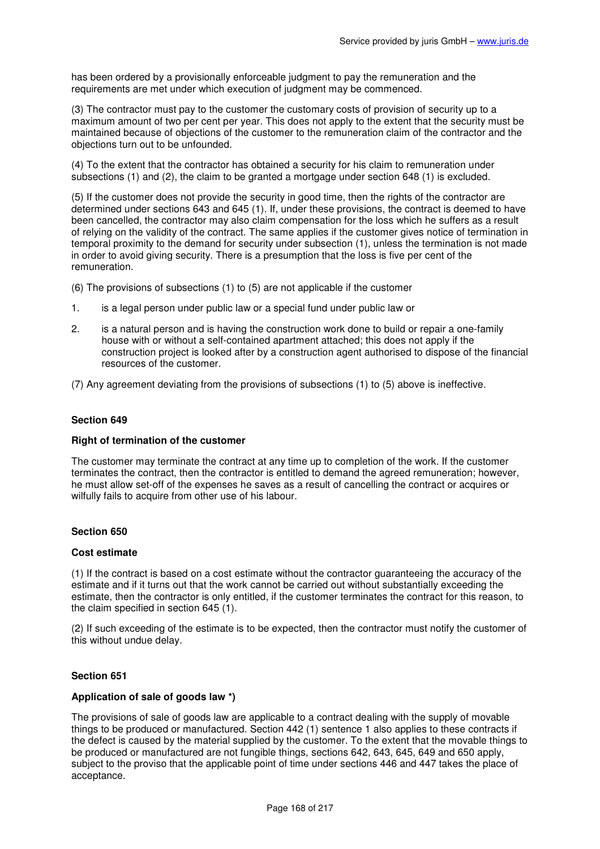has been ordered by a provisionally enforceable judgment to pay the remuneration and the requirements are met under which execution of judgment may be commenced.

(3) The contractor must pay to the customer the customary costs of provision of security up to a maximum amount of two per cent per year. This does not apply to the extent that the security must be maintained because of objections of the customer to the remuneration claim of the contractor and the objections turn out to be unfounded.

(4) To the extent that the contractor has obtained a security for his claim to remuneration under subsections (1) and (2), the claim to be granted a mortgage under section 648 (1) is excluded.

(5) If the customer does not provide the security in good time, then the rights of the contractor are determined under sections 643 and 645 (1). If, under these provisions, the contract is deemed to have been cancelled, the contractor may also claim compensation for the loss which he suffers as a result of relying on the validity of the contract. The same applies if the customer gives notice of termination in temporal proximity to the demand for security under subsection (1), unless the termination is not made in order to avoid giving security. There is a presumption that the loss is five per cent of the remuneration.

(6) The provisions of subsections (1) to (5) are not applicable if the customer

- 1. is a legal person under public law or a special fund under public law or
- 2. is a natural person and is having the construction work done to build or repair a one-family house with or without a self-contained apartment attached; this does not apply if the construction project is looked after by a construction agent authorised to dispose of the financial resources of the customer.

(7) Any agreement deviating from the provisions of subsections (1) to (5) above is ineffective.

#### **Section 649**

### **Right of termination of the customer**

The customer may terminate the contract at any time up to completion of the work. If the customer terminates the contract, then the contractor is entitled to demand the agreed remuneration; however, he must allow set-off of the expenses he saves as a result of cancelling the contract or acquires or wilfully fails to acquire from other use of his labour.

#### **Section 650**

#### **Cost estimate**

(1) If the contract is based on a cost estimate without the contractor guaranteeing the accuracy of the estimate and if it turns out that the work cannot be carried out without substantially exceeding the estimate, then the contractor is only entitled, if the customer terminates the contract for this reason, to the claim specified in section 645 (1).

(2) If such exceeding of the estimate is to be expected, then the contractor must notify the customer of this without undue delay.

#### **Section 651**

### **Application of sale of goods law \*)**

The provisions of sale of goods law are applicable to a contract dealing with the supply of movable things to be produced or manufactured. Section 442 (1) sentence 1 also applies to these contracts if the defect is caused by the material supplied by the customer. To the extent that the movable things to be produced or manufactured are not fungible things, sections 642, 643, 645, 649 and 650 apply, subject to the proviso that the applicable point of time under sections 446 and 447 takes the place of acceptance.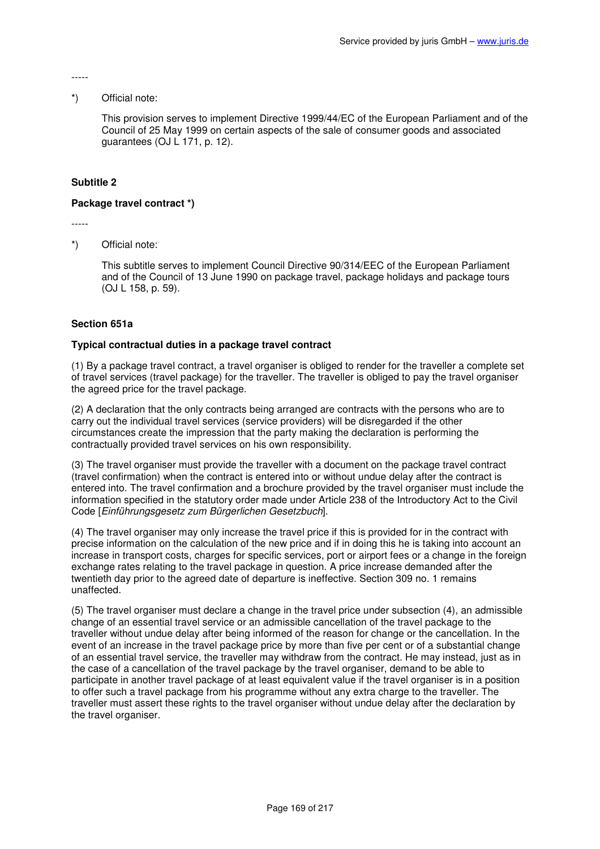-----

### \*) Official note:

This provision serves to implement Directive 1999/44/EC of the European Parliament and of the Council of 25 May 1999 on certain aspects of the sale of consumer goods and associated guarantees (OJ L 171, p. 12).

# **Subtitle 2**

# **Package travel contract \*)**

-----

\*) Official note:

This subtitle serves to implement Council Directive 90/314/EEC of the European Parliament and of the Council of 13 June 1990 on package travel, package holidays and package tours (OJ L 158, p. 59).

# **Section 651a**

# **Typical contractual duties in a package travel contract**

(1) By a package travel contract, a travel organiser is obliged to render for the traveller a complete set of travel services (travel package) for the traveller. The traveller is obliged to pay the travel organiser the agreed price for the travel package.

(2) A declaration that the only contracts being arranged are contracts with the persons who are to carry out the individual travel services (service providers) will be disregarded if the other circumstances create the impression that the party making the declaration is performing the contractually provided travel services on his own responsibility.

(3) The travel organiser must provide the traveller with a document on the package travel contract (travel confirmation) when the contract is entered into or without undue delay after the contract is entered into. The travel confirmation and a brochure provided by the travel organiser must include the information specified in the statutory order made under Article 238 of the Introductory Act to the Civil Code [Einführungsgesetz zum Bürgerlichen Gesetzbuch].

(4) The travel organiser may only increase the travel price if this is provided for in the contract with precise information on the calculation of the new price and if in doing this he is taking into account an increase in transport costs, charges for specific services, port or airport fees or a change in the foreign exchange rates relating to the travel package in question. A price increase demanded after the twentieth day prior to the agreed date of departure is ineffective. Section 309 no. 1 remains unaffected.

(5) The travel organiser must declare a change in the travel price under subsection (4), an admissible change of an essential travel service or an admissible cancellation of the travel package to the traveller without undue delay after being informed of the reason for change or the cancellation. In the event of an increase in the travel package price by more than five per cent or of a substantial change of an essential travel service, the traveller may withdraw from the contract. He may instead, just as in the case of a cancellation of the travel package by the travel organiser, demand to be able to participate in another travel package of at least equivalent value if the travel organiser is in a position to offer such a travel package from his programme without any extra charge to the traveller. The traveller must assert these rights to the travel organiser without undue delay after the declaration by the travel organiser.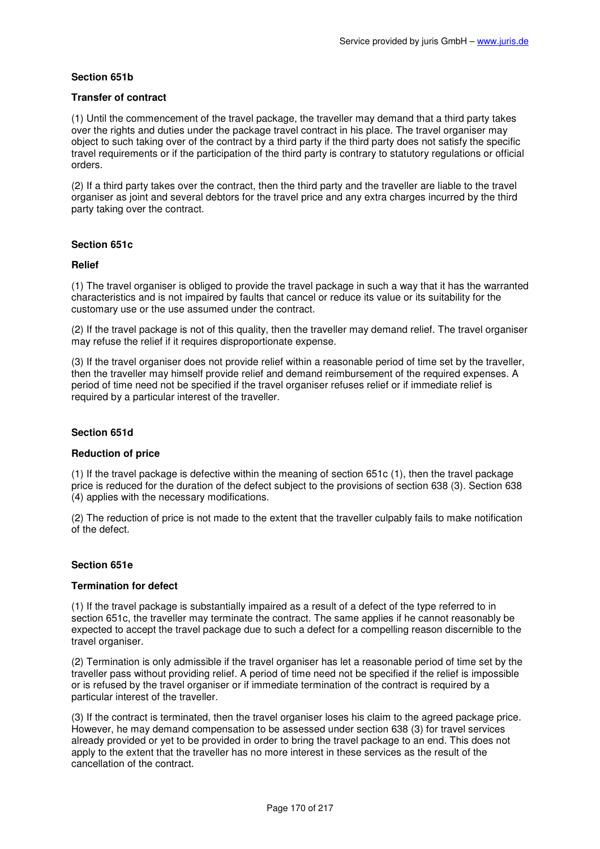# **Section 651b**

## **Transfer of contract**

(1) Until the commencement of the travel package, the traveller may demand that a third party takes over the rights and duties under the package travel contract in his place. The travel organiser may object to such taking over of the contract by a third party if the third party does not satisfy the specific travel requirements or if the participation of the third party is contrary to statutory regulations or official orders.

(2) If a third party takes over the contract, then the third party and the traveller are liable to the travel organiser as joint and several debtors for the travel price and any extra charges incurred by the third party taking over the contract.

# **Section 651c**

### **Relief**

(1) The travel organiser is obliged to provide the travel package in such a way that it has the warranted characteristics and is not impaired by faults that cancel or reduce its value or its suitability for the customary use or the use assumed under the contract.

(2) If the travel package is not of this quality, then the traveller may demand relief. The travel organiser may refuse the relief if it requires disproportionate expense.

(3) If the travel organiser does not provide relief within a reasonable period of time set by the traveller, then the traveller may himself provide relief and demand reimbursement of the required expenses. A period of time need not be specified if the travel organiser refuses relief or if immediate relief is required by a particular interest of the traveller.

### **Section 651d**

### **Reduction of price**

(1) If the travel package is defective within the meaning of section 651c (1), then the travel package price is reduced for the duration of the defect subject to the provisions of section 638 (3). Section 638 (4) applies with the necessary modifications.

(2) The reduction of price is not made to the extent that the traveller culpably fails to make notification of the defect.

### **Section 651e**

### **Termination for defect**

(1) If the travel package is substantially impaired as a result of a defect of the type referred to in section 651c, the traveller may terminate the contract. The same applies if he cannot reasonably be expected to accept the travel package due to such a defect for a compelling reason discernible to the travel organiser.

(2) Termination is only admissible if the travel organiser has let a reasonable period of time set by the traveller pass without providing relief. A period of time need not be specified if the relief is impossible or is refused by the travel organiser or if immediate termination of the contract is required by a particular interest of the traveller.

(3) If the contract is terminated, then the travel organiser loses his claim to the agreed package price. However, he may demand compensation to be assessed under section 638 (3) for travel services already provided or yet to be provided in order to bring the travel package to an end. This does not apply to the extent that the traveller has no more interest in these services as the result of the cancellation of the contract.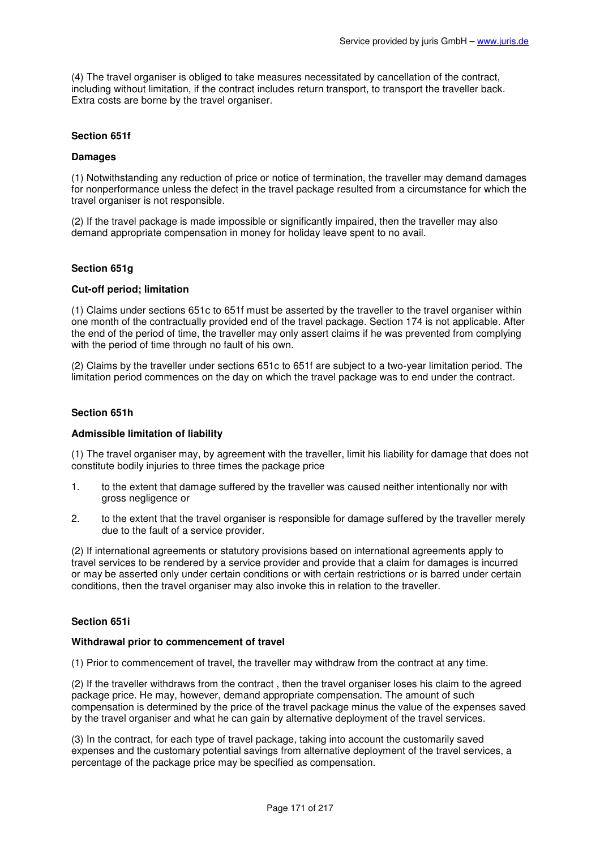(4) The travel organiser is obliged to take measures necessitated by cancellation of the contract, including without limitation, if the contract includes return transport, to transport the traveller back. Extra costs are borne by the travel organiser.

# **Section 651f**

#### **Damages**

(1) Notwithstanding any reduction of price or notice of termination, the traveller may demand damages for nonperformance unless the defect in the travel package resulted from a circumstance for which the travel organiser is not responsible.

(2) If the travel package is made impossible or significantly impaired, then the traveller may also demand appropriate compensation in money for holiday leave spent to no avail.

### **Section 651g**

#### **Cut-off period; limitation**

(1) Claims under sections 651c to 651f must be asserted by the traveller to the travel organiser within one month of the contractually provided end of the travel package. Section 174 is not applicable. After the end of the period of time, the traveller may only assert claims if he was prevented from complying with the period of time through no fault of his own.

(2) Claims by the traveller under sections 651c to 651f are subject to a two-year limitation period. The limitation period commences on the day on which the travel package was to end under the contract.

### **Section 651h**

### **Admissible limitation of liability**

(1) The travel organiser may, by agreement with the traveller, limit his liability for damage that does not constitute bodily injuries to three times the package price

- 1. to the extent that damage suffered by the traveller was caused neither intentionally nor with gross negligence or
- 2. to the extent that the travel organiser is responsible for damage suffered by the traveller merely due to the fault of a service provider.

(2) If international agreements or statutory provisions based on international agreements apply to travel services to be rendered by a service provider and provide that a claim for damages is incurred or may be asserted only under certain conditions or with certain restrictions or is barred under certain conditions, then the travel organiser may also invoke this in relation to the traveller.

### **Section 651i**

#### **Withdrawal prior to commencement of travel**

(1) Prior to commencement of travel, the traveller may withdraw from the contract at any time.

(2) If the traveller withdraws from the contract , then the travel organiser loses his claim to the agreed package price. He may, however, demand appropriate compensation. The amount of such compensation is determined by the price of the travel package minus the value of the expenses saved by the travel organiser and what he can gain by alternative deployment of the travel services.

(3) In the contract, for each type of travel package, taking into account the customarily saved expenses and the customary potential savings from alternative deployment of the travel services, a percentage of the package price may be specified as compensation.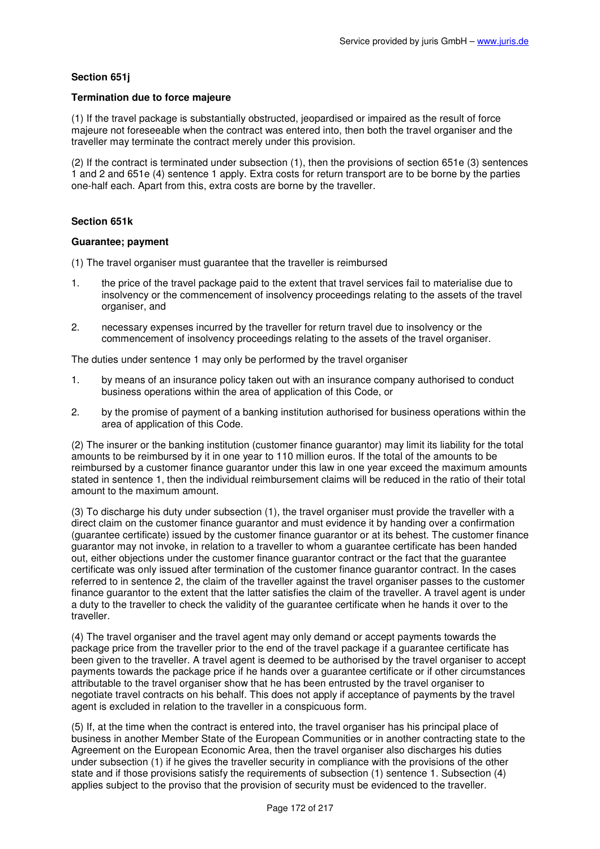# **Section 651j**

### **Termination due to force majeure**

(1) If the travel package is substantially obstructed, jeopardised or impaired as the result of force majeure not foreseeable when the contract was entered into, then both the travel organiser and the traveller may terminate the contract merely under this provision.

(2) If the contract is terminated under subsection (1), then the provisions of section 651e (3) sentences 1 and 2 and 651e (4) sentence 1 apply. Extra costs for return transport are to be borne by the parties one-half each. Apart from this, extra costs are borne by the traveller.

### **Section 651k**

#### **Guarantee; payment**

(1) The travel organiser must guarantee that the traveller is reimbursed

- 1. the price of the travel package paid to the extent that travel services fail to materialise due to insolvency or the commencement of insolvency proceedings relating to the assets of the travel organiser, and
- 2. necessary expenses incurred by the traveller for return travel due to insolvency or the commencement of insolvency proceedings relating to the assets of the travel organiser.

The duties under sentence 1 may only be performed by the travel organiser

- 1. by means of an insurance policy taken out with an insurance company authorised to conduct business operations within the area of application of this Code, or
- 2. by the promise of payment of a banking institution authorised for business operations within the area of application of this Code.

(2) The insurer or the banking institution (customer finance guarantor) may limit its liability for the total amounts to be reimbursed by it in one year to 110 million euros. If the total of the amounts to be reimbursed by a customer finance guarantor under this law in one year exceed the maximum amounts stated in sentence 1, then the individual reimbursement claims will be reduced in the ratio of their total amount to the maximum amount.

(3) To discharge his duty under subsection (1), the travel organiser must provide the traveller with a direct claim on the customer finance guarantor and must evidence it by handing over a confirmation (guarantee certificate) issued by the customer finance guarantor or at its behest. The customer finance guarantor may not invoke, in relation to a traveller to whom a guarantee certificate has been handed out, either objections under the customer finance guarantor contract or the fact that the guarantee certificate was only issued after termination of the customer finance guarantor contract. In the cases referred to in sentence 2, the claim of the traveller against the travel organiser passes to the customer finance guarantor to the extent that the latter satisfies the claim of the traveller. A travel agent is under a duty to the traveller to check the validity of the guarantee certificate when he hands it over to the traveller.

(4) The travel organiser and the travel agent may only demand or accept payments towards the package price from the traveller prior to the end of the travel package if a guarantee certificate has been given to the traveller. A travel agent is deemed to be authorised by the travel organiser to accept payments towards the package price if he hands over a guarantee certificate or if other circumstances attributable to the travel organiser show that he has been entrusted by the travel organiser to negotiate travel contracts on his behalf. This does not apply if acceptance of payments by the travel agent is excluded in relation to the traveller in a conspicuous form.

(5) If, at the time when the contract is entered into, the travel organiser has his principal place of business in another Member State of the European Communities or in another contracting state to the Agreement on the European Economic Area, then the travel organiser also discharges his duties under subsection (1) if he gives the traveller security in compliance with the provisions of the other state and if those provisions satisfy the requirements of subsection (1) sentence 1. Subsection (4) applies subject to the proviso that the provision of security must be evidenced to the traveller.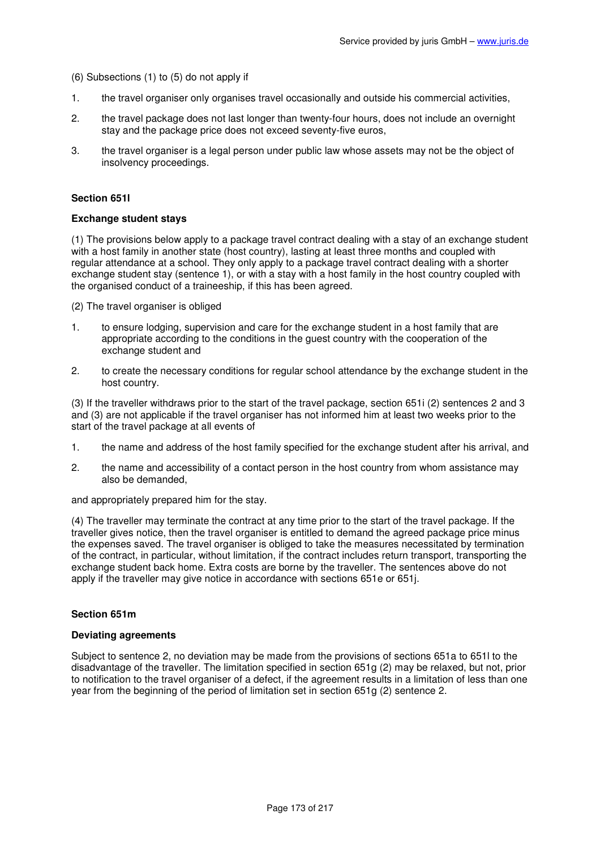(6) Subsections (1) to (5) do not apply if

- 1. the travel organiser only organises travel occasionally and outside his commercial activities,
- 2. the travel package does not last longer than twenty-four hours, does not include an overnight stay and the package price does not exceed seventy-five euros.
- 3. the travel organiser is a legal person under public law whose assets may not be the object of insolvency proceedings.

#### **Section 651l**

#### **Exchange student stays**

(1) The provisions below apply to a package travel contract dealing with a stay of an exchange student with a host family in another state (host country), lasting at least three months and coupled with regular attendance at a school. They only apply to a package travel contract dealing with a shorter exchange student stay (sentence 1), or with a stay with a host family in the host country coupled with the organised conduct of a traineeship, if this has been agreed.

(2) The travel organiser is obliged

- 1. to ensure lodging, supervision and care for the exchange student in a host family that are appropriate according to the conditions in the guest country with the cooperation of the exchange student and
- 2. to create the necessary conditions for regular school attendance by the exchange student in the host country.

(3) If the traveller withdraws prior to the start of the travel package, section 651i (2) sentences 2 and 3 and (3) are not applicable if the travel organiser has not informed him at least two weeks prior to the start of the travel package at all events of

- 1. the name and address of the host family specified for the exchange student after his arrival, and
- 2. the name and accessibility of a contact person in the host country from whom assistance may also be demanded,

and appropriately prepared him for the stay.

(4) The traveller may terminate the contract at any time prior to the start of the travel package. If the traveller gives notice, then the travel organiser is entitled to demand the agreed package price minus the expenses saved. The travel organiser is obliged to take the measures necessitated by termination of the contract, in particular, without limitation, if the contract includes return transport, transporting the exchange student back home. Extra costs are borne by the traveller. The sentences above do not apply if the traveller may give notice in accordance with sections 651e or 651j.

#### **Section 651m**

#### **Deviating agreements**

Subject to sentence 2, no deviation may be made from the provisions of sections 651a to 651l to the disadvantage of the traveller. The limitation specified in section 651g (2) may be relaxed, but not, prior to notification to the travel organiser of a defect, if the agreement results in a limitation of less than one year from the beginning of the period of limitation set in section 651g (2) sentence 2.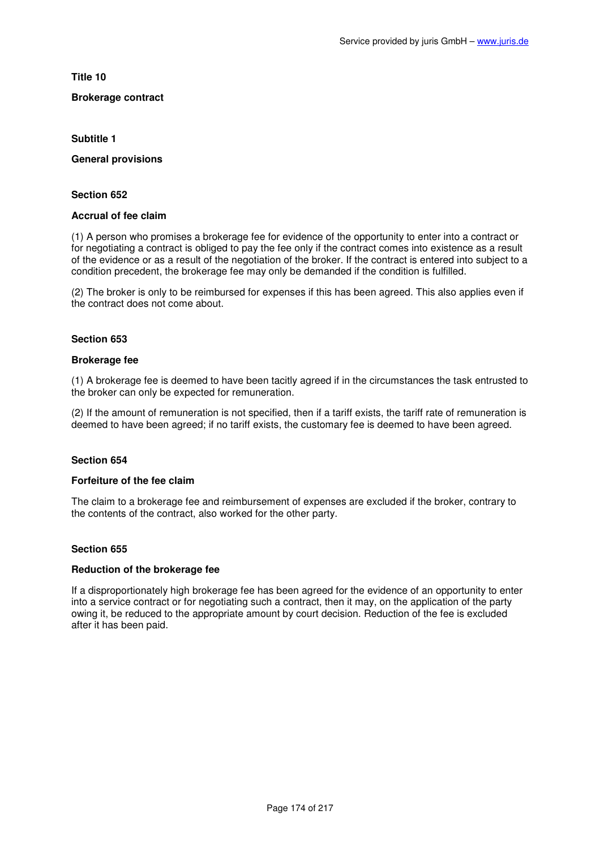**Title 10** 

# **Brokerage contract**

**Subtitle 1** 

**General provisions** 

#### **Section 652**

# **Accrual of fee claim**

(1) A person who promises a brokerage fee for evidence of the opportunity to enter into a contract or for negotiating a contract is obliged to pay the fee only if the contract comes into existence as a result of the evidence or as a result of the negotiation of the broker. If the contract is entered into subject to a condition precedent, the brokerage fee may only be demanded if the condition is fulfilled.

(2) The broker is only to be reimbursed for expenses if this has been agreed. This also applies even if the contract does not come about.

### **Section 653**

#### **Brokerage fee**

(1) A brokerage fee is deemed to have been tacitly agreed if in the circumstances the task entrusted to the broker can only be expected for remuneration.

(2) If the amount of remuneration is not specified, then if a tariff exists, the tariff rate of remuneration is deemed to have been agreed; if no tariff exists, the customary fee is deemed to have been agreed.

### **Section 654**

### **Forfeiture of the fee claim**

The claim to a brokerage fee and reimbursement of expenses are excluded if the broker, contrary to the contents of the contract, also worked for the other party.

### **Section 655**

## **Reduction of the brokerage fee**

If a disproportionately high brokerage fee has been agreed for the evidence of an opportunity to enter into a service contract or for negotiating such a contract, then it may, on the application of the party owing it, be reduced to the appropriate amount by court decision. Reduction of the fee is excluded after it has been paid.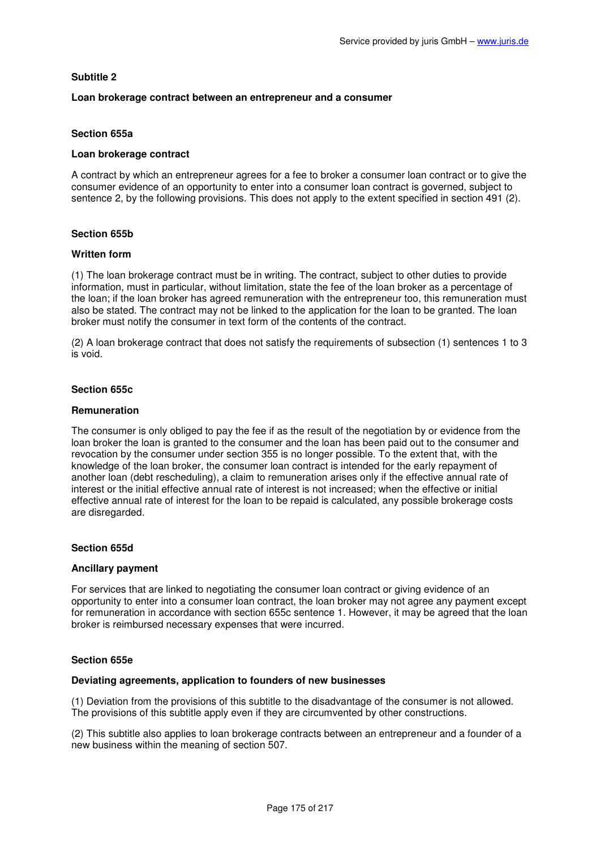## **Subtitle 2**

### **Loan brokerage contract between an entrepreneur and a consumer**

# **Section 655a**

#### **Loan brokerage contract**

A contract by which an entrepreneur agrees for a fee to broker a consumer loan contract or to give the consumer evidence of an opportunity to enter into a consumer loan contract is governed, subject to sentence 2, by the following provisions. This does not apply to the extent specified in section 491 (2).

### **Section 655b**

#### **Written form**

(1) The loan brokerage contract must be in writing. The contract, subject to other duties to provide information, must in particular, without limitation, state the fee of the loan broker as a percentage of the loan; if the loan broker has agreed remuneration with the entrepreneur too, this remuneration must also be stated. The contract may not be linked to the application for the loan to be granted. The loan broker must notify the consumer in text form of the contents of the contract.

(2) A loan brokerage contract that does not satisfy the requirements of subsection (1) sentences 1 to 3 is void.

#### **Section 655c**

#### **Remuneration**

The consumer is only obliged to pay the fee if as the result of the negotiation by or evidence from the loan broker the loan is granted to the consumer and the loan has been paid out to the consumer and revocation by the consumer under section 355 is no longer possible. To the extent that, with the knowledge of the loan broker, the consumer loan contract is intended for the early repayment of another loan (debt rescheduling), a claim to remuneration arises only if the effective annual rate of interest or the initial effective annual rate of interest is not increased; when the effective or initial effective annual rate of interest for the loan to be repaid is calculated, any possible brokerage costs are disregarded.

### **Section 655d**

#### **Ancillary payment**

For services that are linked to negotiating the consumer loan contract or giving evidence of an opportunity to enter into a consumer loan contract, the loan broker may not agree any payment except for remuneration in accordance with section 655c sentence 1. However, it may be agreed that the loan broker is reimbursed necessary expenses that were incurred.

### **Section 655e**

#### **Deviating agreements, application to founders of new businesses**

(1) Deviation from the provisions of this subtitle to the disadvantage of the consumer is not allowed. The provisions of this subtitle apply even if they are circumvented by other constructions.

(2) This subtitle also applies to loan brokerage contracts between an entrepreneur and a founder of a new business within the meaning of section 507.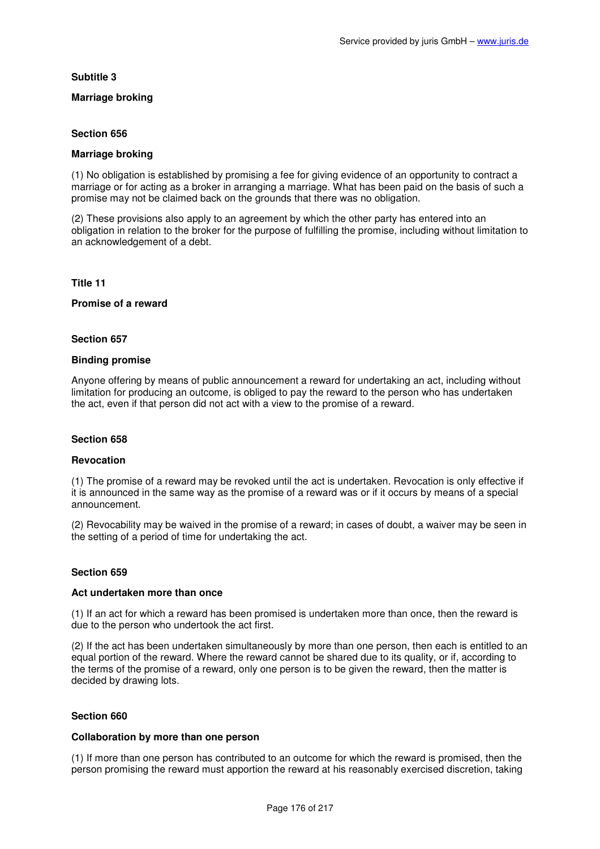# **Subtitle 3**

# **Marriage broking**

# **Section 656**

# **Marriage broking**

(1) No obligation is established by promising a fee for giving evidence of an opportunity to contract a marriage or for acting as a broker in arranging a marriage. What has been paid on the basis of such a promise may not be claimed back on the grounds that there was no obligation.

(2) These provisions also apply to an agreement by which the other party has entered into an obligation in relation to the broker for the purpose of fulfilling the promise, including without limitation to an acknowledgement of a debt.

### **Title 11**

# **Promise of a reward**

### **Section 657**

### **Binding promise**

Anyone offering by means of public announcement a reward for undertaking an act, including without limitation for producing an outcome, is obliged to pay the reward to the person who has undertaken the act, even if that person did not act with a view to the promise of a reward.

### **Section 658**

### **Revocation**

(1) The promise of a reward may be revoked until the act is undertaken. Revocation is only effective if it is announced in the same way as the promise of a reward was or if it occurs by means of a special announcement.

(2) Revocability may be waived in the promise of a reward; in cases of doubt, a waiver may be seen in the setting of a period of time for undertaking the act.

### **Section 659**

### **Act undertaken more than once**

(1) If an act for which a reward has been promised is undertaken more than once, then the reward is due to the person who undertook the act first.

(2) If the act has been undertaken simultaneously by more than one person, then each is entitled to an equal portion of the reward. Where the reward cannot be shared due to its quality, or if, according to the terms of the promise of a reward, only one person is to be given the reward, then the matter is decided by drawing lots.

### **Section 660**

### **Collaboration by more than one person**

(1) If more than one person has contributed to an outcome for which the reward is promised, then the person promising the reward must apportion the reward at his reasonably exercised discretion, taking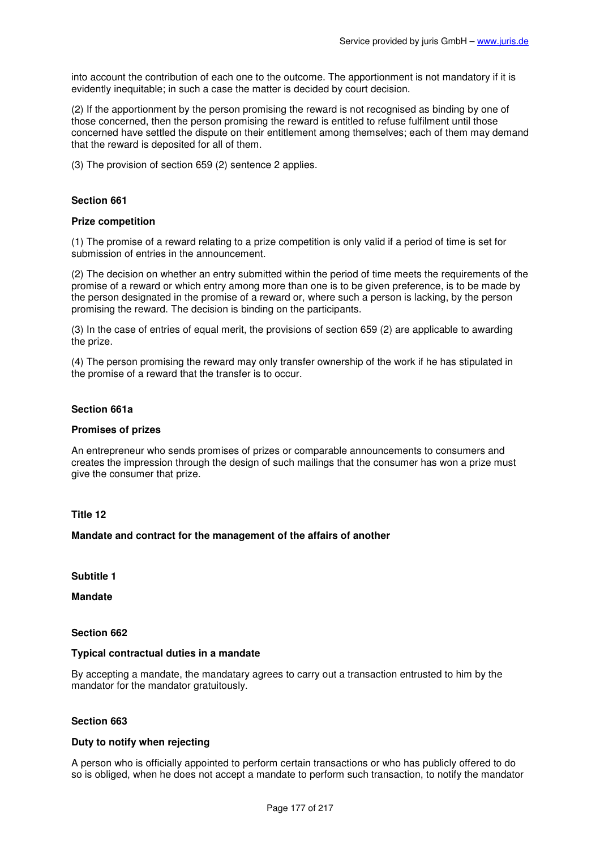into account the contribution of each one to the outcome. The apportionment is not mandatory if it is evidently inequitable; in such a case the matter is decided by court decision.

(2) If the apportionment by the person promising the reward is not recognised as binding by one of those concerned, then the person promising the reward is entitled to refuse fulfilment until those concerned have settled the dispute on their entitlement among themselves; each of them may demand that the reward is deposited for all of them.

(3) The provision of section 659 (2) sentence 2 applies.

# **Section 661**

#### **Prize competition**

(1) The promise of a reward relating to a prize competition is only valid if a period of time is set for submission of entries in the announcement.

(2) The decision on whether an entry submitted within the period of time meets the requirements of the promise of a reward or which entry among more than one is to be given preference, is to be made by the person designated in the promise of a reward or, where such a person is lacking, by the person promising the reward. The decision is binding on the participants.

(3) In the case of entries of equal merit, the provisions of section 659 (2) are applicable to awarding the prize.

(4) The person promising the reward may only transfer ownership of the work if he has stipulated in the promise of a reward that the transfer is to occur.

#### **Section 661a**

#### **Promises of prizes**

An entrepreneur who sends promises of prizes or comparable announcements to consumers and creates the impression through the design of such mailings that the consumer has won a prize must give the consumer that prize.

## **Title 12**

#### **Mandate and contract for the management of the affairs of another**

**Subtitle 1** 

**Mandate** 

**Section 662** 

#### **Typical contractual duties in a mandate**

By accepting a mandate, the mandatary agrees to carry out a transaction entrusted to him by the mandator for the mandator gratuitously.

### **Section 663**

# **Duty to notify when rejecting**

A person who is officially appointed to perform certain transactions or who has publicly offered to do so is obliged, when he does not accept a mandate to perform such transaction, to notify the mandator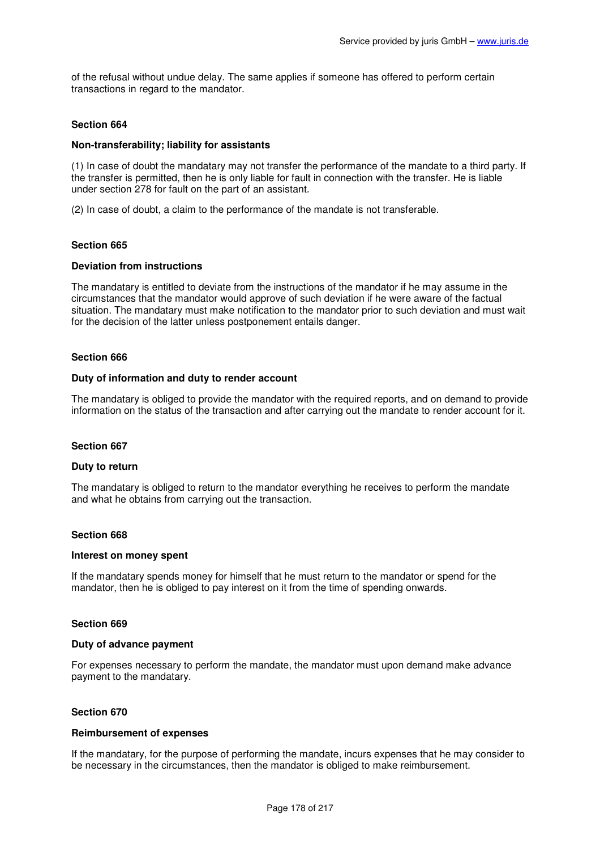of the refusal without undue delay. The same applies if someone has offered to perform certain transactions in regard to the mandator.

## **Section 664**

### **Non-transferability; liability for assistants**

(1) In case of doubt the mandatary may not transfer the performance of the mandate to a third party. If the transfer is permitted, then he is only liable for fault in connection with the transfer. He is liable under section 278 for fault on the part of an assistant.

(2) In case of doubt, a claim to the performance of the mandate is not transferable.

### **Section 665**

#### **Deviation from instructions**

The mandatary is entitled to deviate from the instructions of the mandator if he may assume in the circumstances that the mandator would approve of such deviation if he were aware of the factual situation. The mandatary must make notification to the mandator prior to such deviation and must wait for the decision of the latter unless postponement entails danger.

#### **Section 666**

#### **Duty of information and duty to render account**

The mandatary is obliged to provide the mandator with the required reports, and on demand to provide information on the status of the transaction and after carrying out the mandate to render account for it.

#### **Section 667**

#### **Duty to return**

The mandatary is obliged to return to the mandator everything he receives to perform the mandate and what he obtains from carrying out the transaction.

#### **Section 668**

#### **Interest on money spent**

If the mandatary spends money for himself that he must return to the mandator or spend for the mandator, then he is obliged to pay interest on it from the time of spending onwards.

### **Section 669**

#### **Duty of advance payment**

For expenses necessary to perform the mandate, the mandator must upon demand make advance payment to the mandatary.

### **Section 670**

#### **Reimbursement of expenses**

If the mandatary, for the purpose of performing the mandate, incurs expenses that he may consider to be necessary in the circumstances, then the mandator is obliged to make reimbursement.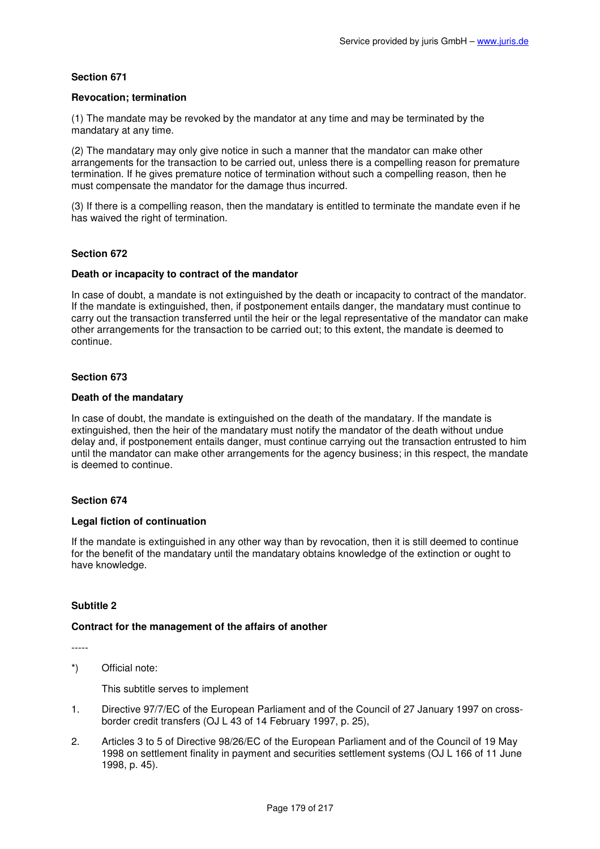### **Revocation; termination**

(1) The mandate may be revoked by the mandator at any time and may be terminated by the mandatary at any time.

(2) The mandatary may only give notice in such a manner that the mandator can make other arrangements for the transaction to be carried out, unless there is a compelling reason for premature termination. If he gives premature notice of termination without such a compelling reason, then he must compensate the mandator for the damage thus incurred.

(3) If there is a compelling reason, then the mandatary is entitled to terminate the mandate even if he has waived the right of termination.

### **Section 672**

#### **Death or incapacity to contract of the mandator**

In case of doubt, a mandate is not extinguished by the death or incapacity to contract of the mandator. If the mandate is extinguished, then, if postponement entails danger, the mandatary must continue to carry out the transaction transferred until the heir or the legal representative of the mandator can make other arrangements for the transaction to be carried out; to this extent, the mandate is deemed to continue.

#### **Section 673**

#### **Death of the mandatary**

In case of doubt, the mandate is extinguished on the death of the mandatary. If the mandate is extinguished, then the heir of the mandatary must notify the mandator of the death without undue delay and, if postponement entails danger, must continue carrying out the transaction entrusted to him until the mandator can make other arrangements for the agency business; in this respect, the mandate is deemed to continue.

### **Section 674**

### **Legal fiction of continuation**

If the mandate is extinguished in any other way than by revocation, then it is still deemed to continue for the benefit of the mandatary until the mandatary obtains knowledge of the extinction or ought to have knowledge.

### **Subtitle 2**

### **Contract for the management of the affairs of another**

-----

\*) Official note:

This subtitle serves to implement

- 1. Directive 97/7/EC of the European Parliament and of the Council of 27 January 1997 on crossborder credit transfers (OJ L 43 of 14 February 1997, p. 25),
- 2. Articles 3 to 5 of Directive 98/26/EC of the European Parliament and of the Council of 19 May 1998 on settlement finality in payment and securities settlement systems (OJ L 166 of 11 June 1998, p. 45).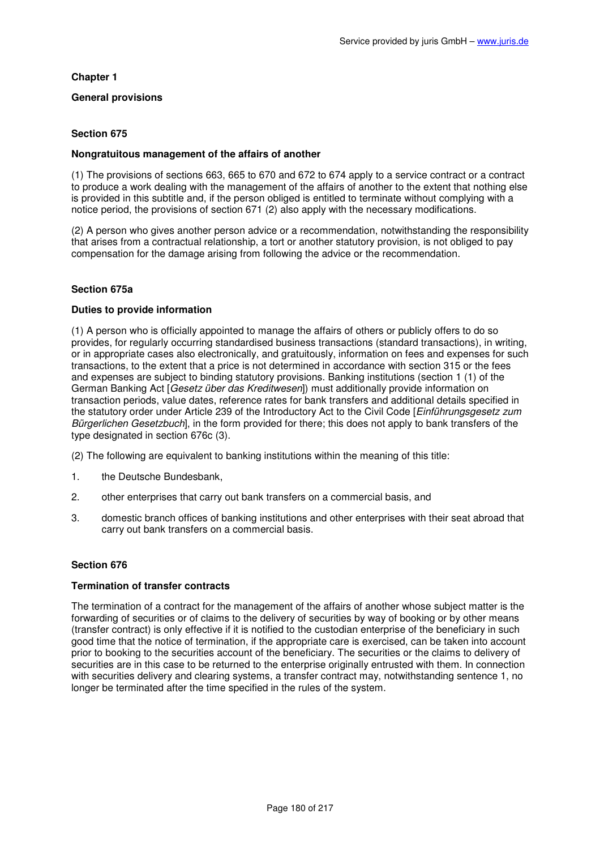# **Chapter 1**

## **General provisions**

# **Section 675**

### **Nongratuitous management of the affairs of another**

(1) The provisions of sections 663, 665 to 670 and 672 to 674 apply to a service contract or a contract to produce a work dealing with the management of the affairs of another to the extent that nothing else is provided in this subtitle and, if the person obliged is entitled to terminate without complying with a notice period, the provisions of section 671 (2) also apply with the necessary modifications.

(2) A person who gives another person advice or a recommendation, notwithstanding the responsibility that arises from a contractual relationship, a tort or another statutory provision, is not obliged to pay compensation for the damage arising from following the advice or the recommendation.

### **Section 675a**

### **Duties to provide information**

(1) A person who is officially appointed to manage the affairs of others or publicly offers to do so provides, for regularly occurring standardised business transactions (standard transactions), in writing, or in appropriate cases also electronically, and gratuitously, information on fees and expenses for such transactions, to the extent that a price is not determined in accordance with section 315 or the fees and expenses are subject to binding statutory provisions. Banking institutions (section 1 (1) of the German Banking Act [Gesetz über das Kreditwesen]) must additionally provide information on transaction periods, value dates, reference rates for bank transfers and additional details specified in the statutory order under Article 239 of the Introductory Act to the Civil Code [Einführungsgesetz zum Bürgerlichen Gesetzbuch], in the form provided for there; this does not apply to bank transfers of the type designated in section 676c (3).

(2) The following are equivalent to banking institutions within the meaning of this title:

- 1. the Deutsche Bundesbank,
- 2. other enterprises that carry out bank transfers on a commercial basis, and
- 3. domestic branch offices of banking institutions and other enterprises with their seat abroad that carry out bank transfers on a commercial basis.

# **Section 676**

### **Termination of transfer contracts**

The termination of a contract for the management of the affairs of another whose subject matter is the forwarding of securities or of claims to the delivery of securities by way of booking or by other means (transfer contract) is only effective if it is notified to the custodian enterprise of the beneficiary in such good time that the notice of termination, if the appropriate care is exercised, can be taken into account prior to booking to the securities account of the beneficiary. The securities or the claims to delivery of securities are in this case to be returned to the enterprise originally entrusted with them. In connection with securities delivery and clearing systems, a transfer contract may, notwithstanding sentence 1, no longer be terminated after the time specified in the rules of the system.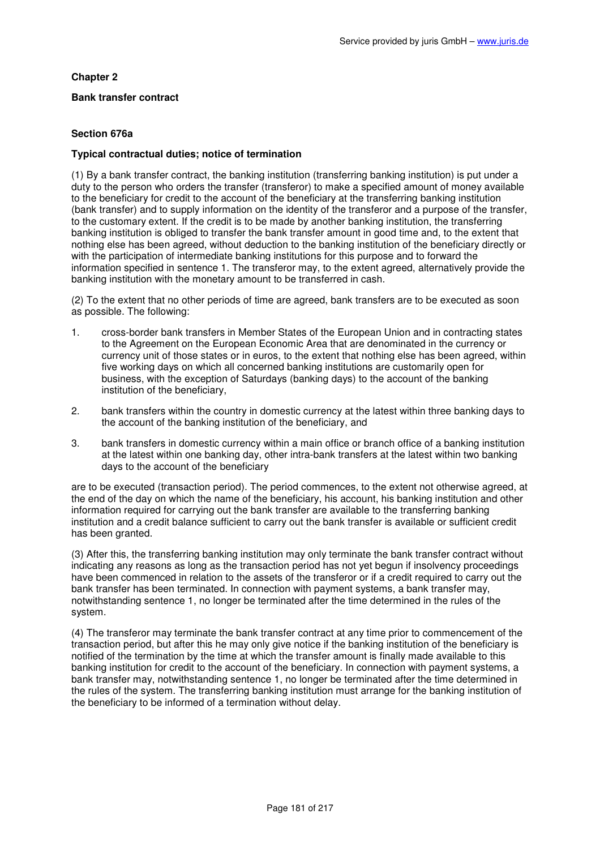# **Chapter 2**

# **Bank transfer contract**

# **Section 676a**

# **Typical contractual duties; notice of termination**

(1) By a bank transfer contract, the banking institution (transferring banking institution) is put under a duty to the person who orders the transfer (transferor) to make a specified amount of money available to the beneficiary for credit to the account of the beneficiary at the transferring banking institution (bank transfer) and to supply information on the identity of the transferor and a purpose of the transfer, to the customary extent. If the credit is to be made by another banking institution, the transferring banking institution is obliged to transfer the bank transfer amount in good time and, to the extent that nothing else has been agreed, without deduction to the banking institution of the beneficiary directly or with the participation of intermediate banking institutions for this purpose and to forward the information specified in sentence 1. The transferor may, to the extent agreed, alternatively provide the banking institution with the monetary amount to be transferred in cash.

(2) To the extent that no other periods of time are agreed, bank transfers are to be executed as soon as possible. The following:

- 1. cross-border bank transfers in Member States of the European Union and in contracting states to the Agreement on the European Economic Area that are denominated in the currency or currency unit of those states or in euros, to the extent that nothing else has been agreed, within five working days on which all concerned banking institutions are customarily open for business, with the exception of Saturdays (banking days) to the account of the banking institution of the beneficiary,
- 2. bank transfers within the country in domestic currency at the latest within three banking days to the account of the banking institution of the beneficiary, and
- 3. bank transfers in domestic currency within a main office or branch office of a banking institution at the latest within one banking day, other intra-bank transfers at the latest within two banking days to the account of the beneficiary

are to be executed (transaction period). The period commences, to the extent not otherwise agreed, at the end of the day on which the name of the beneficiary, his account, his banking institution and other information required for carrying out the bank transfer are available to the transferring banking institution and a credit balance sufficient to carry out the bank transfer is available or sufficient credit has been granted.

(3) After this, the transferring banking institution may only terminate the bank transfer contract without indicating any reasons as long as the transaction period has not yet begun if insolvency proceedings have been commenced in relation to the assets of the transferor or if a credit required to carry out the bank transfer has been terminated. In connection with payment systems, a bank transfer may, notwithstanding sentence 1, no longer be terminated after the time determined in the rules of the system.

(4) The transferor may terminate the bank transfer contract at any time prior to commencement of the transaction period, but after this he may only give notice if the banking institution of the beneficiary is notified of the termination by the time at which the transfer amount is finally made available to this banking institution for credit to the account of the beneficiary. In connection with payment systems, a bank transfer may, notwithstanding sentence 1, no longer be terminated after the time determined in the rules of the system. The transferring banking institution must arrange for the banking institution of the beneficiary to be informed of a termination without delay.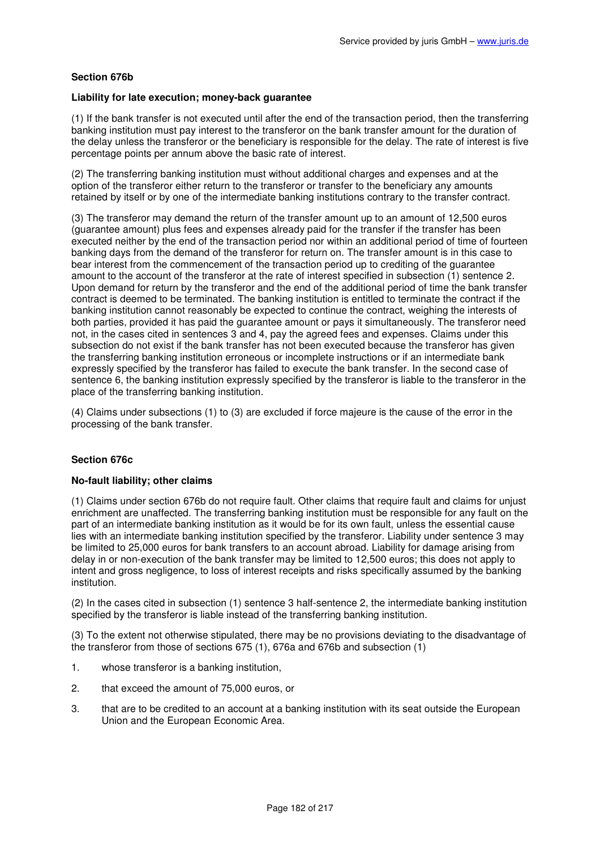# **Section 676b**

### **Liability for late execution; money-back guarantee**

(1) If the bank transfer is not executed until after the end of the transaction period, then the transferring banking institution must pay interest to the transferor on the bank transfer amount for the duration of the delay unless the transferor or the beneficiary is responsible for the delay. The rate of interest is five percentage points per annum above the basic rate of interest.

(2) The transferring banking institution must without additional charges and expenses and at the option of the transferor either return to the transferor or transfer to the beneficiary any amounts retained by itself or by one of the intermediate banking institutions contrary to the transfer contract.

(3) The transferor may demand the return of the transfer amount up to an amount of 12,500 euros (guarantee amount) plus fees and expenses already paid for the transfer if the transfer has been executed neither by the end of the transaction period nor within an additional period of time of fourteen banking days from the demand of the transferor for return on. The transfer amount is in this case to bear interest from the commencement of the transaction period up to crediting of the guarantee amount to the account of the transferor at the rate of interest specified in subsection (1) sentence 2. Upon demand for return by the transferor and the end of the additional period of time the bank transfer contract is deemed to be terminated. The banking institution is entitled to terminate the contract if the banking institution cannot reasonably be expected to continue the contract, weighing the interests of both parties, provided it has paid the guarantee amount or pays it simultaneously. The transferor need not, in the cases cited in sentences 3 and 4, pay the agreed fees and expenses. Claims under this subsection do not exist if the bank transfer has not been executed because the transferor has given the transferring banking institution erroneous or incomplete instructions or if an intermediate bank expressly specified by the transferor has failed to execute the bank transfer. In the second case of sentence 6, the banking institution expressly specified by the transferor is liable to the transferor in the place of the transferring banking institution.

(4) Claims under subsections (1) to (3) are excluded if force majeure is the cause of the error in the processing of the bank transfer.

# **Section 676c**

# **No-fault liability; other claims**

(1) Claims under section 676b do not require fault. Other claims that require fault and claims for unjust enrichment are unaffected. The transferring banking institution must be responsible for any fault on the part of an intermediate banking institution as it would be for its own fault, unless the essential cause lies with an intermediate banking institution specified by the transferor. Liability under sentence 3 may be limited to 25,000 euros for bank transfers to an account abroad. Liability for damage arising from delay in or non-execution of the bank transfer may be limited to 12,500 euros; this does not apply to intent and gross negligence, to loss of interest receipts and risks specifically assumed by the banking institution.

(2) In the cases cited in subsection (1) sentence 3 half-sentence 2, the intermediate banking institution specified by the transferor is liable instead of the transferring banking institution.

(3) To the extent not otherwise stipulated, there may be no provisions deviating to the disadvantage of the transferor from those of sections 675 (1), 676a and 676b and subsection (1)

- 1. whose transferor is a banking institution,
- 2. that exceed the amount of 75,000 euros, or
- 3. that are to be credited to an account at a banking institution with its seat outside the European Union and the European Economic Area.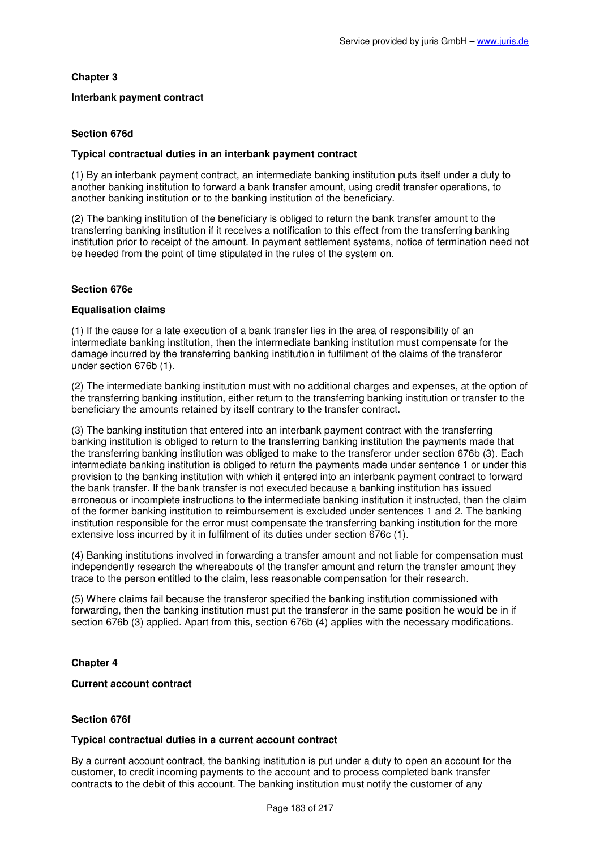# **Chapter 3**

## **Interbank payment contract**

# **Section 676d**

## **Typical contractual duties in an interbank payment contract**

(1) By an interbank payment contract, an intermediate banking institution puts itself under a duty to another banking institution to forward a bank transfer amount, using credit transfer operations, to another banking institution or to the banking institution of the beneficiary.

(2) The banking institution of the beneficiary is obliged to return the bank transfer amount to the transferring banking institution if it receives a notification to this effect from the transferring banking institution prior to receipt of the amount. In payment settlement systems, notice of termination need not be heeded from the point of time stipulated in the rules of the system on.

# **Section 676e**

# **Equalisation claims**

(1) If the cause for a late execution of a bank transfer lies in the area of responsibility of an intermediate banking institution, then the intermediate banking institution must compensate for the damage incurred by the transferring banking institution in fulfilment of the claims of the transferor under section 676b (1).

(2) The intermediate banking institution must with no additional charges and expenses, at the option of the transferring banking institution, either return to the transferring banking institution or transfer to the beneficiary the amounts retained by itself contrary to the transfer contract.

(3) The banking institution that entered into an interbank payment contract with the transferring banking institution is obliged to return to the transferring banking institution the payments made that the transferring banking institution was obliged to make to the transferor under section 676b (3). Each intermediate banking institution is obliged to return the payments made under sentence 1 or under this provision to the banking institution with which it entered into an interbank payment contract to forward the bank transfer. If the bank transfer is not executed because a banking institution has issued erroneous or incomplete instructions to the intermediate banking institution it instructed, then the claim of the former banking institution to reimbursement is excluded under sentences 1 and 2. The banking institution responsible for the error must compensate the transferring banking institution for the more extensive loss incurred by it in fulfilment of its duties under section 676c (1).

(4) Banking institutions involved in forwarding a transfer amount and not liable for compensation must independently research the whereabouts of the transfer amount and return the transfer amount they trace to the person entitled to the claim, less reasonable compensation for their research.

(5) Where claims fail because the transferor specified the banking institution commissioned with forwarding, then the banking institution must put the transferor in the same position he would be in if section 676b (3) applied. Apart from this, section 676b (4) applies with the necessary modifications.

# **Chapter 4**

## **Current account contract**

# **Section 676f**

## **Typical contractual duties in a current account contract**

By a current account contract, the banking institution is put under a duty to open an account for the customer, to credit incoming payments to the account and to process completed bank transfer contracts to the debit of this account. The banking institution must notify the customer of any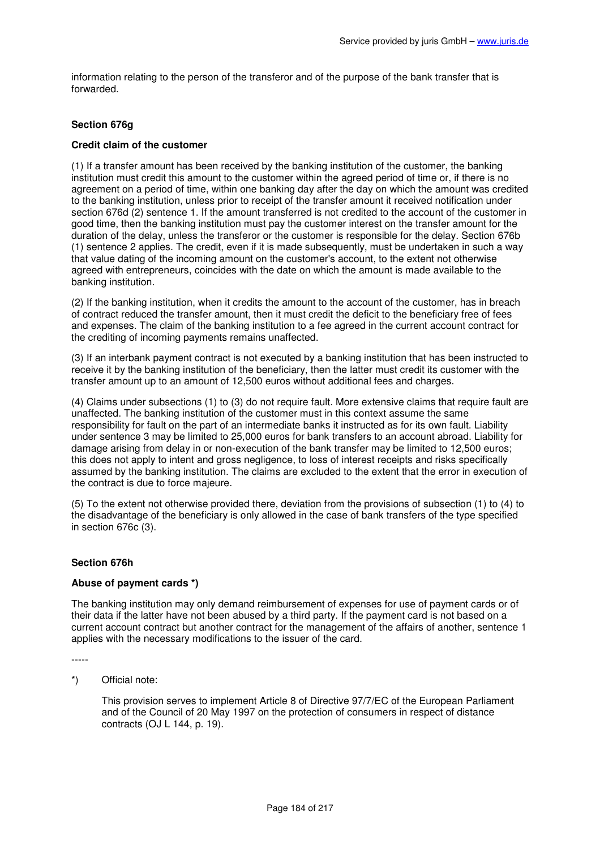information relating to the person of the transferor and of the purpose of the bank transfer that is forwarded.

# **Section 676g**

## **Credit claim of the customer**

(1) If a transfer amount has been received by the banking institution of the customer, the banking institution must credit this amount to the customer within the agreed period of time or, if there is no agreement on a period of time, within one banking day after the day on which the amount was credited to the banking institution, unless prior to receipt of the transfer amount it received notification under section 676d (2) sentence 1. If the amount transferred is not credited to the account of the customer in good time, then the banking institution must pay the customer interest on the transfer amount for the duration of the delay, unless the transferor or the customer is responsible for the delay. Section 676b (1) sentence 2 applies. The credit, even if it is made subsequently, must be undertaken in such a way that value dating of the incoming amount on the customer's account, to the extent not otherwise agreed with entrepreneurs, coincides with the date on which the amount is made available to the banking institution.

(2) If the banking institution, when it credits the amount to the account of the customer, has in breach of contract reduced the transfer amount, then it must credit the deficit to the beneficiary free of fees and expenses. The claim of the banking institution to a fee agreed in the current account contract for the crediting of incoming payments remains unaffected.

(3) If an interbank payment contract is not executed by a banking institution that has been instructed to receive it by the banking institution of the beneficiary, then the latter must credit its customer with the transfer amount up to an amount of 12,500 euros without additional fees and charges.

(4) Claims under subsections (1) to (3) do not require fault. More extensive claims that require fault are unaffected. The banking institution of the customer must in this context assume the same responsibility for fault on the part of an intermediate banks it instructed as for its own fault. Liability under sentence 3 may be limited to 25,000 euros for bank transfers to an account abroad. Liability for damage arising from delay in or non-execution of the bank transfer may be limited to 12,500 euros; this does not apply to intent and gross negligence, to loss of interest receipts and risks specifically assumed by the banking institution. The claims are excluded to the extent that the error in execution of the contract is due to force majeure.

(5) To the extent not otherwise provided there, deviation from the provisions of subsection (1) to (4) to the disadvantage of the beneficiary is only allowed in the case of bank transfers of the type specified in section 676c (3).

## **Section 676h**

## **Abuse of payment cards \*)**

The banking institution may only demand reimbursement of expenses for use of payment cards or of their data if the latter have not been abused by a third party. If the payment card is not based on a current account contract but another contract for the management of the affairs of another, sentence 1 applies with the necessary modifications to the issuer of the card.

-----

\*) Official note:

This provision serves to implement Article 8 of Directive 97/7/EC of the European Parliament and of the Council of 20 May 1997 on the protection of consumers in respect of distance contracts (OJ L 144, p. 19).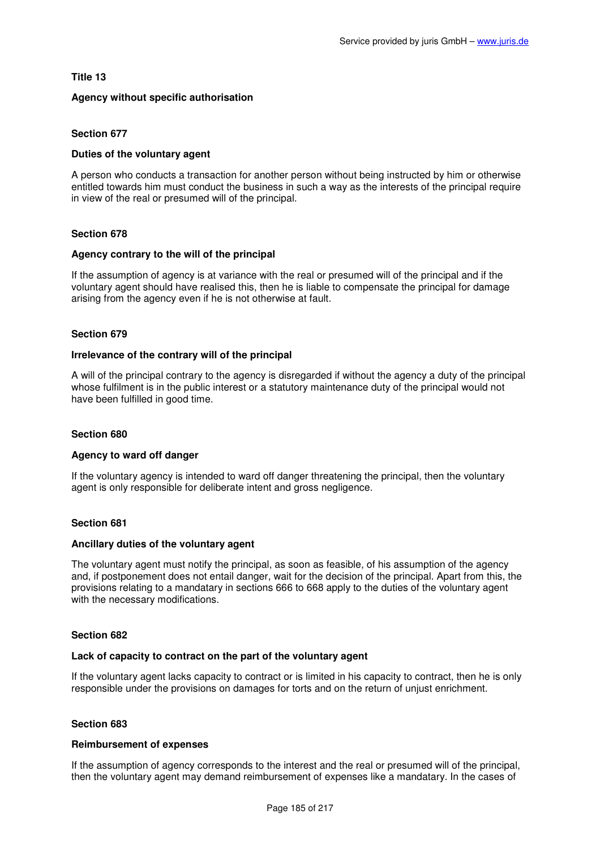# **Title 13**

# **Agency without specific authorisation**

# **Section 677**

## **Duties of the voluntary agent**

A person who conducts a transaction for another person without being instructed by him or otherwise entitled towards him must conduct the business in such a way as the interests of the principal require in view of the real or presumed will of the principal.

## **Section 678**

## **Agency contrary to the will of the principal**

If the assumption of agency is at variance with the real or presumed will of the principal and if the voluntary agent should have realised this, then he is liable to compensate the principal for damage arising from the agency even if he is not otherwise at fault.

## **Section 679**

### **Irrelevance of the contrary will of the principal**

A will of the principal contrary to the agency is disregarded if without the agency a duty of the principal whose fulfilment is in the public interest or a statutory maintenance duty of the principal would not have been fulfilled in good time.

## **Section 680**

## **Agency to ward off danger**

If the voluntary agency is intended to ward off danger threatening the principal, then the voluntary agent is only responsible for deliberate intent and gross negligence.

## **Section 681**

## **Ancillary duties of the voluntary agent**

The voluntary agent must notify the principal, as soon as feasible, of his assumption of the agency and, if postponement does not entail danger, wait for the decision of the principal. Apart from this, the provisions relating to a mandatary in sections 666 to 668 apply to the duties of the voluntary agent with the necessary modifications.

## **Section 682**

## **Lack of capacity to contract on the part of the voluntary agent**

If the voluntary agent lacks capacity to contract or is limited in his capacity to contract, then he is only responsible under the provisions on damages for torts and on the return of unjust enrichment.

## **Section 683**

## **Reimbursement of expenses**

If the assumption of agency corresponds to the interest and the real or presumed will of the principal, then the voluntary agent may demand reimbursement of expenses like a mandatary. In the cases of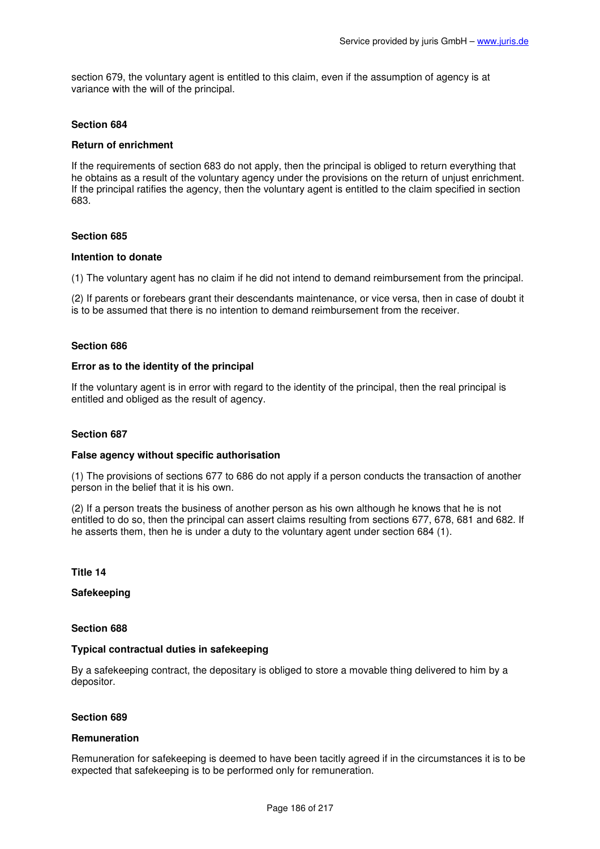section 679, the voluntary agent is entitled to this claim, even if the assumption of agency is at variance with the will of the principal.

## **Section 684**

## **Return of enrichment**

If the requirements of section 683 do not apply, then the principal is obliged to return everything that he obtains as a result of the voluntary agency under the provisions on the return of unjust enrichment. If the principal ratifies the agency, then the voluntary agent is entitled to the claim specified in section 683.

## **Section 685**

### **Intention to donate**

(1) The voluntary agent has no claim if he did not intend to demand reimbursement from the principal.

(2) If parents or forebears grant their descendants maintenance, or vice versa, then in case of doubt it is to be assumed that there is no intention to demand reimbursement from the receiver.

### **Section 686**

## **Error as to the identity of the principal**

If the voluntary agent is in error with regard to the identity of the principal, then the real principal is entitled and obliged as the result of agency.

## **Section 687**

#### **False agency without specific authorisation**

(1) The provisions of sections 677 to 686 do not apply if a person conducts the transaction of another person in the belief that it is his own.

(2) If a person treats the business of another person as his own although he knows that he is not entitled to do so, then the principal can assert claims resulting from sections 677, 678, 681 and 682. If he asserts them, then he is under a duty to the voluntary agent under section 684 (1).

**Title 14** 

**Safekeeping** 

**Section 688** 

## **Typical contractual duties in safekeeping**

By a safekeeping contract, the depositary is obliged to store a movable thing delivered to him by a depositor.

## **Section 689**

#### **Remuneration**

Remuneration for safekeeping is deemed to have been tacitly agreed if in the circumstances it is to be expected that safekeeping is to be performed only for remuneration.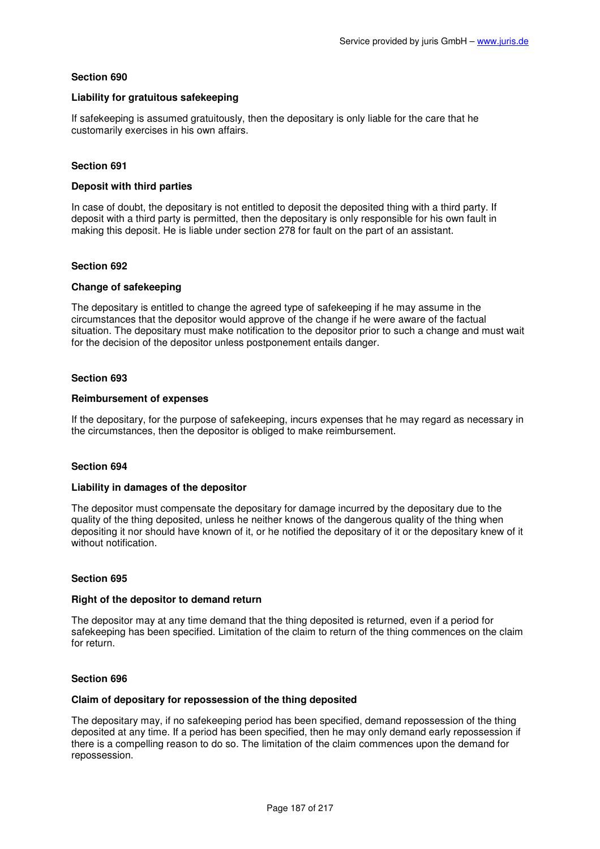# **Liability for gratuitous safekeeping**

If safekeeping is assumed gratuitously, then the depositary is only liable for the care that he customarily exercises in his own affairs.

# **Section 691**

## **Deposit with third parties**

In case of doubt, the depositary is not entitled to deposit the deposited thing with a third party. If deposit with a third party is permitted, then the depositary is only responsible for his own fault in making this deposit. He is liable under section 278 for fault on the part of an assistant.

## **Section 692**

### **Change of safekeeping**

The depositary is entitled to change the agreed type of safekeeping if he may assume in the circumstances that the depositor would approve of the change if he were aware of the factual situation. The depositary must make notification to the depositor prior to such a change and must wait for the decision of the depositor unless postponement entails danger.

## **Section 693**

## **Reimbursement of expenses**

If the depositary, for the purpose of safekeeping, incurs expenses that he may regard as necessary in the circumstances, then the depositor is obliged to make reimbursement.

## **Section 694**

#### **Liability in damages of the depositor**

The depositor must compensate the depositary for damage incurred by the depositary due to the quality of the thing deposited, unless he neither knows of the dangerous quality of the thing when depositing it nor should have known of it, or he notified the depositary of it or the depositary knew of it without notification.

#### **Section 695**

### **Right of the depositor to demand return**

The depositor may at any time demand that the thing deposited is returned, even if a period for safekeeping has been specified. Limitation of the claim to return of the thing commences on the claim for return.

#### **Section 696**

#### **Claim of depositary for repossession of the thing deposited**

The depositary may, if no safekeeping period has been specified, demand repossession of the thing deposited at any time. If a period has been specified, then he may only demand early repossession if there is a compelling reason to do so. The limitation of the claim commences upon the demand for repossession.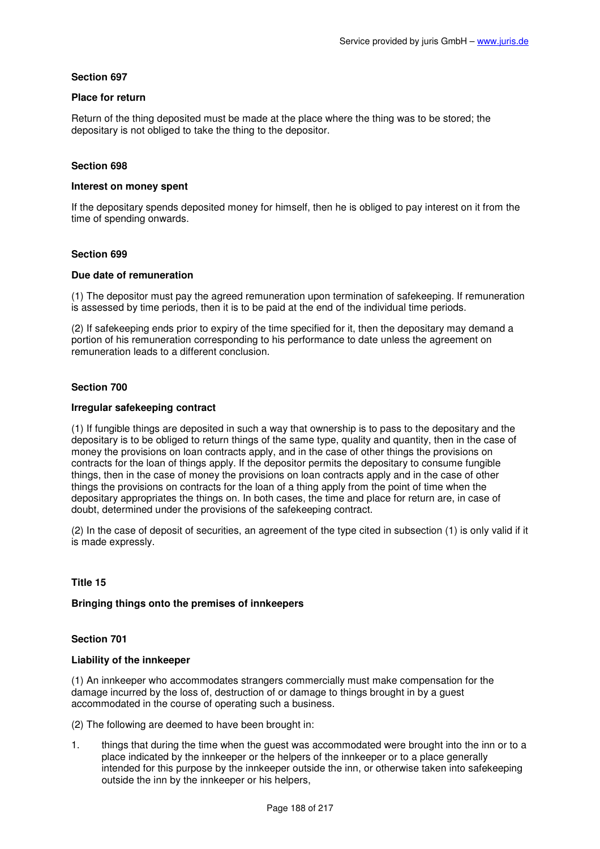## **Place for return**

Return of the thing deposited must be made at the place where the thing was to be stored; the depositary is not obliged to take the thing to the depositor.

# **Section 698**

### **Interest on money spent**

If the depositary spends deposited money for himself, then he is obliged to pay interest on it from the time of spending onwards.

## **Section 699**

### **Due date of remuneration**

(1) The depositor must pay the agreed remuneration upon termination of safekeeping. If remuneration is assessed by time periods, then it is to be paid at the end of the individual time periods.

(2) If safekeeping ends prior to expiry of the time specified for it, then the depositary may demand a portion of his remuneration corresponding to his performance to date unless the agreement on remuneration leads to a different conclusion.

## **Section 700**

### **Irregular safekeeping contract**

(1) If fungible things are deposited in such a way that ownership is to pass to the depositary and the depositary is to be obliged to return things of the same type, quality and quantity, then in the case of money the provisions on loan contracts apply, and in the case of other things the provisions on contracts for the loan of things apply. If the depositor permits the depositary to consume fungible things, then in the case of money the provisions on loan contracts apply and in the case of other things the provisions on contracts for the loan of a thing apply from the point of time when the depositary appropriates the things on. In both cases, the time and place for return are, in case of doubt, determined under the provisions of the safekeeping contract.

(2) In the case of deposit of securities, an agreement of the type cited in subsection (1) is only valid if it is made expressly.

## **Title 15**

### **Bringing things onto the premises of innkeepers**

## **Section 701**

## **Liability of the innkeeper**

(1) An innkeeper who accommodates strangers commercially must make compensation for the damage incurred by the loss of, destruction of or damage to things brought in by a guest accommodated in the course of operating such a business.

(2) The following are deemed to have been brought in:

1. things that during the time when the guest was accommodated were brought into the inn or to a place indicated by the innkeeper or the helpers of the innkeeper or to a place generally intended for this purpose by the innkeeper outside the inn, or otherwise taken into safekeeping outside the inn by the innkeeper or his helpers,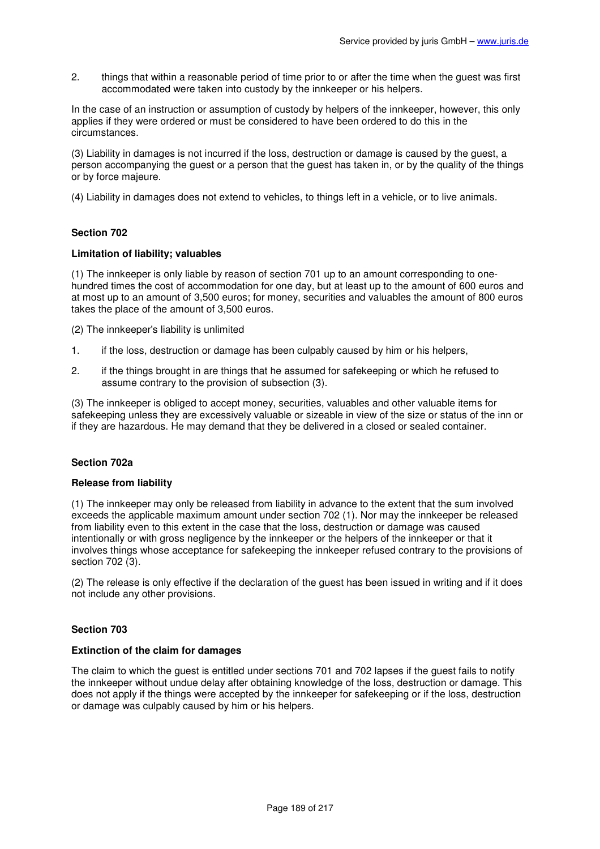2. things that within a reasonable period of time prior to or after the time when the guest was first accommodated were taken into custody by the innkeeper or his helpers.

In the case of an instruction or assumption of custody by helpers of the innkeeper, however, this only applies if they were ordered or must be considered to have been ordered to do this in the circumstances.

(3) Liability in damages is not incurred if the loss, destruction or damage is caused by the guest, a person accompanying the guest or a person that the guest has taken in, or by the quality of the things or by force majeure.

(4) Liability in damages does not extend to vehicles, to things left in a vehicle, or to live animals.

# **Section 702**

## **Limitation of liability; valuables**

(1) The innkeeper is only liable by reason of section 701 up to an amount corresponding to onehundred times the cost of accommodation for one day, but at least up to the amount of 600 euros and at most up to an amount of 3,500 euros; for money, securities and valuables the amount of 800 euros takes the place of the amount of 3,500 euros.

(2) The innkeeper's liability is unlimited

- 1. if the loss, destruction or damage has been culpably caused by him or his helpers,
- 2. if the things brought in are things that he assumed for safekeeping or which he refused to assume contrary to the provision of subsection (3).

(3) The innkeeper is obliged to accept money, securities, valuables and other valuable items for safekeeping unless they are excessively valuable or sizeable in view of the size or status of the inn or if they are hazardous. He may demand that they be delivered in a closed or sealed container.

# **Section 702a**

## **Release from liability**

(1) The innkeeper may only be released from liability in advance to the extent that the sum involved exceeds the applicable maximum amount under section 702 (1). Nor may the innkeeper be released from liability even to this extent in the case that the loss, destruction or damage was caused intentionally or with gross negligence by the innkeeper or the helpers of the innkeeper or that it involves things whose acceptance for safekeeping the innkeeper refused contrary to the provisions of section 702 (3).

(2) The release is only effective if the declaration of the guest has been issued in writing and if it does not include any other provisions.

## **Section 703**

## **Extinction of the claim for damages**

The claim to which the guest is entitled under sections 701 and 702 lapses if the guest fails to notify the innkeeper without undue delay after obtaining knowledge of the loss, destruction or damage. This does not apply if the things were accepted by the innkeeper for safekeeping or if the loss, destruction or damage was culpably caused by him or his helpers.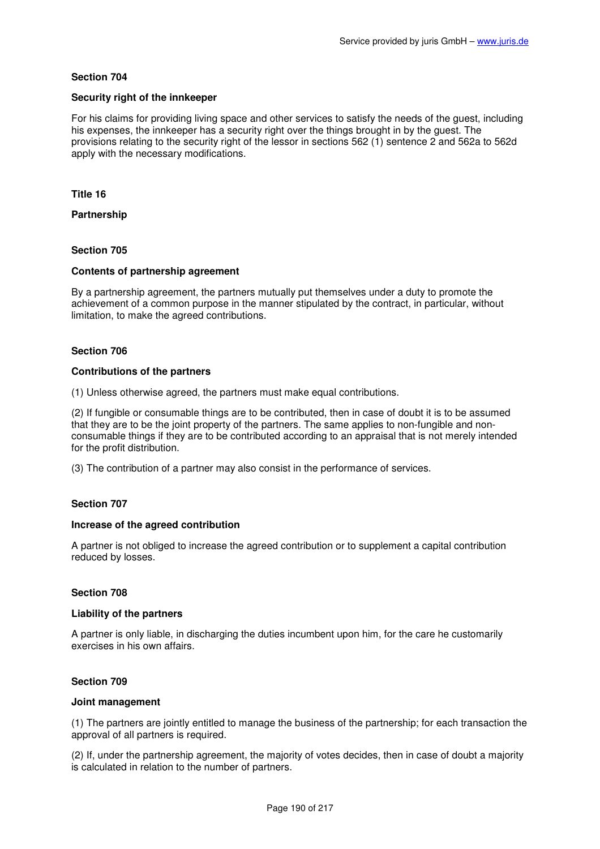## **Security right of the innkeeper**

For his claims for providing living space and other services to satisfy the needs of the guest, including his expenses, the innkeeper has a security right over the things brought in by the guest. The provisions relating to the security right of the lessor in sections 562 (1) sentence 2 and 562a to 562d apply with the necessary modifications.

## **Title 16**

**Partnership** 

# **Section 705**

# **Contents of partnership agreement**

By a partnership agreement, the partners mutually put themselves under a duty to promote the achievement of a common purpose in the manner stipulated by the contract, in particular, without limitation, to make the agreed contributions.

# **Section 706**

## **Contributions of the partners**

(1) Unless otherwise agreed, the partners must make equal contributions.

(2) If fungible or consumable things are to be contributed, then in case of doubt it is to be assumed that they are to be the joint property of the partners. The same applies to non-fungible and nonconsumable things if they are to be contributed according to an appraisal that is not merely intended for the profit distribution.

(3) The contribution of a partner may also consist in the performance of services.

## **Section 707**

## **Increase of the agreed contribution**

A partner is not obliged to increase the agreed contribution or to supplement a capital contribution reduced by losses.

## **Section 708**

## **Liability of the partners**

A partner is only liable, in discharging the duties incumbent upon him, for the care he customarily exercises in his own affairs.

## **Section 709**

# **Joint management**

(1) The partners are jointly entitled to manage the business of the partnership; for each transaction the approval of all partners is required.

(2) If, under the partnership agreement, the majority of votes decides, then in case of doubt a majority is calculated in relation to the number of partners.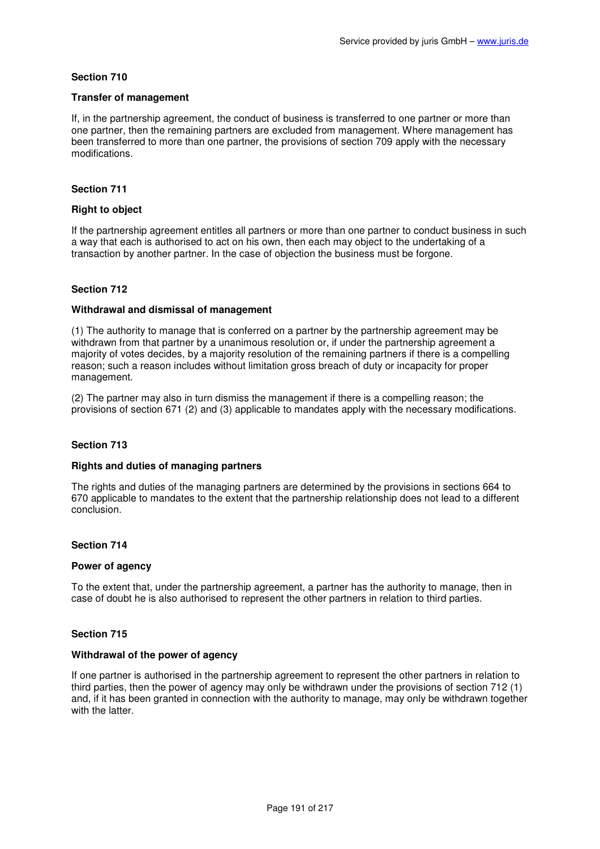## **Transfer of management**

If, in the partnership agreement, the conduct of business is transferred to one partner or more than one partner, then the remaining partners are excluded from management. Where management has been transferred to more than one partner, the provisions of section 709 apply with the necessary modifications.

# **Section 711**

## **Right to object**

If the partnership agreement entitles all partners or more than one partner to conduct business in such a way that each is authorised to act on his own, then each may object to the undertaking of a transaction by another partner. In the case of objection the business must be forgone.

## **Section 712**

# **Withdrawal and dismissal of management**

(1) The authority to manage that is conferred on a partner by the partnership agreement may be withdrawn from that partner by a unanimous resolution or, if under the partnership agreement a majority of votes decides, by a majority resolution of the remaining partners if there is a compelling reason; such a reason includes without limitation gross breach of duty or incapacity for proper management.

(2) The partner may also in turn dismiss the management if there is a compelling reason; the provisions of section 671 (2) and (3) applicable to mandates apply with the necessary modifications.

## **Section 713**

## **Rights and duties of managing partners**

The rights and duties of the managing partners are determined by the provisions in sections 664 to 670 applicable to mandates to the extent that the partnership relationship does not lead to a different conclusion.

## **Section 714**

#### **Power of agency**

To the extent that, under the partnership agreement, a partner has the authority to manage, then in case of doubt he is also authorised to represent the other partners in relation to third parties.

## **Section 715**

### **Withdrawal of the power of agency**

If one partner is authorised in the partnership agreement to represent the other partners in relation to third parties, then the power of agency may only be withdrawn under the provisions of section 712 (1) and, if it has been granted in connection with the authority to manage, may only be withdrawn together with the latter.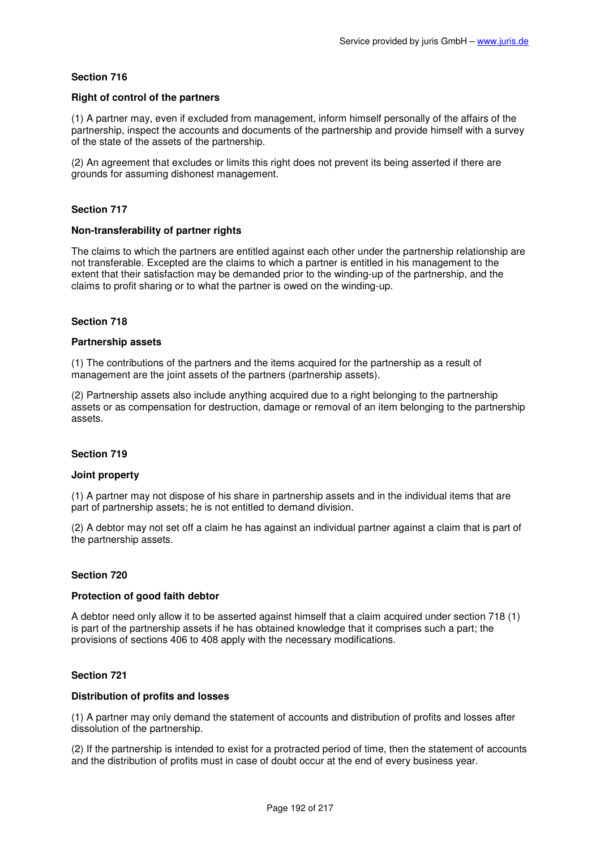## **Right of control of the partners**

(1) A partner may, even if excluded from management, inform himself personally of the affairs of the partnership, inspect the accounts and documents of the partnership and provide himself with a survey of the state of the assets of the partnership.

(2) An agreement that excludes or limits this right does not prevent its being asserted if there are grounds for assuming dishonest management.

## **Section 717**

## **Non-transferability of partner rights**

The claims to which the partners are entitled against each other under the partnership relationship are not transferable. Excepted are the claims to which a partner is entitled in his management to the extent that their satisfaction may be demanded prior to the winding-up of the partnership, and the claims to profit sharing or to what the partner is owed on the winding-up.

## **Section 718**

### **Partnership assets**

(1) The contributions of the partners and the items acquired for the partnership as a result of management are the joint assets of the partners (partnership assets).

(2) Partnership assets also include anything acquired due to a right belonging to the partnership assets or as compensation for destruction, damage or removal of an item belonging to the partnership assets.

## **Section 719**

## **Joint property**

(1) A partner may not dispose of his share in partnership assets and in the individual items that are part of partnership assets; he is not entitled to demand division.

(2) A debtor may not set off a claim he has against an individual partner against a claim that is part of the partnership assets.

## **Section 720**

## **Protection of good faith debtor**

A debtor need only allow it to be asserted against himself that a claim acquired under section 718 (1) is part of the partnership assets if he has obtained knowledge that it comprises such a part; the provisions of sections 406 to 408 apply with the necessary modifications.

## **Section 721**

## **Distribution of profits and losses**

(1) A partner may only demand the statement of accounts and distribution of profits and losses after dissolution of the partnership.

(2) If the partnership is intended to exist for a protracted period of time, then the statement of accounts and the distribution of profits must in case of doubt occur at the end of every business year.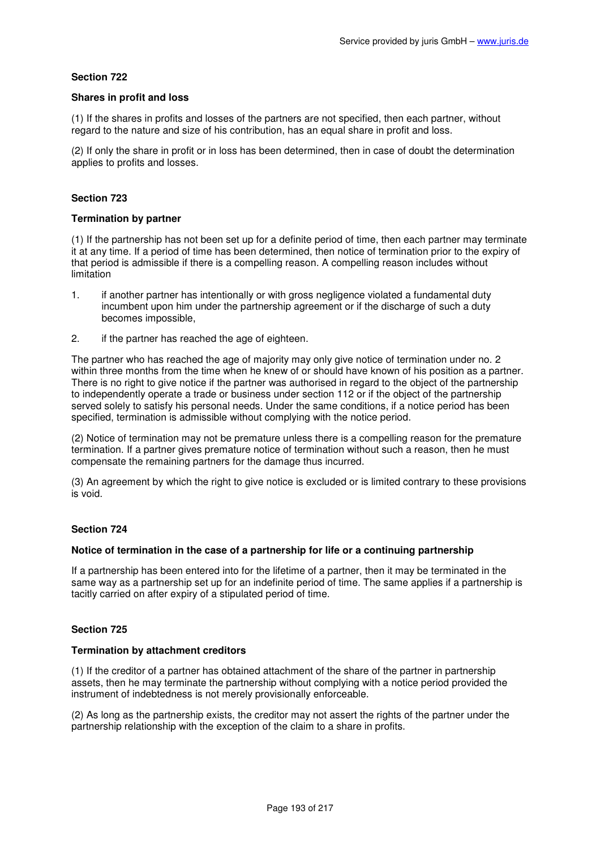## **Shares in profit and loss**

(1) If the shares in profits and losses of the partners are not specified, then each partner, without regard to the nature and size of his contribution, has an equal share in profit and loss.

(2) If only the share in profit or in loss has been determined, then in case of doubt the determination applies to profits and losses.

# **Section 723**

## **Termination by partner**

(1) If the partnership has not been set up for a definite period of time, then each partner may terminate it at any time. If a period of time has been determined, then notice of termination prior to the expiry of that period is admissible if there is a compelling reason. A compelling reason includes without limitation

- 1. if another partner has intentionally or with gross negligence violated a fundamental duty incumbent upon him under the partnership agreement or if the discharge of such a duty becomes impossible,
- 2. if the partner has reached the age of eighteen.

The partner who has reached the age of majority may only give notice of termination under no. 2 within three months from the time when he knew of or should have known of his position as a partner. There is no right to give notice if the partner was authorised in regard to the object of the partnership to independently operate a trade or business under section 112 or if the object of the partnership served solely to satisfy his personal needs. Under the same conditions, if a notice period has been specified, termination is admissible without complying with the notice period.

(2) Notice of termination may not be premature unless there is a compelling reason for the premature termination. If a partner gives premature notice of termination without such a reason, then he must compensate the remaining partners for the damage thus incurred.

(3) An agreement by which the right to give notice is excluded or is limited contrary to these provisions is void.

## **Section 724**

## **Notice of termination in the case of a partnership for life or a continuing partnership**

If a partnership has been entered into for the lifetime of a partner, then it may be terminated in the same way as a partnership set up for an indefinite period of time. The same applies if a partnership is tacitly carried on after expiry of a stipulated period of time.

# **Section 725**

## **Termination by attachment creditors**

(1) If the creditor of a partner has obtained attachment of the share of the partner in partnership assets, then he may terminate the partnership without complying with a notice period provided the instrument of indebtedness is not merely provisionally enforceable.

(2) As long as the partnership exists, the creditor may not assert the rights of the partner under the partnership relationship with the exception of the claim to a share in profits.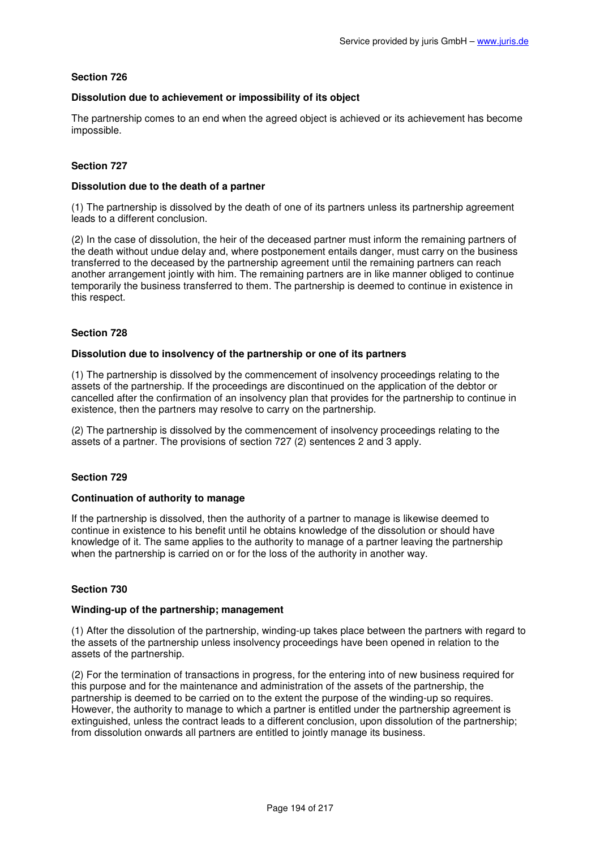## **Dissolution due to achievement or impossibility of its object**

The partnership comes to an end when the agreed object is achieved or its achievement has become impossible.

# **Section 727**

## **Dissolution due to the death of a partner**

(1) The partnership is dissolved by the death of one of its partners unless its partnership agreement leads to a different conclusion.

(2) In the case of dissolution, the heir of the deceased partner must inform the remaining partners of the death without undue delay and, where postponement entails danger, must carry on the business transferred to the deceased by the partnership agreement until the remaining partners can reach another arrangement jointly with him. The remaining partners are in like manner obliged to continue temporarily the business transferred to them. The partnership is deemed to continue in existence in this respect.

### **Section 728**

### **Dissolution due to insolvency of the partnership or one of its partners**

(1) The partnership is dissolved by the commencement of insolvency proceedings relating to the assets of the partnership. If the proceedings are discontinued on the application of the debtor or cancelled after the confirmation of an insolvency plan that provides for the partnership to continue in existence, then the partners may resolve to carry on the partnership.

(2) The partnership is dissolved by the commencement of insolvency proceedings relating to the assets of a partner. The provisions of section 727 (2) sentences 2 and 3 apply.

## **Section 729**

## **Continuation of authority to manage**

If the partnership is dissolved, then the authority of a partner to manage is likewise deemed to continue in existence to his benefit until he obtains knowledge of the dissolution or should have knowledge of it. The same applies to the authority to manage of a partner leaving the partnership when the partnership is carried on or for the loss of the authority in another way.

## **Section 730**

### **Winding-up of the partnership; management**

(1) After the dissolution of the partnership, winding-up takes place between the partners with regard to the assets of the partnership unless insolvency proceedings have been opened in relation to the assets of the partnership.

(2) For the termination of transactions in progress, for the entering into of new business required for this purpose and for the maintenance and administration of the assets of the partnership, the partnership is deemed to be carried on to the extent the purpose of the winding-up so requires. However, the authority to manage to which a partner is entitled under the partnership agreement is extinguished, unless the contract leads to a different conclusion, upon dissolution of the partnership; from dissolution onwards all partners are entitled to jointly manage its business.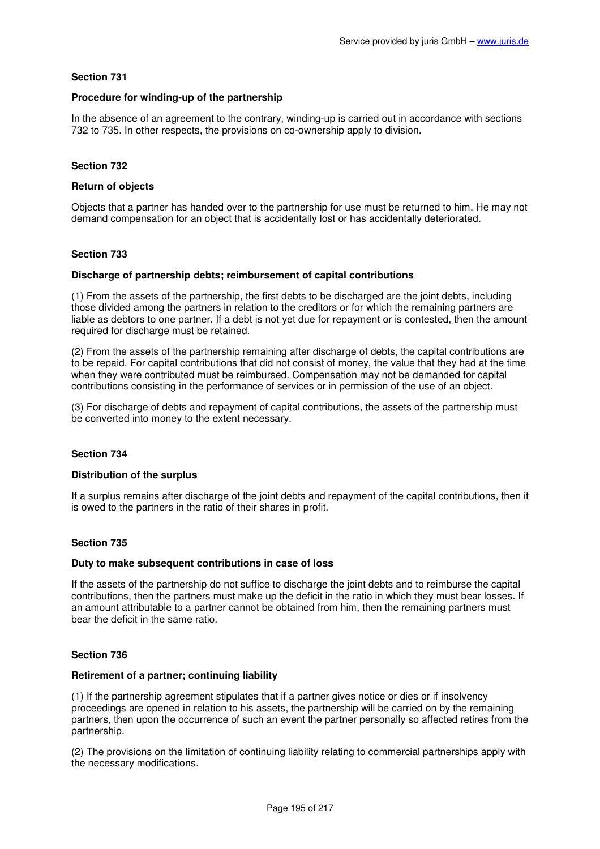# **Procedure for winding-up of the partnership**

In the absence of an agreement to the contrary, winding-up is carried out in accordance with sections 732 to 735. In other respects, the provisions on co-ownership apply to division.

# **Section 732**

## **Return of objects**

Objects that a partner has handed over to the partnership for use must be returned to him. He may not demand compensation for an object that is accidentally lost or has accidentally deteriorated.

## **Section 733**

### **Discharge of partnership debts; reimbursement of capital contributions**

(1) From the assets of the partnership, the first debts to be discharged are the joint debts, including those divided among the partners in relation to the creditors or for which the remaining partners are liable as debtors to one partner. If a debt is not yet due for repayment or is contested, then the amount required for discharge must be retained.

(2) From the assets of the partnership remaining after discharge of debts, the capital contributions are to be repaid. For capital contributions that did not consist of money, the value that they had at the time when they were contributed must be reimbursed. Compensation may not be demanded for capital contributions consisting in the performance of services or in permission of the use of an object.

(3) For discharge of debts and repayment of capital contributions, the assets of the partnership must be converted into money to the extent necessary.

## **Section 734**

#### **Distribution of the surplus**

If a surplus remains after discharge of the joint debts and repayment of the capital contributions, then it is owed to the partners in the ratio of their shares in profit.

## **Section 735**

#### **Duty to make subsequent contributions in case of loss**

If the assets of the partnership do not suffice to discharge the joint debts and to reimburse the capital contributions, then the partners must make up the deficit in the ratio in which they must bear losses. If an amount attributable to a partner cannot be obtained from him, then the remaining partners must bear the deficit in the same ratio.

## **Section 736**

#### **Retirement of a partner; continuing liability**

(1) If the partnership agreement stipulates that if a partner gives notice or dies or if insolvency proceedings are opened in relation to his assets, the partnership will be carried on by the remaining partners, then upon the occurrence of such an event the partner personally so affected retires from the partnership.

(2) The provisions on the limitation of continuing liability relating to commercial partnerships apply with the necessary modifications.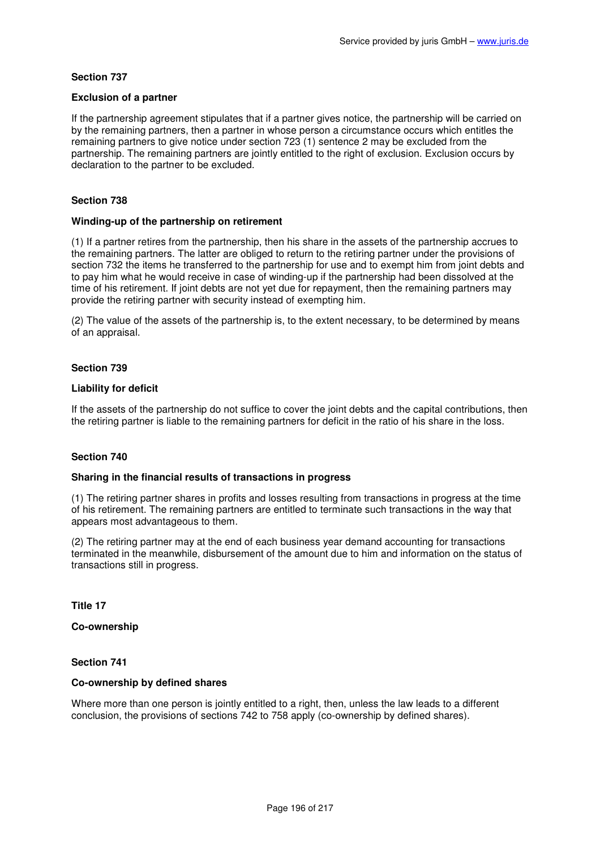## **Exclusion of a partner**

If the partnership agreement stipulates that if a partner gives notice, the partnership will be carried on by the remaining partners, then a partner in whose person a circumstance occurs which entitles the remaining partners to give notice under section 723 (1) sentence 2 may be excluded from the partnership. The remaining partners are jointly entitled to the right of exclusion. Exclusion occurs by declaration to the partner to be excluded.

# **Section 738**

## **Winding-up of the partnership on retirement**

(1) If a partner retires from the partnership, then his share in the assets of the partnership accrues to the remaining partners. The latter are obliged to return to the retiring partner under the provisions of section 732 the items he transferred to the partnership for use and to exempt him from joint debts and to pay him what he would receive in case of winding-up if the partnership had been dissolved at the time of his retirement. If joint debts are not yet due for repayment, then the remaining partners may provide the retiring partner with security instead of exempting him.

(2) The value of the assets of the partnership is, to the extent necessary, to be determined by means of an appraisal.

## **Section 739**

# **Liability for deficit**

If the assets of the partnership do not suffice to cover the joint debts and the capital contributions, then the retiring partner is liable to the remaining partners for deficit in the ratio of his share in the loss.

## **Section 740**

#### **Sharing in the financial results of transactions in progress**

(1) The retiring partner shares in profits and losses resulting from transactions in progress at the time of his retirement. The remaining partners are entitled to terminate such transactions in the way that appears most advantageous to them.

(2) The retiring partner may at the end of each business year demand accounting for transactions terminated in the meanwhile, disbursement of the amount due to him and information on the status of transactions still in progress.

**Title 17** 

# **Co-ownership**

## **Section 741**

## **Co-ownership by defined shares**

Where more than one person is jointly entitled to a right, then, unless the law leads to a different conclusion, the provisions of sections 742 to 758 apply (co-ownership by defined shares).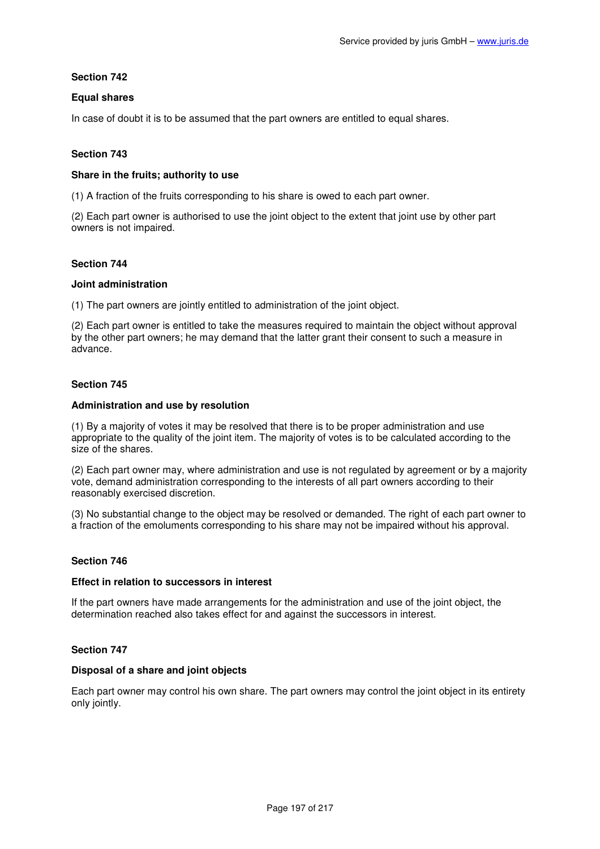# **Equal shares**

In case of doubt it is to be assumed that the part owners are entitled to equal shares.

# **Section 743**

## **Share in the fruits; authority to use**

(1) A fraction of the fruits corresponding to his share is owed to each part owner.

(2) Each part owner is authorised to use the joint object to the extent that joint use by other part owners is not impaired.

## **Section 744**

### **Joint administration**

(1) The part owners are jointly entitled to administration of the joint object.

(2) Each part owner is entitled to take the measures required to maintain the object without approval by the other part owners; he may demand that the latter grant their consent to such a measure in advance.

## **Section 745**

### **Administration and use by resolution**

(1) By a majority of votes it may be resolved that there is to be proper administration and use appropriate to the quality of the joint item. The majority of votes is to be calculated according to the size of the shares.

(2) Each part owner may, where administration and use is not regulated by agreement or by a majority vote, demand administration corresponding to the interests of all part owners according to their reasonably exercised discretion.

(3) No substantial change to the object may be resolved or demanded. The right of each part owner to a fraction of the emoluments corresponding to his share may not be impaired without his approval.

# **Section 746**

### **Effect in relation to successors in interest**

If the part owners have made arrangements for the administration and use of the joint object, the determination reached also takes effect for and against the successors in interest.

# **Section 747**

### **Disposal of a share and joint objects**

Each part owner may control his own share. The part owners may control the joint object in its entirety only jointly.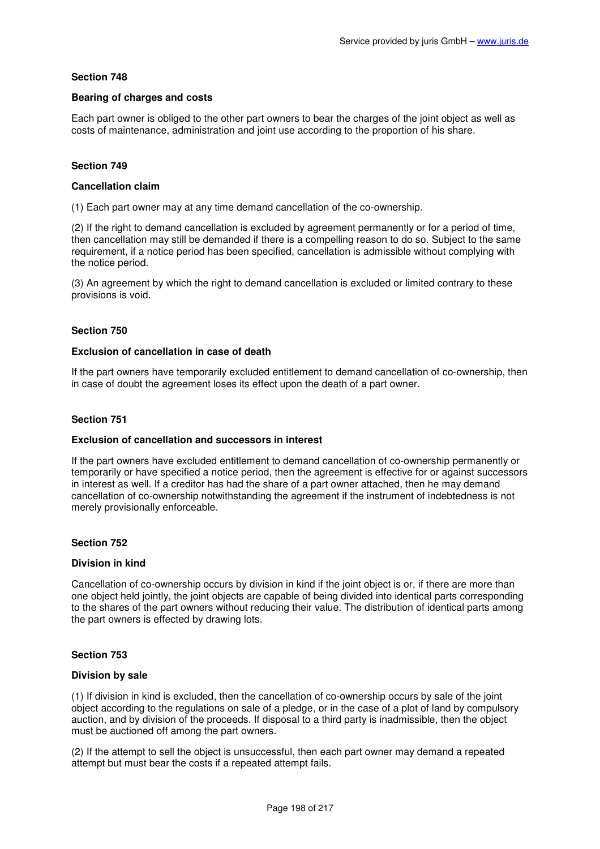# **Bearing of charges and costs**

Each part owner is obliged to the other part owners to bear the charges of the joint object as well as costs of maintenance, administration and joint use according to the proportion of his share.

# **Section 749**

## **Cancellation claim**

(1) Each part owner may at any time demand cancellation of the co-ownership.

(2) If the right to demand cancellation is excluded by agreement permanently or for a period of time, then cancellation may still be demanded if there is a compelling reason to do so. Subject to the same requirement, if a notice period has been specified, cancellation is admissible without complying with the notice period.

(3) An agreement by which the right to demand cancellation is excluded or limited contrary to these provisions is void.

# **Section 750**

### **Exclusion of cancellation in case of death**

If the part owners have temporarily excluded entitlement to demand cancellation of co-ownership, then in case of doubt the agreement loses its effect upon the death of a part owner.

# **Section 751**

# **Exclusion of cancellation and successors in interest**

If the part owners have excluded entitlement to demand cancellation of co-ownership permanently or temporarily or have specified a notice period, then the agreement is effective for or against successors in interest as well. If a creditor has had the share of a part owner attached, then he may demand cancellation of co-ownership notwithstanding the agreement if the instrument of indebtedness is not merely provisionally enforceable.

## **Section 752**

## **Division in kind**

Cancellation of co-ownership occurs by division in kind if the joint object is or, if there are more than one object held jointly, the joint objects are capable of being divided into identical parts corresponding to the shares of the part owners without reducing their value. The distribution of identical parts among the part owners is effected by drawing lots.

## **Section 753**

## **Division by sale**

(1) If division in kind is excluded, then the cancellation of co-ownership occurs by sale of the joint object according to the regulations on sale of a pledge, or in the case of a plot of land by compulsory auction, and by division of the proceeds. If disposal to a third party is inadmissible, then the object must be auctioned off among the part owners.

(2) If the attempt to sell the object is unsuccessful, then each part owner may demand a repeated attempt but must bear the costs if a repeated attempt fails.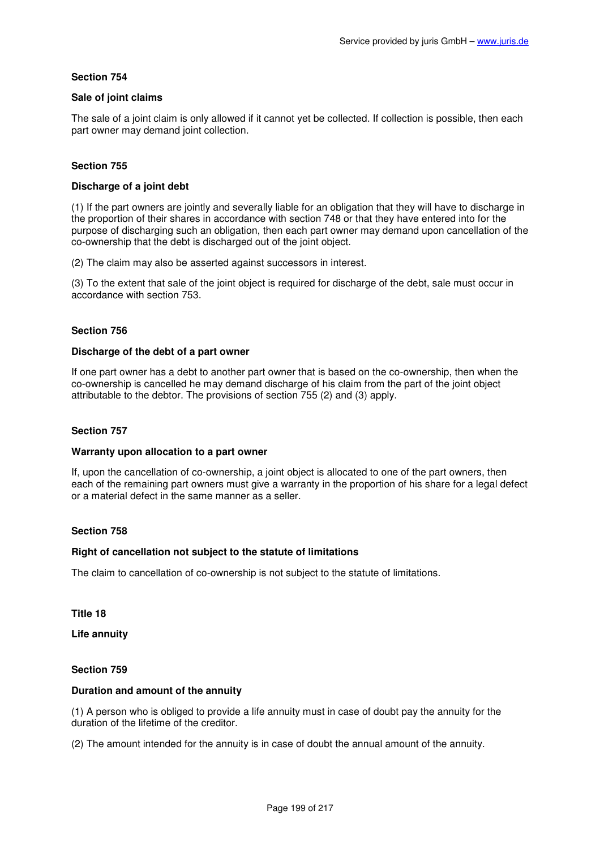# **Sale of joint claims**

The sale of a joint claim is only allowed if it cannot yet be collected. If collection is possible, then each part owner may demand joint collection.

# **Section 755**

# **Discharge of a joint debt**

(1) If the part owners are jointly and severally liable for an obligation that they will have to discharge in the proportion of their shares in accordance with section 748 or that they have entered into for the purpose of discharging such an obligation, then each part owner may demand upon cancellation of the co-ownership that the debt is discharged out of the joint object.

(2) The claim may also be asserted against successors in interest.

(3) To the extent that sale of the joint object is required for discharge of the debt, sale must occur in accordance with section 753.

# **Section 756**

## **Discharge of the debt of a part owner**

If one part owner has a debt to another part owner that is based on the co-ownership, then when the co-ownership is cancelled he may demand discharge of his claim from the part of the joint object attributable to the debtor. The provisions of section 755 (2) and (3) apply.

## **Section 757**

## **Warranty upon allocation to a part owner**

If, upon the cancellation of co-ownership, a joint object is allocated to one of the part owners, then each of the remaining part owners must give a warranty in the proportion of his share for a legal defect or a material defect in the same manner as a seller.

## **Section 758**

# **Right of cancellation not subject to the statute of limitations**

The claim to cancellation of co-ownership is not subject to the statute of limitations.

# **Title 18**

**Life annuity** 

## **Section 759**

# **Duration and amount of the annuity**

(1) A person who is obliged to provide a life annuity must in case of doubt pay the annuity for the duration of the lifetime of the creditor.

(2) The amount intended for the annuity is in case of doubt the annual amount of the annuity.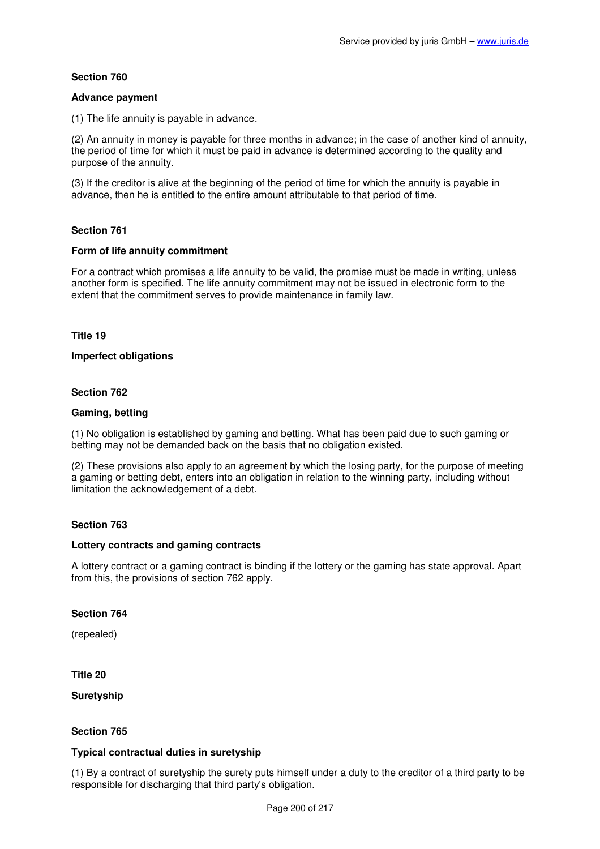## **Advance payment**

(1) The life annuity is payable in advance.

(2) An annuity in money is payable for three months in advance; in the case of another kind of annuity, the period of time for which it must be paid in advance is determined according to the quality and purpose of the annuity.

(3) If the creditor is alive at the beginning of the period of time for which the annuity is payable in advance, then he is entitled to the entire amount attributable to that period of time.

# **Section 761**

## **Form of life annuity commitment**

For a contract which promises a life annuity to be valid, the promise must be made in writing, unless another form is specified. The life annuity commitment may not be issued in electronic form to the extent that the commitment serves to provide maintenance in family law.

## **Title 19**

## **Imperfect obligations**

## **Section 762**

# **Gaming, betting**

(1) No obligation is established by gaming and betting. What has been paid due to such gaming or betting may not be demanded back on the basis that no obligation existed.

(2) These provisions also apply to an agreement by which the losing party, for the purpose of meeting a gaming or betting debt, enters into an obligation in relation to the winning party, including without limitation the acknowledgement of a debt.

# **Section 763**

## **Lottery contracts and gaming contracts**

A lottery contract or a gaming contract is binding if the lottery or the gaming has state approval. Apart from this, the provisions of section 762 apply.

## **Section 764**

(repealed)

## **Title 20**

**Suretyship** 

# **Section 765**

# **Typical contractual duties in suretyship**

(1) By a contract of suretyship the surety puts himself under a duty to the creditor of a third party to be responsible for discharging that third party's obligation.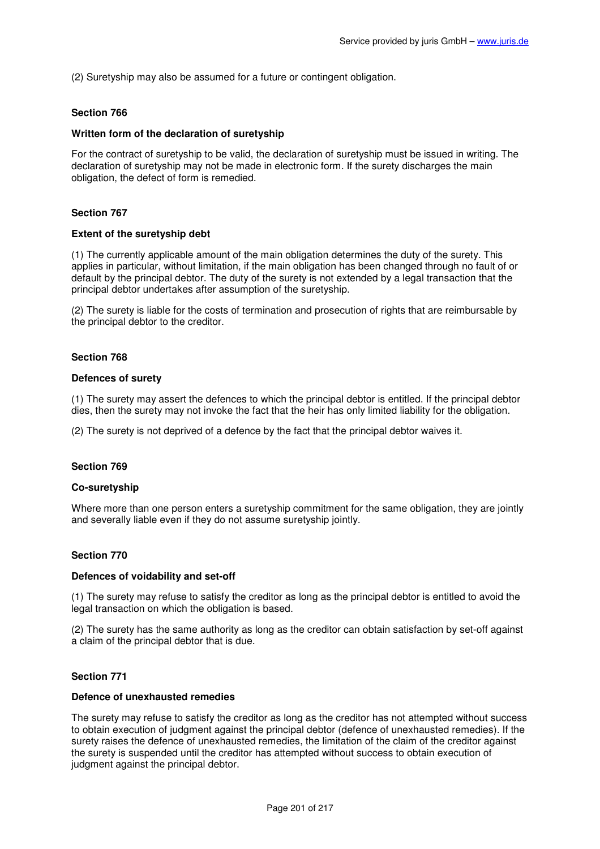(2) Suretyship may also be assumed for a future or contingent obligation.

### **Section 766**

#### **Written form of the declaration of suretyship**

For the contract of suretyship to be valid, the declaration of suretyship must be issued in writing. The declaration of suretyship may not be made in electronic form. If the surety discharges the main obligation, the defect of form is remedied.

### **Section 767**

### **Extent of the suretyship debt**

(1) The currently applicable amount of the main obligation determines the duty of the surety. This applies in particular, without limitation, if the main obligation has been changed through no fault of or default by the principal debtor. The duty of the surety is not extended by a legal transaction that the principal debtor undertakes after assumption of the suretyship.

(2) The surety is liable for the costs of termination and prosecution of rights that are reimbursable by the principal debtor to the creditor.

### **Section 768**

#### **Defences of surety**

(1) The surety may assert the defences to which the principal debtor is entitled. If the principal debtor dies, then the surety may not invoke the fact that the heir has only limited liability for the obligation.

(2) The surety is not deprived of a defence by the fact that the principal debtor waives it.

#### **Section 769**

#### **Co-suretyship**

Where more than one person enters a suretyship commitment for the same obligation, they are jointly and severally liable even if they do not assume suretyship jointly.

#### **Section 770**

#### **Defences of voidability and set-off**

(1) The surety may refuse to satisfy the creditor as long as the principal debtor is entitled to avoid the legal transaction on which the obligation is based.

(2) The surety has the same authority as long as the creditor can obtain satisfaction by set-off against a claim of the principal debtor that is due.

#### **Section 771**

### **Defence of unexhausted remedies**

The surety may refuse to satisfy the creditor as long as the creditor has not attempted without success to obtain execution of judgment against the principal debtor (defence of unexhausted remedies). If the surety raises the defence of unexhausted remedies, the limitation of the claim of the creditor against the surety is suspended until the creditor has attempted without success to obtain execution of judgment against the principal debtor.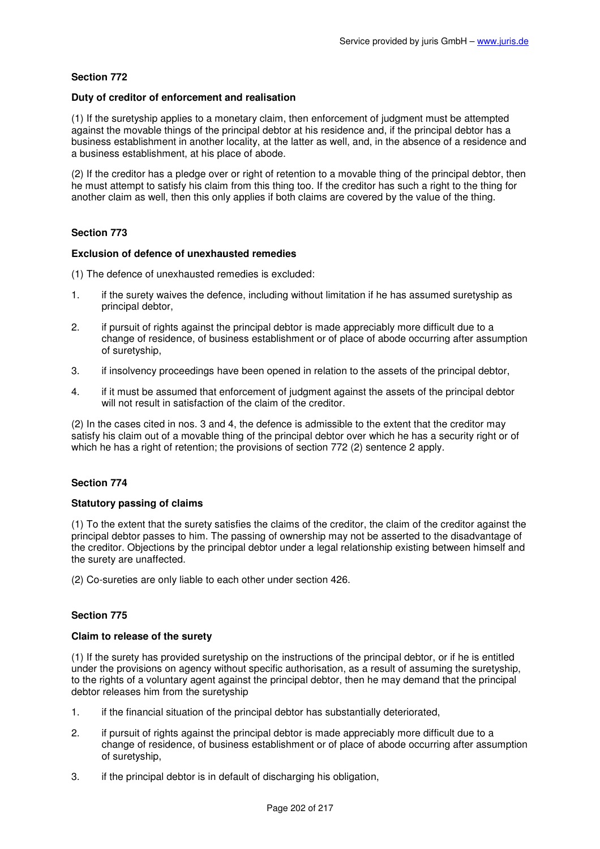## **Duty of creditor of enforcement and realisation**

(1) If the suretyship applies to a monetary claim, then enforcement of judgment must be attempted against the movable things of the principal debtor at his residence and, if the principal debtor has a business establishment in another locality, at the latter as well, and, in the absence of a residence and a business establishment, at his place of abode.

(2) If the creditor has a pledge over or right of retention to a movable thing of the principal debtor, then he must attempt to satisfy his claim from this thing too. If the creditor has such a right to the thing for another claim as well, then this only applies if both claims are covered by the value of the thing.

# **Section 773**

### **Exclusion of defence of unexhausted remedies**

(1) The defence of unexhausted remedies is excluded:

- 1. if the surety waives the defence, including without limitation if he has assumed suretyship as principal debtor,
- 2. if pursuit of rights against the principal debtor is made appreciably more difficult due to a change of residence, of business establishment or of place of abode occurring after assumption of suretyship,
- 3. if insolvency proceedings have been opened in relation to the assets of the principal debtor,
- 4. if it must be assumed that enforcement of judgment against the assets of the principal debtor will not result in satisfaction of the claim of the creditor.

(2) In the cases cited in nos. 3 and 4, the defence is admissible to the extent that the creditor may satisfy his claim out of a movable thing of the principal debtor over which he has a security right or of which he has a right of retention; the provisions of section 772 (2) sentence 2 apply.

# **Section 774**

## **Statutory passing of claims**

(1) To the extent that the surety satisfies the claims of the creditor, the claim of the creditor against the principal debtor passes to him. The passing of ownership may not be asserted to the disadvantage of the creditor. Objections by the principal debtor under a legal relationship existing between himself and the surety are unaffected.

(2) Co-sureties are only liable to each other under section 426.

# **Section 775**

## **Claim to release of the surety**

(1) If the surety has provided suretyship on the instructions of the principal debtor, or if he is entitled under the provisions on agency without specific authorisation, as a result of assuming the suretyship, to the rights of a voluntary agent against the principal debtor, then he may demand that the principal debtor releases him from the suretyship

- 1. if the financial situation of the principal debtor has substantially deteriorated,
- 2. if pursuit of rights against the principal debtor is made appreciably more difficult due to a change of residence, of business establishment or of place of abode occurring after assumption of suretyship,
- 3. if the principal debtor is in default of discharging his obligation,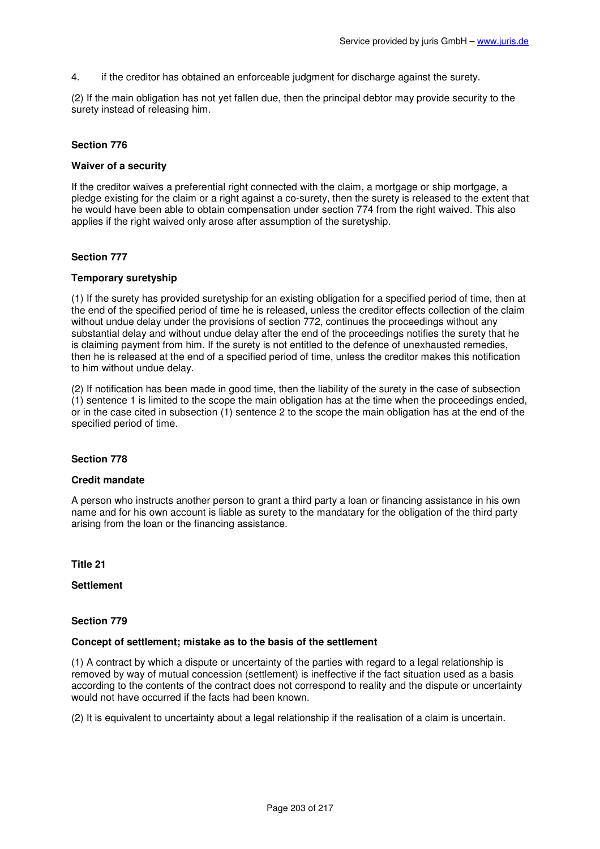4. if the creditor has obtained an enforceable judgment for discharge against the surety.

(2) If the main obligation has not yet fallen due, then the principal debtor may provide security to the surety instead of releasing him.

# **Section 776**

## **Waiver of a security**

If the creditor waives a preferential right connected with the claim, a mortgage or ship mortgage, a pledge existing for the claim or a right against a co-surety, then the surety is released to the extent that he would have been able to obtain compensation under section 774 from the right waived. This also applies if the right waived only arose after assumption of the suretyship.

## **Section 777**

## **Temporary suretyship**

(1) If the surety has provided suretyship for an existing obligation for a specified period of time, then at the end of the specified period of time he is released, unless the creditor effects collection of the claim without undue delay under the provisions of section 772, continues the proceedings without any substantial delay and without undue delay after the end of the proceedings notifies the surety that he is claiming payment from him. If the surety is not entitled to the defence of unexhausted remedies, then he is released at the end of a specified period of time, unless the creditor makes this notification to him without undue delay.

(2) If notification has been made in good time, then the liability of the surety in the case of subsection (1) sentence 1 is limited to the scope the main obligation has at the time when the proceedings ended, or in the case cited in subsection (1) sentence 2 to the scope the main obligation has at the end of the specified period of time.

# **Section 778**

# **Credit mandate**

A person who instructs another person to grant a third party a loan or financing assistance in his own name and for his own account is liable as surety to the mandatary for the obligation of the third party arising from the loan or the financing assistance.

**Title 21** 

**Settlement** 

## **Section 779**

#### **Concept of settlement; mistake as to the basis of the settlement**

(1) A contract by which a dispute or uncertainty of the parties with regard to a legal relationship is removed by way of mutual concession (settlement) is ineffective if the fact situation used as a basis according to the contents of the contract does not correspond to reality and the dispute or uncertainty would not have occurred if the facts had been known.

(2) It is equivalent to uncertainty about a legal relationship if the realisation of a claim is uncertain.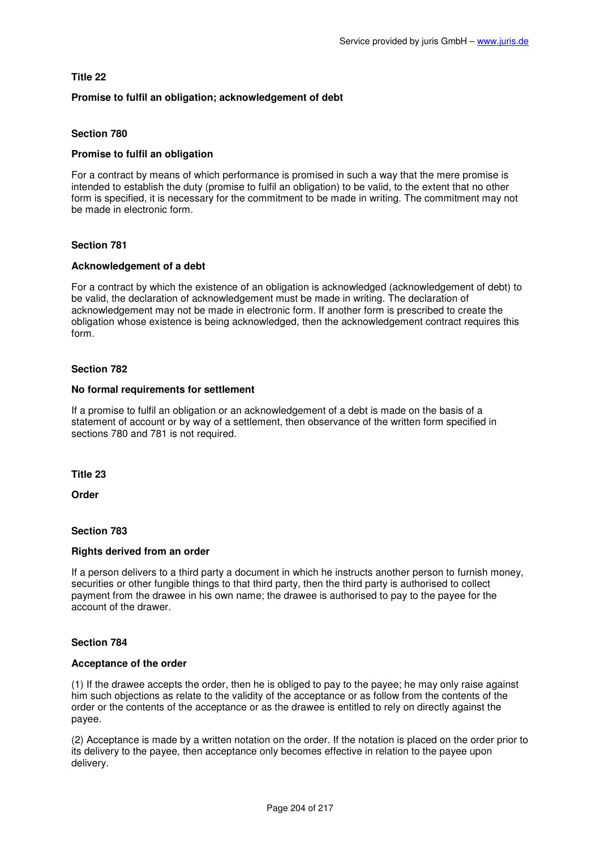# **Title 22**

# **Promise to fulfil an obligation; acknowledgement of debt**

# **Section 780**

# **Promise to fulfil an obligation**

For a contract by means of which performance is promised in such a way that the mere promise is intended to establish the duty (promise to fulfil an obligation) to be valid, to the extent that no other form is specified, it is necessary for the commitment to be made in writing. The commitment may not be made in electronic form.

# **Section 781**

## **Acknowledgement of a debt**

For a contract by which the existence of an obligation is acknowledged (acknowledgement of debt) to be valid, the declaration of acknowledgement must be made in writing. The declaration of acknowledgement may not be made in electronic form. If another form is prescribed to create the obligation whose existence is being acknowledged, then the acknowledgement contract requires this form.

## **Section 782**

## **No formal requirements for settlement**

If a promise to fulfil an obligation or an acknowledgement of a debt is made on the basis of a statement of account or by way of a settlement, then observance of the written form specified in sections 780 and 781 is not required.

## **Title 23**

**Order** 

## **Section 783**

## **Rights derived from an order**

If a person delivers to a third party a document in which he instructs another person to furnish money, securities or other fungible things to that third party, then the third party is authorised to collect payment from the drawee in his own name; the drawee is authorised to pay to the payee for the account of the drawer.

## **Section 784**

## **Acceptance of the order**

(1) If the drawee accepts the order, then he is obliged to pay to the payee; he may only raise against him such objections as relate to the validity of the acceptance or as follow from the contents of the order or the contents of the acceptance or as the drawee is entitled to rely on directly against the payee.

(2) Acceptance is made by a written notation on the order. If the notation is placed on the order prior to its delivery to the payee, then acceptance only becomes effective in relation to the payee upon delivery.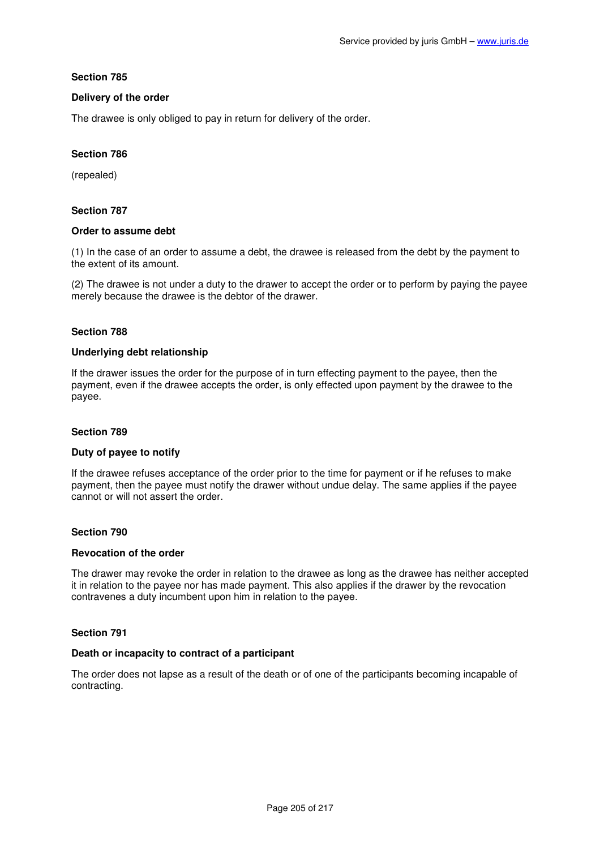# **Delivery of the order**

The drawee is only obliged to pay in return for delivery of the order.

# **Section 786**

(repealed)

# **Section 787**

## **Order to assume debt**

(1) In the case of an order to assume a debt, the drawee is released from the debt by the payment to the extent of its amount.

(2) The drawee is not under a duty to the drawer to accept the order or to perform by paying the payee merely because the drawee is the debtor of the drawer.

## **Section 788**

### **Underlying debt relationship**

If the drawer issues the order for the purpose of in turn effecting payment to the payee, then the payment, even if the drawee accepts the order, is only effected upon payment by the drawee to the payee.

## **Section 789**

## **Duty of payee to notify**

If the drawee refuses acceptance of the order prior to the time for payment or if he refuses to make payment, then the payee must notify the drawer without undue delay. The same applies if the payee cannot or will not assert the order.

## **Section 790**

### **Revocation of the order**

The drawer may revoke the order in relation to the drawee as long as the drawee has neither accepted it in relation to the payee nor has made payment. This also applies if the drawer by the revocation contravenes a duty incumbent upon him in relation to the payee.

## **Section 791**

#### **Death or incapacity to contract of a participant**

The order does not lapse as a result of the death or of one of the participants becoming incapable of contracting.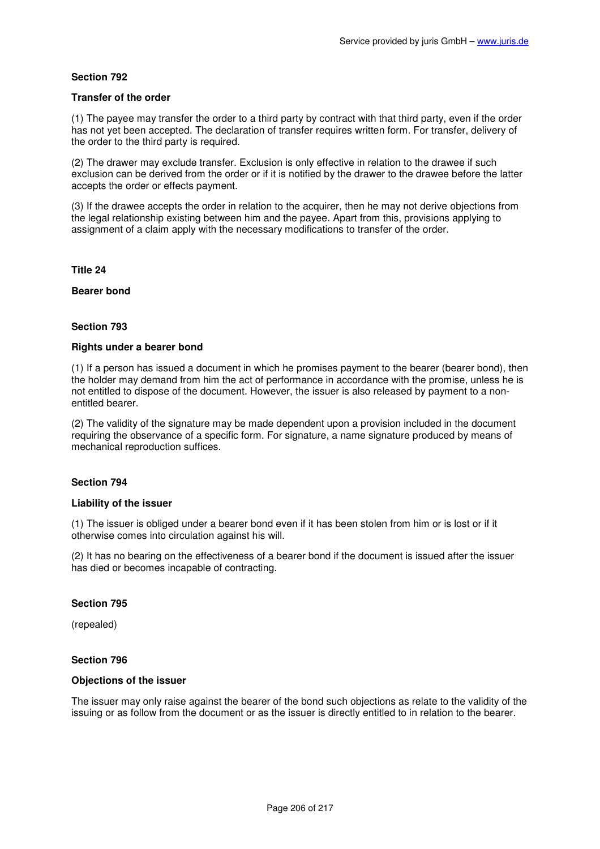## **Transfer of the order**

(1) The payee may transfer the order to a third party by contract with that third party, even if the order has not yet been accepted. The declaration of transfer requires written form. For transfer, delivery of the order to the third party is required.

(2) The drawer may exclude transfer. Exclusion is only effective in relation to the drawee if such exclusion can be derived from the order or if it is notified by the drawer to the drawee before the latter accepts the order or effects payment.

(3) If the drawee accepts the order in relation to the acquirer, then he may not derive objections from the legal relationship existing between him and the payee. Apart from this, provisions applying to assignment of a claim apply with the necessary modifications to transfer of the order.

## **Title 24**

## **Bearer bond**

# **Section 793**

## **Rights under a bearer bond**

(1) If a person has issued a document in which he promises payment to the bearer (bearer bond), then the holder may demand from him the act of performance in accordance with the promise, unless he is not entitled to dispose of the document. However, the issuer is also released by payment to a nonentitled bearer.

(2) The validity of the signature may be made dependent upon a provision included in the document requiring the observance of a specific form. For signature, a name signature produced by means of mechanical reproduction suffices.

# **Section 794**

## **Liability of the issuer**

(1) The issuer is obliged under a bearer bond even if it has been stolen from him or is lost or if it otherwise comes into circulation against his will.

(2) It has no bearing on the effectiveness of a bearer bond if the document is issued after the issuer has died or becomes incapable of contracting.

## **Section 795**

(repealed)

# **Section 796**

## **Objections of the issuer**

The issuer may only raise against the bearer of the bond such objections as relate to the validity of the issuing or as follow from the document or as the issuer is directly entitled to in relation to the bearer.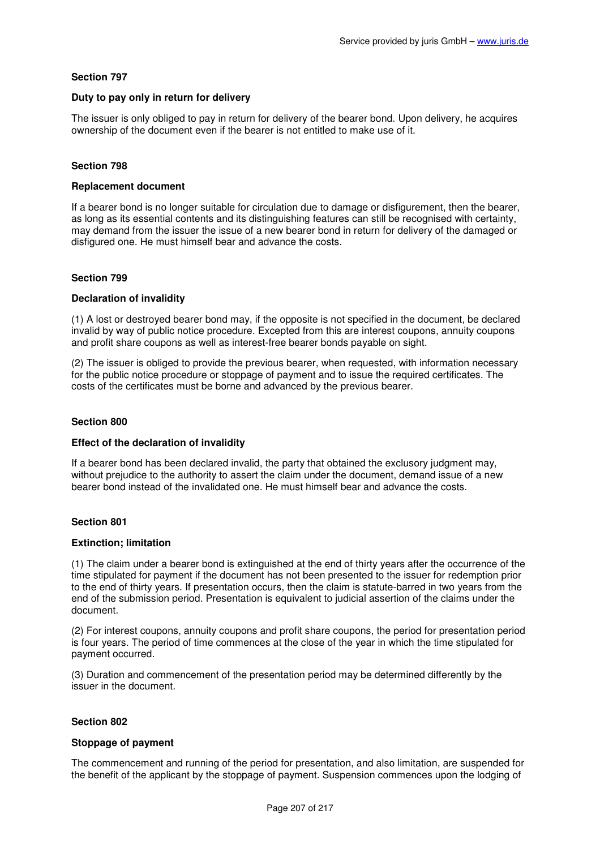# **Duty to pay only in return for delivery**

The issuer is only obliged to pay in return for delivery of the bearer bond. Upon delivery, he acquires ownership of the document even if the bearer is not entitled to make use of it.

# **Section 798**

## **Replacement document**

If a bearer bond is no longer suitable for circulation due to damage or disfigurement, then the bearer, as long as its essential contents and its distinguishing features can still be recognised with certainty, may demand from the issuer the issue of a new bearer bond in return for delivery of the damaged or disfigured one. He must himself bear and advance the costs.

## **Section 799**

## **Declaration of invalidity**

(1) A lost or destroyed bearer bond may, if the opposite is not specified in the document, be declared invalid by way of public notice procedure. Excepted from this are interest coupons, annuity coupons and profit share coupons as well as interest-free bearer bonds payable on sight.

(2) The issuer is obliged to provide the previous bearer, when requested, with information necessary for the public notice procedure or stoppage of payment and to issue the required certificates. The costs of the certificates must be borne and advanced by the previous bearer.

### **Section 800**

## **Effect of the declaration of invalidity**

If a bearer bond has been declared invalid, the party that obtained the exclusory judgment may, without prejudice to the authority to assert the claim under the document, demand issue of a new bearer bond instead of the invalidated one. He must himself bear and advance the costs.

## **Section 801**

## **Extinction; limitation**

(1) The claim under a bearer bond is extinguished at the end of thirty years after the occurrence of the time stipulated for payment if the document has not been presented to the issuer for redemption prior to the end of thirty years. If presentation occurs, then the claim is statute-barred in two years from the end of the submission period. Presentation is equivalent to judicial assertion of the claims under the document.

(2) For interest coupons, annuity coupons and profit share coupons, the period for presentation period is four years. The period of time commences at the close of the year in which the time stipulated for payment occurred.

(3) Duration and commencement of the presentation period may be determined differently by the issuer in the document.

## **Section 802**

## **Stoppage of payment**

The commencement and running of the period for presentation, and also limitation, are suspended for the benefit of the applicant by the stoppage of payment. Suspension commences upon the lodging of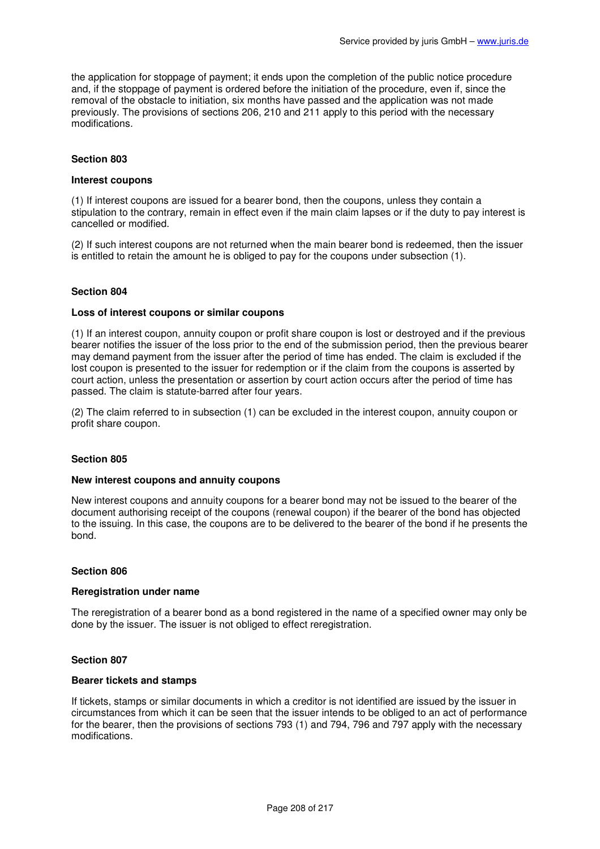the application for stoppage of payment; it ends upon the completion of the public notice procedure and, if the stoppage of payment is ordered before the initiation of the procedure, even if, since the removal of the obstacle to initiation, six months have passed and the application was not made previously. The provisions of sections 206, 210 and 211 apply to this period with the necessary modifications.

## **Section 803**

### **Interest coupons**

(1) If interest coupons are issued for a bearer bond, then the coupons, unless they contain a stipulation to the contrary, remain in effect even if the main claim lapses or if the duty to pay interest is cancelled or modified.

(2) If such interest coupons are not returned when the main bearer bond is redeemed, then the issuer is entitled to retain the amount he is obliged to pay for the coupons under subsection (1).

### **Section 804**

### **Loss of interest coupons or similar coupons**

(1) If an interest coupon, annuity coupon or profit share coupon is lost or destroyed and if the previous bearer notifies the issuer of the loss prior to the end of the submission period, then the previous bearer may demand payment from the issuer after the period of time has ended. The claim is excluded if the lost coupon is presented to the issuer for redemption or if the claim from the coupons is asserted by court action, unless the presentation or assertion by court action occurs after the period of time has passed. The claim is statute-barred after four years.

(2) The claim referred to in subsection (1) can be excluded in the interest coupon, annuity coupon or profit share coupon.

### **Section 805**

### **New interest coupons and annuity coupons**

New interest coupons and annuity coupons for a bearer bond may not be issued to the bearer of the document authorising receipt of the coupons (renewal coupon) if the bearer of the bond has objected to the issuing. In this case, the coupons are to be delivered to the bearer of the bond if he presents the bond.

#### **Section 806**

## **Reregistration under name**

The reregistration of a bearer bond as a bond registered in the name of a specified owner may only be done by the issuer. The issuer is not obliged to effect reregistration.

# **Section 807**

#### **Bearer tickets and stamps**

If tickets, stamps or similar documents in which a creditor is not identified are issued by the issuer in circumstances from which it can be seen that the issuer intends to be obliged to an act of performance for the bearer, then the provisions of sections 793 (1) and 794, 796 and 797 apply with the necessary modifications.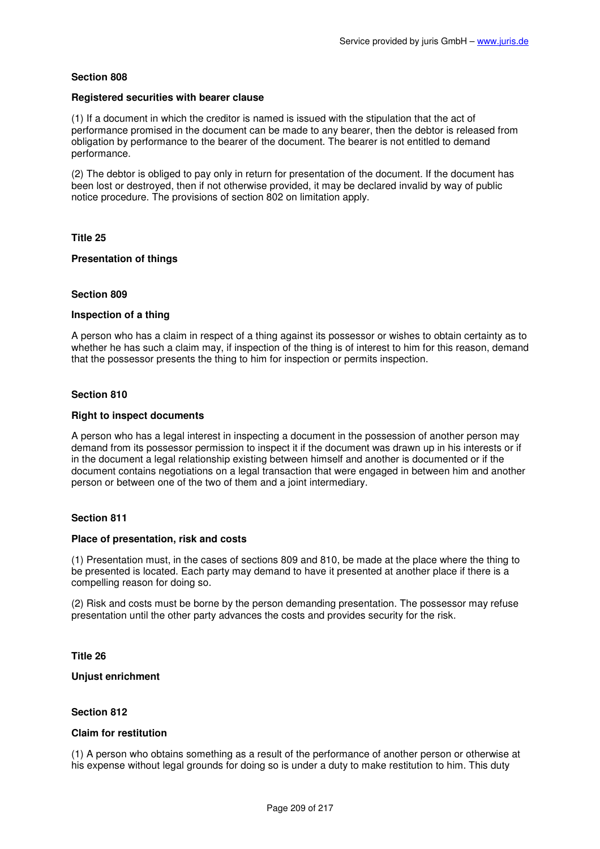## **Registered securities with bearer clause**

(1) If a document in which the creditor is named is issued with the stipulation that the act of performance promised in the document can be made to any bearer, then the debtor is released from obligation by performance to the bearer of the document. The bearer is not entitled to demand performance.

(2) The debtor is obliged to pay only in return for presentation of the document. If the document has been lost or destroyed, then if not otherwise provided, it may be declared invalid by way of public notice procedure. The provisions of section 802 on limitation apply.

**Title 25** 

## **Presentation of things**

## **Section 809**

### **Inspection of a thing**

A person who has a claim in respect of a thing against its possessor or wishes to obtain certainty as to whether he has such a claim may, if inspection of the thing is of interest to him for this reason, demand that the possessor presents the thing to him for inspection or permits inspection.

# **Section 810**

### **Right to inspect documents**

A person who has a legal interest in inspecting a document in the possession of another person may demand from its possessor permission to inspect it if the document was drawn up in his interests or if in the document a legal relationship existing between himself and another is documented or if the document contains negotiations on a legal transaction that were engaged in between him and another person or between one of the two of them and a joint intermediary.

## **Section 811**

## **Place of presentation, risk and costs**

(1) Presentation must, in the cases of sections 809 and 810, be made at the place where the thing to be presented is located. Each party may demand to have it presented at another place if there is a compelling reason for doing so.

(2) Risk and costs must be borne by the person demanding presentation. The possessor may refuse presentation until the other party advances the costs and provides security for the risk.

## **Title 26**

## **Unjust enrichment**

### **Section 812**

### **Claim for restitution**

(1) A person who obtains something as a result of the performance of another person or otherwise at his expense without legal grounds for doing so is under a duty to make restitution to him. This duty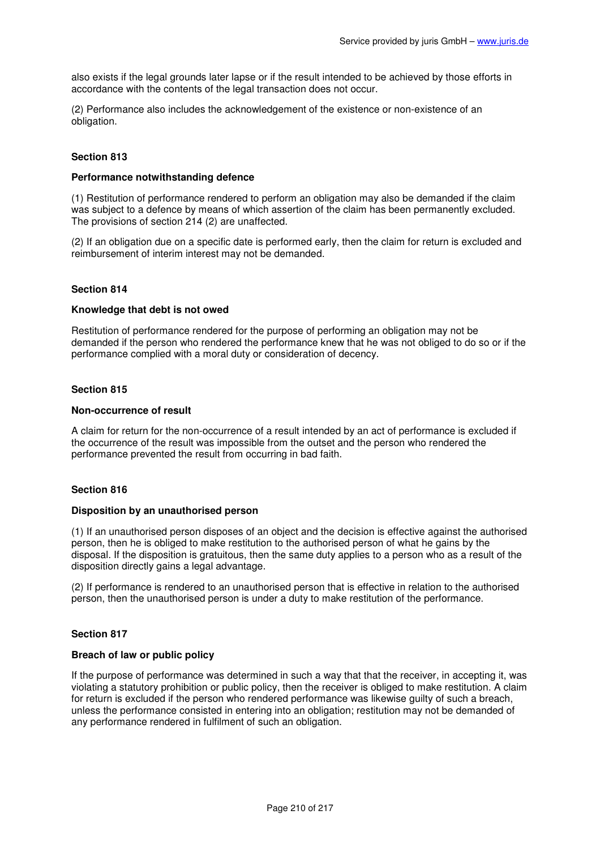also exists if the legal grounds later lapse or if the result intended to be achieved by those efforts in accordance with the contents of the legal transaction does not occur.

(2) Performance also includes the acknowledgement of the existence or non-existence of an obligation.

# **Section 813**

### **Performance notwithstanding defence**

(1) Restitution of performance rendered to perform an obligation may also be demanded if the claim was subject to a defence by means of which assertion of the claim has been permanently excluded. The provisions of section 214 (2) are unaffected.

(2) If an obligation due on a specific date is performed early, then the claim for return is excluded and reimbursement of interim interest may not be demanded.

### **Section 814**

### **Knowledge that debt is not owed**

Restitution of performance rendered for the purpose of performing an obligation may not be demanded if the person who rendered the performance knew that he was not obliged to do so or if the performance complied with a moral duty or consideration of decency.

### **Section 815**

### **Non-occurrence of result**

A claim for return for the non-occurrence of a result intended by an act of performance is excluded if the occurrence of the result was impossible from the outset and the person who rendered the performance prevented the result from occurring in bad faith.

# **Section 816**

#### **Disposition by an unauthorised person**

(1) If an unauthorised person disposes of an object and the decision is effective against the authorised person, then he is obliged to make restitution to the authorised person of what he gains by the disposal. If the disposition is gratuitous, then the same duty applies to a person who as a result of the disposition directly gains a legal advantage.

(2) If performance is rendered to an unauthorised person that is effective in relation to the authorised person, then the unauthorised person is under a duty to make restitution of the performance.

## **Section 817**

### **Breach of law or public policy**

If the purpose of performance was determined in such a way that that the receiver, in accepting it, was violating a statutory prohibition or public policy, then the receiver is obliged to make restitution. A claim for return is excluded if the person who rendered performance was likewise guilty of such a breach, unless the performance consisted in entering into an obligation; restitution may not be demanded of any performance rendered in fulfilment of such an obligation.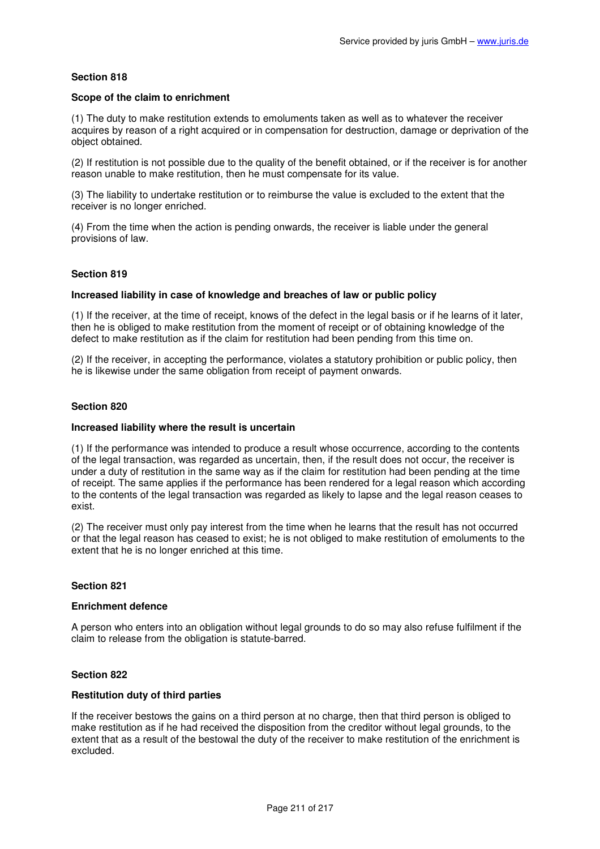## **Scope of the claim to enrichment**

(1) The duty to make restitution extends to emoluments taken as well as to whatever the receiver acquires by reason of a right acquired or in compensation for destruction, damage or deprivation of the object obtained.

(2) If restitution is not possible due to the quality of the benefit obtained, or if the receiver is for another reason unable to make restitution, then he must compensate for its value.

(3) The liability to undertake restitution or to reimburse the value is excluded to the extent that the receiver is no longer enriched.

(4) From the time when the action is pending onwards, the receiver is liable under the general provisions of law.

## **Section 819**

## **Increased liability in case of knowledge and breaches of law or public policy**

(1) If the receiver, at the time of receipt, knows of the defect in the legal basis or if he learns of it later, then he is obliged to make restitution from the moment of receipt or of obtaining knowledge of the defect to make restitution as if the claim for restitution had been pending from this time on.

(2) If the receiver, in accepting the performance, violates a statutory prohibition or public policy, then he is likewise under the same obligation from receipt of payment onwards.

## **Section 820**

### **Increased liability where the result is uncertain**

(1) If the performance was intended to produce a result whose occurrence, according to the contents of the legal transaction, was regarded as uncertain, then, if the result does not occur, the receiver is under a duty of restitution in the same way as if the claim for restitution had been pending at the time of receipt. The same applies if the performance has been rendered for a legal reason which according to the contents of the legal transaction was regarded as likely to lapse and the legal reason ceases to exist.

(2) The receiver must only pay interest from the time when he learns that the result has not occurred or that the legal reason has ceased to exist; he is not obliged to make restitution of emoluments to the extent that he is no longer enriched at this time.

## **Section 821**

#### **Enrichment defence**

A person who enters into an obligation without legal grounds to do so may also refuse fulfilment if the claim to release from the obligation is statute-barred.

## **Section 822**

## **Restitution duty of third parties**

If the receiver bestows the gains on a third person at no charge, then that third person is obliged to make restitution as if he had received the disposition from the creditor without legal grounds, to the extent that as a result of the bestowal the duty of the receiver to make restitution of the enrichment is excluded.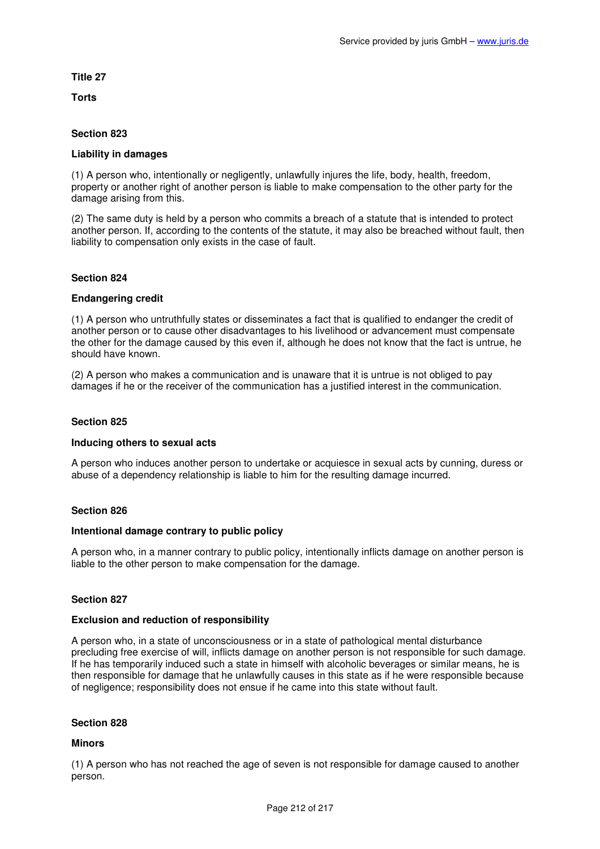# **Title 27**

**Torts** 

# **Section 823**

## **Liability in damages**

(1) A person who, intentionally or negligently, unlawfully injures the life, body, health, freedom, property or another right of another person is liable to make compensation to the other party for the damage arising from this.

(2) The same duty is held by a person who commits a breach of a statute that is intended to protect another person. If, according to the contents of the statute, it may also be breached without fault, then liability to compensation only exists in the case of fault.

# **Section 824**

## **Endangering credit**

(1) A person who untruthfully states or disseminates a fact that is qualified to endanger the credit of another person or to cause other disadvantages to his livelihood or advancement must compensate the other for the damage caused by this even if, although he does not know that the fact is untrue, he should have known.

(2) A person who makes a communication and is unaware that it is untrue is not obliged to pay damages if he or the receiver of the communication has a justified interest in the communication.

## **Section 825**

## **Inducing others to sexual acts**

A person who induces another person to undertake or acquiesce in sexual acts by cunning, duress or abuse of a dependency relationship is liable to him for the resulting damage incurred.

## **Section 826**

## **Intentional damage contrary to public policy**

A person who, in a manner contrary to public policy, intentionally inflicts damage on another person is liable to the other person to make compensation for the damage.

## **Section 827**

## **Exclusion and reduction of responsibility**

A person who, in a state of unconsciousness or in a state of pathological mental disturbance precluding free exercise of will, inflicts damage on another person is not responsible for such damage. If he has temporarily induced such a state in himself with alcoholic beverages or similar means, he is then responsible for damage that he unlawfully causes in this state as if he were responsible because of negligence; responsibility does not ensue if he came into this state without fault.

## **Section 828**

## **Minors**

(1) A person who has not reached the age of seven is not responsible for damage caused to another person.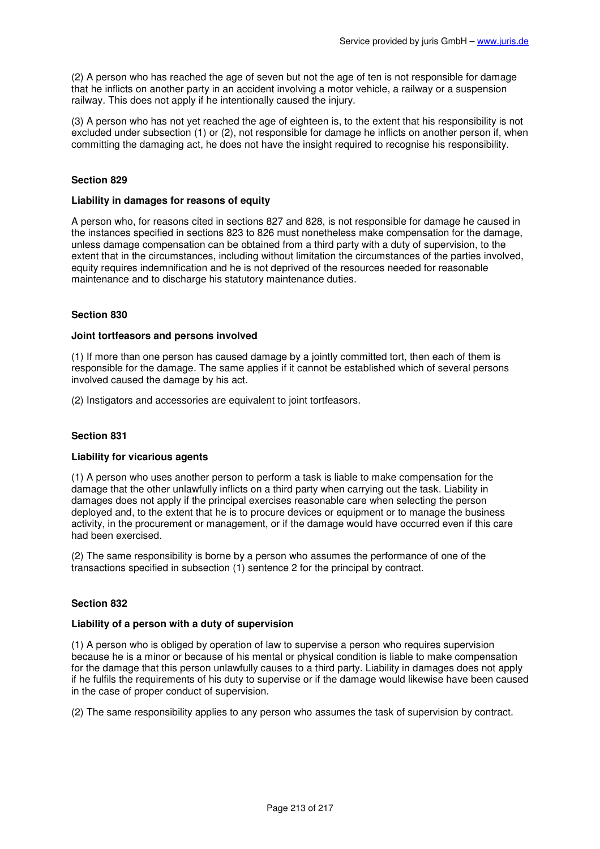(2) A person who has reached the age of seven but not the age of ten is not responsible for damage that he inflicts on another party in an accident involving a motor vehicle, a railway or a suspension railway. This does not apply if he intentionally caused the injury.

(3) A person who has not yet reached the age of eighteen is, to the extent that his responsibility is not excluded under subsection (1) or (2), not responsible for damage he inflicts on another person if, when committing the damaging act, he does not have the insight required to recognise his responsibility.

# **Section 829**

## **Liability in damages for reasons of equity**

A person who, for reasons cited in sections 827 and 828, is not responsible for damage he caused in the instances specified in sections 823 to 826 must nonetheless make compensation for the damage, unless damage compensation can be obtained from a third party with a duty of supervision, to the extent that in the circumstances, including without limitation the circumstances of the parties involved, equity requires indemnification and he is not deprived of the resources needed for reasonable maintenance and to discharge his statutory maintenance duties.

## **Section 830**

## **Joint tortfeasors and persons involved**

(1) If more than one person has caused damage by a jointly committed tort, then each of them is responsible for the damage. The same applies if it cannot be established which of several persons involved caused the damage by his act.

(2) Instigators and accessories are equivalent to joint tortfeasors.

# **Section 831**

## **Liability for vicarious agents**

(1) A person who uses another person to perform a task is liable to make compensation for the damage that the other unlawfully inflicts on a third party when carrying out the task. Liability in damages does not apply if the principal exercises reasonable care when selecting the person deployed and, to the extent that he is to procure devices or equipment or to manage the business activity, in the procurement or management, or if the damage would have occurred even if this care had been exercised.

(2) The same responsibility is borne by a person who assumes the performance of one of the transactions specified in subsection (1) sentence 2 for the principal by contract.

## **Section 832**

## **Liability of a person with a duty of supervision**

(1) A person who is obliged by operation of law to supervise a person who requires supervision because he is a minor or because of his mental or physical condition is liable to make compensation for the damage that this person unlawfully causes to a third party. Liability in damages does not apply if he fulfils the requirements of his duty to supervise or if the damage would likewise have been caused in the case of proper conduct of supervision.

(2) The same responsibility applies to any person who assumes the task of supervision by contract.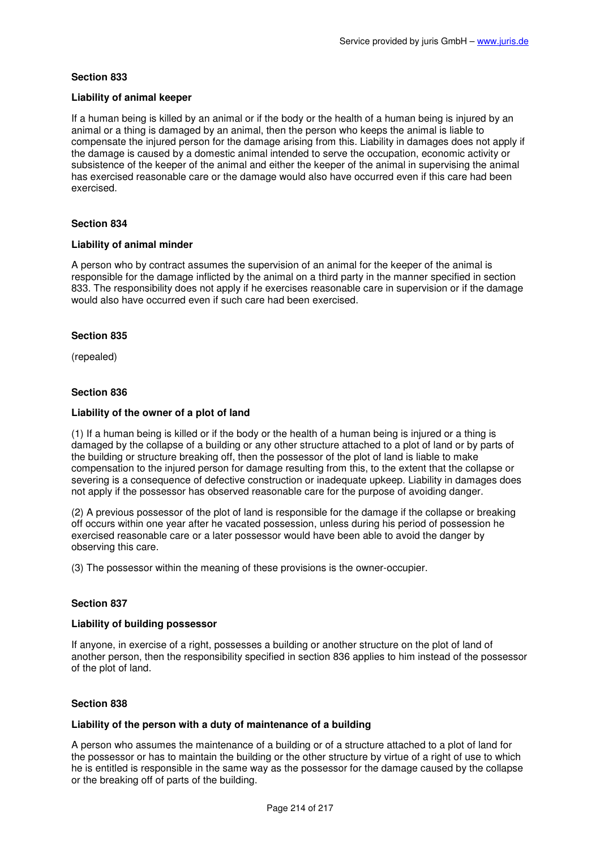# **Liability of animal keeper**

If a human being is killed by an animal or if the body or the health of a human being is injured by an animal or a thing is damaged by an animal, then the person who keeps the animal is liable to compensate the injured person for the damage arising from this. Liability in damages does not apply if the damage is caused by a domestic animal intended to serve the occupation, economic activity or subsistence of the keeper of the animal and either the keeper of the animal in supervising the animal has exercised reasonable care or the damage would also have occurred even if this care had been exercised.

# **Section 834**

## **Liability of animal minder**

A person who by contract assumes the supervision of an animal for the keeper of the animal is responsible for the damage inflicted by the animal on a third party in the manner specified in section 833. The responsibility does not apply if he exercises reasonable care in supervision or if the damage would also have occurred even if such care had been exercised.

## **Section 835**

(repealed)

# **Section 836**

# **Liability of the owner of a plot of land**

(1) If a human being is killed or if the body or the health of a human being is injured or a thing is damaged by the collapse of a building or any other structure attached to a plot of land or by parts of the building or structure breaking off, then the possessor of the plot of land is liable to make compensation to the injured person for damage resulting from this, to the extent that the collapse or severing is a consequence of defective construction or inadequate upkeep. Liability in damages does not apply if the possessor has observed reasonable care for the purpose of avoiding danger.

(2) A previous possessor of the plot of land is responsible for the damage if the collapse or breaking off occurs within one year after he vacated possession, unless during his period of possession he exercised reasonable care or a later possessor would have been able to avoid the danger by observing this care.

(3) The possessor within the meaning of these provisions is the owner-occupier.

## **Section 837**

# **Liability of building possessor**

If anyone, in exercise of a right, possesses a building or another structure on the plot of land of another person, then the responsibility specified in section 836 applies to him instead of the possessor of the plot of land.

## **Section 838**

## **Liability of the person with a duty of maintenance of a building**

A person who assumes the maintenance of a building or of a structure attached to a plot of land for the possessor or has to maintain the building or the other structure by virtue of a right of use to which he is entitled is responsible in the same way as the possessor for the damage caused by the collapse or the breaking off of parts of the building.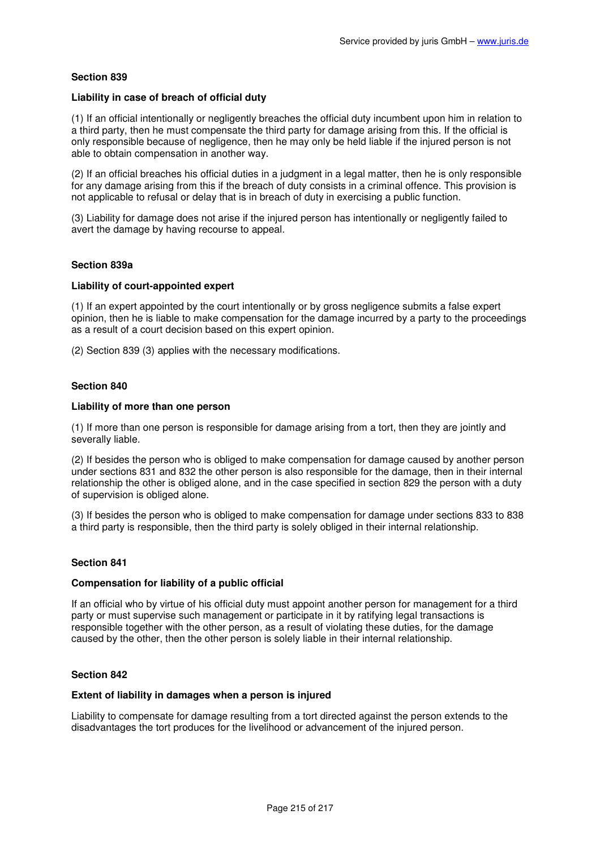## **Liability in case of breach of official duty**

(1) If an official intentionally or negligently breaches the official duty incumbent upon him in relation to a third party, then he must compensate the third party for damage arising from this. If the official is only responsible because of negligence, then he may only be held liable if the injured person is not able to obtain compensation in another way.

(2) If an official breaches his official duties in a judgment in a legal matter, then he is only responsible for any damage arising from this if the breach of duty consists in a criminal offence. This provision is not applicable to refusal or delay that is in breach of duty in exercising a public function.

(3) Liability for damage does not arise if the injured person has intentionally or negligently failed to avert the damage by having recourse to appeal.

## **Section 839a**

## **Liability of court-appointed expert**

(1) If an expert appointed by the court intentionally or by gross negligence submits a false expert opinion, then he is liable to make compensation for the damage incurred by a party to the proceedings as a result of a court decision based on this expert opinion.

(2) Section 839 (3) applies with the necessary modifications.

## **Section 840**

### **Liability of more than one person**

(1) If more than one person is responsible for damage arising from a tort, then they are jointly and severally liable.

(2) If besides the person who is obliged to make compensation for damage caused by another person under sections 831 and 832 the other person is also responsible for the damage, then in their internal relationship the other is obliged alone, and in the case specified in section 829 the person with a duty of supervision is obliged alone.

(3) If besides the person who is obliged to make compensation for damage under sections 833 to 838 a third party is responsible, then the third party is solely obliged in their internal relationship.

## **Section 841**

### **Compensation for liability of a public official**

If an official who by virtue of his official duty must appoint another person for management for a third party or must supervise such management or participate in it by ratifying legal transactions is responsible together with the other person, as a result of violating these duties, for the damage caused by the other, then the other person is solely liable in their internal relationship.

## **Section 842**

### **Extent of liability in damages when a person is injured**

Liability to compensate for damage resulting from a tort directed against the person extends to the disadvantages the tort produces for the livelihood or advancement of the injured person.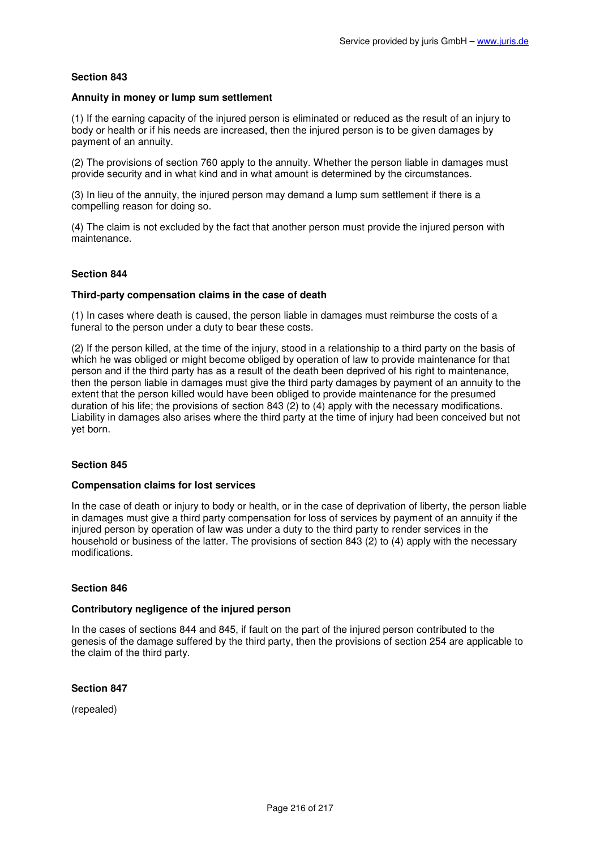## **Annuity in money or lump sum settlement**

(1) If the earning capacity of the injured person is eliminated or reduced as the result of an injury to body or health or if his needs are increased, then the injured person is to be given damages by payment of an annuity.

(2) The provisions of section 760 apply to the annuity. Whether the person liable in damages must provide security and in what kind and in what amount is determined by the circumstances.

(3) In lieu of the annuity, the injured person may demand a lump sum settlement if there is a compelling reason for doing so.

(4) The claim is not excluded by the fact that another person must provide the injured person with maintenance.

## **Section 844**

### **Third-party compensation claims in the case of death**

(1) In cases where death is caused, the person liable in damages must reimburse the costs of a funeral to the person under a duty to bear these costs.

(2) If the person killed, at the time of the injury, stood in a relationship to a third party on the basis of which he was obliged or might become obliged by operation of law to provide maintenance for that person and if the third party has as a result of the death been deprived of his right to maintenance, then the person liable in damages must give the third party damages by payment of an annuity to the extent that the person killed would have been obliged to provide maintenance for the presumed duration of his life; the provisions of section 843 (2) to (4) apply with the necessary modifications. Liability in damages also arises where the third party at the time of injury had been conceived but not yet born.

## **Section 845**

#### **Compensation claims for lost services**

In the case of death or injury to body or health, or in the case of deprivation of liberty, the person liable in damages must give a third party compensation for loss of services by payment of an annuity if the injured person by operation of law was under a duty to the third party to render services in the household or business of the latter. The provisions of section 843 (2) to (4) apply with the necessary modifications.

#### **Section 846**

#### **Contributory negligence of the injured person**

In the cases of sections 844 and 845, if fault on the part of the injured person contributed to the genesis of the damage suffered by the third party, then the provisions of section 254 are applicable to the claim of the third party.

## **Section 847**

(repealed)